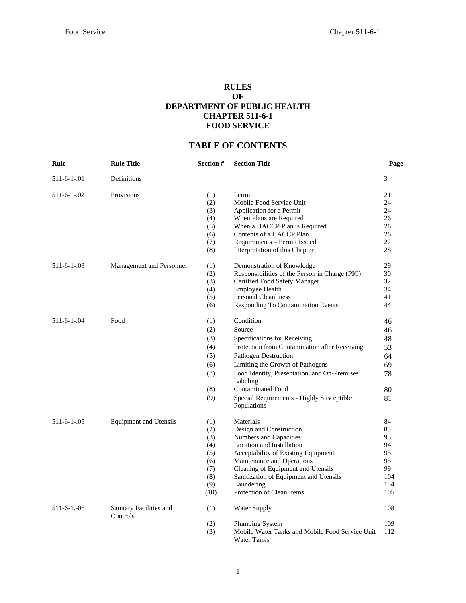### **RULES OF DEPARTMENT OF PUBLIC HEALTH CHAPTER 511-6-1 FOOD SERVICE**

# **TABLE OF CONTENTS**

| Rule               | <b>Rule Title</b>                   | Section # | <b>Section Title</b>                                                  | Page |
|--------------------|-------------------------------------|-----------|-----------------------------------------------------------------------|------|
| $511-6-1-01$       | Definitions                         |           |                                                                       | 3    |
| $511 - 6 - 1 - 02$ | Provisions                          | (1)       | Permit                                                                | 21   |
|                    |                                     | (2)       | Mobile Food Service Unit                                              | 24   |
|                    |                                     | (3)       | Application for a Permit                                              | 24   |
|                    |                                     | (4)       | When Plans are Required                                               | 26   |
|                    |                                     | (5)       | When a HACCP Plan is Required                                         | 26   |
|                    |                                     | (6)       | Contents of a HACCP Plan                                              | 26   |
|                    |                                     | (7)       | Requirements – Permit Issued                                          | 27   |
|                    |                                     | (8)       | Interpretation of this Chapter                                        | 28   |
| $511 - 6 - 1 - 03$ | Management and Personnel            | (1)       | Demonstration of Knowledge                                            | 29   |
|                    |                                     | (2)       | Responsibilities of the Person in Charge (PIC)                        | 30   |
|                    |                                     | (3)       | Certified Food Safety Manager                                         | 32   |
|                    |                                     | (4)       | <b>Employee Health</b>                                                | 34   |
|                    |                                     | (5)       | <b>Personal Cleanliness</b>                                           | 41   |
|                    |                                     | (6)       | <b>Responding To Contamination Events</b>                             | 44   |
| $511 - 6 - 1 - 04$ | Food                                | (1)       | Condition                                                             | 46   |
|                    |                                     | (2)       | Source                                                                | 46   |
|                    |                                     | (3)       | Specifications for Receiving                                          | 48   |
|                    |                                     | (4)       | Protection from Contamination after Receiving                         | 53   |
|                    |                                     | (5)       | Pathogen Destruction                                                  | 64   |
|                    |                                     | (6)       | Limiting the Growth of Pathogens                                      | 69   |
|                    |                                     | (7)       | Food Identity, Presentation, and On-Premises<br>Labeling              | 78   |
|                    |                                     | (8)       | <b>Contaminated Food</b>                                              | 80   |
|                    |                                     | (9)       | Special Requirements - Highly Susceptible                             | 81   |
|                    |                                     |           | Populations                                                           |      |
| $511 - 6 - 1 - 05$ | <b>Equipment and Utensils</b>       | (1)       | Materials                                                             | 84   |
|                    |                                     | (2)       | Design and Construction                                               | 85   |
|                    |                                     | (3)       | Numbers and Capacities                                                | 93   |
|                    |                                     | (4)       | Location and Installation                                             | 94   |
|                    |                                     | (5)       | Acceptability of Existing Equipment                                   | 95   |
|                    |                                     | (6)       | Maintenance and Operations                                            | 95   |
|                    |                                     | (7)       | Cleaning of Equipment and Utensils                                    | 99   |
|                    |                                     | (8)       | Sanitization of Equipment and Utensils                                | 104  |
|                    |                                     | (9)       | Laundering                                                            | 104  |
|                    |                                     | (10)      | Protection of Clean Items                                             | 105  |
| $511-6-1-06$       | Sanitary Facilities and<br>Controls | (1)       | Water Supply                                                          | 108  |
|                    |                                     | (2)       | <b>Plumbing System</b>                                                | 109  |
|                    |                                     | (3)       | Mobile Water Tanks and Mobile Food Service Unit<br><b>Water Tanks</b> | 112  |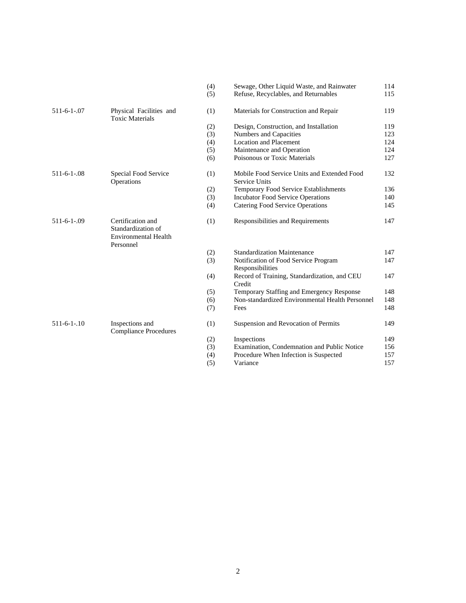|                    |                                                                                     | (5) | Refuse, Recyclables, and Returnables                                |
|--------------------|-------------------------------------------------------------------------------------|-----|---------------------------------------------------------------------|
| $511 - 6 - 1 - 07$ | Physical Facilities and<br><b>Toxic Materials</b>                                   | (1) | Materials for Construction and Repair                               |
|                    |                                                                                     | (2) | Design, Construction, and Installation                              |
|                    |                                                                                     | (3) | <b>Numbers and Capacities</b>                                       |
|                    |                                                                                     | (4) | <b>Location and Placement</b>                                       |
|                    |                                                                                     | (5) | Maintenance and Operation                                           |
|                    |                                                                                     | (6) | Poisonous or Toxic Materials                                        |
| $511 - 6 - 1 - 08$ | Special Food Service<br>Operations                                                  | (1) | Mobile Food Service Units and Extended Food<br><b>Service Units</b> |
|                    |                                                                                     | (2) | <b>Temporary Food Service Establishments</b>                        |
|                    |                                                                                     | (3) | <b>Incubator Food Service Operations</b>                            |
|                    |                                                                                     | (4) | Catering Food Service Operations                                    |
|                    |                                                                                     |     |                                                                     |
| $511 - 6 - 1 - 09$ | Certification and<br>Standardization of<br><b>Environmental Health</b><br>Personnel | (1) | Responsibilities and Requirements                                   |
|                    |                                                                                     | (2) | <b>Standardization Maintenance</b>                                  |
|                    |                                                                                     | (3) | Notification of Food Service Program                                |
|                    |                                                                                     |     | Responsibilities                                                    |
|                    |                                                                                     | (4) | Record of Training, Standardization, and CEU<br>Credit              |
|                    |                                                                                     | (5) | Temporary Staffing and Emergency Response                           |
|                    |                                                                                     | (6) | Non-standardized Environmental Health Person                        |
|                    |                                                                                     | (7) | Fees                                                                |
| $511 - 6 - 1 - 10$ | Inspections and<br><b>Compliance Procedures</b>                                     | (1) | Suspension and Revocation of Permits                                |
|                    |                                                                                     | (2) | Inspections                                                         |
|                    |                                                                                     | (3) | Examination, Condemnation and Public Notice                         |
|                    |                                                                                     | (4) | Procedure When Infection is Suspected                               |
|                    |                                                                                     |     |                                                                     |

|             |                                                                 | (4) | Sewage, Other Liquid Waste, and Rainwater                    | 114 |
|-------------|-----------------------------------------------------------------|-----|--------------------------------------------------------------|-----|
|             |                                                                 | (5) | Refuse, Recyclables, and Returnables                         | 115 |
| 511-6-1-.07 | Physical Facilities and<br><b>Toxic Materials</b>               | (1) | Materials for Construction and Repair                        | 119 |
|             |                                                                 | (2) | Design, Construction, and Installation                       | 119 |
|             |                                                                 | (3) | Numbers and Capacities                                       | 123 |
|             |                                                                 | (4) | <b>Location and Placement</b>                                | 124 |
|             |                                                                 | (5) | Maintenance and Operation                                    | 124 |
|             |                                                                 | (6) | Poisonous or Toxic Materials                                 | 127 |
| 511-6-1-.08 | Special Food Service<br><b>Operations</b>                       | (1) | Mobile Food Service Units and Extended Food<br>Service Units | 132 |
|             |                                                                 | (2) | <b>Temporary Food Service Establishments</b>                 | 136 |
|             |                                                                 | (3) | <b>Incubator Food Service Operations</b>                     | 140 |
|             |                                                                 | (4) | Catering Food Service Operations                             | 145 |
| 511-6-1-.09 | Certification and<br>Standardization of<br>Environmental Health | (1) | Responsibilities and Requirements                            | 147 |

|             | т строинст                               |     |                                                 |     |
|-------------|------------------------------------------|-----|-------------------------------------------------|-----|
|             |                                          | (2) | <b>Standardization Maintenance</b>              | 147 |
|             |                                          | (3) | Notification of Food Service Program            | 147 |
|             |                                          |     | Responsibilities                                |     |
|             |                                          | (4) | Record of Training, Standardization, and CEU    | 147 |
|             |                                          |     | Credit                                          |     |
|             |                                          | (5) | Temporary Staffing and Emergency Response       | 148 |
|             |                                          | (6) | Non-standardized Environmental Health Personnel | 148 |
|             |                                          | (7) | Fees                                            | 148 |
| 511-6-1-.10 | Inspections and<br>Compliance Procedures | (1) | Suspension and Revocation of Permits            | 149 |
|             |                                          | (2) | Inspections                                     | 149 |
|             |                                          | (3) | Examination, Condemnation and Public Notice     | 156 |
|             |                                          | (4) | Procedure When Infection is Suspected           | 157 |
|             |                                          | (5) | Variance                                        | 157 |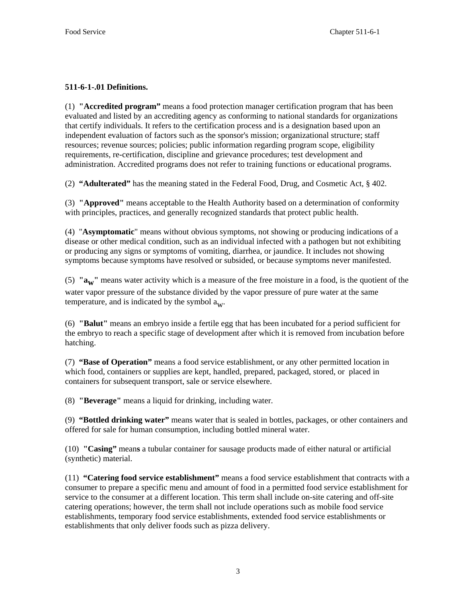# **511-6-1-.01 Definitions.**

(1) **"Accredited program"** means a food protection manager certification program that has been evaluated and listed by an accrediting agency as conforming to national standards for organizations that certify individuals. It refers to the certification process and is a designation based upon an independent evaluation of factors such as the sponsor's mission; organizational structure; staff resources; revenue sources; policies; public information regarding program scope, eligibility requirements, re-certification, discipline and grievance procedures; test development and administration. Accredited programs does not refer to training functions or educational programs.

(2) **"Adulterated"** has the meaning stated in the Federal Food, Drug, and Cosmetic Act, § 402.

(3) **"Approved"** means acceptable to the Health Authority based on a determination of conformity with principles, practices, and generally recognized standards that protect public health.

(4) "**Asymptomatic**" means without obvious symptoms, not showing or producing indications of a disease or other medical condition, such as an individual infected with a pathogen but not exhibiting or producing any signs or symptoms of vomiting, diarrhea, or jaundice. It includes not showing symptoms because symptoms have resolved or subsided, or because symptoms never manifested.

(5) **"aw"** means water activity which is a measure of the free moisture in a food, is the quotient of the water vapor pressure of the substance divided by the vapor pressure of pure water at the same temperature, and is indicated by the symbol  $a_{\mathbf{w}}$ .

(6) **"Balut"** means an embryo inside a fertile egg that has been incubated for a period sufficient for the embryo to reach a specific stage of development after which it is removed from incubation before hatching.

(7) **"Base of Operation"** means a food service establishment, or any other permitted location in which food, containers or supplies are kept, handled, prepared, packaged, stored, or placed in containers for subsequent transport, sale or service elsewhere.

(8) **"Beverage"** means a liquid for drinking, including water.

(9) **"Bottled drinking water"** means water that is sealed in bottles, packages, or other containers and offered for sale for human consumption, including bottled mineral water.

(10) **"Casing"** mean**s** a tubular container for sausage products made of either natural or artificial (synthetic) material.

(11) **"Catering food service establishment"** means a food service establishment that contracts with a consumer to prepare a specific menu and amount of food in a permitted food service establishment for service to the consumer at a different location. This term shall include on-site catering and off-site catering operations; however, the term shall not include operations such as mobile food service establishments, temporary food service establishments, extended food service establishments or establishments that only deliver foods such as pizza delivery.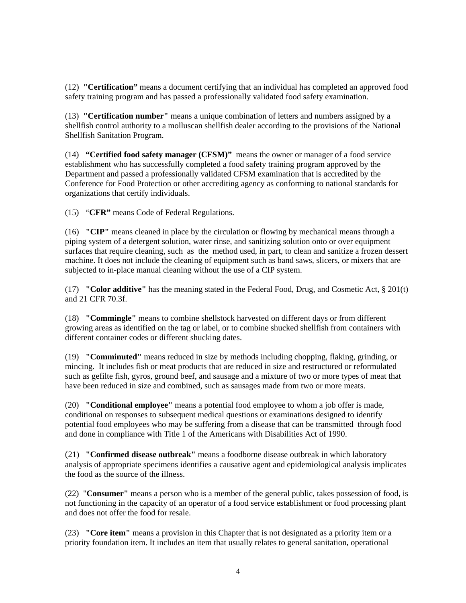(12) **"Certification"** means a document certifying that an individual has completed an approved food safety training program and has passed a professionally validated food safety examination.

(13) **"Certification number"** means a unique combination of letters and numbers assigned by a shellfish control authority to a molluscan shellfish dealer according to the provisions of the National Shellfish Sanitation Program.

(14) **"Certified food safety manager (CFSM)"** means the owner or manager of a food service establishment who has successfully completed a food safety training program approved by the Department and passed a professionally validated CFSM examination that is accredited by the Conference for Food Protection or other accrediting agency as conforming to national standards for organizations that certify individuals.

(15) "**CFR"** means Code of Federal Regulations.

(16) **"CIP"** means cleaned in place by the circulation or flowing by mechanical means through a piping system of a detergent solution, water rinse, and sanitizing solution onto or over equipment surfaces that require cleaning, such as the method used, in part, to clean and sanitize a frozen dessert machine. It does not include the cleaning of equipment such as band saws, slicers, or mixers that are subjected to in-place manual cleaning without the use of a CIP system.

(17) **"Color additive"** has the meaning stated in the Federal Food, Drug, and Cosmetic Act, § 201(t) and 21 CFR 70.3f.

(18) **"Commingle"** means to combine shellstock harvested on different days or from different growing areas as identified on the tag or label, or to combine shucked shellfish from containers with different container codes or different shucking dates.

(19) **"Comminuted"** means reduced in size by methods including chopping, flaking, grinding, or mincing. It includes fish or meat products that are reduced in size and restructured or reformulated such as gefilte fish, gyros, ground beef, and sausage and a mixture of two or more types of meat that have been reduced in size and combined, such as sausages made from two or more meats.

(20) **"Conditional employee"** means a potential food employee to whom a job offer is made, conditional on responses to subsequent medical questions or examinations designed to identify potential food employees who may be suffering from a disease that can be transmitted through food and done in compliance with Title 1 of the Americans with Disabilities Act of 1990.

(21) **"Confirmed disease outbreak"** means a foodborne disease outbreak in which laboratory analysis of appropriate specimens identifies a causative agent and epidemiological analysis implicates the food as the source of the illness.

(22) "**Consumer"** means a person who is a member of the general public, takes possession of food, is not functioning in the capacity of an operator of a food service establishment or food processing plant and does not offer the food for resale.

(23) **"Core item"** means a provision in this Chapter that is not designated as a priority item or a priority foundation item. It includes an item that usually relates to general sanitation, operational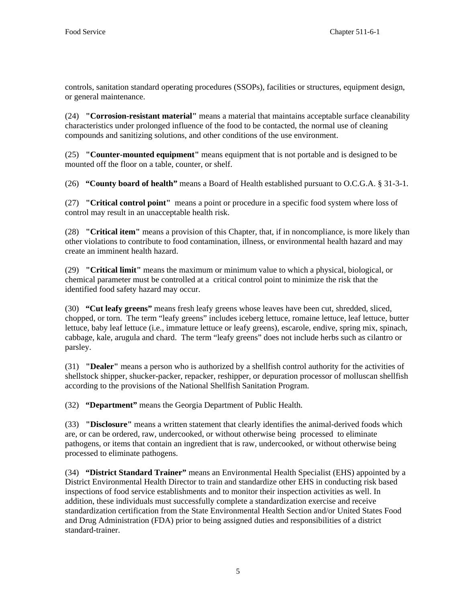controls, sanitation standard operating procedures (SSOPs), facilities or structures, equipment design, or general maintenance.

(24) **"Corrosion-resistant material"** means a material that maintains acceptable surface cleanability characteristics under prolonged influence of the food to be contacted, the normal use of cleaning compounds and sanitizing solutions, and other conditions of the use environment.

(25) **"Counter-mounted equipment"** means equipment that is not portable and is designed to be mounted off the floor on a table, counter, or shelf.

(26) **"County board of health"** means a Board of Health established pursuant to O.C.G.A. § 31-3-1.

(27) **"Critical control point"** means a point or procedure in a specific food system where loss of control may result in an unacceptable health risk.

(28) **"Critical item"** means a provision of this Chapter, that, if in noncompliance, is more likely than other violations to contribute to food contamination, illness, or environmental health hazard and may create an imminent health hazard.

(29) **"Critical limit"** means the maximum or minimum value to which a physical, biological, or chemical parameter must be controlled at a critical control point to minimize the risk that the identified food safety hazard may occur.

(30) **"Cut leafy greens"** means fresh leafy greens whose leaves have been cut, shredded, sliced, chopped, or torn. The term "leafy greens" includes iceberg lettuce, romaine lettuce, leaf lettuce, butter lettuce, baby leaf lettuce (i.e., immature lettuce or leafy greens), escarole, endive, spring mix, spinach, cabbage, kale, arugula and chard. The term "leafy greens" does not include herbs such as cilantro or parsley.

(31) **"Dealer"** means a person who is authorized by a shellfish control authority for the activities of shellstock shipper, shucker-packer, repacker, reshipper, or depuration processor of molluscan shellfish according to the provisions of the National Shellfish Sanitation Program.

(32) **"Department"** means the Georgia Department of Public Health.

(33) **"Disclosure"** means a written statement that clearly identifies the animal-derived foods which are, or can be ordered, raw, undercooked, or without otherwise being processed to eliminate pathogens, or items that contain an ingredient that is raw, undercooked, or without otherwise being processed to eliminate pathogens.

(34) **"District Standard Trainer"** means an Environmental Health Specialist (EHS) appointed by a District Environmental Health Director to train and standardize other EHS in conducting risk based inspections of food service establishments and to monitor their inspection activities as well. In addition, these individuals must successfully complete a standardization exercise and receive standardization certification from the State Environmental Health Section and/or United States Food and Drug Administration (FDA) prior to being assigned duties and responsibilities of a district standard-trainer.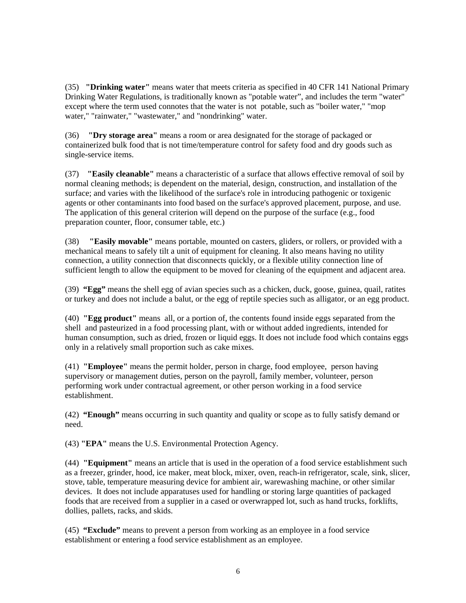(35) **"Drinking water"** means water that meets criteria as specified in 40 CFR 141 National Primary Drinking Water Regulations, is traditionally known as "potable water", and includes the term "water" except where the term used connotes that the water is not potable, such as "boiler water," "mop water," "rainwater," "wastewater," and "nondrinking" water.

(36) **"Dry storage area"** means a room or area designated for the storage of packaged or containerized bulk food that is not time/temperature control for safety food and dry goods such as single-service items.

(37) **"Easily cleanable"** means a characteristic of a surface that allows effective removal of soil by normal cleaning methods; is dependent on the material, design, construction, and installation of the surface; and varies with the likelihood of the surface's role in introducing pathogenic or toxigenic agents or other contaminants into food based on the surface's approved placement, purpose, and use. The application of this general criterion will depend on the purpose of the surface (e.g., food preparation counter, floor, consumer table, etc.)

(38) **"Easily movable"** means portable, mounted on casters, gliders, or rollers, or provided with a mechanical means to safely tilt a unit of equipment for cleaning. It also means having no utility connection, a utility connection that disconnects quickly, or a flexible utility connection line of sufficient length to allow the equipment to be moved for cleaning of the equipment and adjacent area.

(39) **"Egg"** means the shell egg of avian species such as a chicken, duck, goose, guinea, quail, ratites or turkey and does not include a balut, or the egg of reptile species such as alligator, or an egg product.

(40) **"Egg product"** means all, or a portion of, the contents found inside eggs separated from the shell and pasteurized in a food processing plant, with or without added ingredients, intended for human consumption, such as dried, frozen or liquid eggs. It does not include food which contains eggs only in a relatively small proportion such as cake mixes.

(41) **"Employee"** means the permit holder, person in charge, food employee, person having supervisory or management duties, person on the payroll, family member, volunteer, person performing work under contractual agreement, or other person working in a food service establishment.

(42) **"Enough"** means occurring in such quantity and quality or scope as to fully satisfy demand or need.

(43) **"EPA"** means the U.S. Environmental Protection Agency.

(44) **"Equipment"** means an article that is used in the operation of a food service establishment such as a freezer, grinder, hood, ice maker, meat block, mixer, oven, reach-in refrigerator, scale, sink, slicer, stove, table, temperature measuring device for ambient air, warewashing machine, or other similar devices. It does not include apparatuses used for handling or storing large quantities of packaged foods that are received from a supplier in a cased or overwrapped lot, such as hand trucks, forklifts, dollies, pallets, racks, and skids.

(45) **"Exclude"** means to prevent a person from working as an employee in a food service establishment or entering a food service establishment as an employee.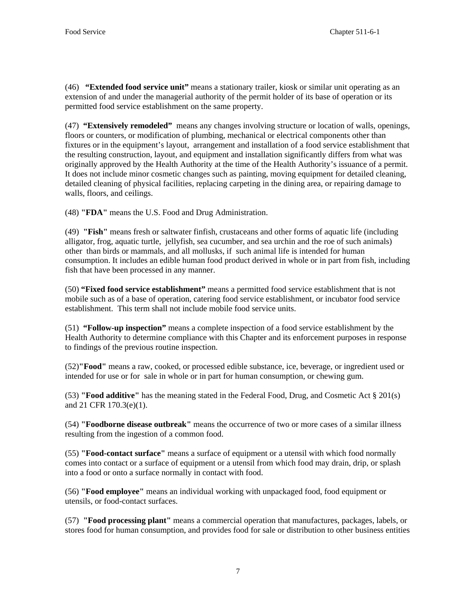(46) **"Extended food service unit"** means a stationary trailer, kiosk or similar unit operating as an extension of and under the managerial authority of the permit holder of its base of operation or its permitted food service establishment on the same property.

(47) **"Extensively remodeled"** means any changes involving structure or location of walls, openings, floors or counters, or modification of plumbing, mechanical or electrical components other than fixtures or in the equipment's layout, arrangement and installation of a food service establishment that the resulting construction, layout, and equipment and installation significantly differs from what was originally approved by the Health Authority at the time of the Health Authority's issuance of a permit. It does not include minor cosmetic changes such as painting, moving equipment for detailed cleaning, detailed cleaning of physical facilities, replacing carpeting in the dining area, or repairing damage to walls, floors, and ceilings.

(48) **"FDA"** means the U.S. Food and Drug Administration.

(49) **"Fish"** means fresh or saltwater finfish, crustaceans and other forms of aquatic life (including alligator, frog, aquatic turtle, jellyfish, sea cucumber, and sea urchin and the roe of such animals) other than birds or mammals, and all mollusks, if such animal life is intended for human consumption. It includes an edible human food product derived in whole or in part from fish, including fish that have been processed in any manner.

(50) **"Fixed food service establishment"** means a permitted food service establishment that is not mobile such as of a base of operation, catering food service establishment, or incubator food service establishment. This term shall not include mobile food service units.

(51) **"Follow-up inspection"** means a complete inspection of a food service establishment by the Health Authority to determine compliance with this Chapter and its enforcement purposes in response to findings of the previous routine inspection.

(52)**"Food"** means a raw, cooked, or processed edible substance, ice, beverage, or ingredient used or intended for use or for sale in whole or in part for human consumption, or chewing gum.

(53) **"Food additive"** has the meaning stated in the Federal Food, Drug, and Cosmetic Act § 201(s) and 21 CFR 170.3(e)(1).

(54) **"Foodborne disease outbreak"** means the occurrence of two or more cases of a similar illness resulting from the ingestion of a common food.

(55) **"Food-contact surface"** means a surface of equipment or a utensil with which food normally comes into contact or a surface of equipment or a utensil from which food may drain, drip, or splash into a food or onto a surface normally in contact with food.

(56) **"Food employee"** means an individual working with unpackaged food, food equipment or utensils, or food-contact surfaces.

(57) **"Food processing plant"** means a commercial operation that manufactures, packages, labels, or stores food for human consumption, and provides food for sale or distribution to other business entities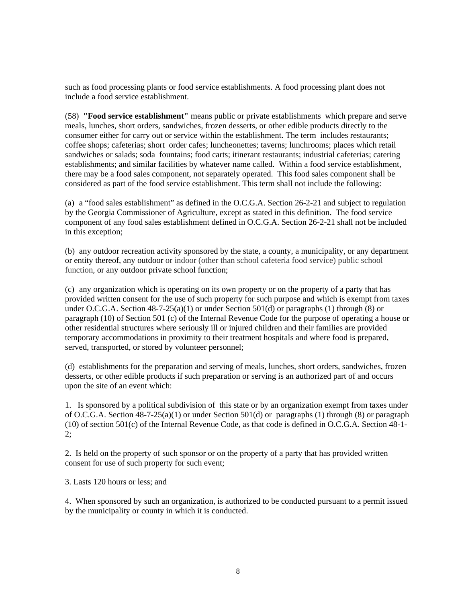such as food processing plants or food service establishments. A food processing plant does not include a food service establishment.

(58) **"Food service establishment"** means public or private establishments which prepare and serve meals, lunches, short orders, sandwiches, frozen desserts, or other edible products directly to the consumer either for carry out or service within the establishment. The term includes restaurants; coffee shops; cafeterias; short order cafes; luncheonettes; taverns; lunchrooms; places which retail sandwiches or salads; soda fountains; food carts; itinerant restaurants; industrial cafeterias; catering establishments; and similar facilities by whatever name called. Within a food service establishment, there may be a food sales component, not separately operated. This food sales component shall be considered as part of the food service establishment. This term shall not include the following:

(a) a "food sales establishment" as defined in the O.C.G.A. Section 26-2-21 and subject to regulation by the Georgia Commissioner of Agriculture, except as stated in this definition. The food service component of any food sales establishment defined in O.C.G.A. Section 26-2-21 shall not be included in this exception;

(b) any outdoor recreation activity sponsored by the state, a county, a municipality, or any department or entity thereof, any outdoor or indoor (other than school cafeteria food service) public school function, or any outdoor private school function;

(c) any organization which is operating on its own property or on the property of a party that has provided written consent for the use of such property for such purpose and which is exempt from taxes under O.C.G.A. Section  $48-7-25(a)(1)$  or under Section  $501(d)$  or paragraphs (1) through (8) or paragraph (10) of Section 501 (c) of the Internal Revenue Code for the purpose of operating a house or other residential structures where seriously ill or injured children and their families are provided temporary accommodations in proximity to their treatment hospitals and where food is prepared, served, transported, or stored by volunteer personnel;

(d) establishments for the preparation and serving of meals, lunches, short orders, sandwiches, frozen desserts, or other edible products if such preparation or serving is an authorized part of and occurs upon the site of an event which:

1. Is sponsored by a political subdivision of this state or by an organization exempt from taxes under of O.C.G.A. Section 48-7-25(a)(1) or under Section 501(d) or paragraphs (1) through (8) or paragraph (10) of section 501(c) of the Internal Revenue Code, as that code is defined in O.C.G.A. Section 48-1- 2;

2. Is held on the property of such sponsor or on the property of a party that has provided written consent for use of such property for such event;

3. Lasts 120 hours or less; and

4. When sponsored by such an organization, is authorized to be conducted pursuant to a permit issued by the municipality or county in which it is conducted.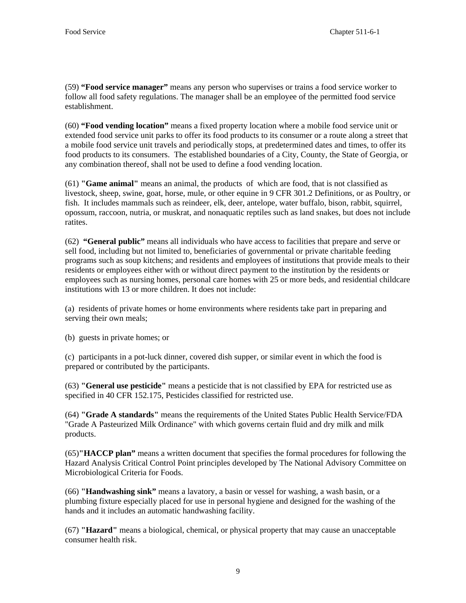(59) **"Food service manager"** means any person who supervises or trains a food service worker to follow all food safety regulations. The manager shall be an employee of the permitted food service establishment.

(60) **"Food vending location"** means a fixed property location where a mobile food service unit or extended food service unit parks to offer its food products to its consumer or a route along a street that a mobile food service unit travels and periodically stops, at predetermined dates and times, to offer its food products to its consumers. The established boundaries of a City, County, the State of Georgia, or any combination thereof, shall not be used to define a food vending location.

(61) **"Game animal"** means an animal, the products of which are food, that is not classified as livestock, sheep, swine, goat, horse, mule, or other equine in 9 CFR 301.2 Definitions, or as Poultry, or fish.It includes mammals such as reindeer, elk, deer, antelope, water buffalo, bison, rabbit, squirrel, opossum, raccoon, nutria, or muskrat, and nonaquatic reptiles such as land snakes, but does not include ratites.

(62) **"General public"** means all individuals who have access to facilities that prepare and serve or sell food, including but not limited to, beneficiaries of governmental or private charitable feeding programs such as soup kitchens; and residents and employees of institutions that provide meals to their residents or employees either with or without direct payment to the institution by the residents or employees such as nursing homes, personal care homes with 25 or more beds, and residential childcare institutions with 13 or more children. It does not include:

(a) residents of private homes or home environments where residents take part in preparing and serving their own meals;

(b) guests in private homes; or

(c) participants in a pot-luck dinner, covered dish supper, or similar event in which the food is prepared or contributed by the participants.

(63) **"General use pesticide"** means a pesticide that is not classified by EPA for restricted use as specified in 40 CFR 152.175, Pesticides classified for restricted use.

(64) **"Grade A standards"** means the requirements of the United States Public Health Service/FDA "Grade A Pasteurized Milk Ordinance" with which governs certain fluid and dry milk and milk products.

(65)**"HACCP plan"** means a written document that specifies the formal procedures for following the Hazard Analysis Critical Control Point principles developed by The National Advisory Committee on Microbiological Criteria for Foods.

(66) **"Handwashing sink"** means a lavatory, a basin or vessel for washing, a wash basin, or a plumbing fixture especially placed for use in personal hygiene and designed for the washing of the hands and it includes an automatic handwashing facility.

(67) **"Hazard"** means a biological, chemical, or physical property that may cause an unacceptable consumer health risk.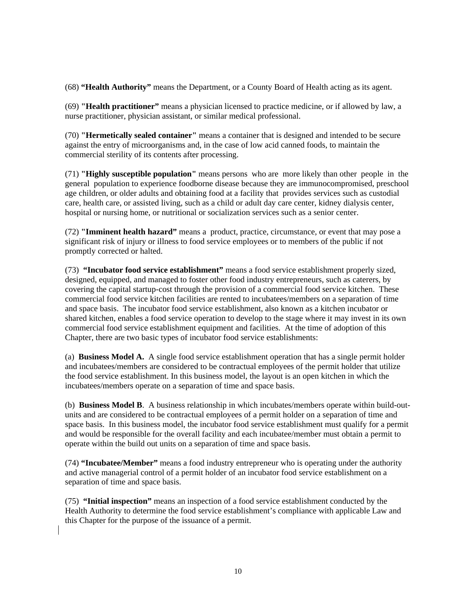(68) **"Health Authority"** means the Department, or a County Board of Health acting as its agent.

(69) **"Health practitioner"** means a physician licensed to practice medicine, or if allowed by law, a nurse practitioner, physician assistant, or similar medical professional.

(70) **"Hermetically sealed container"** means a container that is designed and intended to be secure against the entry of microorganisms and, in the case of low acid canned foods, to maintain the commercial sterility of its contents after processing.

(71) **"Highly susceptible population"** means persons who are more likely than other people in the general population to experience foodborne disease because they are immunocompromised, preschool age children, or older adults and obtaining food at a facility that provides services such as custodial care, health care, or assisted living, such as a child or adult day care center, kidney dialysis center, hospital or nursing home, or nutritional or socialization services such as a senior center.

(72) **"Imminent health hazard"** means a product, practice, circumstance, or event that may pose a significant risk of injury or illness to food service employees or to members of the public if not promptly corrected or halted.

(73) **"Incubator food service establishment"** means a food service establishment properly sized, designed, equipped, and managed to foster other food industry entrepreneurs, such as caterers, by covering the capital startup-cost through the provision of a commercial food service kitchen. These commercial food service kitchen facilities are rented to incubatees/members on a separation of time and space basis. The incubator food service establishment, also known as a kitchen incubator or shared kitchen, enables a food service operation to develop to the stage where it may invest in its own commercial food service establishment equipment and facilities. At the time of adoption of this Chapter, there are two basic types of incubator food service establishments:

(a) **Business Model A.** A single food service establishment operation that has a single permit holder and incubatees/members are considered to be contractual employees of the permit holder that utilize the food service establishment. In this business model, the layout is an open kitchen in which the incubatees/members operate on a separation of time and space basis.

(b) **Business Model B**. A business relationship in which incubates/members operate within build-outunits and are considered to be contractual employees of a permit holder on a separation of time and space basis. In this business model, the incubator food service establishment must qualify for a permit and would be responsible for the overall facility and each incubatee/member must obtain a permit to operate within the build out units on a separation of time and space basis.

(74) **"Incubatee/Member"** means a food industry entrepreneur who is operating under the authority and active managerial control of a permit holder of an incubator food service establishment on a separation of time and space basis.

(75) **"Initial inspection"** means an inspection of a food service establishment conducted by the Health Authority to determine the food service establishment's compliance with applicable Law and this Chapter for the purpose of the issuance of a permit.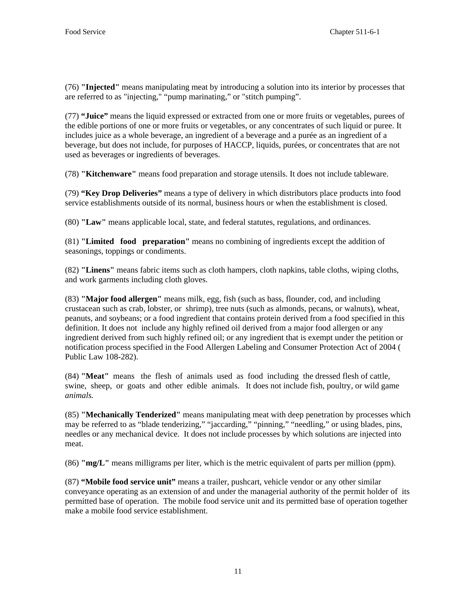(76) **"Injected"** means manipulating meat by introducing a solution into its interior by processes that are referred to as "injecting," "pump marinating," or "stitch pumping".

(77) **"Juice"** means the liquid expressed or extracted from one or more fruits or vegetables, purees of the edible portions of one or more fruits or vegetables, or any concentrates of such liquid or puree. It includes juice as a whole beverage, an ingredient of a beverage and a purée as an ingredient of a beverage, but does not include, for purposes of HACCP, liquids, purées, or concentrates that are not used as beverages or ingredients of beverages.

(78) **"Kitchenware"** means food preparation and storage utensils. It does not include tableware.

(79) **"Key Drop Deliveries"** means a type of delivery in which distributors place products into food service establishments outside of its normal, business hours or when the establishment is closed.

(80) **"Law"** means applicable local, state, and federal statutes, regulations, and ordinances.

(81) **"Limited food preparation"** means no combining of ingredients except the addition of seasonings, toppings or condiments.

(82) **"Linens"** means fabric items such as cloth hampers, cloth napkins, table cloths, wiping cloths, and work garments including cloth gloves.

(83) **"Major food allergen"** means milk, egg, fish (such as bass, flounder, cod, and including crustacean such as crab, lobster, or shrimp), tree nuts (such as almonds, pecans, or walnuts), wheat, peanuts, and soybeans; or a food ingredient that contains protein derived from a food specified in this definition. It does not include any highly refined oil derived from a major food allergen or any ingredient derived from such highly refined oil; or any ingredient that is exempt under the petition or notification process specified in the Food Allergen Labeling and Consumer Protection Act of 2004 ( Public Law 108-282).

(84) **"Meat"** means the flesh of animals used as food including the dressed flesh of cattle, swine, sheep, or goats and other edible animals. It does not include fish, poultry, or wild game *animals.* 

(85) **"Mechanically Tenderized"** means manipulating meat with deep penetration by processes which may be referred to as "blade tenderizing," "jaccarding," "pinning," "needling," or using blades, pins, needles or any mechanical device. It does not include processes by which solutions are injected into meat.

(86) **"mg/L"** means milligrams per liter, which is the metric equivalent of parts per million (ppm).

(87) **"Mobile food service unit"** means a trailer, pushcart, vehicle vendor or any other similar conveyance operating as an extension of and under the managerial authority of the permit holder of its permitted base of operation. The mobile food service unit and its permitted base of operation together make a mobile food service establishment.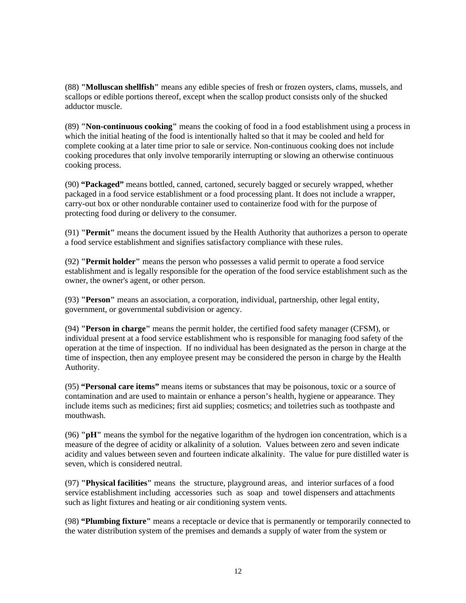(88) **"Molluscan shellfish"** means any edible species of fresh or frozen oysters, clams, mussels, and scallops or edible portions thereof, except when the scallop product consists only of the shucked adductor muscle.

(89) **"Non-continuous cooking"** means the cooking of food in a food establishment using a process in which the initial heating of the food is intentionally halted so that it may be cooled and held for complete cooking at a later time prior to sale or service. Non-continuous cooking does not include cooking procedures that only involve temporarily interrupting or slowing an otherwise continuous cooking process.

(90) **"Packaged"** means bottled, canned, cartoned, securely bagged or securely wrapped, whether packaged in a food service establishment or a food processing plant. It does not include a wrapper, carry-out box or other nondurable container used to containerize food with for the purpose of protecting food during or delivery to the consumer.

(91) **"Permit"** means the document issued by the Health Authority that authorizes a person to operate a food service establishment and signifies satisfactory compliance with these rules.

(92) **"Permit holder"** means the person who possesses a valid permit to operate a food service establishment and is legally responsible for the operation of the food service establishment such as the owner, the owner's agent, or other person.

(93) **"Person"** means an association, a corporation, individual, partnership, other legal entity, government, or governmental subdivision or agency.

(94) **"Person in charge"** means the permit holder, the certified food safety manager (CFSM), or individual present at a food service establishment who is responsible for managing food safety of the operation at the time of inspection. If no individual has been designated as the person in charge at the time of inspection, then any employee present may be considered the person in charge by the Health Authority.

(95) **"Personal care items"** means items or substances that may be poisonous, toxic or a source of contamination and are used to maintain or enhance a person's health, hygiene or appearance. They include items such as medicines; first aid supplies; cosmetics; and toiletries such as toothpaste and mouthwash.

(96) **"pH"** means the symbol for the negative logarithm of the hydrogen ion concentration, which is a measure of the degree of acidity or alkalinity of a solution. Values between zero and seven indicate acidity and values between seven and fourteen indicate alkalinity. The value for pure distilled water is seven, which is considered neutral.

(97) **"Physical facilities"** means the structure, playground areas, and interior surfaces of a food service establishment including accessories such as soap and towel dispensers and attachments such as light fixtures and heating or air conditioning system vents.

(98) **"Plumbing fixture"** means a receptacle or device that is permanently or temporarily connected to the water distribution system of the premises and demands a supply of water from the system or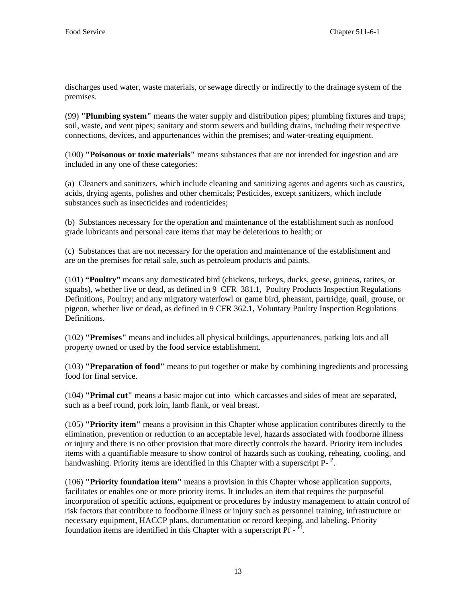discharges used water, waste materials, or sewage directly or indirectly to the drainage system of the premises.

(99) **"Plumbing system"** means the water supply and distribution pipes; plumbing fixtures and traps; soil, waste, and vent pipes; sanitary and storm sewers and building drains, including their respective connections, devices, and appurtenances within the premises; and water-treating equipment.

(100) **"Poisonous or toxic materials"** means substances that are not intended for ingestion and are included in any one of these categories:

(a) Cleaners and sanitizers, which include cleaning and sanitizing agents and agents such as caustics, acids, drying agents, polishes and other chemicals; Pesticides, except sanitizers, which include substances such as insecticides and rodenticides;

(b) Substances necessary for the operation and maintenance of the establishment such as nonfood grade lubricants and personal care items that may be deleterious to health; or

(c) Substances that are not necessary for the operation and maintenance of the establishment and are on the premises for retail sale, such as petroleum products and paints.

(101) **"Poultry"** means any domesticated bird (chickens, turkeys, ducks, geese, guineas, ratites, or squabs), whether live or dead, as defined in 9 CFR 381.1, Poultry Products Inspection Regulations Definitions, Poultry; and any migratory waterfowl or game bird, pheasant, partridge, quail, grouse, or pigeon, whether live or dead, as defined in 9 CFR 362.1, Voluntary Poultry Inspection Regulations **Definitions** 

(102) **"Premises"** means and includes all physical buildings, appurtenances, parking lots and all property owned or used by the food service establishment.

(103) **"Preparation of food"** means to put together or make by combining ingredients and processing food for final service.

(104) **"Primal cut"** means a basic major cut into which carcasses and sides of meat are separated, such as a beef round, pork loin, lamb flank, or veal breast.

(105) **"Priority item"** means a provision in this Chapter whose application contributes directly to the elimination, prevention or reduction to an acceptable level, hazards associated with foodborne illness or injury and there is no other provision that more directly controls the hazard. Priority item includes items with a quantifiable measure to show control of hazards such as cooking, reheating, cooling, and handwashing. Priority items are identified in this Chapter with a superscript P-<sup>P</sup>.

(106) **"Priority foundation item"** means a provision in this Chapter whose application supports, facilitates or enables one or more priority items. It includes an item that requires the purposeful incorporation of specific actions, equipment or procedures by industry management to attain control of risk factors that contribute to foodborne illness or injury such as personnel training, infrastructure or necessary equipment, HACCP plans, documentation or record keeping, and labeling. Priority foundation items are identified in this Chapter with a superscript  $\overline{Pf}$  -  $\overline{Pf}$ .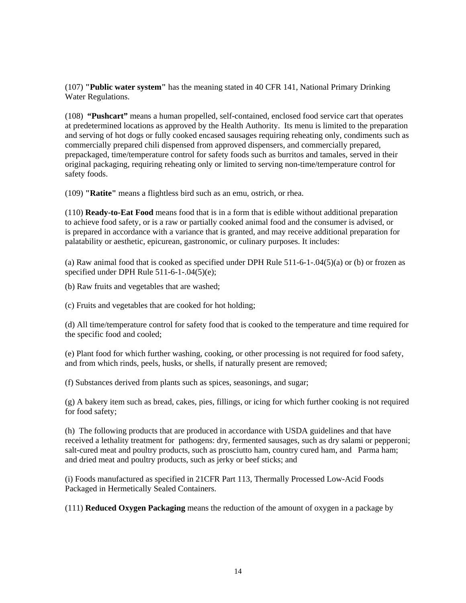(107) **"Public water system"** has the meaning stated in 40 CFR 141, National Primary Drinking Water Regulations.

(108) **"Pushcart"** means a human propelled, self-contained, enclosed food service cart that operates at predetermined locations as approved by the Health Authority. Its menu is limited to the preparation and serving of hot dogs or fully cooked encased sausages requiring reheating only, condiments such as commercially prepared chili dispensed from approved dispensers, and commercially prepared, prepackaged, time/temperature control for safety foods such as burritos and tamales, served in their original packaging, requiring reheating only or limited to serving non-time/temperature control for safety foods.

(109) **"Ratite"** means a flightless bird such as an emu, ostrich, or rhea.

(110) **Ready-to-Eat Food** means food that is in a form that is edible without additional preparation to achieve food safety, or is a raw or partially cooked animal food and the consumer is advised, or is prepared in accordance with a variance that is granted, and may receive additional preparation for palatability or aesthetic, epicurean, gastronomic, or culinary purposes. It includes:

(a) Raw animal food that is cooked as specified under DPH Rule 511-6-1-.04(5)(a) or (b) or frozen as specified under DPH Rule 511-6-1-.04(5)(e);

(b) Raw fruits and vegetables that are washed;

(c) Fruits and vegetables that are cooked for hot holding;

(d) All time/temperature control for safety food that is cooked to the temperature and time required for the specific food and cooled;

(e) Plant food for which further washing, cooking, or other processing is not required for food safety, and from which rinds, peels, husks, or shells, if naturally present are removed;

(f) Substances derived from plants such as spices, seasonings, and sugar;

(g) A bakery item such as bread, cakes, pies, fillings, or icing for which further cooking is not required for food safety;

(h) The following products that are produced in accordance with USDA guidelines and that have received a lethality treatment for pathogens: dry, fermented sausages, such as dry salami or pepperoni; salt-cured meat and poultry products, such as prosciutto ham, country cured ham, and Parma ham; and dried meat and poultry products, such as jerky or beef sticks; and

(i) Foods manufactured as specified in 21CFR Part 113, Thermally Processed Low-Acid Foods Packaged in Hermetically Sealed Containers.

(111) **Reduced Oxygen Packaging** means the reduction of the amount of oxygen in a package by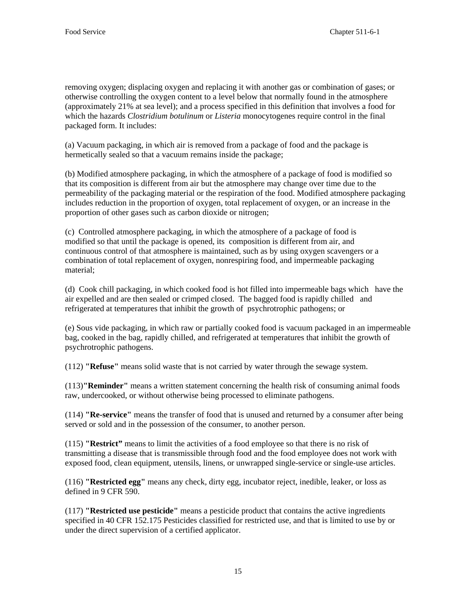removing oxygen; displacing oxygen and replacing it with another gas or combination of gases; or otherwise controlling the oxygen content to a level below that normally found in the atmosphere (approximately 21% at sea level); and a process specified in this definition that involves a food for which the hazards *Clostridium botulinum* or *Listeria* monocytogenes require control in the final packaged form. It includes:

(a) Vacuum packaging, in which air is removed from a package of food and the package is hermetically sealed so that a vacuum remains inside the package;

(b) Modified atmosphere packaging, in which the atmosphere of a package of food is modified so that its composition is different from air but the atmosphere may change over time due to the permeability of the packaging material or the respiration of the food. Modified atmosphere packaging includes reduction in the proportion of oxygen, total replacement of oxygen, or an increase in the proportion of other gases such as carbon dioxide or nitrogen;

 (c) Controlled atmosphere packaging, in which the atmosphere of a package of food is modified so that until the package is opened, its composition is different from air, and continuous control of that atmosphere is maintained, such as by using oxygen scavengers or a combination of total replacement of oxygen, nonrespiring food, and impermeable packaging material;

(d) Cook chill packaging, in which cooked food is hot filled into impermeable bags which have the air expelled and are then sealed or crimped closed. The bagged food is rapidly chilled and refrigerated at temperatures that inhibit the growth of psychrotrophic pathogens; or

(e) Sous vide packaging, in which raw or partially cooked food is vacuum packaged in an impermeable bag, cooked in the bag, rapidly chilled, and refrigerated at temperatures that inhibit the growth of psychrotrophic pathogens.

(112) **"Refuse"** means solid waste that is not carried by water through the sewage system.

(113)**"Reminder"** means a written statement concerning the health risk of consuming animal foods raw, undercooked, or without otherwise being processed to eliminate pathogens.

(114) **"Re-service"** means the transfer of food that is unused and returned by a consumer after being served or sold and in the possession of the consumer, to another person.

(115) **"Restrict"** means to limit the activities of a food employee so that there is no risk of transmitting a disease that is transmissible through food and the food employee does not work with exposed food, clean equipment, utensils, linens, or unwrapped single-service or single-use articles.

(116) **"Restricted egg"** means any check, dirty egg, incubator reject, inedible, leaker, or loss as defined in 9 CFR 590.

(117) **"Restricted use pesticide"** means a pesticide product that contains the active ingredients specified in 40 CFR 152.175 Pesticides classified for restricted use, and that is limited to use by or under the direct supervision of a certified applicator.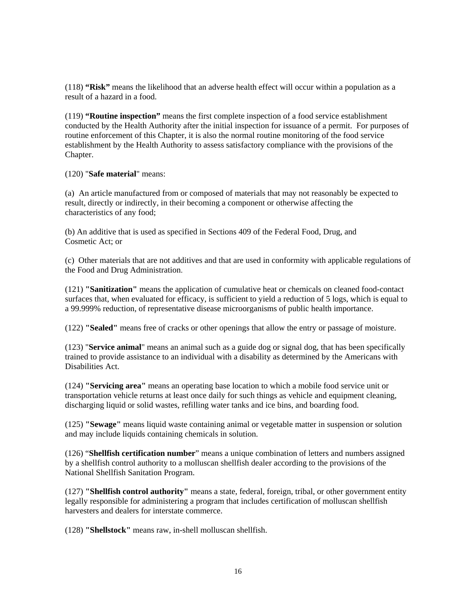(118) **"Risk"** means the likelihood that an adverse health effect will occur within a population as a result of a hazard in a food.

(119) **"Routine inspection"** means the first complete inspection of a food service establishment conducted by the Health Authority after the initial inspection for issuance of a permit. For purposes of routine enforcement of this Chapter, it is also the normal routine monitoring of the food service establishment by the Health Authority to assess satisfactory compliance with the provisions of the Chapter.

(120) "**Safe material**" means:

(a) An article manufactured from or composed of materials that may not reasonably be expected to result, directly or indirectly, in their becoming a component or otherwise affecting the characteristics of any food;

(b) An additive that is used as specified in Sections 409 of the Federal Food, Drug, and Cosmetic Act; or

(c) Other materials that are not additives and that are used in conformity with applicable regulations of the Food and Drug Administration.

(121) **"Sanitization"** means the application of cumulative heat or chemicals on cleaned food-contact surfaces that, when evaluated for efficacy, is sufficient to yield a reduction of 5 logs, which is equal to a 99.999% reduction, of representative disease microorganisms of public health importance.

(122) **"Sealed"** means free of cracks or other openings that allow the entry or passage of moisture.

(123) "**Service animal**" means an animal such as a guide dog or signal dog, that has been specifically trained to provide assistance to an individual with a disability as determined by the Americans with Disabilities Act.

(124) **"Servicing area"** means an operating base location to which a mobile food service unit or transportation vehicle returns at least once daily for such things as vehicle and equipment cleaning, discharging liquid or solid wastes, refilling water tanks and ice bins, and boarding food.

(125) **"Sewage"** means liquid waste containing animal or vegetable matter in suspension or solution and may include liquids containing chemicals in solution.

(126) "**Shellfish certification number**" means a unique combination of letters and numbers assigned by a shellfish control authority to a molluscan shellfish dealer according to the provisions of the National Shellfish Sanitation Program.

(127) **"Shellfish control authority"** means a state, federal, foreign, tribal, or other government entity legally responsible for administering a program that includes certification of molluscan shellfish harvesters and dealers for interstate commerce.

(128) **"Shellstock"** means raw, in-shell molluscan shellfish.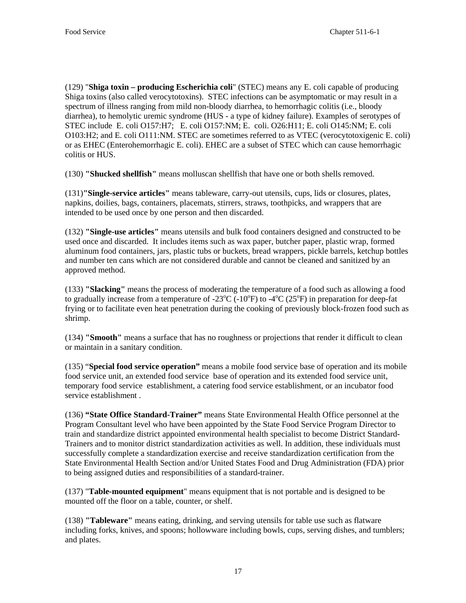(129) "**Shiga toxin – producing Escherichia coli**" (STEC) means any E. coli capable of producing Shiga toxins (also called verocytotoxins). STEC infections can be asymptomatic or may result in a spectrum of illness ranging from mild non-bloody diarrhea, to hemorrhagic colitis (i.e., bloody diarrhea), to hemolytic uremic syndrome (HUS - a type of kidney failure). Examples of serotypes of STEC include E. coli O157:H7; E. coli O157:NM; E. coli. O26:H11; E. coli O145:NM; E. coli O103:H2; and E. coli O111:NM. STEC are sometimes referred to as VTEC (verocytotoxigenic E. coli) or as EHEC (Enterohemorrhagic E. coli). EHEC are a subset of STEC which can cause hemorrhagic colitis or HUS.

(130) **"Shucked shellfish"** means molluscan shellfish that have one or both shells removed.

(131)**"Single-service articles"** means tableware, carry-out utensils, cups, lids or closures, plates, napkins, doilies, bags, containers, placemats, stirrers, straws, toothpicks, and wrappers that are intended to be used once by one person and then discarded.

(132) **"Single-use articles"** means utensils and bulk food containers designed and constructed to be used once and discarded. It includes items such as wax paper, butcher paper, plastic wrap, formed aluminum food containers, jars, plastic tubs or buckets, bread wrappers, pickle barrels, ketchup bottles and number ten cans which are not considered durable and cannot be cleaned and sanitized by an approved method.

(133) **"Slacking"** means the process of moderating the temperature of a food such as allowing a food to gradually increase from a temperature of -23 $^{\circ}$ C (-10 $^{\circ}$ F) to -4 $^{\circ}$ C (25 $^{\circ}$ F) in preparation for deep-fat frying or to facilitate even heat penetration during the cooking of previously block-frozen food such as shrimp.

(134) **"Smooth"** means a surface that has no roughness or projections that render it difficult to clean or maintain in a sanitary condition.

(135) "**Special food service operation"** means a mobile food service base of operation and its mobile food service unit, an extended food service base of operation and its extended food service unit, temporary food service establishment, a catering food service establishment, or an incubator food service establishment .

(136) **"State Office Standard-Trainer"** means State Environmental Health Office personnel at the Program Consultant level who have been appointed by the State Food Service Program Director to train and standardize district appointed environmental health specialist to become District Standard-Trainers and to monitor district standardization activities as well. In addition, these individuals must successfully complete a standardization exercise and receive standardization certification from the State Environmental Health Section and/or United States Food and Drug Administration (FDA) prior to being assigned duties and responsibilities of a standard-trainer.

(137) "**Table-mounted equipment**" means equipment that is not portable and is designed to be mounted off the floor on a table, counter, or shelf.

(138) **"Tableware"** means eating, drinking, and serving utensils for table use such as flatware including forks, knives, and spoons; hollowware including bowls, cups, serving dishes, and tumblers; and plates.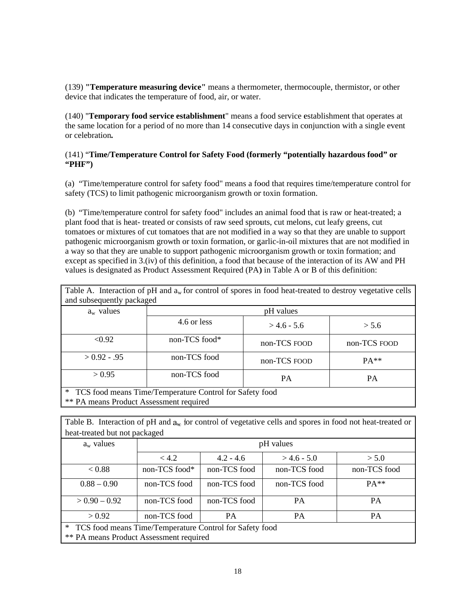### (141) "Time/Temperature Control for Safety Food (formerly "potentially hazardous food" or **"PHF" ")**

| (139) "Temperature measuring device" means a thermometer, thermocouple, thermistor, or other<br>device that indicates the temperature of food, air, or water.                                                                                                                                                                                                                                                    |               |              |               |                                                                                                                                                                                                                                                                                                                               |  |  |  |
|------------------------------------------------------------------------------------------------------------------------------------------------------------------------------------------------------------------------------------------------------------------------------------------------------------------------------------------------------------------------------------------------------------------|---------------|--------------|---------------|-------------------------------------------------------------------------------------------------------------------------------------------------------------------------------------------------------------------------------------------------------------------------------------------------------------------------------|--|--|--|
| (140) "Temporary food service establishment" means a food service establishment that operates at<br>the same location for a period of no more than 14 consecutive days in conjunction with a single event<br>or celebration.                                                                                                                                                                                     |               |              |               |                                                                                                                                                                                                                                                                                                                               |  |  |  |
| (141) "Time/Temperature Control for Safety Food (formerly "potentially hazardous food" or<br>"PHF"                                                                                                                                                                                                                                                                                                               |               |              |               |                                                                                                                                                                                                                                                                                                                               |  |  |  |
| safety (TCS) to limit pathogenic microorganism growth or toxin formation.                                                                                                                                                                                                                                                                                                                                        |               |              |               | (a) "Time/temperature control for safety food" means a food that requires time/temperature control for                                                                                                                                                                                                                        |  |  |  |
| (b) "Time/temperature control for safety food" includes an animal food that is raw or heat-treated; a<br>plant food that is heat- treated or consists of raw seed sprouts, cut melons, cut leafy greens, cut<br>a way so that they are unable to support pathogenic microorganism growth or toxin formation; and<br>values is designated as Product Assessment Required (PA) in Table A or B of this definition: |               |              |               | tomatoes or mixtures of cut tomatoes that are not modified in a way so that they are unable to support<br>pathogenic microorganism growth or toxin formation, or garlic-in-oil mixtures that are not modified in<br>except as specified in 3.(iv) of this definition, a food that because of the interaction of its AW and PH |  |  |  |
|                                                                                                                                                                                                                                                                                                                                                                                                                  |               |              |               | Table A. Interaction of pH and $a_w$ for control of spores in food heat-treated to destroy vegetative cells                                                                                                                                                                                                                   |  |  |  |
|                                                                                                                                                                                                                                                                                                                                                                                                                  |               |              |               |                                                                                                                                                                                                                                                                                                                               |  |  |  |
| and subsequently packaged<br>$a_w$ values                                                                                                                                                                                                                                                                                                                                                                        |               |              | pH values     |                                                                                                                                                                                                                                                                                                                               |  |  |  |
|                                                                                                                                                                                                                                                                                                                                                                                                                  | 4.6 or less   |              | $> 4.6 - 5.6$ | > 5.6                                                                                                                                                                                                                                                                                                                         |  |  |  |
| $\sqrt{0.92}$                                                                                                                                                                                                                                                                                                                                                                                                    | non-TCS food* |              | non-TCS FOOD  | non-TCS FOOD                                                                                                                                                                                                                                                                                                                  |  |  |  |
| $> 0.92 - .95$                                                                                                                                                                                                                                                                                                                                                                                                   | non-TCS food  |              | non-TCS FOOD  | PA**                                                                                                                                                                                                                                                                                                                          |  |  |  |
| > 0.95                                                                                                                                                                                                                                                                                                                                                                                                           | non-TCS food  |              | PA            | PA                                                                                                                                                                                                                                                                                                                            |  |  |  |
| TCS food means Time/Temperature Control for Safety food<br>** PA means Product Assessment required                                                                                                                                                                                                                                                                                                               |               |              |               |                                                                                                                                                                                                                                                                                                                               |  |  |  |
|                                                                                                                                                                                                                                                                                                                                                                                                                  |               |              |               |                                                                                                                                                                                                                                                                                                                               |  |  |  |
|                                                                                                                                                                                                                                                                                                                                                                                                                  |               |              |               | Table B. Interaction of pH and $a_w$ for control of vegetative cells and spores in food not heat-treated or                                                                                                                                                                                                                   |  |  |  |
| heat-treated but not packaged                                                                                                                                                                                                                                                                                                                                                                                    |               |              |               |                                                                                                                                                                                                                                                                                                                               |  |  |  |
| $a_w$ values                                                                                                                                                                                                                                                                                                                                                                                                     |               |              | pH values     |                                                                                                                                                                                                                                                                                                                               |  |  |  |
|                                                                                                                                                                                                                                                                                                                                                                                                                  | < 4.2         | $4.2 - 4.6$  | $> 4.6 - 5.0$ | > 5.0                                                                                                                                                                                                                                                                                                                         |  |  |  |
| < 0.88                                                                                                                                                                                                                                                                                                                                                                                                           | non-TCS food* | non-TCS food | non-TCS food  | non-TCS food                                                                                                                                                                                                                                                                                                                  |  |  |  |
| $0.88 - 0.90$                                                                                                                                                                                                                                                                                                                                                                                                    | non-TCS food  | non-TCS food | non-TCS food  | PA**                                                                                                                                                                                                                                                                                                                          |  |  |  |
| $> 0.90 - 0.92$                                                                                                                                                                                                                                                                                                                                                                                                  | non-TCS food  | non-TCS food | PA            | PA                                                                                                                                                                                                                                                                                                                            |  |  |  |

|                           | Table A. Interaction of $pH$ and $a_w$ for control of spores in food heat-treated to destroy vegetative cells |
|---------------------------|---------------------------------------------------------------------------------------------------------------|
| and subsequently packaged |                                                                                                               |
|                           |                                                                                                               |

| Table B. Interaction of pH and $a_w$ for control of vegetative cells and spores in food not heat-treated or |               |              |              |              |  |  |
|-------------------------------------------------------------------------------------------------------------|---------------|--------------|--------------|--------------|--|--|
| heat-treated but not packaged                                                                               |               |              |              |              |  |  |
| $a_w$ values                                                                                                | pH values     |              |              |              |  |  |
|                                                                                                             | < 4.2         | $4.2 - 4.6$  | $>4.6 - 5.0$ | > 5.0        |  |  |
| < 0.88                                                                                                      | non-TCS food* | non-TCS food | non-TCS food | non-TCS food |  |  |
| $0.88 - 0.90$                                                                                               | non-TCS food  | non-TCS food | non-TCS food | $PA**$       |  |  |
| $> 0.90 - 0.92$                                                                                             | non-TCS food  | non-TCS food | <b>PA</b>    | <b>PA</b>    |  |  |
| > 0.92                                                                                                      | non-TCS food  | <b>PA</b>    | <b>PA</b>    | <b>PA</b>    |  |  |
| $\ast$<br>TCS food means Time/Temperature Control for Safety food                                           |               |              |              |              |  |  |
| <b>** PA means Product Assessment required</b>                                                              |               |              |              |              |  |  |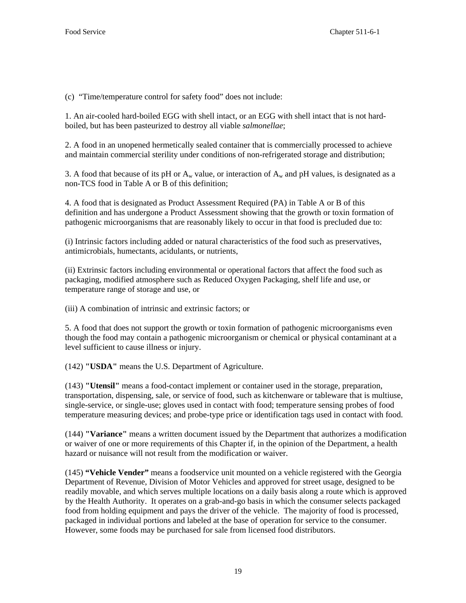(c) "Time/temperature control for safety food" does not include:

1. An air-cooled hard-boiled EGG with shell intact, or an EGG with shell intact that is not hardboiled, but has been pasteurized to destroy all viable *salmonellae*;

2. A food in an unopened hermetically sealed container that is commercially processed to achieve and maintain commercial sterility under conditions of non-refrigerated storage and distribution;

3. A food that because of its pH or  $A_w$  value, or interaction of  $A_w$  and pH values, is designated as a non-TCS food in Table A or B of this definition;

4. A food that is designated as Product Assessment Required (PA) in Table A or B of this definition and has undergone a Product Assessment showing that the growth or toxin formation of pathogenic microorganisms that are reasonably likely to occur in that food is precluded due to:

(i) Intrinsic factors including added or natural characteristics of the food such as preservatives, antimicrobials, humectants, acidulants, or nutrients,

(ii) Extrinsic factors including environmental or operational factors that affect the food such as packaging, modified atmosphere such as Reduced Oxygen Packaging, shelf life and use, or temperature range of storage and use, or

(iii) A combination of intrinsic and extrinsic factors; or

5. A food that does not support the growth or toxin formation of pathogenic microorganisms even though the food may contain a pathogenic microorganism or chemical or physical contaminant at a level sufficient to cause illness or injury.

(142) **"USDA"** means the U.S. Department of Agriculture.

(143) **"Utensil"** means a food-contact implement or container used in the storage, preparation, transportation, dispensing, sale, or service of food, such as kitchenware or tableware that is multiuse, single-service, or single-use; gloves used in contact with food; temperature sensing probes of food temperature measuring devices; and probe-type price or identification tags used in contact with food.

(144) **"Variance"** means a written document issued by the Department that authorizes a modification or waiver of one or more requirements of this Chapter if, in the opinion of the Department, a health hazard or nuisance will not result from the modification or waiver.

(145) **"Vehicle Vender"** means a foodservice unit mounted on a vehicle registered with the Georgia Department of Revenue, Division of Motor Vehicles and approved for street usage, designed to be readily movable, and which serves multiple locations on a daily basis along a route which is approved by the Health Authority. It operates on a grab-and-go basis in which the consumer selects packaged food from holding equipment and pays the driver of the vehicle. The majority of food is processed, packaged in individual portions and labeled at the base of operation for service to the consumer. However, some foods may be purchased for sale from licensed food distributors.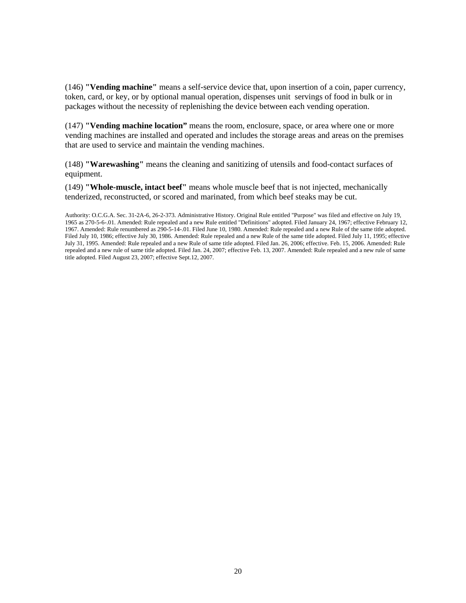(146) **"Vending machine"** means a self-service device that, upon insertion of a coin, paper currency, token, card, or key, or by optional manual operation, dispenses unit servings of food in bulk or in packages without the necessity of replenishing the device between each vending operation.

(147) **"Vending machine location"** means the room, enclosure, space, or area where one or more vending machines are installed and operated and includes the storage areas and areas on the premises that are used to service and maintain the vending machines.

(148) **"Warewashing"** means the cleaning and sanitizing of utensils and food-contact surfaces of equipment.

(149) **"Whole-muscle, intact beef"** means whole muscle beef that is not injected, mechanically tenderized, reconstructed, or scored and marinated, from which beef steaks may be cut.

Authority: O.C.G.A. Sec. 31-2A-6, 26-2-373. Administrative History. Original Rule entitled "Purpose" was filed and effective on July 19, 1965 as 270-5-6-.01. Amended: Rule repealed and a new Rule entitled "Definitions" adopted. Filed January 24, 1967; effective February 12, 1967. Amended: Rule renumbered as 290-5-14-.01. Filed June 10, 1980. Amended: Rule repealed and a new Rule of the same title adopted. Filed July 10, 1986; effective July 30, 1986. Amended: Rule repealed and a new Rule of the same title adopted. Filed July 11, 1995; effective July 31, 1995. Amended: Rule repealed and a new Rule of same title adopted. Filed Jan. 26, 2006; effective. Feb. 15, 2006. Amended: Rule repealed and a new rule of same title adopted. Filed Jan. 24, 2007; effective Feb. 13, 2007. Amended: Rule repealed and a new rule of same title adopted. Filed August 23, 2007; effective Sept.12, 2007.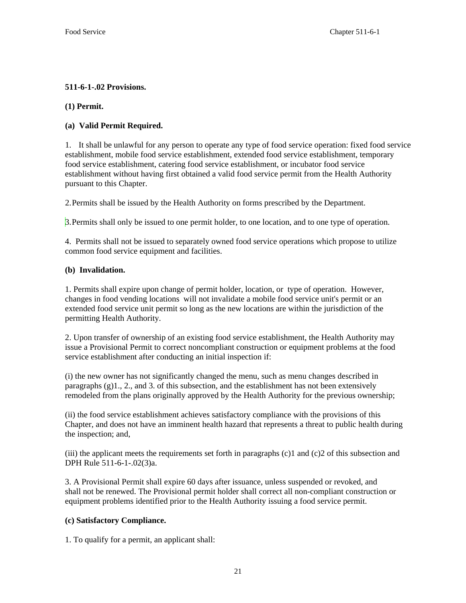# **511-6-1-.02 Provisions.**

## **(1) Permit.**

# **(a) Valid Permit Required.**

 1. It shall be unlawful for any person to operate any type of food service operation: fixed food service establishment, mobile food service establishment, extended food service establishment, temporary food service establishment, catering food service establishment, or incubator food service establishment without having first obtained a valid food service permit from the Health Authority pursuant to this Chapter.

2. Permits shall be issued by the Health Authority on forms prescribed by the Department.

3. Permits shall only be issued to one permit holder, to one location, and to one type of operation.

4. Permits shall not be issued to separately owned food service operations which propose to utilize common food service equipment and facilities.

# **(b) Invalidation.**

1. Permits shall expire upon change of permit holder, location, or type of operation. However, changes in food vending locations will not invalidate a mobile food service unit's permit or an extended food service unit permit so long as the new locations are within the jurisdiction of the permitting Health Authority.

2. Upon transfer of ownership of an existing food service establishment, the Health Authority may issue a Provisional Permit to correct noncompliant construction or equipment problems at the food service establishment after conducting an initial inspection if:

(i) the new owner has not significantly changed the menu, such as menu changes described in paragraphs (g)1., 2., and 3. of this subsection, and the establishment has not been extensively remodeled from the plans originally approved by the Health Authority for the previous ownership;

(ii) the food service establishment achieves satisfactory compliance with the provisions of this Chapter, and does not have an imminent health hazard that represents a threat to public health during the inspection; and,

(iii) the applicant meets the requirements set forth in paragraphs  $(c)1$  and  $(c)2$  of this subsection and DPH Rule 511-6-1-.02(3)a.

3. A Provisional Permit shall expire 60 days after issuance, unless suspended or revoked, and shall not be renewed. The Provisional permit holder shall correct all non-compliant construction or equipment problems identified prior to the Health Authority issuing a food service permit.

# **(c) Satisfactory Compliance.**

1. To qualify for a permit, an applicant shall: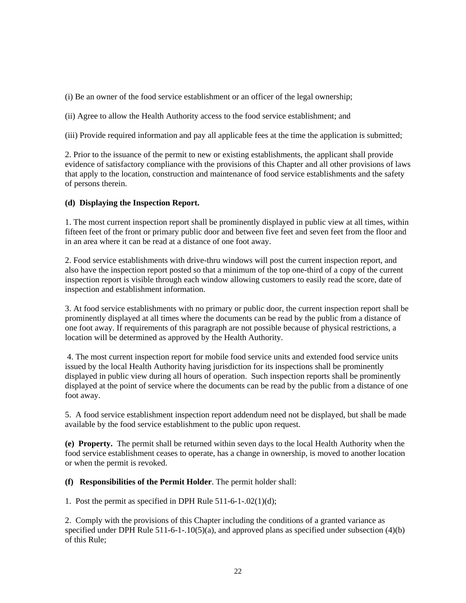(i) Be an owner of the food service establishment or an officer of the legal ownership;

(ii) Agree to allow the Health Authority access to the food service establishment; and

(iii) Provide required information and pay all applicable fees at the time the application is submitted;

2. Prior to the issuance of the permit to new or existing establishments, the applicant shall provide evidence of satisfactory compliance with the provisions of this Chapter and all other provisions of laws that apply to the location, construction and maintenance of food service establishments and the safety of persons therein.

### **(d) Displaying the Inspection Report.**

1. The most current inspection report shall be prominently displayed in public view at all times, within fifteen feet of the front or primary public door and between five feet and seven feet from the floor and in an area where it can be read at a distance of one foot away.

2. Food service establishments with drive-thru windows will post the current inspection report, and also have the inspection report posted so that a minimum of the top one-third of a copy of the current inspection report is visible through each window allowing customers to easily read the score, date of inspection and establishment information.

3. At food service establishments with no primary or public door, the current inspection report shall be prominently displayed at all times where the documents can be read by the public from a distance of one foot away. If requirements of this paragraph are not possible because of physical restrictions, a location will be determined as approved by the Health Authority.

 4. The most current inspection report for mobile food service units and extended food service units issued by the local Health Authority having jurisdiction for its inspections shall be prominently displayed in public view during all hours of operation. Such inspection reports shall be prominently displayed at the point of service where the documents can be read by the public from a distance of one foot away.

5. A food service establishment inspection report addendum need not be displayed, but shall be made available by the food service establishment to the public upon request.

**(e) Property.** The permit shall be returned within seven days to the local Health Authority when the food service establishment ceases to operate, has a change in ownership, is moved to another location or when the permit is revoked.

**(f) Responsibilities of the Permit Holder**. The permit holder shall:

1. Post the permit as specified in DPH Rule 511-6-1-.02(1)(d);

2. Comply with the provisions of this Chapter including the conditions of a granted variance as specified under DPH Rule 511-6-1-.10(5)(a), and approved plans as specified under subsection (4)(b) of this Rule;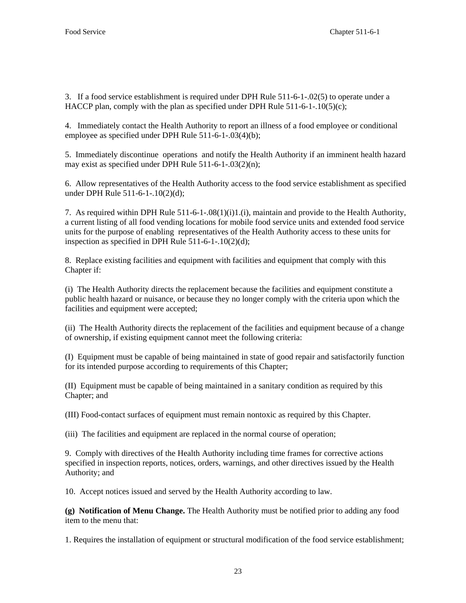3. If a food service establishment is required under DPH Rule 511-6-1-.02(5) to operate under a HACCP plan, comply with the plan as specified under DPH Rule 511-6-1-.10(5)(c);

4. Immediately contact the Health Authority to report an illness of a food employee or conditional employee as specified under DPH Rule 511-6-1-.03(4)(b);

5. Immediately discontinue operations and notify the Health Authority if an imminent health hazard may exist as specified under DPH Rule 511-6-1-.03(2)(n);

6. Allow representatives of the Health Authority access to the food service establishment as specified under DPH Rule 511-6-1-.10(2)(d);

7. As required within DPH Rule 511-6-1-.08(1)(i)1.(i), maintain and provide to the Health Authority, a current listing of all food vending locations for mobile food service units and extended food service units for the purpose of enabling representatives of the Health Authority access to these units for inspection as specified in DPH Rule 511-6-1-.10(2)(d);

8. Replace existing facilities and equipment with facilities and equipment that comply with this Chapter if:

(i) The Health Authority directs the replacement because the facilities and equipment constitute a public health hazard or nuisance, or because they no longer comply with the criteria upon which the facilities and equipment were accepted;

(ii) The Health Authority directs the replacement of the facilities and equipment because of a change of ownership, if existing equipment cannot meet the following criteria:

(I) Equipment must be capable of being maintained in state of good repair and satisfactorily function for its intended purpose according to requirements of this Chapter;

(II) Equipment must be capable of being maintained in a sanitary condition as required by this Chapter; and

(III) Food-contact surfaces of equipment must remain nontoxic as required by this Chapter.

(iii) The facilities and equipment are replaced in the normal course of operation;

9. Comply with directives of the Health Authority including time frames for corrective actions specified in inspection reports, notices, orders, warnings, and other directives issued by the Health Authority; and

10. Accept notices issued and served by the Health Authority according to law.

**(g) Notification of Menu Change.** The Health Authority must be notified prior to adding any food item to the menu that:

1. Requires the installation of equipment or structural modification of the food service establishment;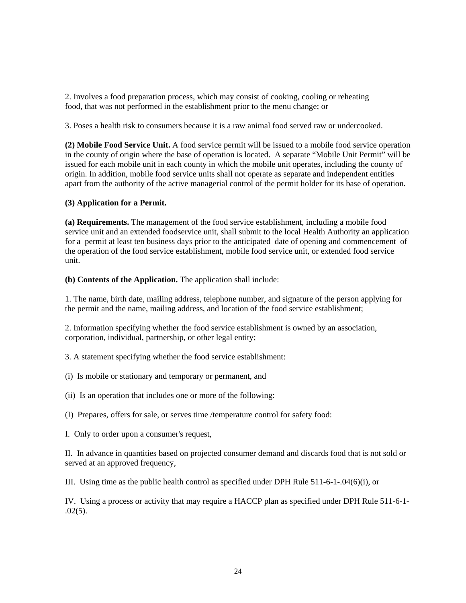2. Involves a food preparation process, which may consist of cooking, cooling or reheating food, that was not performed in the establishment prior to the menu change; or

3. Poses a health risk to consumers because it is a raw animal food served raw or undercooked.

**(2) Mobile Food Service Unit.** A food service permit will be issued to a mobile food service operation in the county of origin where the base of operation is located. A separate "Mobile Unit Permit" will be issued for each mobile unit in each county in which the mobile unit operates, including the county of origin. In addition, mobile food service units shall not operate as separate and independent entities apart from the authority of the active managerial control of the permit holder for its base of operation.

#### **(3) Application for a Permit.**

**(a) Requirements.** The management of the food service establishment, including a mobile food service unit and an extended foodservice unit, shall submit to the local Health Authority an application for a permit at least ten business days prior to the anticipated date of opening and commencement of the operation of the food service establishment, mobile food service unit, or extended food service unit.

**(b) Contents of the Application.** The application shall include:

1. The name, birth date, mailing address, telephone number, and signature of the person applying for the permit and the name, mailing address, and location of the food service establishment;

2. Information specifying whether the food service establishment is owned by an association, corporation, individual, partnership, or other legal entity;

3. A statement specifying whether the food service establishment:

- (i) Is mobile or stationary and temporary or permanent, and
- (ii) Is an operation that includes one or more of the following:
- (I) Prepares, offers for sale, or serves time /temperature control for safety food:
- I. Only to order upon a consumer's request,

II. In advance in quantities based on projected consumer demand and discards food that is not sold or served at an approved frequency,

III. Using time as the public health control as specified under DPH Rule 511-6-1-.04(6)(i), or

IV. Using a process or activity that may require a HACCP plan as specified under DPH Rule 511-6-1-  $.02(5)$ .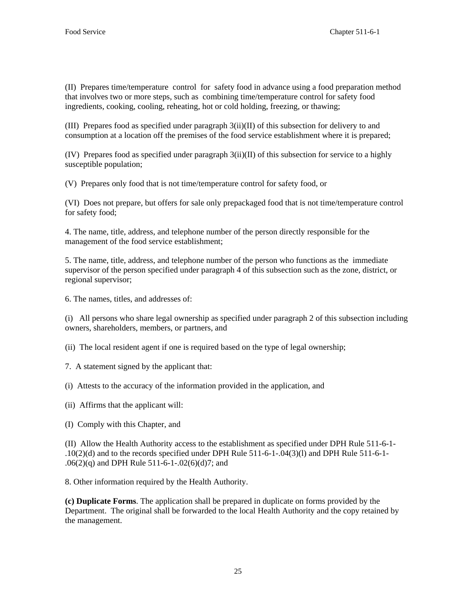(II) Prepares time/temperature control for safety food in advance using a food preparation method that involves two or more steps, such as combining time/temperature control for safety food ingredients, cooking, cooling, reheating, hot or cold holding, freezing, or thawing;

(III) Prepares food as specified under paragraph 3(ii)(II) of this subsection for delivery to and consumption at a location off the premises of the food service establishment where it is prepared;

(IV) Prepares food as specified under paragraph 3(ii)(II) of this subsection for service to a highly susceptible population;

(V) Prepares only food that is not time/temperature control for safety food, or

(VI) Does not prepare, but offers for sale only prepackaged food that is not time/temperature control for safety food;

4. The name, title, address, and telephone number of the person directly responsible for the management of the food service establishment;

5. The name, title, address, and telephone number of the person who functions as the immediate supervisor of the person specified under paragraph 4 of this subsection such as the zone, district, or regional supervisor;

6. The names, titles, and addresses of:

(i) All persons who share legal ownership as specified under paragraph 2 of this subsection including owners, shareholders, members, or partners, and

(ii) The local resident agent if one is required based on the type of legal ownership;

- 7. A statement signed by the applicant that:
- (i) Attests to the accuracy of the information provided in the application, and
- (ii) Affirms that the applicant will:
- (I) Comply with this Chapter, and

(II) Allow the Health Authority access to the establishment as specified under DPH Rule 511-6-1- .10(2)(d) and to the records specified under DPH Rule 511-6-1-.04(3)(l) and DPH Rule 511-6-1- .06(2)(q) and DPH Rule 511-6-1-.02(6)(d)7; and

8. Other information required by the Health Authority.

**(c) Duplicate Forms**. The application shall be prepared in duplicate on forms provided by the Department. The original shall be forwarded to the local Health Authority and the copy retained by the management.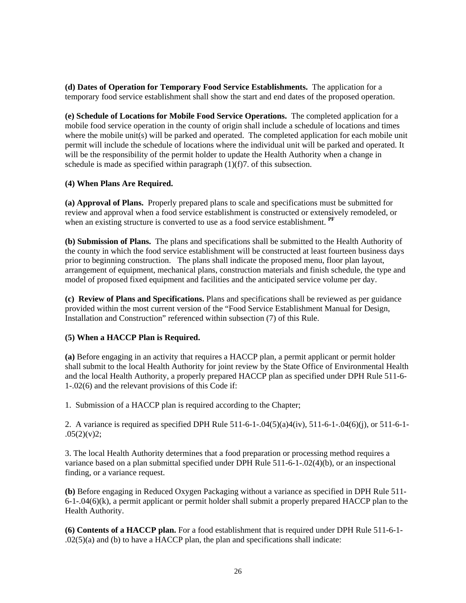**(d) Dates of Operation for Temporary Food Service Establishments.** The application for a temporary food service establishment shall show the start and end dates of the proposed operation.

**(e) Schedule of Locations for Mobile Food Service Operations.** The completed application for a mobile food service operation in the county of origin shall include a schedule of locations and times where the mobile unit(s) will be parked and operated. The completed application for each mobile unit permit will include the schedule of locations where the individual unit will be parked and operated. It will be the responsibility of the permit holder to update the Health Authority when a change in schedule is made as specified within paragraph  $(1)(f)$ . of this subsection.

### **(4) When Plans Are Required.**

**(a) Approval of Plans.** Properly prepared plans to scale and specifications must be submitted for review and approval when a food service establishment is constructed or extensively remodeled, or when an existing structure is converted to use as a food service establishment. **PF**

**(b) Submission of Plans.** The plans and specifications shall be submitted to the Health Authority of the county in which the food service establishment will be constructed at least fourteen business days prior to beginning construction. The plans shall indicate the proposed menu, floor plan layout, arrangement of equipment, mechanical plans, construction materials and finish schedule, the type and model of proposed fixed equipment and facilities and the anticipated service volume per day.

**(c) Review of Plans and Specifications.** Plans and specifications shall be reviewed as per guidance provided within the most current version of the "Food Service Establishment Manual for Design, Installation and Construction" referenced within subsection (7) of this Rule.

## **(5) When a HACCP Plan is Required.**

**(a)** Before engaging in an activity that requires a HACCP plan, a permit applicant or permit holder shall submit to the local Health Authority for joint review by the State Office of Environmental Health and the local Health Authority, a properly prepared HACCP plan as specified under DPH Rule 511-6- 1-.02(6) and the relevant provisions of this Code if:

1. Submission of a HACCP plan is required according to the Chapter;

2. A variance is required as specified DPH Rule 511-6-1-.04(5)(a)4(iv), 511-6-1-.04(6)(j), or 511-6-1-  $.05(2)(v)2;$ 

3. The local Health Authority determines that a food preparation or processing method requires a variance based on a plan submittal specified under DPH Rule 511-6-1-.02(4)(b), or an inspectional finding, or a variance request.

**(b)** Before engaging in Reduced Oxygen Packaging without a variance as specified in DPH Rule 511- 6-1-.04(6)(k), a permit applicant or permit holder shall submit a properly prepared HACCP plan to the Health Authority.

**(6) Contents of a HACCP plan.** For a food establishment that is required under DPH Rule 511-6-1- .02(5)(a) and (b) to have a HACCP plan, the plan and specifications shall indicate: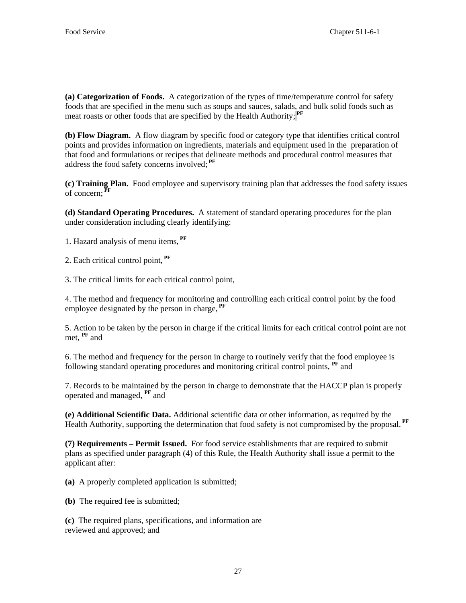**(a) Categorization of Foods.** A categorization of the types of time/temperature control for safety foods that are specified in the menu such as soups and sauces, salads, and bulk solid foods such as meat roasts or other foods that are specified by the Health Authority; **PF**

**(b) Flow Diagram.** A flow diagram by specific food or category type that identifies critical control points and provides information on ingredients, materials and equipment used in the preparation of that food and formulations or recipes that delineate methods and procedural control measures that address the food safety concerns involved; **PF**

**(c) Training Plan.** Food employee and supervisory training plan that addresses the food safety issues of concern; **PF**

**(d) Standard Operating Procedures.** A statement of standard operating procedures for the plan under consideration including clearly identifying:

1. Hazard analysis of menu items*,*  **PF**

2. Each critical control point, **PF**

3. The critical limits for each critical control point,

4. The method and frequency for monitoring and controlling each critical control point by the food employee designated by the person in charge, **PF**

5. Action to be taken by the person in charge if the critical limits for each critical control point are not met, **PF** and

6. The method and frequency for the person in charge to routinely verify that the food employee is following standard operating procedures and monitoring critical control points, **PF** and

7. Records to be maintained by the person in charge to demonstrate that the HACCP plan is properly operated and managed, **PF** and

**(e) Additional Scientific Data.** Additional scientific data or other information, as required by the Health Authority, supporting the determination that food safety is not compromised by the proposal. PF

**(7) Requirements – Permit Issued.** For food service establishments that are required to submit plans as specified under paragraph (4) of this Rule, the Health Authority shall issue a permit to the applicant after:

**(a)** A properly completed application is submitted;

**(b)** The required fee is submitted;

**(c)** The required plans, specifications, and information are reviewed and approved; and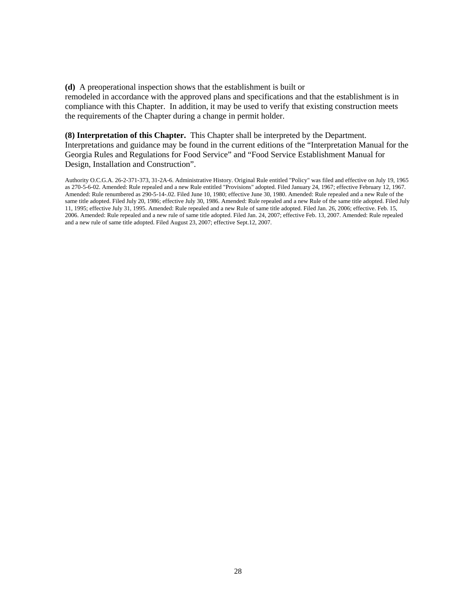**(d)** A preoperational inspection shows that the establishment is built or remodeled in accordance with the approved plans and specifications and that the establishment is in compliance with this Chapter. In addition, it may be used to verify that existing construction meets the requirements of the Chapter during a change in permit holder.

## **(8) Interpretation of this Chapter.** This Chapter shall be interpreted by the Department.

Interpretations and guidance may be found in the current editions of the "Interpretation Manual for the Georgia Rules and Regulations for Food Service" and "Food Service Establishment Manual for Design, Installation and Construction".

Authority O.C.G.A. 26-2-371-373, 31-2A-6. Administrative History. Original Rule entitled "Policy" was filed and effective on July 19, 1965 as 270-5-6-02. Amended: Rule repealed and a new Rule entitled "Provisions" adopted. Filed January 24, 1967; effective February 12, 1967. Amended: Rule renumbered as 290-5-14-.02. Filed June 10, 1980; effective June 30, 1980. Amended: Rule repealed and a new Rule of the same title adopted. Filed July 20, 1986; effective July 30, 1986. Amended: Rule repealed and a new Rule of the same title adopted. Filed July 11, 1995; effective July 31, 1995. Amended: Rule repealed and a new Rule of same title adopted. Filed Jan. 26, 2006; effective. Feb. 15, 2006. Amended: Rule repealed and a new rule of same title adopted. Filed Jan. 24, 2007; effective Feb. 13, 2007. Amended: Rule repealed and a new rule of same title adopted. Filed August 23, 2007; effective Sept.12, 2007.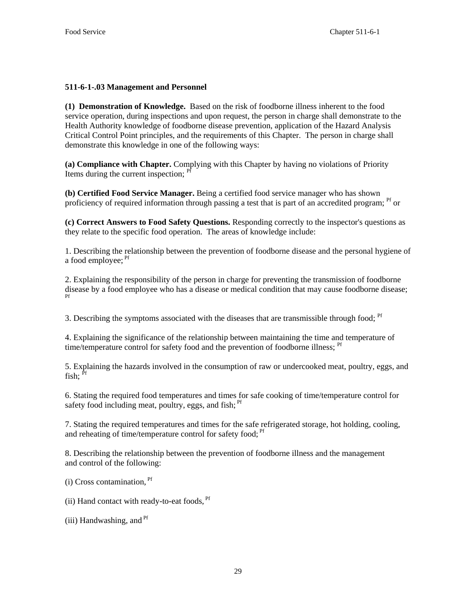## **511-6-1-.03 Management and Personnel**

**(1) Demonstration of Knowledge.** Based on the risk of foodborne illness inherent to the food service operation, during inspections and upon request, the person in charge shall demonstrate to the Health Authority knowledge of foodborne disease prevention, application of the Hazard Analysis Critical Control Point principles, and the requirements of this Chapter. The person in charge shall demonstrate this knowledge in one of the following ways:

**(a) Compliance with Chapter.** Complying with this Chapter by having no violations of Priority Items during the current inspection; <sup>Pf</sup>

**(b) Certified Food Service Manager.** Being a certified food service manager who has shown proficiency of required information through passing a test that is part of an accredited program; <sup>Pf</sup> or

**(c) Correct Answers to Food Safety Questions.** Responding correctly to the inspector's questions as they relate to the specific food operation. The areas of knowledge include:

1. Describing the relationship between the prevention of foodborne disease and the personal hygiene of a food employee; <sup>Pf</sup>

2. Explaining the responsibility of the person in charge for preventing the transmission of foodborne disease by a food employee who has a disease or medical condition that may cause foodborne disease; Pf

3. Describing the symptoms associated with the diseases that are transmissible through food: <sup>Pf</sup>

4. Explaining the significance of the relationship between maintaining the time and temperature of time/temperature control for safety food and the prevention of foodborne illness; <sup>Pf</sup>

5. Explaining the hazards involved in the consumption of raw or undercooked meat, poultry, eggs, and fish:  $\overline{P}$ f

6. Stating the required food temperatures and times for safe cooking of time/temperature control for safety food including meat, poultry, eggs, and fish; <sup>Pf</sup>

7. Stating the required temperatures and times for the safe refrigerated storage, hot holding, cooling, and reheating of time/temperature control for safety food;<sup>Pf</sup>

8. Describing the relationship between the prevention of foodborne illness and the management and control of the following:

 $(i)$  Cross contamination.  $Pf$ 

(ii) Hand contact with ready-to-eat foods,  $<sup>pr</sup>$ </sup>

 $(iii)$  Handwashing, and  $Pf$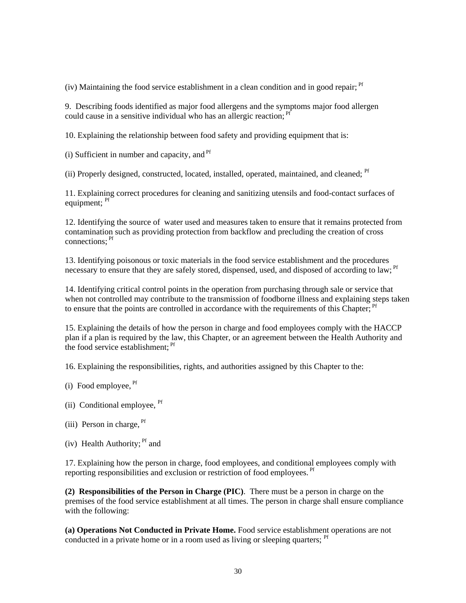(iv) Maintaining the food service establishment in a clean condition and in good repair;  $<sup>pf</sup>$ </sup>

9. Describing foods identified as major food allergens and the symptoms major food allergen could cause in a sensitive individual who has an allergic reaction; <sup>Pf</sup>

10. Explaining the relationship between food safety and providing equipment that is:

 $(i)$  Sufficient in number and capacity, and  $Pf$ 

(ii) Properly designed, constructed, located, installed, operated, maintained, and cleaned: <sup>Pf</sup>

11. Explaining correct procedures for cleaning and sanitizing utensils and food-contact surfaces of equipment: <sup>Pf</sup>

12. Identifying the source of water used and measures taken to ensure that it remains protected from contamination such as providing protection from backflow and precluding the creation of cross connections; Pf

13. Identifying poisonous or toxic materials in the food service establishment and the procedures necessary to ensure that they are safely stored, dispensed, used, and disposed of according to law; <sup>Pf</sup>

14. Identifying critical control points in the operation from purchasing through sale or service that when not controlled may contribute to the transmission of foodborne illness and explaining steps taken to ensure that the points are controlled in accordance with the requirements of this Chapter; <sup>Pf</sup>

15. Explaining the details of how the person in charge and food employees comply with the HACCP plan if a plan is required by the law, this Chapter, or an agreement between the Health Authority and the food service establishment: <sup>Pf</sup>

16. Explaining the responsibilities, rights, and authorities assigned by this Chapter to the:

- $(i)$  Food employee,  $<sup>pf</sup>$ </sup>
- (ii) Conditional employee, <sup>Pf</sup>
- (iii) Person in charge,  $<sup>pf</sup>$ </sup>
- (iv) Health Authority;  $Pf$  and

17. Explaining how the person in charge, food employees, and conditional employees comply with reporting responsibilities and exclusion or restriction of food employees. <sup>Pf</sup>

**(2) Responsibilities of the Person in Charge (PIC)**. There must be a person in charge on the premises of the food service establishment at all times. The person in charge shall ensure compliance with the following:

**(a) Operations Not Conducted in Private Home.** Food service establishment operations are not conducted in a private home or in a room used as living or sleeping quarters; <sup>Pf</sup>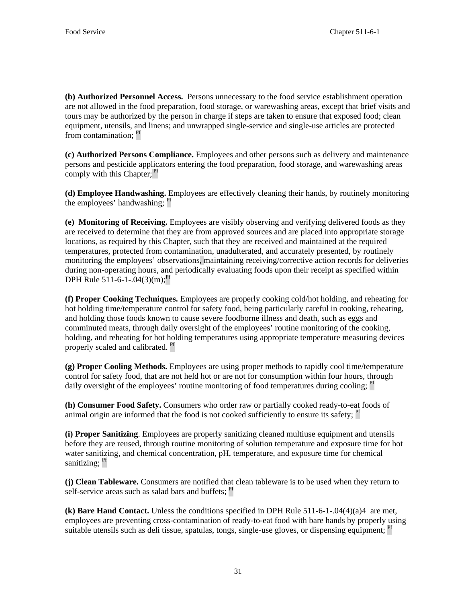**(b) Authorized Personnel Access.** Persons unnecessary to the food service establishment operation are not allowed in the food preparation, food storage, or warewashing areas, except that brief visits and tours may be authorized by the person in charge if steps are taken to ensure that exposed food; clean equipment, utensils, and linens; and unwrapped single-service and single-use articles are protected from contamination: <sup>Pf</sup>

**(c) Authorized Persons Compliance.** Employees and other persons such as delivery and maintenance persons and pesticide applicators entering the food preparation, food storage, and warewashing areas comply with this Chapter; <sup>Pf</sup>

**(d) Employee Handwashing.** Employees are effectively cleaning their hands, by routinely monitoring the employees' handwashing; <sup>Pf</sup>

**(e) Monitoring of Receiving.** Employees are visibly observing and verifying delivered foods as they are received to determine that they are from approved sources and are placed into appropriate storage locations, as required by this Chapter, such that they are received and maintained at the required temperatures, protected from contamination, unadulterated, and accurately presented, by routinely monitoring the employees' observations, maintaining receiving/corrective action records for deliveries during non-operating hours, and periodically evaluating foods upon their receipt as specified within DPH Rule 511-6-1-.04(3)(m):<sup>Pf</sup>

**(f) Proper Cooking Techniques.** Employees are properly cooking cold/hot holding, and reheating for hot holding time/temperature control for safety food, being particularly careful in cooking, reheating, and holding those foods known to cause severe foodborne illness and death, such as eggs and comminuted meats, through daily oversight of the employees' routine monitoring of the cooking, holding, and reheating for hot holding temperatures using appropriate temperature measuring devices properly scaled and calibrated. <sup>Pf</sup>

**(g) Proper Cooling Methods.** Employees are using proper methods to rapidly cool time/temperature control for safety food, that are not held hot or are not for consumption within four hours, through daily oversight of the employees' routine monitoring of food temperatures during cooling; <sup>Pf</sup>

**(h) Consumer Food Safety.** Consumers who order raw or partially cooked ready-to-eat foods of animal origin are informed that the food is not cooked sufficiently to ensure its safety;  $\frac{Pf}{T}$ 

**(i) Proper Sanitizing**. Employees are properly sanitizing cleaned multiuse equipment and utensils before they are reused, through routine monitoring of solution temperature and exposure time for hot water sanitizing, and chemical concentration, pH, temperature, and exposure time for chemical sanitizing; <sup>Pf</sup>

**(j) Clean Tableware.** Consumers are notified that clean tableware is to be used when they return to self-service areas such as salad bars and buffets; <sup>Pf</sup>

**(k) Bare Hand Contact.** Unless the conditions specified in DPH Rule 511-6-1-.04(4)(a)4 are met, employees are preventing cross-contamination of ready-to-eat food with bare hands by properly using suitable utensils such as deli tissue, spatulas, tongs, single-use gloves, or dispensing equipment; <sup>Pf</sup>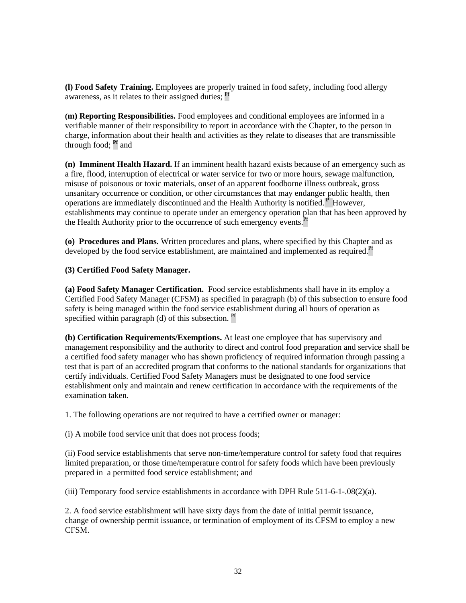**(l) Food Safety Training.** Employees are properly trained in food safety, including food allergy awareness, as it relates to their assigned duties; <sup>Pf</sup>

**(m) Reporting Responsibilities.** Food employees and conditional employees are informed in a verifiable manner of their responsibility to report in accordance with the Chapter, to the person in charge, information about their health and activities as they relate to diseases that are transmissible through food; **Pf** and

**(n) Imminent Health Hazard.** If an imminent health hazard exists because of an emergency such as a fire, flood, interruption of electrical or water service for two or more hours, sewage malfunction, misuse of poisonous or toxic materials, onset of an apparent foodborne illness outbreak, gross unsanitary occurrence or condition, or other circumstances that may endanger public health, then operations are immediately discontinued and the Health Authority is notified.<sup>P</sup> However, establishments may continue to operate under an emergency operation plan that has been approved by the Health Authority prior to the occurrence of such emergency events.<sup>1</sup>

**(o) Procedures and Plans.** Written procedures and plans, where specified by this Chapter and as developed by the food service establishment, are maintained and implemented as required.<sup>Pf</sup>

## **(3) Certified Food Safety Manager.**

**(a) Food Safety Manager Certification.** Food service establishments shall have in its employ a Certified Food Safety Manager (CFSM) as specified in paragraph (b) of this subsection to ensure food safety is being managed within the food service establishment during all hours of operation as specified within paragraph (d) of this subsection.  $Pf$ 

**(b) Certification Requirements/Exemptions.** At least one employee that has supervisory and management responsibility and the authority to direct and control food preparation and service shall be a certified food safety manager who has shown proficiency of required information through passing a test that is part of an accredited program that conforms to the national standards for organizations that certify individuals. Certified Food Safety Managers must be designated to one food service establishment only and maintain and renew certification in accordance with the requirements of the examination taken.

1. The following operations are not required to have a certified owner or manager:

(i) A mobile food service unit that does not process foods;

(ii) Food service establishments that serve non-time/temperature control for safety food that requires limited preparation, or those time/temperature control for safety foods which have been previously prepared in a permitted food service establishment; and

(iii) Temporary food service establishments in accordance with DPH Rule 511-6-1-.08(2)(a).

2. A food service establishment will have sixty days from the date of initial permit issuance, change of ownership permit issuance, or termination of employment of its CFSM to employ a new CFSM.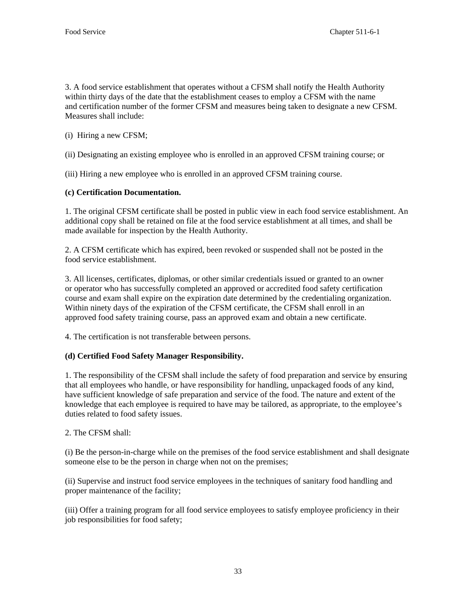3. A food service establishment that operates without a CFSM shall notify the Health Authority within thirty days of the date that the establishment ceases to employ a CFSM with the name and certification number of the former CFSM and measures being taken to designate a new CFSM. Measures shall include:

(i) Hiring a new CFSM;

(ii) Designating an existing employee who is enrolled in an approved CFSM training course; or

(iii) Hiring a new employee who is enrolled in an approved CFSM training course.

## **(c) Certification Documentation.**

1. The original CFSM certificate shall be posted in public view in each food service establishment. An additional copy shall be retained on file at the food service establishment at all times, and shall be made available for inspection by the Health Authority.

2. A CFSM certificate which has expired, been revoked or suspended shall not be posted in the food service establishment.

3. All licenses, certificates, diplomas, or other similar credentials issued or granted to an owner or operator who has successfully completed an approved or accredited food safety certification course and exam shall expire on the expiration date determined by the credentialing organization. Within ninety days of the expiration of the CFSM certificate, the CFSM shall enroll in an approved food safety training course, pass an approved exam and obtain a new certificate.

4. The certification is not transferable between persons.

## **(d) Certified Food Safety Manager Responsibility.**

1. The responsibility of the CFSM shall include the safety of food preparation and service by ensuring that all employees who handle, or have responsibility for handling, unpackaged foods of any kind, have sufficient knowledge of safe preparation and service of the food. The nature and extent of the knowledge that each employee is required to have may be tailored, as appropriate, to the employee's duties related to food safety issues.

### 2. The CFSM shall:

(i) Be the person-in-charge while on the premises of the food service establishment and shall designate someone else to be the person in charge when not on the premises;

(ii) Supervise and instruct food service employees in the techniques of sanitary food handling and proper maintenance of the facility;

(iii) Offer a training program for all food service employees to satisfy employee proficiency in their job responsibilities for food safety;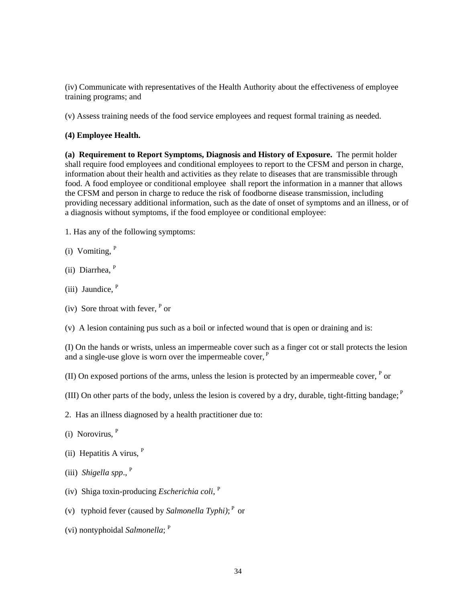(iv) Communicate with representatives of the Health Authority about the effectiveness of employee training programs; and

(v) Assess training needs of the food service employees and request formal training as needed.

### **(4) Employee Health.**

**(a) Requirement to Report Symptoms, Diagnosis and History of Exposure.** The permit holder shall require food employees and conditional employees to report to the CFSM and person in charge, information about their health and activities as they relate to diseases that are transmissible through food. A food employee or conditional employee shall report the information in a manner that allows the CFSM and person in charge to reduce the risk of foodborne disease transmission, including providing necessary additional information, such as the date of onset of symptoms and an illness, or of a diagnosis without symptoms, if the food employee or conditional employee:

- 1. Has any of the following symptoms:
- (i) Vomiting,  $P$
- (ii) Diarrhea, <sup>P</sup>
- (iii) Jaundice, P
- $(iv)$  Sore throat with fever,  $P$  or

(v) A lesion containing pus such as a boil or infected wound that is open or draining and is:

(I) On the hands or wrists, unless an impermeable cover such as a finger cot or stall protects the lesion and a single-use glove is worn over the impermeable cover,  $P$ 

(II) On exposed portions of the arms, unless the lesion is protected by an impermeable cover,  $P$  or

(III) On other parts of the body, unless the lesion is covered by a dry, durable, tight-fitting bandage;  $P$ 

- 2. Has an illness diagnosed by a health practitioner due to:
- (i) Norovirus, <sup>P</sup>
- (ii) Hepatitis A virus,  $P$
- (iii) *Shigella spp*., <sup>P</sup>
- (iv) Shiga toxin-producing *Escherichia coli*, <sup>P</sup>
- (v) typhoid fever (caused by *Salmonella Typhi)*;<sup>P</sup> or
- (vi) nontyphoidal *Salmonella*; <sup>P</sup>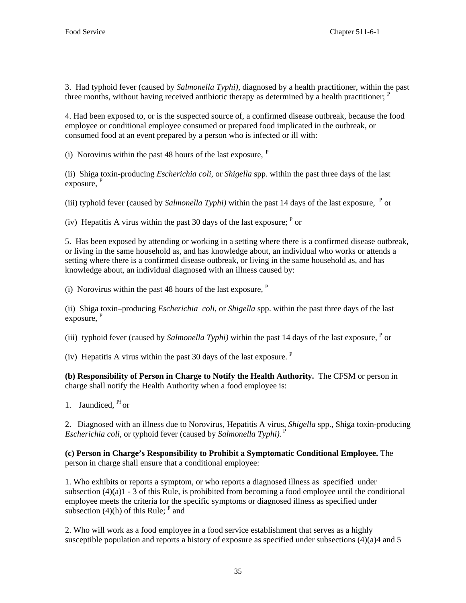3. Had typhoid fever (caused by *Salmonella Typhi)*, diagnosed by a health practitioner, within the past three months, without having received antibiotic therapy as determined by a health practitioner;  $P$ 

4. Had been exposed to, or is the suspected source of, a confirmed disease outbreak, because the food employee or conditional employee consumed or prepared food implicated in the outbreak, or consumed food at an event prepared by a person who is infected or ill with:

(i) Norovirus within the past 48 hours of the last exposure,  $P$ 

(ii) Shiga toxin-producing *Escherichia coli*, or *Shigella* spp. within the past three days of the last exposure.  $P$ 

(iii) typhoid fever (caused by *Salmonella Typhi)* within the past 14 days of the last exposure,  $P$  or

(iv) Hepatitis A virus within the past 30 days of the last exposure;  $P$  or

5. Has been exposed by attending or working in a setting where there is a confirmed disease outbreak, or living in the same household as, and has knowledge about, an individual who works or attends a setting where there is a confirmed disease outbreak, or living in the same household as, and has knowledge about, an individual diagnosed with an illness caused by:

(i) Norovirus within the past 48 hours of the last exposure,  $P$ 

(ii) Shiga toxin–producing *Escherichia coli*, or *Shigella* spp. within the past three days of the last exposure,  $P$ 

(iii) typhoid fever (caused by *Salmonella Typhi*) within the past 14 days of the last exposure,  $P$  or

(iv) Hepatitis A virus within the past 30 days of the last exposure. P

**(b) Responsibility of Person in Charge to Notify the Health Authority.** The CFSM or person in charge shall notify the Health Authority when a food employee is:

1. Jaundiced, <sup>Pf</sup> or

2. Diagnosed with an illness due to Norovirus, Hepatitis A virus, *Shigella* spp., Shiga toxin-producing Escherichia coli, or typhoid fever (caused by Salmonella Typhi).<sup>P</sup>

**(c) Person in Charge's Responsibility to Prohibit a Symptomatic Conditional Employee.** The person in charge shall ensure that a conditional employee:

1. Who exhibits or reports a symptom, or who reports a diagnosed illness as specified under subsection  $(4)(a)1 - 3$  of this Rule, is prohibited from becoming a food employee until the conditional employee meets the criteria for the specific symptoms or diagnosed illness as specified under subsection  $(4)$ (h) of this Rule; <sup>P</sup> and

2. Who will work as a food employee in a food service establishment that serves as a highly susceptible population and reports a history of exposure as specified under subsections (4)(a)4 and 5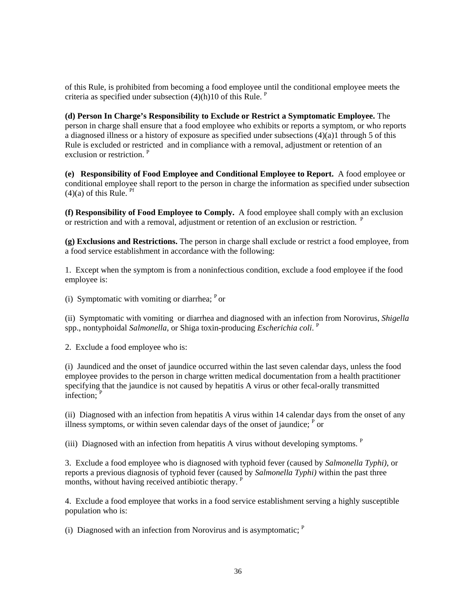of this Rule, is prohibited from becoming a food employee until the conditional employee meets the criteria as specified under subsection  $(4)(h)10$  of this Rule. <sup>P</sup>

**(d) Person In Charge's Responsibility to Exclude or Restrict a Symptomatic Employee.** The person in charge shall ensure that a food employee who exhibits or reports a symptom, or who reports a diagnosed illness or a history of exposure as specified under subsections (4)(a)1 through 5 of this Rule is excluded or restricted and in compliance with a removal, adjustment or retention of an exclusion or restriction.<sup>P</sup>

**(e) Responsibility of Food Employee and Conditional Employee to Report.** A food employee or conditional employee shall report to the person in charge the information as specified under subsection  $(4)(a)$  of this Rule. <sup>Pf</sup>

**(f) Responsibility of Food Employee to Comply.** A food employee shall comply with an exclusion or restriction and with a removal, adjustment or retention of an exclusion or restriction. <sup>P</sup>

**(g) Exclusions and Restrictions.** The person in charge shall exclude or restrict a food employee, from a food service establishment in accordance with the following:

1. Except when the symptom is from a noninfectious condition, exclude a food employee if the food employee is:

(i) Symptomatic with vomiting or diarrhea;  $P$  or

(ii) Symptomatic with vomiting or diarrhea and diagnosed with an infection from Norovirus, *Shigella* spp., nontyphoidal *Salmonella*, or Shiga toxin-producing *Escherichia coli*. <sup>P</sup>

2. Exclude a food employee who is:

(i) Jaundiced and the onset of jaundice occurred within the last seven calendar days, unless the food employee provides to the person in charge written medical documentation from a health practitioner specifying that the jaundice is not caused by hepatitis A virus or other fecal-orally transmitted  $interior<sup>P</sup>$ 

(ii) Diagnosed with an infection from hepatitis A virus within 14 calendar days from the onset of any illness symptoms, or within seven calendar days of the onset of jaundice;  $P$  or

(iii) Diagnosed with an infection from hepatitis A virus without developing symptoms.  $P$ 

3. Exclude a food employee who is diagnosed with typhoid fever (caused by *Salmonella Typhi)*, or reports a previous diagnosis of typhoid fever (caused by *Salmonella Typhi)* within the past three months, without having received antibiotic therapy. <sup>P</sup>

4. Exclude a food employee that works in a food service establishment serving a highly susceptible population who is:

(i) Diagnosed with an infection from Norovirus and is asymptomatic;  $<sup>P</sup>$ </sup>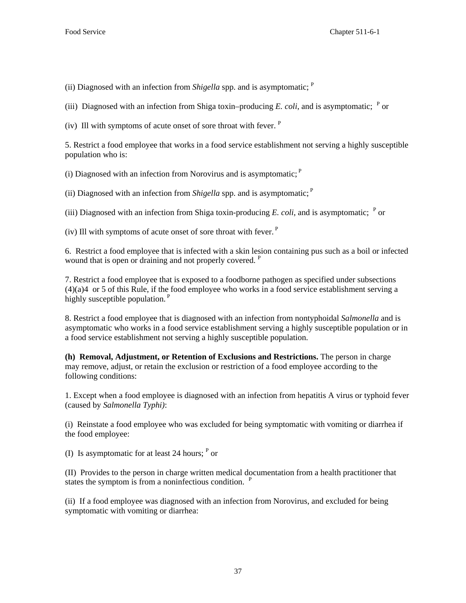(ii) Diagnosed with an infection from *Shigella* spp. and is asymptomatic; P

(iii) Diagnosed with an infection from Shiga toxin–producing *E. coli*, and is asymptomatic;  $P$  or

(iv) Ill with symptoms of acute onset of sore throat with fever.  $P$ 

5. Restrict a food employee that works in a food service establishment not serving a highly susceptible population who is:

(i) Diagnosed with an infection from Norovirus and is asymptomatic;  $P$ 

(ii) Diagnosed with an infection from *Shigella* spp. and is asymptomatic; P

(iii) Diagnosed with an infection from Shiga toxin-producing *E. coli*, and is asymptomatic;  $P$  or

(iv) Ill with symptoms of acute onset of sore throat with fever.  $P$ 

6. Restrict a food employee that is infected with a skin lesion containing pus such as a boil or infected wound that is open or draining and not properly covered. <sup>P</sup>

7. Restrict a food employee that is exposed to a foodborne pathogen as specified under subsections  $(4)(a)4$  or 5 of this Rule, if the food employee who works in a food service establishment serving a highly susceptible population.<sup>P</sup>

8. Restrict a food employee that is diagnosed with an infection from nontyphoidal *Salmonella* and is asymptomatic who works in a food service establishment serving a highly susceptible population or in a food service establishment not serving a highly susceptible population.

**(h) Removal, Adjustment, or Retention of Exclusions and Restrictions.** The person in charge may remove, adjust, or retain the exclusion or restriction of a food employee according to the following conditions:

1. Except when a food employee is diagnosed with an infection from hepatitis A virus or typhoid fever (caused by *Salmonella Typhi)*:

(i) Reinstate a food employee who was excluded for being symptomatic with vomiting or diarrhea if the food employee:

(I) Is asymptomatic for at least 24 hours;  $P$  or

(II) Provides to the person in charge written medical documentation from a health practitioner that states the symptom is from a noninfectious condition. <sup>P</sup>

(ii) If a food employee was diagnosed with an infection from Norovirus, and excluded for being symptomatic with vomiting or diarrhea: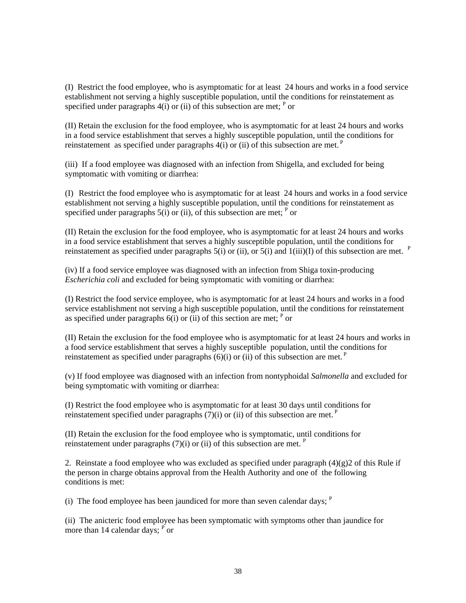(I) Restrict the food employee, who is asymptomatic for at least 24 hours and works in a food service establishment not serving a highly susceptible population, until the conditions for reinstatement as specified under paragraphs  $4(i)$  or (ii) of this subsection are met; <sup>P</sup> or

(II) Retain the exclusion for the food employee, who is asymptomatic for at least 24 hours and works in a food service establishment that serves a highly susceptible population, until the conditions for reinstatement as specified under paragraphs  $4(i)$  or (ii) of this subsection are met.<sup>P</sup>

(iii) If a food employee was diagnosed with an infection from Shigella, and excluded for being symptomatic with vomiting or diarrhea:

(I) Restrict the food employee who is asymptomatic for at least 24 hours and works in a food service establishment not serving a highly susceptible population, until the conditions for reinstatement as specified under paragraphs  $5(i)$  or (ii), of this subsection are met; <sup>P</sup> or

(II) Retain the exclusion for the food employee, who is asymptomatic for at least 24 hours and works in a food service establishment that serves a highly susceptible population, until the conditions for reinstatement as specified under paragraphs 5(i) or (ii), or 5(i) and 1(iii)(I) of this subsection are met.  $P$ 

(iv) If a food service employee was diagnosed with an infection from Shiga toxin-producing *Escherichia coli* and excluded for being symptomatic with vomiting or diarrhea:

(I) Restrict the food service employee, who is asymptomatic for at least 24 hours and works in a food service establishment not serving a high susceptible population, until the conditions for reinstatement as specified under paragraphs  $6(i)$  or (ii) of this section are met; <sup>P</sup> or

(II) Retain the exclusion for the food employee who is asymptomatic for at least 24 hours and works in a food service establishment that serves a highly susceptible population, until the conditions for reinstatement as specified under paragraphs  $(6)(i)$  or (ii) of this subsection are met.<sup>P</sup>

(v) If food employee was diagnosed with an infection from nontyphoidal *Salmonella* and excluded for being symptomatic with vomiting or diarrhea:

(I) Restrict the food employee who is asymptomatic for at least 30 days until conditions for reinstatement specified under paragraphs  $(7)(i)$  or (ii) of this subsection are met.<sup>P</sup>

(II) Retain the exclusion for the food employee who is symptomatic, until conditions for reinstatement under paragraphs  $(7)(i)$  or (ii) of this subsection are met. <sup>P</sup>

2. Reinstate a food employee who was excluded as specified under paragraph  $(4)(g)$  of this Rule if the person in charge obtains approval from the Health Authority and one of the following conditions is met:

(i) The food employee has been jaundiced for more than seven calendar days;  $P$ 

(ii) The anicteric food employee has been symptomatic with symptoms other than jaundice for more than 14 calendar days;  $\overrightarrow{P}$  or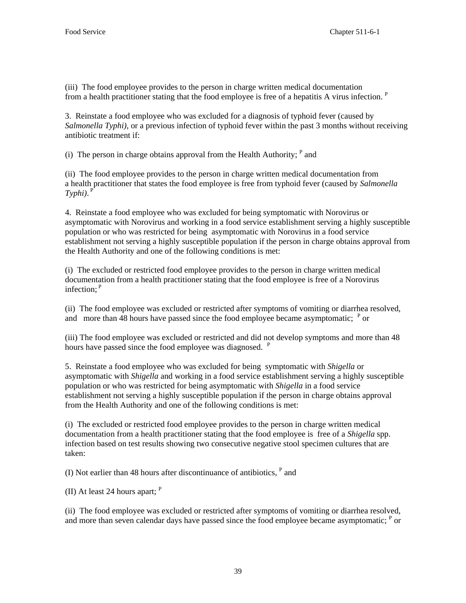(iii) The food employee provides to the person in charge written medical documentation from a health practitioner stating that the food employee is free of a hepatitis A virus infection. <sup>P</sup>

3. Reinstate a food employee who was excluded for a diagnosis of typhoid fever (caused by *Salmonella Typhi)*, or a previous infection of typhoid fever within the past 3 months without receiving antibiotic treatment if:

(i) The person in charge obtains approval from the Health Authority;  $P$  and

(ii) The food employee provides to the person in charge written medical documentation from a health practitioner that states the food employee is free from typhoid fever (caused by *Salmonella*  $Typhi$ ).  $P^T$ 

 4. Reinstate a food employee who was excluded for being symptomatic with Norovirus or asymptomatic with Norovirus and working in a food service establishment serving a highly susceptible population or who was restricted for being asymptomatic with Norovirus in a food service establishment not serving a highly susceptible population if the person in charge obtains approval from the Health Authority and one of the following conditions is met:

(i) The excluded or restricted food employee provides to the person in charge written medical documentation from a health practitioner stating that the food employee is free of a Norovirus infection; <sup>P</sup>

(ii) The food employee was excluded or restricted after symptoms of vomiting or diarrhea resolved, and more than  $\overline{48}$  hours have passed since the food employee became asymptomatic;  $\overline{P}$  or

(iii) The food employee was excluded or restricted and did not develop symptoms and more than 48 hours have passed since the food employee was diagnosed. <sup>P</sup>

5. Reinstate a food employee who was excluded for being symptomatic with *Shigella* or asymptomatic with *Shigella* and working in a food service establishment serving a highly susceptible population or who was restricted for being asymptomatic with *Shigella* in a food service establishment not serving a highly susceptible population if the person in charge obtains approval from the Health Authority and one of the following conditions is met:

(i) The excluded or restricted food employee provides to the person in charge written medical documentation from a health practitioner stating that the food employee is free of a *Shigella* spp. infection based on test results showing two consecutive negative stool specimen cultures that are taken:

(I) Not earlier than 48 hours after discontinuance of antibiotics,  $<sup>P</sup>$  and</sup>

(II) At least 24 hours apart:  $P$ 

(ii) The food employee was excluded or restricted after symptoms of vomiting or diarrhea resolved, and more than seven calendar days have passed since the food employee became asymptomatic;  $P$  or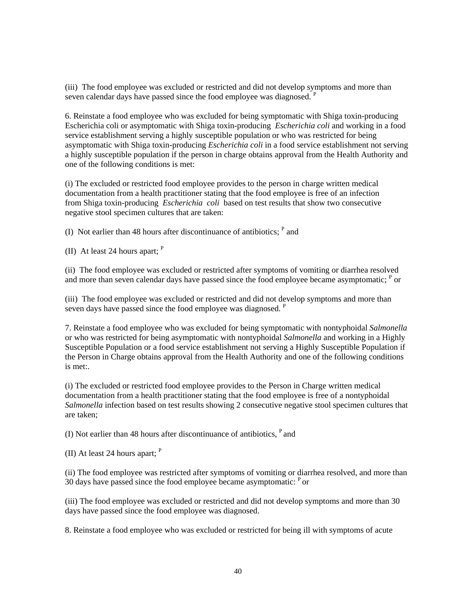(iii) The food employee was excluded or restricted and did not develop symptoms and more than seven calendar days have passed since the food employee was diagnosed.  $P$ 

6. Reinstate a food employee who was excluded for being symptomatic with Shiga toxin-producing Escherichia coli or asymptomatic with Shiga toxin-producing *Escherichia coli* and working in a food service establishment serving a highly susceptible population or who was restricted for being asymptomatic with Shiga toxin-producing *Escherichia coli* in a food service establishment not serving a highly susceptible population if the person in charge obtains approval from the Health Authority and one of the following conditions is met:

(i) The excluded or restricted food employee provides to the person in charge written medical documentation from a health practitioner stating that the food employee is free of an infection from Shiga toxin-producing *Escherichia coli* based on test results that show two consecutive negative stool specimen cultures that are taken:

(I) Not earlier than 48 hours after discontinuance of antibiotics;  $P$  and

(II) At least 24 hours apart;  $P$ 

(ii) The food employee was excluded or restricted after symptoms of vomiting or diarrhea resolved and more than seven calendar days have passed since the food employee became asymptomatic;  $<sup>P</sup>$  or</sup>

(iii) The food employee was excluded or restricted and did not develop symptoms and more than seven days have passed since the food employee was diagnosed. <sup>P</sup>

7. Reinstate a food employee who was excluded for being symptomatic with nontyphoidal *Salmonella*  or who was restricted for being asymptomatic with nontyphoidal *Salmonella* and working in a Highly Susceptible Population or a food service establishment not serving a Highly Susceptible Population if the Person in Charge obtains approval from the Health Authority and one of the following conditions is met:.

(i) The excluded or restricted food employee provides to the Person in Charge written medical documentation from a health practitioner stating that the food employee is free of a nontyphoidal *Salmonella* infection based on test results showing 2 consecutive negative stool specimen cultures that are taken;

(I) Not earlier than 48 hours after discontinuance of antibiotics,  $P$  and

(II) At least 24 hours apart;  $P$ 

(ii) The food employee was restricted after symptoms of vomiting or diarrhea resolved, and more than 30 days have passed since the food employee became asymptomatic:  $P$  or

(iii) The food employee was excluded or restricted and did not develop symptoms and more than 30 days have passed since the food employee was diagnosed.

8. Reinstate a food employee who was excluded or restricted for being ill with symptoms of acute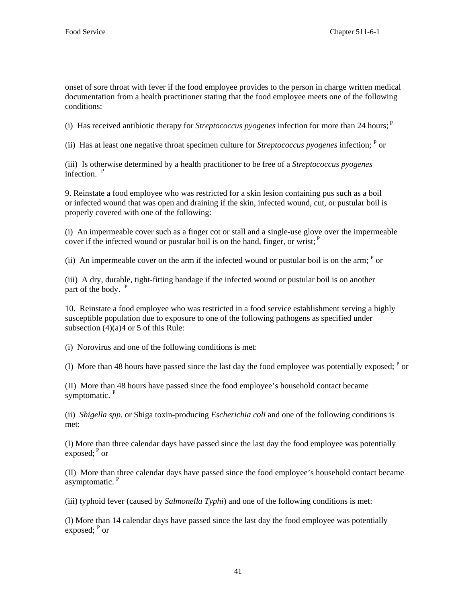onset of sore throat with fever if the food employee provides to the person in charge written medical documentation from a health practitioner stating that the food employee meets one of the following conditions:

(i) Has received antibiotic therapy for *Streptococcus pyogenes* infection for more than 24 hours; P

(ii) Has at least one negative throat specimen culture for *Streptococcus pyogenes* infection; P or

(iii) Is otherwise determined by a health practitioner to be free of a *Streptococcus pyogenes* infection. <sup>P</sup>

9. Reinstate a food employee who was restricted for a skin lesion containing pus such as a boil or infected wound that was open and draining if the skin, infected wound, cut, or pustular boil is properly covered with one of the following:

(i) An impermeable cover such as a finger cot or stall and a single-use glove over the impermeable cover if the infected wound or pustular boil is on the hand, finger, or wrist;  $<sup>P</sup>$ </sup>

(ii) An impermeable cover on the arm if the infected wound or pustular boil is on the arm;  $P$  or

(iii) A dry, durable, tight-fitting bandage if the infected wound or pustular boil is on another part of the body. <sup>P</sup>

10. Reinstate a food employee who was restricted in a food service establishment serving a highly susceptible population due to exposure to one of the following pathogens as specified under subsection (4)(a)4 or 5 of this Rule:

(i) Norovirus and one of the following conditions is met:

(I) More than 48 hours have passed since the last day the food employee was potentially exposed;  $P$  or

(II) More than 48 hours have passed since the food employee's household contact became symptomatic.<sup>P</sup>

(ii) *Shigella spp*. or Shiga toxin-producing *Escherichia coli* and one of the following conditions is met:

(I) More than three calendar days have passed since the last day the food employee was potentially exposed;  $P$  or

(II) More than three calendar days have passed since the food employee's household contact became asymptomatic.<sup>P</sup>

(iii) typhoid fever (caused by *Salmonella Typhi*) and one of the following conditions is met:

(I) More than 14 calendar days have passed since the last day the food employee was potentially exposed; <sup>P</sup> or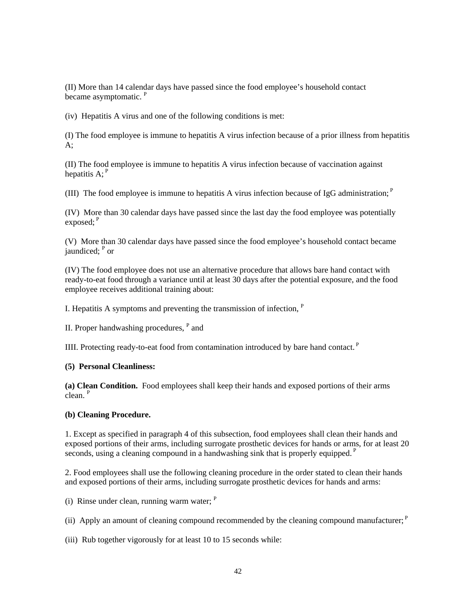(II) More than 14 calendar days have passed since the food employee's household contact became asymptomatic. <sup>P</sup>

(iv) Hepatitis A virus and one of the following conditions is met:

(I) The food employee is immune to hepatitis A virus infection because of a prior illness from hepatitis A;

(II) The food employee is immune to hepatitis A virus infection because of vaccination against hepatitis  $A$ :  $P$ 

(III) The food employee is immune to hepatitis A virus infection because of IgG administration; P

(IV) More than 30 calendar days have passed since the last day the food employee was potentially exposed; $P$ 

(V) More than 30 calendar days have passed since the food employee's household contact became jaundiced; <sup>P</sup> or

(IV) The food employee does not use an alternative procedure that allows bare hand contact with ready-to-eat food through a variance until at least 30 days after the potential exposure, and the food employee receives additional training about:

I. Hepatitis A symptoms and preventing the transmission of infection,  $P$ 

II. Proper handwashing procedures, <sup>P</sup> and

IIII. Protecting ready-to-eat food from contamination introduced by bare hand contact.<sup>P</sup>

#### **(5) Personal Cleanliness:**

**(a) Clean Condition.** Food employees shall keep their hands and exposed portions of their arms clean.<sup>P</sup>

#### **(b) Cleaning Procedure.**

1. Except as specified in paragraph 4 of this subsection, food employees shall clean their hands and exposed portions of their arms, including surrogate prosthetic devices for hands or arms, for at least 20 seconds, using a cleaning compound in a handwashing sink that is properly equipped. <sup>P</sup>

2. Food employees shall use the following cleaning procedure in the order stated to clean their hands and exposed portions of their arms, including surrogate prosthetic devices for hands and arms:

(i) Rinse under clean, running warm water;  $P$ 

(ii) Apply an amount of cleaning compound recommended by the cleaning compound manufacturer;  $P$ 

(iii) Rub together vigorously for at least 10 to 15 seconds while: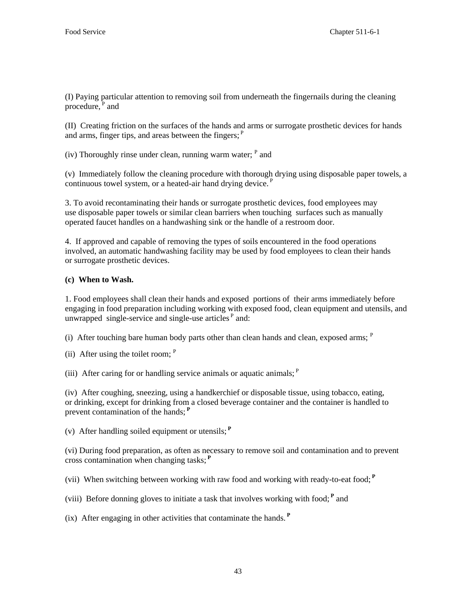(I) Paying particular attention to removing soil from underneath the fingernails during the cleaning procedure, $P$  and

(II) Creating friction on the surfaces of the hands and arms or surrogate prosthetic devices for hands and arms, finger tips, and areas between the fingers; <sup>P</sup>

(iv) Thoroughly rinse under clean, running warm water;  $<sup>P</sup>$  and</sup>

(v) Immediately follow the cleaning procedure with thorough drying using disposable paper towels, a continuous towel system, or a heated-air hand drying device. P

3. To avoid recontaminating their hands or surrogate prosthetic devices, food employees may use disposable paper towels or similar clean barriers when touching surfaces such as manually operated faucet handles on a handwashing sink or the handle of a restroom door.

4. If approved and capable of removing the types of soils encountered in the food operations involved, an automatic handwashing facility may be used by food employees to clean their hands or surrogate prosthetic devices.

### **(c) When to Wash.**

1. Food employees shall clean their hands and exposed portions of their arms immediately before engaging in food preparation including working with exposed food, clean equipment and utensils, and unwrapped single-service and single-use articles  $P$  and:

(i) After touching bare human body parts other than clean hands and clean, exposed arms;  $P$ 

(ii) After using the toilet room;  $P$ 

(iii) After caring for or handling service animals or aquatic animals;  $<sup>P</sup>$ </sup>

(iv) After coughing, sneezing, using a handkerchief or disposable tissue, using tobacco, eating, or drinking, except for drinking from a closed beverage container and the container is handled to prevent contamination of the hands; **<sup>P</sup>**

(v) After handling soiled equipment or utensils; **<sup>P</sup>**

(vi) During food preparation, as often as necessary to remove soil and contamination and to prevent cross contamination when changing tasks; **<sup>P</sup>**

(vii) When switching between working with raw food and working with ready-to-eat food; **<sup>P</sup>**

(viii) Before donning gloves to initiate a task that involves working with food; **<sup>P</sup>** and

(ix) After engaging in other activities that contaminate the hands.  $P$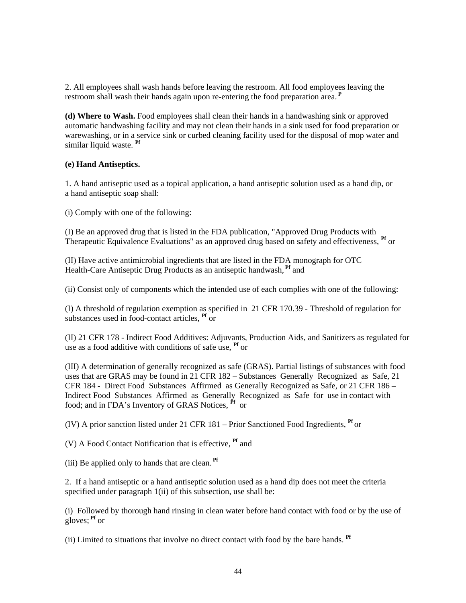2. All employees shall wash hands before leaving the restroom. All food employees leaving the restroom shall wash their hands again upon re-entering the food preparation area. **<sup>P</sup>**

**(d) Where to Wash.** Food employees shall clean their hands in a handwashing sink or approved automatic handwashing facility and may not clean their hands in a sink used for food preparation or warewashing, or in a service sink or curbed cleaning facility used for the disposal of mop water and similar liquid waste. **Pf** 

### **(e) Hand Antiseptics.**

1. A hand antiseptic used as a topical application, a hand antiseptic solution used as a hand dip, or a hand antiseptic soap shall:

(i) Comply with one of the following:

(I) Be an approved drug that is listed in the FDA publication, "Approved Drug Products with Therapeutic Equivalence Evaluations" as an approved drug based on safety and effectiveness, **Pf** or

(II) Have active antimicrobial ingredients that are listed in the FDA monograph for OTC Health-Care Antiseptic Drug Products as an antiseptic handwash, **Pf** and

(ii) Consist only of components which the intended use of each complies with one of the following:

(I) A threshold of regulation exemption as specified in 21 CFR 170.39 - Threshold of regulation for substances used in food-contact articles, **Pf** or

(II) 21 CFR 178 - Indirect Food Additives: Adjuvants, Production Aids, and Sanitizers as regulated for use as a food additive with conditions of safe use, **Pf** or

(III) A determination of generally recognized as safe (GRAS). Partial listings of substances with food uses that are GRAS may be found in 21 CFR 182 – Substances Generally Recognized as Safe, 21 CFR 184 - Direct Food Substances Affirmed as Generally Recognized as Safe, or 21 CFR 186 – Indirect Food Substances Affirmed as Generally Recognized as Safe for use in contact with food; and in FDA's Inventory of GRAS Notices, **Pf** or

(IV) A prior sanction listed under 21 CFR 181 – Prior Sanctioned Food Ingredients, **Pf** or

(V) A Food Contact Notification that is effective, **Pf** and

(iii) Be applied only to hands that are clean. **Pf**

2. If a hand antiseptic or a hand antiseptic solution used as a hand dip does not meet the criteria specified under paragraph 1(ii) of this subsection, use shall be:

(i) Followed by thorough hand rinsing in clean water before hand contact with food or by the use of gloves; **Pf** or

(ii) Limited to situations that involve no direct contact with food by the bare hands. **Pf**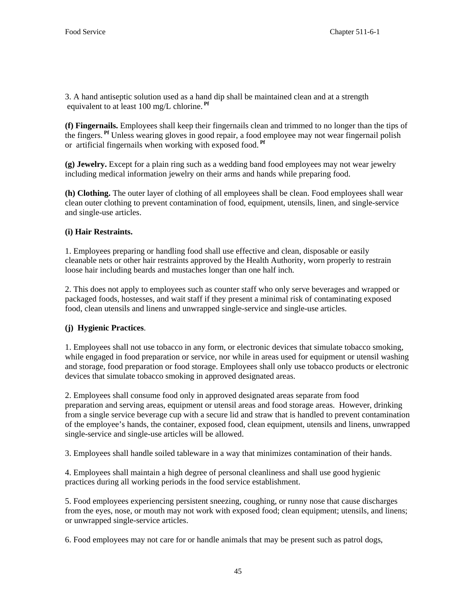3. A hand antiseptic solution used as a hand dip shall be maintained clean and at a strength equivalent to at least 100 mg/L chlorine. **Pf**

**(f) Fingernails.** Employees shall keep their fingernails clean and trimmed to no longer than the tips of the fingers. **Pf** Unless wearing gloves in good repair, a food employee may not wear fingernail polish or artificial fingernails when working with exposed food. **Pf**

**(g) Jewelry.** Except for a plain ring such as a wedding band food employees may not wear jewelry including medical information jewelry on their arms and hands while preparing food.

**(h) Clothing.** The outer layer of clothing of all employees shall be clean. Food employees shall wear clean outer clothing to prevent contamination of food, equipment, utensils, linen, and single-service and single-use articles.

### **(i) Hair Restraints.**

1. Employees preparing or handling food shall use effective and clean, disposable or easily cleanable nets or other hair restraints approved by the Health Authority, worn properly to restrain loose hair including beards and mustaches longer than one half inch*.* 

2. This does not apply to employees such as counter staff who only serve beverages and wrapped or packaged foods, hostesses, and wait staff if they present a minimal risk of contaminating exposed food, clean utensils and linens and unwrapped single-service and single-use articles.

### **(j) Hygienic Practices**.

1. Employees shall not use tobacco in any form, or electronic devices that simulate tobacco smoking, while engaged in food preparation or service, nor while in areas used for equipment or utensil washing and storage, food preparation or food storage. Employees shall only use tobacco products or electronic devices that simulate tobacco smoking in approved designated areas.

2. Employees shall consume food only in approved designated areas separate from food preparation and serving areas, equipment or utensil areas and food storage areas. However, drinking from a single service beverage cup with a secure lid and straw that is handled to prevent contamination of the employee's hands, the container, exposed food, clean equipment, utensils and linens, unwrapped single-service and single-use articles will be allowed.

3. Employees shall handle soiled tableware in a way that minimizes contamination of their hands.

4. Employees shall maintain a high degree of personal cleanliness and shall use good hygienic practices during all working periods in the food service establishment.

5. Food employees experiencing persistent sneezing, coughing, or runny nose that cause discharges from the eyes, nose, or mouth may not work with exposed food; clean equipment; utensils, and linens; or unwrapped single-service articles.

6. Food employees may not care for or handle animals that may be present such as patrol dogs,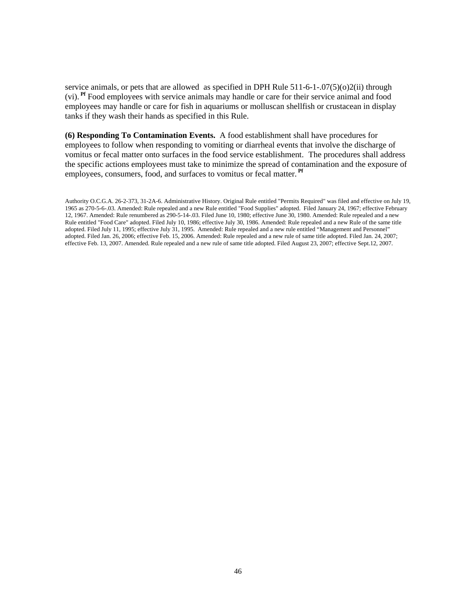service animals, or pets that are allowed as specified in DPH Rule 511-6-1-.07(5)(o)2(ii) through (vi). **Pf** Food employees with service animals may handle or care for their service animal and food employees may handle or care for fish in aquariums or molluscan shellfish or crustacean in display tanks if they wash their hands as specified in this Rule.

**(6) Responding To Contamination Events.** A food establishment shall have procedures for employees to follow when responding to vomiting or diarrheal events that involve the discharge of vomitus or fecal matter onto surfaces in the food service establishment. The procedures shall address the specific actions employees must take to minimize the spread of contamination and the exposure of employees, consumers, food, and surfaces to vomitus or fecal matter.<sup>Pf</sup>

Authority O.C.G.A. 26-2-373, 31-2A-6. Administrative History. Original Rule entitled "Permits Required" was filed and effective on July 19, 1965 as 270-5-6-.03. Amended: Rule repealed and a new Rule entitled "Food Supplies" adopted. Filed January 24, 1967; effective February 12, 1967. Amended: Rule renumbered as 290-5-14-.03. Filed June 10, 1980; effective June 30, 1980. Amended: Rule repealed and a new Rule entitled "Food Care" adopted. Filed July 10, 1986; effective July 30, 1986. Amended: Rule repealed and a new Rule of the same title adopted. Filed July 11, 1995; effective July 31, 1995. Amended: Rule repealed and a new rule entitled "Management and Personnel" adopted. Filed Jan. 26, 2006; effective Feb. 15, 2006. Amended: Rule repealed and a new rule of same title adopted. Filed Jan. 24, 2007; effective Feb. 13, 2007. Amended. Rule repealed and a new rule of same title adopted. Filed August 23, 2007; effective Sept.12, 2007.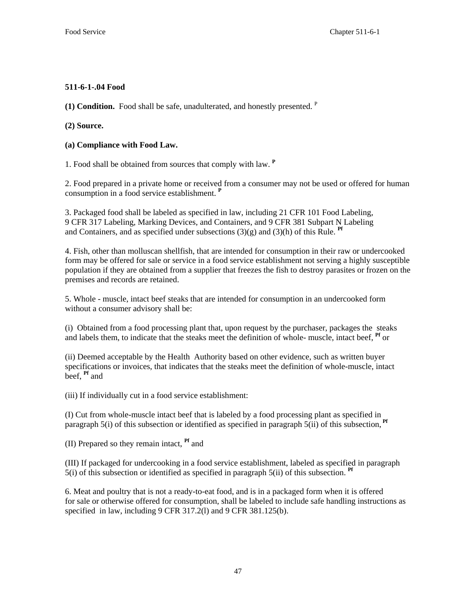# **511-6-1-.04 Food**

**(1) Condition.** Food shall be safe, unadulterated, and honestly presented. P

**(2) Source.**

**(a) Compliance with Food Law.**

1. Food shall be obtained from sources that comply with law. **<sup>P</sup>**

2. Food prepared in a private home or received from a consumer may not be used or offered for human consumption in a food service establishment. **<sup>P</sup>**

3. Packaged food shall be labeled as specified in law, including 21 CFR 101 Food Labeling, 9 CFR 317 Labeling, Marking Devices, and Containers, and 9 CFR 381 Subpart N Labeling and Containers, and as specified under subsections  $(3)(g)$  and  $(3)(h)$  of this Rule. <sup>Pf</sup>

4. Fish, other than molluscan shellfish, that are intended for consumption in their raw or undercooked form may be offered for sale or service in a food service establishment not serving a highly susceptible population if they are obtained from a supplier that freezes the fish to destroy parasites or frozen on the premises and records are retained.

5. Whole - muscle, intact beef steaks that are intended for consumption in an undercooked form without a consumer advisory shall be:

(i) Obtained from a food processing plant that, upon request by the purchaser, packages the steaks and labels them, to indicate that the steaks meet the definition of whole- muscle, intact beef, **Pf** or

(ii) Deemed acceptable by the Health Authority based on other evidence, such as written buyer specifications or invoices, that indicates that the steaks meet the definition of whole-muscle, intact beef, **Pf** and

(iii) If individually cut in a food service establishment:

(I) Cut from whole-muscle intact beef that is labeled by a food processing plant as specified in paragraph 5(i) of this subsection or identified as specified in paragraph 5(ii) of this subsection, <sup>Pf</sup>

(II) Prepared so they remain intact, **Pf** and

(III) If packaged for undercooking in a food service establishment, labeled as specified in paragraph 5(i) of this subsection or identified as specified in paragraph 5(ii) of this subsection. **Pf**

6. Meat and poultry that is not a ready-to-eat food, and is in a packaged form when it is offered for sale or otherwise offered for consumption, shall be labeled to include safe handling instructions as specified in law, including 9 CFR 317.2(l) and 9 CFR 381.125(b).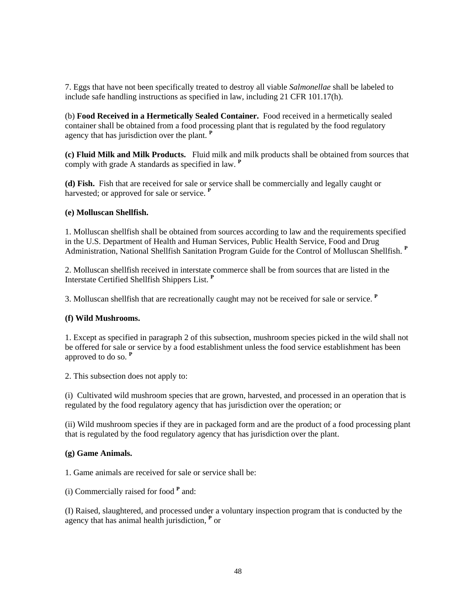7. Eggs that have not been specifically treated to destroy all viable *Salmonellae* shall be labeled to include safe handling instructions as specified in law, including 21 CFR 101.17(h).

(b) **Food Received in a Hermetically Sealed Container.** Food received in a hermetically sealed container shall be obtained from a food processing plant that is regulated by the food regulatory agency that has jurisdiction over the plant. **<sup>P</sup>**

**(c) Fluid Milk and Milk Products.** Fluid milk and milk products shall be obtained from sources that comply with grade A standards as specified in law. **<sup>P</sup>**

**(d) Fish.** Fish that are received for sale or service shall be commercially and legally caught or harvested; or approved for sale or service. **<sup>P</sup>**

#### **(e) Molluscan Shellfish.**

1. Molluscan shellfish shall be obtained from sources according to law and the requirements specified in the U.S. Department of Health and Human Services, Public Health Service, Food and Drug Administration, National Shellfish Sanitation Program Guide for the Control of Molluscan Shellfish. **<sup>P</sup>**

2. Molluscan shellfish received in interstate commerce shall be from sources that are listed in the Interstate Certified Shellfish Shippers List. **<sup>P</sup>**

3. Molluscan shellfish that are recreationally caught may not be received for sale or service. **<sup>P</sup>**

### **(f) Wild Mushrooms.**

1. Except as specified in paragraph 2 of this subsection, mushroom species picked in the wild shall not be offered for sale or service by a food establishment unless the food service establishment has been approved to do so. **<sup>P</sup>**

2. This subsection does not apply to:

(i) Cultivated wild mushroom species that are grown, harvested, and processed in an operation that is regulated by the food regulatory agency that has jurisdiction over the operation; or

(ii) Wild mushroom species if they are in packaged form and are the product of a food processing plant that is regulated by the food regulatory agency that has jurisdiction over the plant.

#### **(g) Game Animals.**

1. Game animals are received for sale or service shall be:

(i) Commercially raised for food **<sup>P</sup>** and:

(I) Raised, slaughtered, and processed under a voluntary inspection program that is conducted by the agency that has animal health jurisdiction, **<sup>P</sup>** or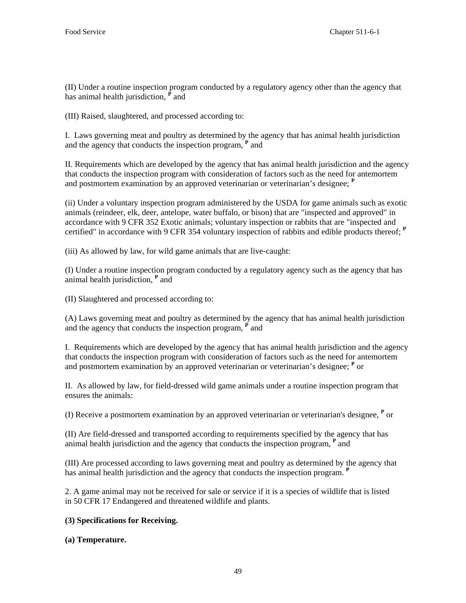(II) Under a routine inspection program conducted by a regulatory agency other than the agency that has animal health jurisdiction, <sup>P</sup> and

(III) Raised, slaughtered, and processed according to:

I. Laws governing meat and poultry as determined by the agency that has animal health jurisdiction and the agency that conducts the inspection program, **<sup>P</sup>** and

II. Requirements which are developed by the agency that has animal health jurisdiction and the agency that conducts the inspection program with consideration of factors such as the need for antemortem and postmortem examination by an approved veterinarian or veterinarian's designee; **<sup>P</sup>**

(ii) Under a voluntary inspection program administered by the USDA for game animals such as exotic animals (reindeer, elk, deer, antelope, water buffalo, or bison) that are "inspected and approved" in accordance with 9 CFR 352 Exotic animals; voluntary inspection or rabbits that are "inspected and certified" in accordance with 9 CFR 354 voluntary inspection of rabbits and edible products thereof; **<sup>P</sup>**

(iii) As allowed by law, for wild game animals that are live-caught:

(I) Under a routine inspection program conducted by a regulatory agency such as the agency that has animal health jurisdiction, **<sup>P</sup>** and

(II) Slaughtered and processed according to:

(A) Laws governing meat and poultry as determined by the agency that has animal health jurisdiction and the agency that conducts the inspection program,  $\vec{P}$  and

I. Requirements which are developed by the agency that has animal health jurisdiction and the agency that conducts the inspection program with consideration of factors such as the need for antemortem and postmortem examination by an approved veterinarian or veterinarian's designee; **<sup>P</sup>** or

II. As allowed by law, for field-dressed wild game animals under a routine inspection program that ensures the animals:

(I) Receive a postmortem examination by an approved veterinarian or veterinarian's designee, **<sup>P</sup>** or

(II) Are field-dressed and transported according to requirements specified by the agency that has animal health jurisdiction and the agency that conducts the inspection program, **<sup>P</sup>** and

(III) Are processed according to laws governing meat and poultry as determined by the agency that has animal health jurisdiction and the agency that conducts the inspection program. <sup>P</sup>

2. A game animal may not be received for sale or service if it is a species of wildlife that is listed in 50 CFR 17 Endangered and threatened wildlife and plants.

# **(3) Specifications for Receiving.**

### **(a) Temperature.**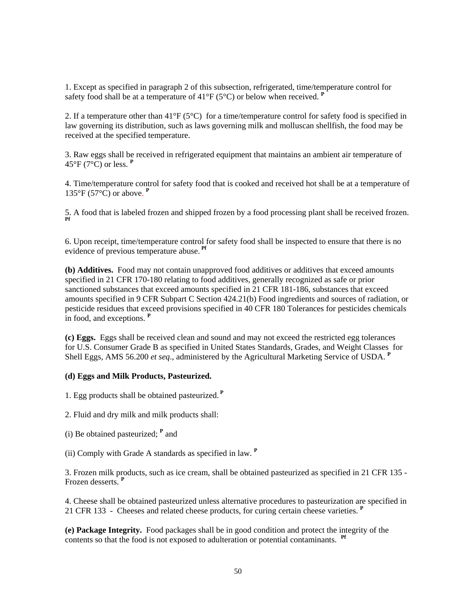1. Except as specified in paragraph 2 of this subsection, refrigerated, time/temperature control for safety food shall be at a temperature of  $41^{\circ}F(5^{\circ}C)$  or below when received.  $P$ 

2. If a temperature other than  $41^{\circ}F(5^{\circ}C)$  for a time/temperature control for safety food is specified in law governing its distribution, such as laws governing milk and molluscan shellfish, the food may be received at the specified temperature.

3. Raw eggs shall be received in refrigerated equipment that maintains an ambient air temperature of 45°F (7°C) or less. **<sup>P</sup>**

4. Time/temperature control for safety food that is cooked and received hot shall be at a temperature of 135°F (57°C) or above. **<sup>P</sup>**

5. A food that is labeled frozen and shipped frozen by a food processing plant shall be received frozen. **Pf** 

6. Upon receipt, time/temperature control for safety food shall be inspected to ensure that there is no evidence of previous temperature abuse. **Pf**

**(b) Additives.** Food may not contain unapproved food additives or additives that exceed amounts specified in 21 CFR 170-180 relating to food additives, generally recognized as safe or prior sanctioned substances that exceed amounts specified in 21 CFR 181-186, substances that exceed amounts specified in 9 CFR Subpart C Section 424.21(b) Food ingredients and sources of radiation, or pesticide residues that exceed provisions specified in 40 CFR 180 Tolerances for pesticides chemicals in food, and exceptions. **<sup>P</sup>**

**(c) Eggs.** Eggs shall be received clean and sound and may not exceed the restricted egg tolerances for U.S. Consumer Grade B as specified in United States Standards, Grades, and Weight Classes for Shell Eggs, AMS 56.200 *et seq*., administered by the Agricultural Marketing Service of USDA. **<sup>P</sup>**

### **(d) Eggs and Milk Products, Pasteurized.**

1. Egg products shall be obtained pasteurized.**<sup>P</sup>**

- 2. Fluid and dry milk and milk products shall:
- (i) Be obtained pasteurized; **<sup>P</sup>** and

(ii) Comply with Grade A standards as specified in law. **<sup>P</sup>**

3. Frozen milk products, such as ice cream, shall be obtained pasteurized as specified in 21 CFR 135 - Frozen desserts. **<sup>P</sup>**

4. Cheese shall be obtained pasteurized unless alternative procedures to pasteurization are specified in 21 CFR 133 - Cheeses and related cheese products, for curing certain cheese varieties. **<sup>P</sup>**

**(e) Package Integrity.** Food packages shall be in good condition and protect the integrity of the contents so that the food is not exposed to adulteration or potential contaminants. **Pf**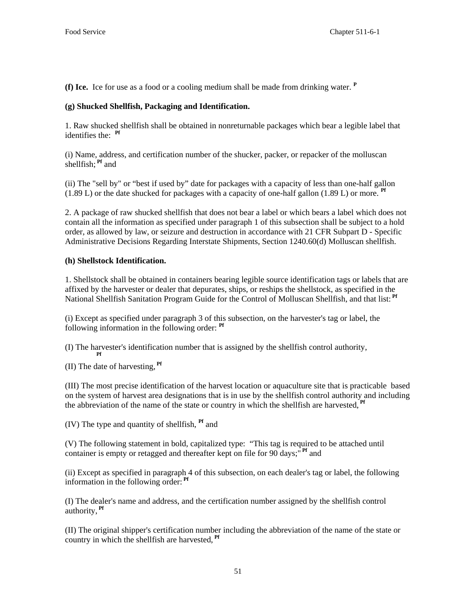**(f) Ice.** Ice for use as a food or a cooling medium shall be made from drinking water. **<sup>P</sup>**

## **(g) Shucked Shellfish, Packaging and Identification.**

1. Raw shucked shellfish shall be obtained in nonreturnable packages which bear a legible label that identifies the: **Pf**

(i) Name, address, and certification number of the shucker, packer, or repacker of the molluscan shellfish; **Pf** and

(ii) The "sell by" or "best if used by" date for packages with a capacity of less than one-half gallon (1.89 L) or the date shucked for packages with a capacity of one-half gallon (1.89 L) or more. **Pf**

2. A package of raw shucked shellfish that does not bear a label or which bears a label which does not contain all the information as specified under paragraph 1 of this subsection shall be subject to a hold order, as allowed by law, or seizure and destruction in accordance with 21 CFR Subpart D - Specific Administrative Decisions Regarding Interstate Shipments, Section 1240.60(d) Molluscan shellfish.

## **(h) Shellstock Identification.**

1. Shellstock shall be obtained in containers bearing legible source identification tags or labels that are affixed by the harvester or dealer that depurates, ships, or reships the shellstock, as specified in the National Shellfish Sanitation Program Guide for the Control of Molluscan Shellfish, and that list: **Pf**

(i) Except as specified under paragraph 3 of this subsection, on the harvester's tag or label, the following information in the following order: **Pf**

(I) The harvester's identification number that is assigned by the shellfish control authority,

 **Pf** (II) The date of harvesting, **Pf**

(III) The most precise identification of the harvest location or aquaculture site that is practicable based on the system of harvest area designations that is in use by the shellfish control authority and including the abbreviation of the name of the state or country in which the shellfish are harvested, **Pf**

(IV) The type and quantity of shellfish, **Pf** and

(V) The following statement in bold, capitalized type: "This tag is required to be attached until container is empty or retagged and thereafter kept on file for 90 days;<sup>" Pf</sup> and

(ii) Except as specified in paragraph 4 of this subsection, on each dealer's tag or label, the following information in the following order: **Pf**

(I) The dealer's name and address, and the certification number assigned by the shellfish control authority, **Pf**

(II) The original shipper's certification number including the abbreviation of the name of the state or country in which the shellfish are harvested, **Pf**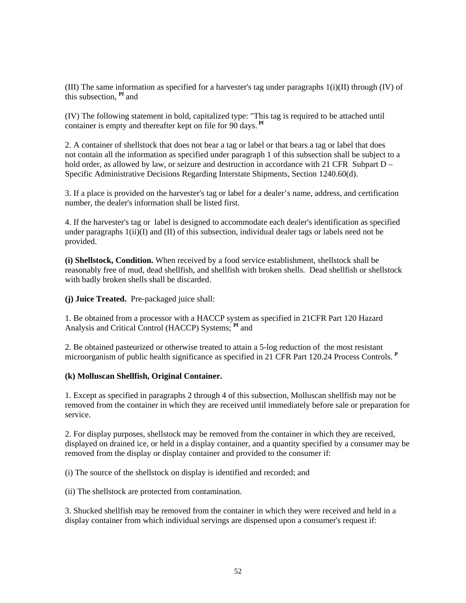(III) The same information as specified for a harvester's tag under paragraphs 1(i)(II) through (IV) of this subsection, **Pf** and

(IV) The following statement in bold, capitalized type: "This tag is required to be attached until container is empty and thereafter kept on file for 90 days. **Pf**

2. A container of shellstock that does not bear a tag or label or that bears a tag or label that does not contain all the information as specified under paragraph 1 of this subsection shall be subject to a hold order, as allowed by law, or seizure and destruction in accordance with 21 CFR Subpart  $D -$ Specific Administrative Decisions Regarding Interstate Shipments, Section 1240.60(d).

3. If a place is provided on the harvester's tag or label for a dealer's name, address, and certification number, the dealer's information shall be listed first.

4. If the harvester's tag or label is designed to accommodate each dealer's identification as specified under paragraphs  $1(ii)(I)$  and  $(II)$  of this subsection, individual dealer tags or labels need not be provided.

**(i) Shellstock, Condition.** When received by a food service establishment, shellstock shall be reasonably free of mud, dead shellfish, and shellfish with broken shells. Dead shellfish or shellstock with badly broken shells shall be discarded.

**(j) Juice Treated.** Pre-packaged juice shall:

1. Be obtained from a processor with a HACCP system as specified in 21CFR Part 120 Hazard Analysis and Critical Control (HACCP) Systems; **Pf** and

2. Be obtained pasteurized or otherwise treated to attain a 5-log reduction of the most resistant microorganism of public health significance as specified in 21 CFR Part 120.24 Process Controls. **<sup>P</sup>**

#### **(k) Molluscan Shellfish, Original Container.**

1. Except as specified in paragraphs 2 through 4 of this subsection, Molluscan shellfish may not be removed from the container in which they are received until immediately before sale or preparation for service.

2. For display purposes, shellstock may be removed from the container in which they are received, displayed on drained ice, or held in a display container, and a quantity specified by a consumer may be removed from the display or display container and provided to the consumer if:

(i) The source of the shellstock on display is identified and recorded; and

(ii) The shellstock are protected from contamination.

3. Shucked shellfish may be removed from the container in which they were received and held in a display container from which individual servings are dispensed upon a consumer's request if: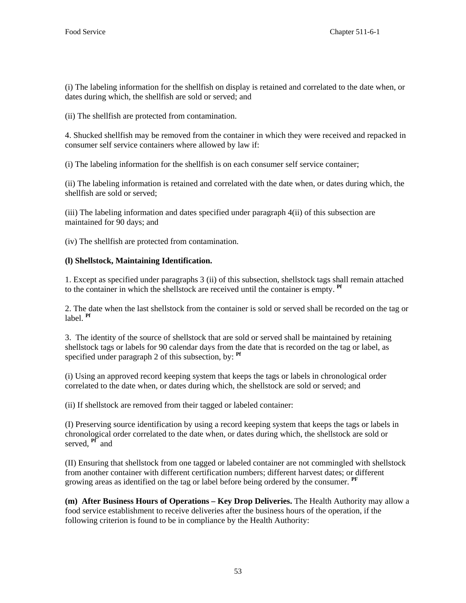(i) The labeling information for the shellfish on display is retained and correlated to the date when, or dates during which, the shellfish are sold or served; and

(ii) The shellfish are protected from contamination.

4. Shucked shellfish may be removed from the container in which they were received and repacked in consumer self service containers where allowed by law if:

(i) The labeling information for the shellfish is on each consumer self service container;

(ii) The labeling information is retained and correlated with the date when, or dates during which, the shellfish are sold or served;

(iii) The labeling information and dates specified under paragraph 4(ii) of this subsection are maintained for 90 days; and

(iv) The shellfish are protected from contamination.

### **(l) Shellstock, Maintaining Identification.**

1. Except as specified under paragraphs 3 (ii) of this subsection, shellstock tags shall remain attached to the container in which the shellstock are received until the container is empty. **Pf**

2. The date when the last shellstock from the container is sold or served shall be recorded on the tag or label. **Pf**

3. The identity of the source of shellstock that are sold or served shall be maintained by retaining shellstock tags or labels for 90 calendar days from the date that is recorded on the tag or label, as specified under paragraph 2 of this subsection, by: **Pf**

(i) Using an approved record keeping system that keeps the tags or labels in chronological order correlated to the date when, or dates during which, the shellstock are sold or served; and

(ii) If shellstock are removed from their tagged or labeled container:

(I) Preserving source identification by using a record keeping system that keeps the tags or labels in chronological order correlated to the date when, or dates during which, the shellstock are sold or served, <sup>Pf</sup> and

(II) Ensuring that shellstock from one tagged or labeled container are not commingled with shellstock from another container with different certification numbers; different harvest dates; or different growing areas as identified on the tag or label before being ordered by the consumer. **PF**

**(m) After Business Hours of Operations – Key Drop Deliveries.** The Health Authority may allow a food service establishment to receive deliveries after the business hours of the operation, if the following criterion is found to be in compliance by the Health Authority: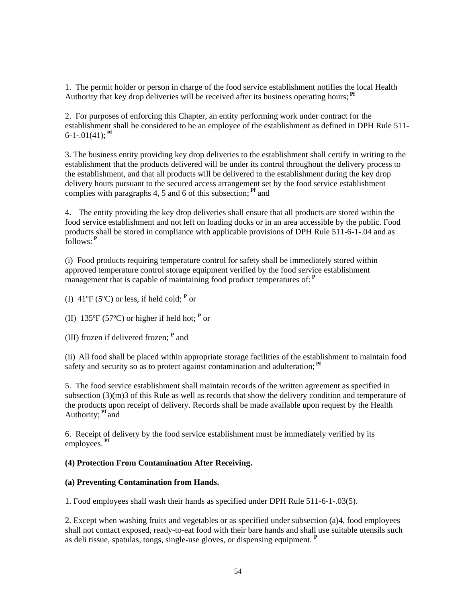1. The permit holder or person in charge of the food service establishment notifies the local Health Authority that key drop deliveries will be received after its business operating hours; **Pf**

2. For purposes of enforcing this Chapter, an entity performing work under contract for the establishment shall be considered to be an employee of the establishment as defined in DPH Rule 511-  $6-1-01(41)$ ; <sup>Pf</sup>

3. The business entity providing key drop deliveries to the establishment shall certify in writing to the establishment that the products delivered will be under its control throughout the delivery process to the establishment, and that all products will be delivered to the establishment during the key drop delivery hours pursuant to the secured access arrangement set by the food service establishment complies with paragraphs 4, 5 and 6 of this subsection; **Pf** and

4. The entity providing the key drop deliveries shall ensure that all products are stored within the food service establishment and not left on loading docks or in an area accessible by the public. Food products shall be stored in compliance with applicable provisions of DPH Rule 511-6-1-.04 and as follows:**<sup>P</sup>**

(i) Food products requiring temperature control for safety shall be immediately stored within approved temperature control storage equipment verified by the food service establishment management that is capable of maintaining food product temperatures of:**<sup>P</sup>**

(I)  $41^{\circ}F(5^{\circ}C)$  or less, if held cold;  $P$  or

(II)  $135^{\circ}F(57^{\circ}C)$  or higher if held hot;  $P$  or

(III) frozen if delivered frozen; **<sup>P</sup>** and

(ii) All food shall be placed within appropriate storage facilities of the establishment to maintain food safety and security so as to protect against contamination and adulteration;<sup>Pf</sup>

5. The food service establishment shall maintain records of the written agreement as specified in subsection (3)(m)3 of this Rule as well as records that show the delivery condition and temperature of the products upon receipt of delivery. Records shall be made available upon request by the Health Authority; **Pf** and

6. Receipt of delivery by the food service establishment must be immediately verified by its employees. **Pf**

### **(4) Protection From Contamination After Receiving.**

### **(a) Preventing Contamination from Hands.**

1. Food employees shall wash their hands as specified under DPH Rule 511-6-1-.03(5).

2. Except when washing fruits and vegetables or as specified under subsection (a)4, food employees shall not contact exposed, ready-to-eat food with their bare hands and shall use suitable utensils such as deli tissue, spatulas, tongs, single-use gloves, or dispensing equipment. **<sup>P</sup>**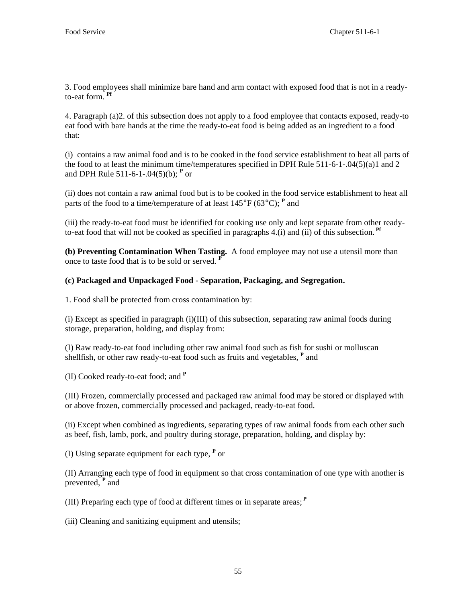3. Food employees shall minimize bare hand and arm contact with exposed food that is not in a readyto-eat form. **Pf** 

4. Paragraph (a)2. of this subsection does not apply to a food employee that contacts exposed, ready-to eat food with bare hands at the time the ready-to-eat food is being added as an ingredient to a food that:

(i) contains a raw animal food and is to be cooked in the food service establishment to heat all parts of the food to at least the minimum time/temperatures specified in DPH Rule 511-6-1-.04(5)(a)1 and 2 and DPH Rule 511-6-1-.04(5)(b); **<sup>P</sup>** or

(ii) does not contain a raw animal food but is to be cooked in the food service establishment to heat all parts of the food to a time/temperature of at least 145°F (63°C); **<sup>P</sup>** and

(iii) the ready-to-eat food must be identified for cooking use only and kept separate from other readyto-eat food that will not be cooked as specified in paragraphs 4.(i) and (ii) of this subsection. **Pf**

**(b) Preventing Contamination When Tasting.** A food employee may not use a utensil more than once to taste food that is to be sold or served. **<sup>P</sup>**

# **(c) Packaged and Unpackaged Food - Separation, Packaging, and Segregation.**

1. Food shall be protected from cross contamination by:

(i) Except as specified in paragraph (i)(III) of this subsection, separating raw animal foods during storage, preparation, holding, and display from:

(I) Raw ready-to-eat food including other raw animal food such as fish for sushi or molluscan shellfish, or other raw ready-to-eat food such as fruits and vegetables, <sup>P</sup> and

(II) Cooked ready-to-eat food; and **<sup>P</sup>**

(III) Frozen, commercially processed and packaged raw animal food may be stored or displayed with or above frozen, commercially processed and packaged, ready-to-eat food.

(ii) Except when combined as ingredients, separating types of raw animal foods from each other such as beef, fish, lamb, pork, and poultry during storage, preparation, holding, and display by:

(I) Using separate equipment for each type, **<sup>P</sup>** or

(II) Arranging each type of food in equipment so that cross contamination of one type with another is prevented, <sup>**P**</sup> and

(III) Preparing each type of food at different times or in separate areas;**<sup>P</sup>**

(iii) Cleaning and sanitizing equipment and utensils;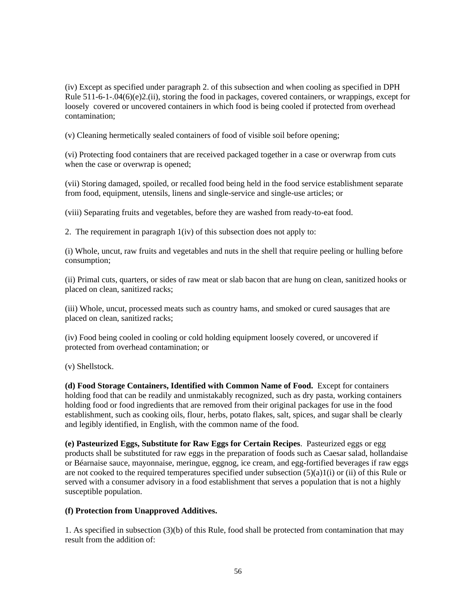(iv) Except as specified under paragraph 2. of this subsection and when cooling as specified in DPH Rule 511-6-1-.04(6)(e)2.(ii), storing the food in packages, covered containers, or wrappings, except for loosely covered or uncovered containers in which food is being cooled if protected from overhead contamination;

(v) Cleaning hermetically sealed containers of food of visible soil before opening;

(vi) Protecting food containers that are received packaged together in a case or overwrap from cuts when the case or overwrap is opened;

(vii) Storing damaged, spoiled, or recalled food being held in the food service establishment separate from food, equipment, utensils, linens and single-service and single-use articles; or

(viii) Separating fruits and vegetables, before they are washed from ready-to-eat food.

2. The requirement in paragraph 1(iv) of this subsection does not apply to:

(i) Whole, uncut, raw fruits and vegetables and nuts in the shell that require peeling or hulling before consumption;

(ii) Primal cuts, quarters, or sides of raw meat or slab bacon that are hung on clean, sanitized hooks or placed on clean, sanitized racks;

(iii) Whole, uncut, processed meats such as country hams, and smoked or cured sausages that are placed on clean, sanitized racks;

(iv) Food being cooled in cooling or cold holding equipment loosely covered, or uncovered if protected from overhead contamination; or

(v) Shellstock.

**(d) Food Storage Containers, Identified with Common Name of Food.** Except for containers holding food that can be readily and unmistakably recognized, such as dry pasta, working containers holding food or food ingredients that are removed from their original packages for use in the food establishment, such as cooking oils, flour, herbs, potato flakes, salt, spices, and sugar shall be clearly and legibly identified, in English, with the common name of the food.

**(e) Pasteurized Eggs, Substitute for Raw Eggs for Certain Recipes**. Pasteurized eggs or egg products shall be substituted for raw eggs in the preparation of foods such as Caesar salad, hollandaise or Béarnaise sauce, mayonnaise, meringue, eggnog, ice cream, and egg-fortified beverages if raw eggs are not cooked to the required temperatures specified under subsection  $(5)(a)1(i)$  or (ii) of this Rule or served with a consumer advisory in a food establishment that serves a population that is not a highly susceptible population.

### **(f) Protection from Unapproved Additives.**

1. As specified in subsection (3)(b) of this Rule, food shall be protected from contamination that may result from the addition of: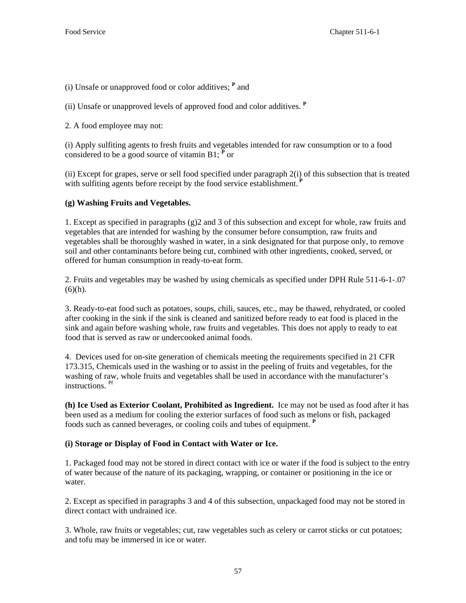(i) Unsafe or unapproved food or color additives; **<sup>P</sup>** and

(ii) Unsafe or unapproved levels of approved food and color additives. **<sup>P</sup>**

2. A food employee may not:

(i) Apply sulfiting agents to fresh fruits and vegetables intended for raw consumption or to a food considered to be a good source of vitamin B1;  $\vec{P}$  or

(ii) Except for grapes, serve or sell food specified under paragraph 2(i) of this subsection that is treated with sulfiting agents before receipt by the food service establishment.<sup>P</sup>

## **(g) Washing Fruits and Vegetables.**

1. Except as specified in paragraphs (g)2 and 3 of this subsection and except for whole, raw fruits and vegetables that are intended for washing by the consumer before consumption, raw fruits and vegetables shall be thoroughly washed in water, in a sink designated for that purpose only, to remove soil and other contaminants before being cut, combined with other ingredients, cooked, served, or offered for human consumption in ready-to-eat form.

2. Fruits and vegetables may be washed by using chemicals as specified under DPH Rule 511-6-1-.07  $(6)(h)$ .

3. Ready-to-eat food such as potatoes, soups, chili, sauces, etc., may be thawed, rehydrated, or cooled after cooking in the sink if the sink is cleaned and sanitized before ready to eat food is placed in the sink and again before washing whole, raw fruits and vegetables. This does not apply to ready to eat food that is served as raw or undercooked animal foods.

4. Devices used for on-site generation of chemicals meeting the requirements specified in 21 CFR 173.315, Chemicals used in the washing or to assist in the peeling of fruits and vegetables, for the washing of raw, whole fruits and vegetables shall be used in accordance with the manufacturer's instructions. Pf

**(h) Ice Used as Exterior Coolant, Prohibited as Ingredient.** Ice may not be used as food after it has been used as a medium for cooling the exterior surfaces of food such as melons or fish, packaged foods such as canned beverages, or cooling coils and tubes of equipment. **<sup>P</sup>**

# **(i) Storage or Display of Food in Contact with Water or Ice.**

1. Packaged food may not be stored in direct contact with ice or water if the food is subject to the entry of water because of the nature of its packaging, wrapping, or container or positioning in the ice or water.

2. Except as specified in paragraphs 3 and 4 of this subsection, unpackaged food may not be stored in direct contact with undrained ice.

3. Whole, raw fruits or vegetables; cut, raw vegetables such as celery or carrot sticks or cut potatoes; and tofu may be immersed in ice or water.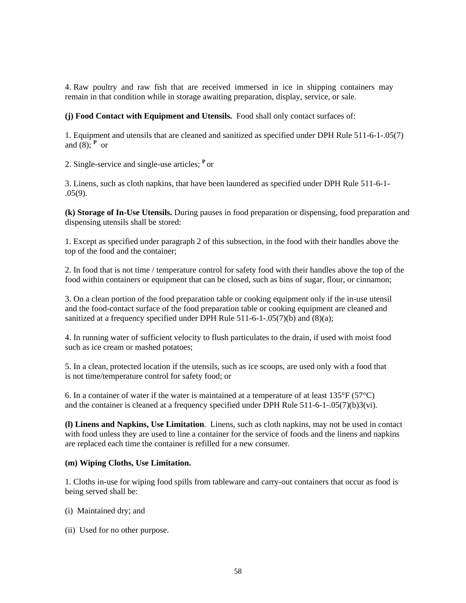4. Raw poultry and raw fish that are received immersed in ice in shipping containers may remain in that condition while in storage awaiting preparation, display, service, or sale.

**(j) Food Contact with Equipment and Utensils.** Food shall only contact surfaces of:

1. Equipment and utensils that are cleaned and sanitized as specified under DPH Rule 511-6-1-.05(7) and  $(8)$ ; **P** or

2. Single-service and single-use articles; **<sup>P</sup>**or

3. Linens, such as cloth napkins, that have been laundered as specified under DPH Rule 511-6-1- .05(9).

**(k) Storage of In-Use Utensils.** During pauses in food preparation or dispensing, food preparation and dispensing utensils shall be stored:

1. Except as specified under paragraph 2 of this subsection, in the food with their handles above the top of the food and the container;

2. In food that is not time / temperature control for safety food with their handles above the top of the food within containers or equipment that can be closed, such as bins of sugar, flour, or cinnamon;

3. On a clean portion of the food preparation table or cooking equipment only if the in-use utensil and the food-contact surface of the food preparation table or cooking equipment are cleaned and sanitized at a frequency specified under DPH Rule 511-6-1-.05(7)(b) and (8)(a);

4. In running water of sufficient velocity to flush particulates to the drain, if used with moist food such as ice cream or mashed potatoes;

5. In a clean, protected location if the utensils, such as ice scoops, are used only with a food that is not time/temperature control for safety food; or

6. In a container of water if the water is maintained at a temperature of at least  $135^{\circ}F(57^{\circ}C)$ and the container is cleaned at a frequency specified under DPH Rule 511-6-1-.05(7)(b)3(vi).

**(l) Linens and Napkins, Use Limitation**. Linens, such as cloth napkins, may not be used in contact with food unless they are used to line a container for the service of foods and the linens and napkins are replaced each time the container is refilled for a new consumer*.*

#### **(m) Wiping Cloths, Use Limitation.**

1. Cloths in-use for wiping food spills from tableware and carry-out containers that occur as food is being served shall be:

- (i) Maintained dry; and
- (ii) Used for no other purpose.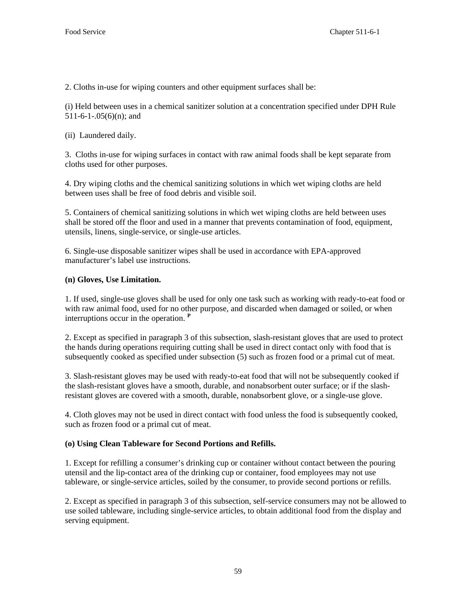2. Cloths in-use for wiping counters and other equipment surfaces shall be:

(i) Held between uses in a chemical sanitizer solution at a concentration specified under DPH Rule  $511-6-1-.05(6)(n)$ ; and

(ii) Laundered daily.

3. Cloths in-use for wiping surfaces in contact with raw animal foods shall be kept separate from cloths used for other purposes.

4. Dry wiping cloths and the chemical sanitizing solutions in which wet wiping cloths are held between uses shall be free of food debris and visible soil.

5. Containers of chemical sanitizing solutions in which wet wiping cloths are held between uses shall be stored off the floor and used in a manner that prevents contamination of food, equipment, utensils, linens, single-service, or single-use articles.

6. Single-use disposable sanitizer wipes shall be used in accordance with EPA-approved manufacturer's label use instructions.

### **(n) Gloves, Use Limitation.**

1. If used, single-use gloves shall be used for only one task such as working with ready-to-eat food or with raw animal food, used for no other purpose, and discarded when damaged or soiled, or when interruptions occur in the operation. **<sup>P</sup>**

2. Except as specified in paragraph 3 of this subsection, slash-resistant gloves that are used to protect the hands during operations requiring cutting shall be used in direct contact only with food that is subsequently cooked as specified under subsection (5) such as frozen food or a primal cut of meat.

3. Slash-resistant gloves may be used with ready-to-eat food that will not be subsequently cooked if the slash-resistant gloves have a smooth, durable, and nonabsorbent outer surface; or if the slashresistant gloves are covered with a smooth, durable, nonabsorbent glove, or a single-use glove.

4. Cloth gloves may not be used in direct contact with food unless the food is subsequently cooked, such as frozen food or a primal cut of meat.

# **(o) Using Clean Tableware for Second Portions and Refills.**

1. Except for refilling a consumer's drinking cup or container without contact between the pouring utensil and the lip-contact area of the drinking cup or container, food employees may not use tableware, or single-service articles, soiled by the consumer, to provide second portions or refills.

2. Except as specified in paragraph 3 of this subsection, self-service consumers may not be allowed to use soiled tableware, including single-service articles, to obtain additional food from the display and serving equipment.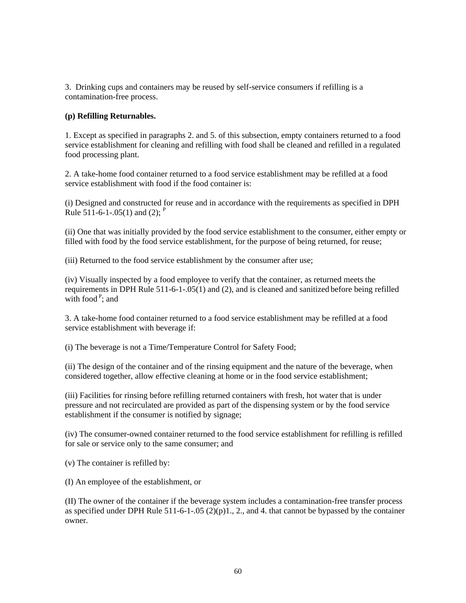3. Drinking cups and containers may be reused by self-service consumers if refilling is a contamination-free process.

### **(p) Refilling Returnables.**

1. Except as specified in paragraphs 2. and 5. of this subsection, empty containers returned to a food service establishment for cleaning and refilling with food shall be cleaned and refilled in a regulated food processing plant.

2. A take-home food container returned to a food service establishment may be refilled at a food service establishment with food if the food container is:

(i) Designed and constructed for reuse and in accordance with the requirements as specified in DPH Rule 511-6-1-.05(1) and (2);  $P$ 

(ii) One that was initially provided by the food service establishment to the consumer, either empty or filled with food by the food service establishment, for the purpose of being returned, for reuse;

(iii) Returned to the food service establishment by the consumer after use;

(iv) Visually inspected by a food employee to verify that the container, as returned meets the requirements in DPH Rule 511-6-1-.05(1) and (2), and is cleaned and sanitized before being refilled with food  $P$ ; and

3. A take-home food container returned to a food service establishment may be refilled at a food service establishment with beverage if:

(i) The beverage is not a Time/Temperature Control for Safety Food;

(ii) The design of the container and of the rinsing equipment and the nature of the beverage, when considered together, allow effective cleaning at home or in the food service establishment;

(iii) Facilities for rinsing before refilling returned containers with fresh, hot water that is under pressure and not recirculated are provided as part of the dispensing system or by the food service establishment if the consumer is notified by signage;

(iv) The consumer-owned container returned to the food service establishment for refilling is refilled for sale or service only to the same consumer; and

(v) The container is refilled by:

(I) An employee of the establishment, or

(II) The owner of the container if the beverage system includes a contamination-free transfer process as specified under DPH Rule 511-6-1-.05 (2)(p)1., 2., and 4. that cannot be bypassed by the container owner.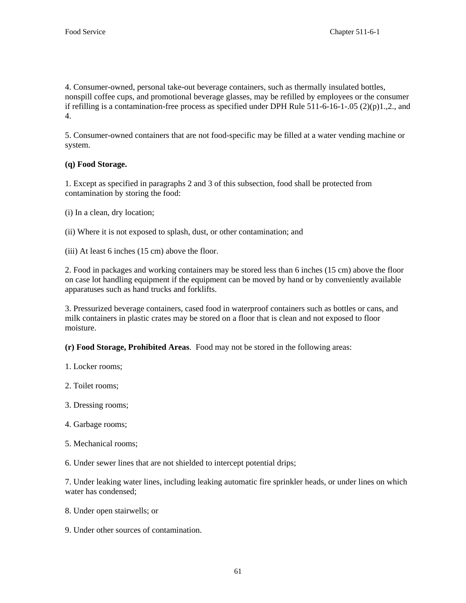4. Consumer-owned, personal take-out beverage containers, such as thermally insulated bottles, nonspill coffee cups, and promotional beverage glasses, may be refilled by employees or the consumer if refilling is a contamination-free process as specified under DPH Rule  $511-6-16-1-05$  (2)(p)1.,2., and 4.

5. Consumer-owned containers that are not food-specific may be filled at a water vending machine or system.

## **(q) Food Storage.**

1. Except as specified in paragraphs 2 and 3 of this subsection, food shall be protected from contamination by storing the food:

- (i) In a clean, dry location;
- (ii) Where it is not exposed to splash, dust, or other contamination; and

(iii) At least 6 inches (15 cm) above the floor.

2. Food in packages and working containers may be stored less than 6 inches (15 cm) above the floor on case lot handling equipment if the equipment can be moved by hand or by conveniently available apparatuses such as hand trucks and forklifts.

3. Pressurized beverage containers, cased food in waterproof containers such as bottles or cans, and milk containers in plastic crates may be stored on a floor that is clean and not exposed to floor moisture.

**(r) Food Storage, Prohibited Areas**. Food may not be stored in the following areas:

- 1. Locker rooms;
- 2. Toilet rooms;
- 3. Dressing rooms;
- 4. Garbage rooms;
- 5. Mechanical rooms;
- 6. Under sewer lines that are not shielded to intercept potential drips;

7. Under leaking water lines, including leaking automatic fire sprinkler heads, or under lines on which water has condensed;

- 8. Under open stairwells; or
- 9. Under other sources of contamination.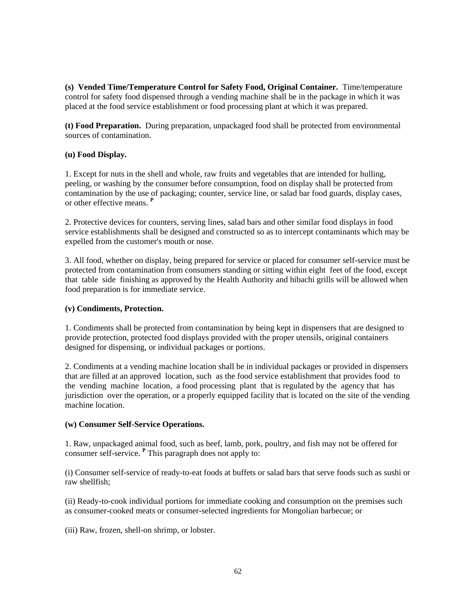**(s) Vended Time/Temperature Control for Safety Food, Original Container.** Time/temperature control for safety food dispensed through a vending machine shall be in the package in which it was placed at the food service establishment or food processing plant at which it was prepared.

**(t) Food Preparation.** During preparation, unpackaged food shall be protected from environmental sources of contamination.

### **(u) Food Display.**

1. Except for nuts in the shell and whole, raw fruits and vegetables that are intended for hulling, peeling, or washing by the consumer before consumption, food on display shall be protected from contamination by the use of packaging; counter, service line, or salad bar food guards, display cases, or other effective means. **<sup>P</sup>**

2. Protective devices for counters, serving lines, salad bars and other similar food displays in food service establishments shall be designed and constructed so as to intercept contaminants which may be expelled from the customer's mouth or nose.

3. All food, whether on display, being prepared for service or placed for consumer self-service must be protected from contamination from consumers standing or sitting within eight feet of the food, except that table side finishing as approved by the Health Authority and hibachi grills will be allowed when food preparation is for immediate service.

### **(v) Condiments, Protection.**

1. Condiments shall be protected from contamination by being kept in dispensers that are designed to provide protection, protected food displays provided with the proper utensils, original containers designed for dispensing, or individual packages or portions.

2. Condiments at a vending machine location shall be in individual packages or provided in dispensers that are filled at an approved location, such as the food service establishment that provides food to the vending machine location, a food processing plant that is regulated by the agency that has jurisdiction over the operation, or a properly equipped facility that is located on the site of the vending machine location.

### **(w) Consumer Self-Service Operations.**

1. Raw, unpackaged animal food, such as beef, lamb, pork, poultry, and fish may not be offered for consumer self-service. **<sup>P</sup>** This paragraph does not apply to:

(i) Consumer self-service of ready-to-eat foods at buffets or salad bars that serve foods such as sushi or raw shellfish;

(ii) Ready-to-cook individual portions for immediate cooking and consumption on the premises such as consumer-cooked meats or consumer-selected ingredients for Mongolian barbecue; or

(iii) Raw, frozen, shell-on shrimp, or lobster.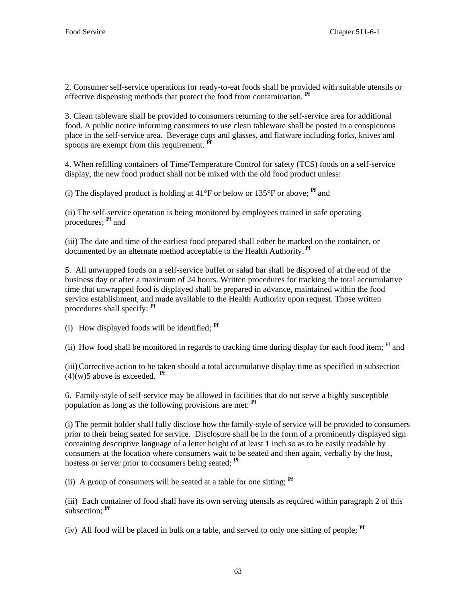2. Consumer self-service operations for ready-to-eat foods shall be provided with suitable utensils or effective dispensing methods that protect the food from contamination. **Pf** 

3. Clean tableware shall be provided to consumers returning to the self-service area for additional food. A public notice informing consumers to use clean tableware shall be posted in a conspicuous place in the self-service area. Beverage cups and glasses, and flatware including forks, knives and spoons are exempt from this requirement. **Pf**

4. When refilling containers of Time/Temperature Control for safety (TCS) foods on a self-service display, the new food product shall not be mixed with the old food product unless:

(i) The displayed product is holding at  $41^{\circ}$ F or below or  $135^{\circ}$ F or above; **Pf** and

(ii) The self-service operation is being monitored by employees trained in safe operating procedures; **Pf** and

(iii) The date and time of the earliest food prepared shall either be marked on the container, or documented by an alternate method acceptable to the Health Authority. **Pf**

5. All unwrapped foods on a self-service buffet or salad bar shall be disposed of at the end of the business day or after a maximum of 24 hours. Written procedures for tracking the total accumulative time that unwrapped food is displayed shall be prepared in advance, maintained within the food service establishment, and made available to the Health Authority upon request. Those written procedures shall specify: **Pf** 

(i) How displayed foods will be identified; **Pf**

(ii) How food shall be monitored in regards to tracking time during display for each food item;  $Pf$  and

(iii) Corrective action to be taken should a total accumulative display time as specified in subsection  $(4)(w)$ 5 above is exceeded. **Pf** 

6. Family-style of self-service may be allowed in facilities that do not serve a highly susceptible population as long as the following provisions are met: **Pf** 

(i) The permit holder shall fully disclose how the family-style of service will be provided to consumers prior to their being seated for service. Disclosure shall be in the form of a prominently displayed sign containing descriptive language of a letter height of at least 1 inch so as to be easily readable by consumers at the location where consumers wait to be seated and then again, verbally by the host, hostess or server prior to consumers being seated; **Pf**

(ii) A group of consumers will be seated at a table for one sitting; **Pf**

(iii) Each container of food shall have its own serving utensils as required within paragraph 2 of this subsection; **Pf**

(iv) All food will be placed in bulk on a table, and served to only one sitting of people; **Pf**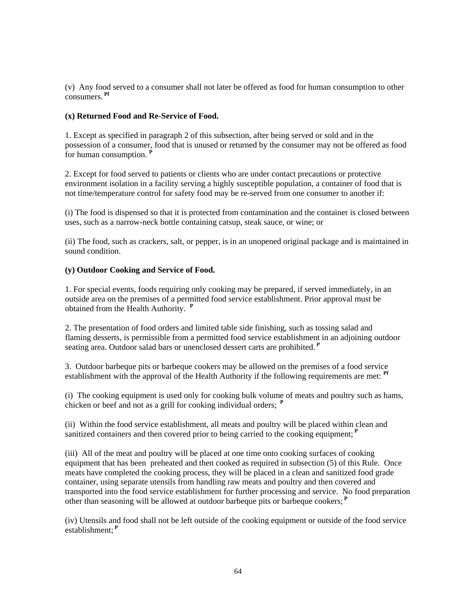(v) Any food served to a consumer shall not later be offered as food for human consumption to other consumers. **Pf**

### **(x) Returned Food and Re-Service of Food.**

1. Except as specified in paragraph 2 of this subsection, after being served or sold and in the possession of a consumer, food that is unused or returned by the consumer may not be offered as food for human consumption. **<sup>P</sup>**

2. Except for food served to patients or clients who are under contact precautions or protective environment isolation in a facility serving a highly susceptible population, a container of food that is not time/temperature control for safety food may be re-served from one consumer to another if:

(i) The food is dispensed so that it is protected from contamination and the container is closed between uses, such as a narrow-neck bottle containing catsup, steak sauce, or wine; or

(ii) The food, such as crackers, salt, or pepper, is in an unopened original package and is maintained in sound condition.

### **(y) Outdoor Cooking and Service of Food.**

1. For special events, foods requiring only cooking may be prepared, if served immediately, in an outside area on the premises of a permitted food service establishment. Prior approval must be obtained from the Health Authority. **<sup>P</sup>**

2. The presentation of food orders and limited table side finishing, such as tossing salad and flaming desserts, is permissible from a permitted food service establishment in an adjoining outdoor seating area. Outdoor salad bars or unenclosed dessert carts are prohibited.*<sup>P</sup>*

3. Outdoor barbeque pits or barbeque cookers may be allowed on the premises of a food service establishment with the approval of the Health Authority if the following requirements are met: **Pf** 

(i) The cooking equipment is used only for cooking bulk volume of meats and poultry such as hams, chicken or beef and not as a grill for cooking individual orders; **<sup>P</sup>**

(ii) Within the food service establishment, all meats and poultry will be placed within clean and sanitized containers and then covered prior to being carried to the cooking equipment;<sup>P</sup>

(iii) All of the meat and poultry will be placed at one time onto cooking surfaces of cooking equipment that has been preheated and then cooked as required in subsection (5) of this Rule. Once meats have completed the cooking process, they will be placed in a clean and sanitized food grade container, using separate utensils from handling raw meats and poultry and then covered and transported into the food service establishment for further processing and service. No food preparation other than seasoning will be allowed at outdoor barbeque pits or barbeque cookers;**<sup>P</sup>**

(iv) Utensils and food shall not be left outside of the cooking equipment or outside of the food service establishment;**<sup>P</sup>**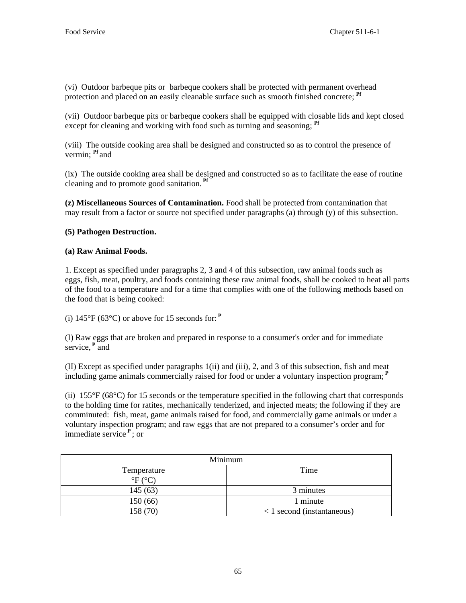(vi) Outdoor barbeque pits or barbeque cookers shall be protected with permanent overhead protection and placed on an easily cleanable surface such as smooth finished concrete; **Pf**

(vii) Outdoor barbeque pits or barbeque cookers shall be equipped with closable lids and kept closed except for cleaning and working with food such as turning and seasoning; <sup>Pf</sup>

(viii) The outside cooking area shall be designed and constructed so as to control the presence of vermin; **Pf** and

(ix) The outside cooking area shall be designed and constructed so as to facilitate the ease of routine cleaning and to promote good sanitation. **Pf**

**(z) Miscellaneous Sources of Contamination.** Food shall be protected from contamination that may result from a factor or source not specified under paragraphs (a) through (y) of this subsection.

# **(5) Pathogen Destruction.**

### **(a) Raw Animal Foods.**

1. Except as specified under paragraphs 2, 3 and 4 of this subsection, raw animal foods such as eggs, fish, meat, poultry, and foods containing these raw animal foods, shall be cooked to heat all parts of the food to a temperature and for a time that complies with one of the following methods based on the food that is being cooked:

(i)  $145^{\circ}F$  (63<sup>o</sup>C) or above for 15 seconds for:  $P$ 

(I) Raw eggs that are broken and prepared in response to a consumer's order and for immediate service,**<sup>P</sup>** and

(II) Except as specified under paragraphs 1(ii) and (iii), 2, and 3 of this subsection, fish and meat including game animals commercially raised for food or under a voluntary inspection program;**<sup>P</sup>**

(ii)  $155^{\circ}F (68^{\circ}C)$  for 15 seconds or the temperature specified in the following chart that corresponds to the holding time for ratites, mechanically tenderized, and injected meats; the following if they are comminuted: fish, meat, game animals raised for food, and commercially game animals or under a voluntary inspection program; and raw eggs that are not prepared to a consumer's order and for immediate service**<sup>P</sup>**; or

| Minimum          |                                            |  |
|------------------|--------------------------------------------|--|
| Temperature      | Time                                       |  |
| $\mathrm{P}F(C)$ |                                            |  |
| 145(63)          | 3 minutes                                  |  |
| 150 (66)         | 1 minute                                   |  |
| 158 (70)         | $\langle 1 \rangle$ second (instantaneous) |  |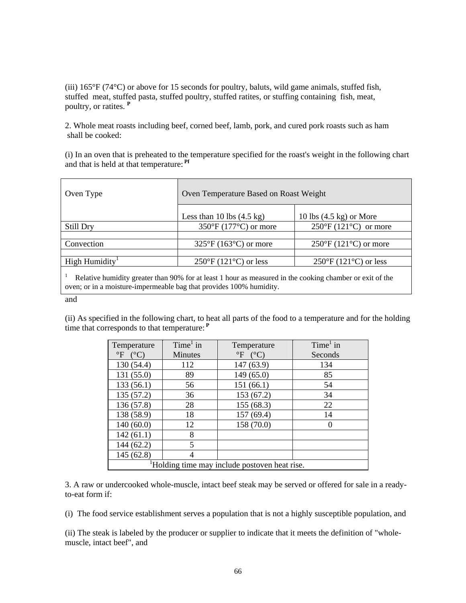(iii) 165°F (74°C) or above for 15 seconds for poultry, baluts, wild game animals, stuffed fish, stuffed meat, stuffed pasta, stuffed poultry, stuffed ratites, or stuffing containing fish, meat, poultry, or ratites. **<sup>P</sup>**

2. Whole meat roasts including beef, corned beef, lamb, pork, and cured pork roasts such as ham shall be cooked:

(i) In an oven that is preheated to the temperature specified for the roast's weight in the following chart and that is held at that temperature: **Pf**

| Oven Type                                                                                                | Oven Temperature Based on Roast Weight     |                                            |  |  |
|----------------------------------------------------------------------------------------------------------|--------------------------------------------|--------------------------------------------|--|--|
|                                                                                                          | Less than 10 lbs $(4.5 \text{ kg})$        | 10 lbs $(4.5 \text{ kg})$ or More          |  |  |
| Still Dry                                                                                                | $350^{\circ}$ F (177 $^{\circ}$ C) or more | $250^{\circ}F(121^{\circ}C)$ or more       |  |  |
|                                                                                                          |                                            |                                            |  |  |
| Convection                                                                                               | $325^{\circ}F(163^{\circ}C)$ or more       | $250^{\circ}$ F (121 $^{\circ}$ C) or more |  |  |
|                                                                                                          |                                            |                                            |  |  |
| High Humidity <sup>1</sup>                                                                               | $250^{\circ}$ F (121 $^{\circ}$ C) or less | $250^{\circ}$ F (121 $^{\circ}$ C) or less |  |  |
| Deleting humidity greater than 00% for at least 1 hour as measured in the socking ehember or exit of the |                                            |                                            |  |  |

 Relative humidity greater than 90% for at least 1 hour as measured in the cooking chamber or exit of the oven; or in a moisture-impermeable bag that provides 100% humidity.

and

(ii) As specified in the following chart, to heat all parts of the food to a temperature and for the holding time that corresponds to that temperature:**<sup>P</sup>**

| Temperature                                               | $Time1$ in     | Temperature        | $Time1$ in |  |
|-----------------------------------------------------------|----------------|--------------------|------------|--|
| $\mathrm{P}F$ (°C)                                        | <b>Minutes</b> | $\mathrm{P}F$ (°C) | Seconds    |  |
| 130 (54.4)                                                | 112            | 147(63.9)          | 134        |  |
| 131 (55.0)                                                | 89             | 149 (65.0)         | 85         |  |
| 133(56.1)                                                 | 56             | 151(66.1)          | 54         |  |
| 135(57.2)                                                 | 36             | 153 (67.2)         | 34         |  |
| 136 (57.8)                                                | 28             | 155(68.3)          | 22         |  |
| 138 (58.9)                                                | 18             | 157(69.4)          | 14         |  |
| 140(60.0)                                                 | 12             | 158 (70.0)         |            |  |
| 142(61.1)                                                 | 8              |                    |            |  |
| 144(62.2)                                                 | 5              |                    |            |  |
| 145(62.8)                                                 | 4              |                    |            |  |
| <sup>1</sup> Holding time may include postoven heat rise. |                |                    |            |  |

3. A raw or undercooked whole-muscle, intact beef steak may be served or offered for sale in a readyto-eat form if:

(i) The food service establishment serves a population that is not a highly susceptible population, and

(ii) The steak is labeled by the producer or supplier to indicate that it meets the definition of "wholemuscle, intact beef", and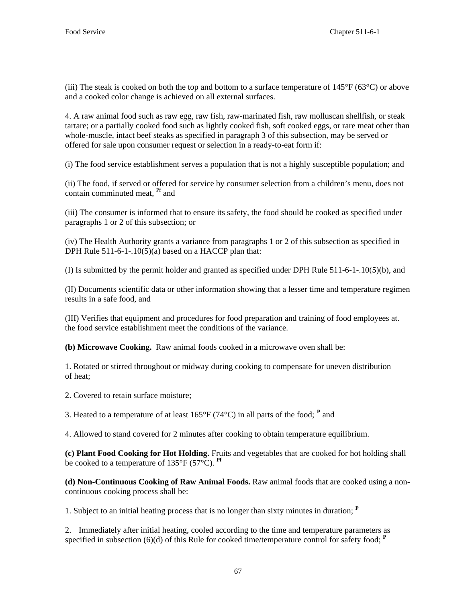(iii) The steak is cooked on both the top and bottom to a surface temperature of  $145^{\circ}F (63^{\circ}C)$  or above and a cooked color change is achieved on all external surfaces.

4. A raw animal food such as raw egg, raw fish, raw-marinated fish, raw molluscan shellfish, or steak tartare; or a partially cooked food such as lightly cooked fish, soft cooked eggs, or rare meat other than whole-muscle, intact beef steaks as specified in paragraph 3 of this subsection, may be served or offered for sale upon consumer request or selection in a ready-to-eat form if:

(i) The food service establishment serves a population that is not a highly susceptible population; and

(ii) The food, if served or offered for service by consumer selection from a children's menu, does not contain comminuted meat, <sup>Pf</sup> and

(iii) The consumer is informed that to ensure its safety, the food should be cooked as specified under paragraphs 1 or 2 of this subsection; or

(iv) The Health Authority grants a variance from paragraphs 1 or 2 of this subsection as specified in DPH Rule 511-6-1-.10(5)(a) based on a HACCP plan that:

(I) Is submitted by the permit holder and granted as specified under DPH Rule 511-6-1-.10(5)(b), and

(II) Documents scientific data or other information showing that a lesser time and temperature regimen results in a safe food, and

(III) Verifies that equipment and procedures for food preparation and training of food employees at. the food service establishment meet the conditions of the variance.

**(b) Microwave Cooking.** Raw animal foods cooked in a microwave oven shall be:

1. Rotated or stirred throughout or midway during cooking to compensate for uneven distribution of heat;

2. Covered to retain surface moisture;

3. Heated to a temperature of at least  $165^{\circ}F (74^{\circ}C)$  in all parts of the food; <sup>P</sup> and

4. Allowed to stand covered for 2 minutes after cooking to obtain temperature equilibrium.

**(c) Plant Food Cooking for Hot Holding.** Fruits and vegetables that are cooked for hot holding shall be cooked to a temperature of  $135^{\circ}F$  (57 $^{\circ}C$ ). <sup>Pf</sup>

**(d) Non-Continuous Cooking of Raw Animal Foods.** Raw animal foods that are cooked using a noncontinuous cooking process shall be:

1. Subject to an initial heating process that is no longer than sixty minutes in duration; **<sup>P</sup>**

2. Immediately after initial heating, cooled according to the time and temperature parameters as specified in subsection (6)(d) of this Rule for cooked time/temperature control for safety food; **<sup>P</sup>**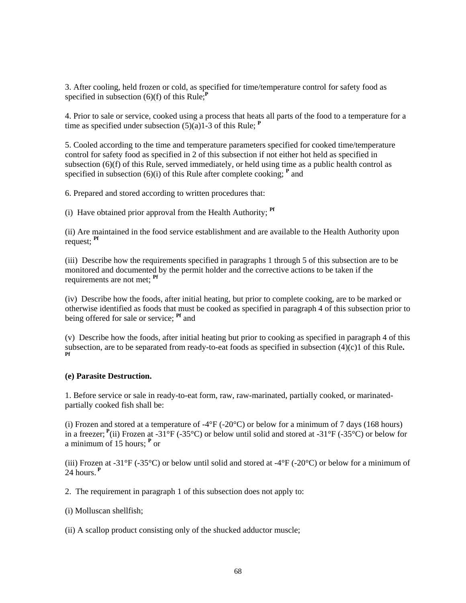3. After cooling, held frozen or cold, as specified for time/temperature control for safety food as specified in subsection  $(6)(f)$  of this Rule;<sup> $P$ </sup>

4. Prior to sale or service, cooked using a process that heats all parts of the food to a temperature for a time as specified under subsection  $(5)(a)$ <sup>1</sup>-3 of this Rule; <sup>**P**</sup>

5. Cooled according to the time and temperature parameters specified for cooked time/temperature control for safety food as specified in 2 of this subsection if not either hot held as specified in subsection (6)(f) of this Rule, served immediately, or held using time as a public health control as specified in subsection  $(6)(i)$  of this Rule after complete cooking;  $P$  and

6. Prepared and stored according to written procedures that:

(i) Have obtained prior approval from the Health Authority; **Pf**

(ii) Are maintained in the food service establishment and are available to the Health Authority upon request; **Pf**

(iii) Describe how the requirements specified in paragraphs 1 through 5 of this subsection are to be monitored and documented by the permit holder and the corrective actions to be taken if the requirements are not met; **Pf**

(iv) Describe how the foods, after initial heating, but prior to complete cooking, are to be marked or otherwise identified as foods that must be cooked as specified in paragraph 4 of this subsection prior to being offered for sale or service; **Pf** and

(v) Describe how the foods, after initial heating but prior to cooking as specified in paragraph 4 of this subsection, are to be separated from ready-to-eat foods as specified in subsection (4)(c)1 of this Rule.

### **(e) Parasite Destruction.**

1. Before service or sale in ready-to-eat form, raw, raw-marinated, partially cooked, or marinatedpartially cooked fish shall be:

(i) Frozen and stored at a temperature of -4 $\degree$ F (-20 $\degree$ C) or below for a minimum of 7 days (168 hours) in a freezer;<sup> $P$ </sup>(ii) Frozen at -31°F (-35°C) or below until solid and stored at -31°F (-35°C) or below for a minimum of 15 hours; **<sup>P</sup>** or

(iii) Frozen at -31°F (-35°C) or below until solid and stored at -4°F (-20°C) or below for a minimum of 24 hours.**<sup>P</sup>**

2. The requirement in paragraph 1 of this subsection does not apply to:

- (i) Molluscan shellfish;
- (ii) A scallop product consisting only of the shucked adductor muscle;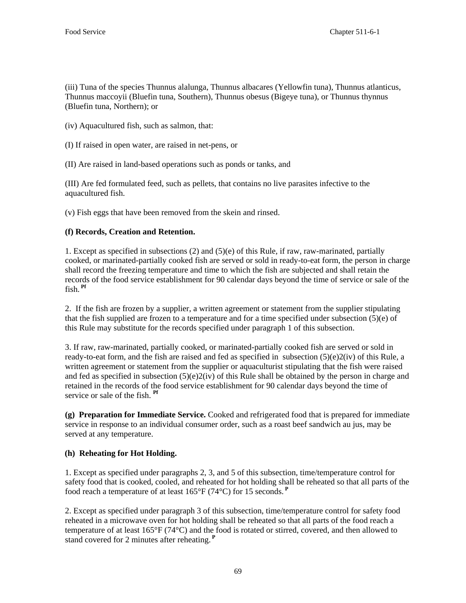(iii) Tuna of the species Thunnus alalunga, Thunnus albacares (Yellowfin tuna), Thunnus atlanticus, Thunnus maccoyii (Bluefin tuna, Southern), Thunnus obesus (Bigeye tuna), or Thunnus thynnus (Bluefin tuna, Northern); or

- (iv) Aquacultured fish, such as salmon, that:
- (I) If raised in open water, are raised in net-pens, or
- (II) Are raised in land-based operations such as ponds or tanks, and

(III) Are fed formulated feed, such as pellets, that contains no live parasites infective to the aquacultured fish.

(v) Fish eggs that have been removed from the skein and rinsed.

## **(f) Records, Creation and Retention.**

1. Except as specified in subsections (2) and (5)(e) of this Rule*,* if raw, raw-marinated, partially cooked, or marinated-partially cooked fish are served or sold in ready-to-eat form, the person in charge shall record the freezing temperature and time to which the fish are subjected and shall retain the records of the food service establishment for 90 calendar days beyond the time of service or sale of the fish. **Pf**

2. If the fish are frozen by a supplier, a written agreement or statement from the supplier stipulating that the fish supplied are frozen to a temperature and for a time specified under subsection (5)(e) of this Rule may substitute for the records specified under paragraph 1 of this subsection.

3. If raw, raw-marinated, partially cooked, or marinated-partially cooked fish are served or sold in ready-to-eat form, and the fish are raised and fed as specified in subsection (5)(e)2(iv) of this Rule, a written agreement or statement from the supplier or aquaculturist stipulating that the fish were raised and fed as specified in subsection (5)(e)2(iv) of this Rule shall be obtained by the person in charge and retained in the records of the food service establishment for 90 calendar days beyond the time of service or sale of the fish. **Pf**

**(g) Preparation for Immediate Service.** Cooked and refrigerated food that is prepared for immediate service in response to an individual consumer order, such as a roast beef sandwich au jus, may be served at any temperature.

### **(h) Reheating for Hot Holding.**

1. Except as specified under paragraphs 2, 3, and 5 of this subsection, time/temperature control for safety food that is cooked, cooled, and reheated for hot holding shall be reheated so that all parts of the food reach a temperature of at least 165°F (74°C) for 15 seconds.**<sup>P</sup>**

2. Except as specified under paragraph 3 of this subsection, time/temperature control for safety food reheated in a microwave oven for hot holding shall be reheated so that all parts of the food reach a temperature of at least  $165^{\circ}F(74^{\circ}C)$  and the food is rotated or stirred, covered, and then allowed to stand covered for 2 minutes after reheating.**<sup>P</sup>**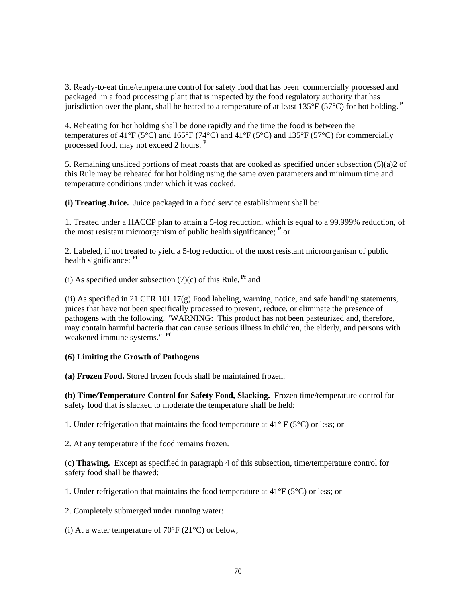3. Ready-to-eat time/temperature control for safety food that has been commercially processed and packaged in a food processing plant that is inspected by the food regulatory authority that has jurisdiction over the plant, shall be heated to a temperature of at least 135°F (57°C) for hot holding.**<sup>P</sup>**

4. Reheating for hot holding shall be done rapidly and the time the food is between the temperatures of 41°F (5°C) and 165°F (74°C) and 41°F (5°C) and 135°F (57°C) for commercially processed food, may not exceed 2 hours. **<sup>P</sup>**

5. Remaining unsliced portions of meat roasts that are cooked as specified under subsection (5)(a)2 of this Rule may be reheated for hot holding using the same oven parameters and minimum time and temperature conditions under which it was cooked.

**(i) Treating Juice.** Juice packaged in a food service establishment shall be:

1. Treated under a HACCP plan to attain a 5-log reduction, which is equal to a 99.999% reduction, of the most resistant microorganism of public health significance; **<sup>P</sup>** or

2. Labeled, if not treated to yield a 5-log reduction of the most resistant microorganism of public health significance: **Pf**

(i) As specified under subsection  $(7)(c)$  of this Rule, <sup>Pf</sup> and

(ii) As specified in 21 CFR 101.17 $(g)$  Food labeling, warning, notice, and safe handling statements, juices that have not been specifically processed to prevent, reduce, or eliminate the presence of pathogens with the following, "WARNING: This product has not been pasteurized and, therefore, may contain harmful bacteria that can cause serious illness in children, the elderly, and persons with weakened immune systems." **Pf** 

#### **(6) Limiting the Growth of Pathogens**

**(a) Frozen Food.** Stored frozen foods shall be maintained frozen.

**(b) Time/Temperature Control for Safety Food, Slacking.** Frozen time/temperature control for safety food that is slacked to moderate the temperature shall be held:

1. Under refrigeration that maintains the food temperature at 41° F (5°C) or less; or

2. At any temperature if the food remains frozen.

(c) **Thawing.** Except as specified in paragraph 4 of this subsection, time/temperature control for safety food shall be thawed:

1. Under refrigeration that maintains the food temperature at 41°F (5°C) or less; or

2. Completely submerged under running water:

(i) At a water temperature of  $70^{\circ}$ F (21<sup>o</sup>C) or below,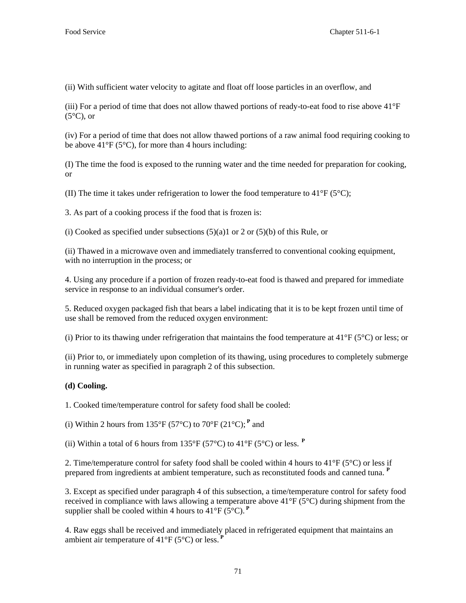(ii) With sufficient water velocity to agitate and float off loose particles in an overflow, and

(iii) For a period of time that does not allow thawed portions of ready-to-eat food to rise above 41°F  $(5^{\circ}C)$ , or

(iv) For a period of time that does not allow thawed portions of a raw animal food requiring cooking to be above  $41^{\circ}F(5^{\circ}C)$ , for more than 4 hours including:

(I) The time the food is exposed to the running water and the time needed for preparation for cooking, or

(II) The time it takes under refrigeration to lower the food temperature to  $41^{\circ}F(5^{\circ}C)$ ;

3. As part of a cooking process if the food that is frozen is:

(i) Cooked as specified under subsections  $(5)(a)1$  or 2 or  $(5)(b)$  of this Rule, or

(ii) Thawed in a microwave oven and immediately transferred to conventional cooking equipment, with no interruption in the process; or

4. Using any procedure if a portion of frozen ready-to-eat food is thawed and prepared for immediate service in response to an individual consumer's order.

5. Reduced oxygen packaged fish that bears a label indicating that it is to be kept frozen until time of use shall be removed from the reduced oxygen environment:

(i) Prior to its thawing under refrigeration that maintains the food temperature at  $41^{\circ}F(5^{\circ}C)$  or less; or

(ii) Prior to, or immediately upon completion of its thawing, using procedures to completely submerge in running water as specified in paragraph 2 of this subsection.

# **(d) Cooling.**

1. Cooked time/temperature control for safety food shall be cooled:

(i) Within 2 hours from 135°F (57°C) to 70°F (21°C);<sup>P</sup> and

(ii) Within a total of 6 hours from  $135^{\circ}F$  (57<sup>o</sup>C) to 41<sup>o</sup>F (5<sup>o</sup>C) or less. <sup>P</sup>

2. Time/temperature control for safety food shall be cooled within 4 hours to  $41^{\circ}F(5^{\circ}C)$  or less if prepared from ingredients at ambient temperature, such as reconstituted foods and canned tuna. **<sup>P</sup>**

3. Except as specified under paragraph 4 of this subsection, a time/temperature control for safety food received in compliance with laws allowing a temperature above 41°F (5°C) during shipment from the supplier shall be cooled within 4 hours to  $41^{\circ}F$  (5<sup>o</sup>C).<sup>P</sup>

4. Raw eggs shall be received and immediately placed in refrigerated equipment that maintains an ambient air temperature of  $41^{\circ}F(5^{\circ}C)$  or less.<sup>1</sup>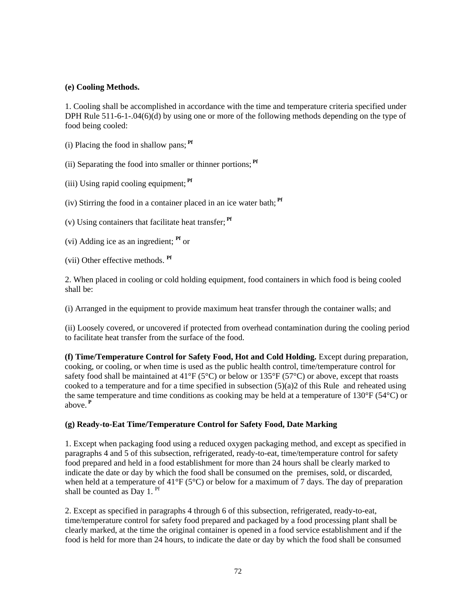## **(e) Cooling Methods.**

1. Cooling shall be accomplished in accordance with the time and temperature criteria specified under DPH Rule 511-6-1-.04(6)(d) by using one or more of the following methods depending on the type of food being cooled:

(i) Placing the food in shallow pans; **Pf**

(ii) Separating the food into smaller or thinner portions; **Pf**

(iii) Using rapid cooling equipment; **Pf**

(iv) Stirring the food in a container placed in an ice water bath; **Pf**

(v) Using containers that facilitate heat transfer; **Pf**

(vi) Adding ice as an ingredient; **Pf** or

(vii) Other effective methods. **Pf**

2. When placed in cooling or cold holding equipment, food containers in which food is being cooled shall be:

(i) Arranged in the equipment to provide maximum heat transfer through the container walls; and

(ii) Loosely covered, or uncovered if protected from overhead contamination during the cooling period to facilitate heat transfer from the surface of the food.

**(f) Time/Temperature Control for Safety Food, Hot and Cold Holding.** Except during preparation, cooking, or cooling, or when time is used as the public health control, time/temperature control for safety food shall be maintained at  $41^{\circ}F(5^{\circ}C)$  or below or  $135^{\circ}F(57^{\circ}C)$  or above, except that roasts cooked to a temperature and for a time specified in subsection  $(5)(a)$  of this Rule and reheated using the same temperature and time conditions as cooking may be held at a temperature of 130 $\degree$ F (54 $\degree$ C) or above.**<sup>P</sup>**

# **(g) Ready-to-Eat Time/Temperature Control for Safety Food, Date Marking**

1. Except when packaging food using a reduced oxygen packaging method, and except as specified in paragraphs 4 and 5 of this subsection, refrigerated, ready-to-eat, time/temperature control for safety food prepared and held in a food establishment for more than 24 hours shall be clearly marked to indicate the date or day by which the food shall be consumed on the premises, sold, or discarded, when held at a temperature of  $41^{\circ}F(5^{\circ}C)$  or below for a maximum of 7 days. The day of preparation shall be counted as Day 1. <sup>Pf</sup>

2. Except as specified in paragraphs 4 through 6 of this subsection, refrigerated, ready-to-eat, time/temperature control for safety food prepared and packaged by a food processing plant shall be clearly marked, at the time the original container is opened in a food service establishment and if the food is held for more than 24 hours, to indicate the date or day by which the food shall be consumed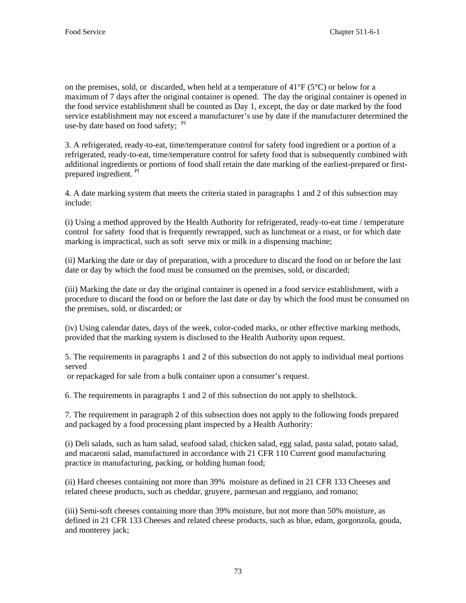on the premises, sold, or discarded, when held at a temperature of  $41^{\circ}F(5^{\circ}C)$  or below for a maximum of 7 days after the original container is opened. The day the original container is opened in the food service establishment shall be counted as Day 1, except, the day or date marked by the food service establishment may not exceed a manufacturer's use by date if the manufacturer determined the use-by date based on food safety; <sup>Pf</sup>

3. A refrigerated, ready-to-eat, time/temperature control for safety food ingredient or a portion of a refrigerated, ready-to-eat, time/temperature control for safety food that is subsequently combined with additional ingredients or portions of food shall retain the date marking of the earliest-prepared or firstprepared ingredient. <sup>Pf</sup>

4*.* A date marking system that meets the criteria stated in paragraphs 1 and 2 of this subsection may include:

(i) Using a method approved by the Health Authority for refrigerated, ready-to-eat time / temperature control for safety food that is frequently rewrapped, such as lunchmeat or a roast, or for which date marking is impractical, such as soft serve mix or milk in a dispensing machine;

(ii) Marking the date or day of preparation, with a procedure to discard the food on or before the last date or day by which the food must be consumed on the premises, sold, or discarded;

(iii) Marking the date or day the original container is opened in a food service establishment, with a procedure to discard the food on or before the last date or day by which the food must be consumed on the premises, sold, or discarded; or

(iv) Using calendar dates, days of the week, color-coded marks, or other effective marking methods, provided that the marking system is disclosed to the Health Authority upon request.

5. The requirements in paragraphs 1 and 2 of this subsection do not apply to individual meal portions served

or repackaged for sale from a bulk container upon a consumer's request.

6. The requirements in paragraphs 1 and 2 of this subsection do not apply to shellstock.

7. The requirement in paragraph 2 of this subsection does not apply to the following foods prepared and packaged by a food processing plant inspected by a Health Authority:

(i) Deli salads, such as ham salad, seafood salad, chicken salad, egg salad, pasta salad, potato salad, and macaroni salad, manufactured in accordance with 21 CFR 110 Current good manufacturing practice in manufacturing, packing, or holding human food;

(ii) Hard cheeses containing not more than 39% moisture as defined in 21 CFR 133 Cheeses and related cheese products, such as cheddar, gruyere, parmesan and reggiano, and romano;

(iii) Semi-soft cheeses containing more than 39% moisture, but not more than 50% moisture, as defined in 21 CFR 133 Cheeses and related cheese products, such as blue, edam, gorgonzola, gouda, and monterey jack;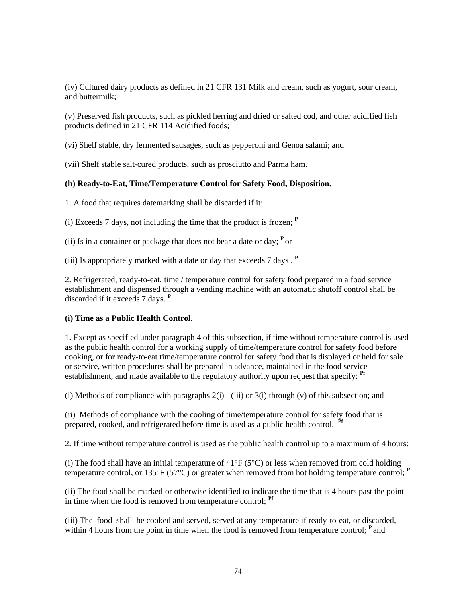(iv) Cultured dairy products as defined in 21 CFR 131 Milk and cream, such as yogurt, sour cream, and buttermilk;

(v) Preserved fish products, such as pickled herring and dried or salted cod, and other acidified fish products defined in 21 CFR 114 Acidified foods;

(vi) Shelf stable, dry fermented sausages, such as pepperoni and Genoa salami; and

(vii) Shelf stable salt-cured products, such as prosciutto and Parma ham.

#### **(h) Ready-to-Eat, Time/Temperature Control for Safety Food, Disposition.**

1. A food that requires datemarking shall be discarded if it:

(i) Exceeds 7 days, not including the time that the product is frozen; **<sup>P</sup>**

(ii) Is in a container or package that does not bear a date or day;  $\mathbf{P}$  or

(iii) Is appropriately marked with a date or day that exceeds 7 days . **<sup>P</sup>**

2. Refrigerated, ready-to-eat, time / temperature control for safety food prepared in a food service establishment and dispensed through a vending machine with an automatic shutoff control shall be discarded if it exceeds 7 days. **<sup>P</sup>**

# **(i) Time as a Public Health Control.**

1. Except as specified under paragraph 4 of this subsection, if time without temperature control is used as the public health control for a working supply of time/temperature control for safety food before cooking, or for ready-to-eat time/temperature control for safety food that is displayed or held for sale or service, written procedures shall be prepared in advance, maintained in the food service establishment, and made available to the regulatory authority upon request that specify: **Pf**

(i) Methods of compliance with paragraphs  $2(i)$  - (iii) or  $3(i)$  through (v) of this subsection; and

(ii) Methods of compliance with the cooling of time/temperature control for safety food that is prepared, cooked, and refrigerated before time is used as a public health control. **Pf**

2. If time without temperature control is used as the public health control up to a maximum of 4 hours:

(i) The food shall have an initial temperature of  $41^{\circ}F(5^{\circ}C)$  or less when removed from cold holding temperature control, or  $135^{\circ}F(57^{\circ}C)$  or greater when removed from hot holding temperature control;  $P$ 

(ii) The food shall be marked or otherwise identified to indicate the time that is 4 hours past the point in time when the food is removed from temperature control; **Pf** 

(iii) The food shall be cooked and served, served at any temperature if ready-to-eat, or discarded, within 4 hours from the point in time when the food is removed from temperature control; <sup>P</sup> and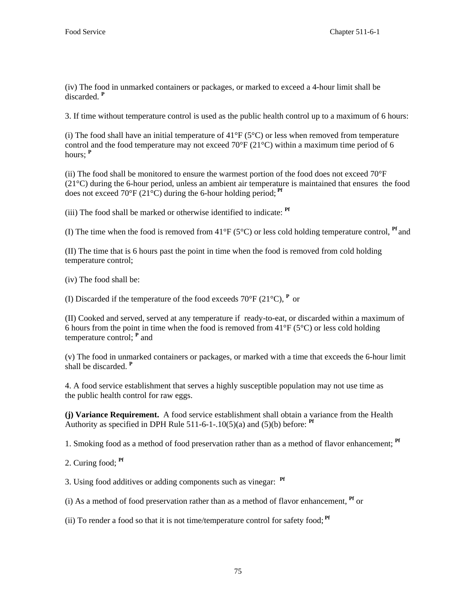(iv) The food in unmarked containers or packages, or marked to exceed a 4-hour limit shall be discarded. **<sup>P</sup>**

3. If time without temperature control is used as the public health control up to a maximum of 6 hours:

(i) The food shall have an initial temperature of  $41^{\circ}F(5^{\circ}C)$  or less when removed from temperature control and the food temperature may not exceed 70 $\degree$ F (21 $\degree$ C) within a maximum time period of 6 hours; **<sup>P</sup>**

(ii) The food shall be monitored to ensure the warmest portion of the food does not exceed  $70^{\circ}$ F (21°C) during the 6-hour period, unless an ambient air temperature is maintained that ensures the food does not exceed 70°F (21°C) during the 6-hour holding period;<sup>Pf</sup>

(iii) The food shall be marked or otherwise identified to indicate: **Pf** 

(I) The time when the food is removed from 41°F (5°C) or less cold holding temperature control, **Pf** and

(II) The time that is 6 hours past the point in time when the food is removed from cold holding temperature control;

(iv) The food shall be:

(I) Discarded if the temperature of the food exceeds  $70^{\circ}$ F ( $21^{\circ}$ C),  $P$  or

(II) Cooked and served, served at any temperature if ready-to-eat, or discarded within a maximum of 6 hours from the point in time when the food is removed from  $41^{\circ}F$  (5°C) or less cold holding temperature control; <sup>P</sup> and

(v) The food in unmarked containers or packages, or marked with a time that exceeds the 6-hour limit shall be discarded. **<sup>P</sup>**

4. A food service establishment that serves a highly susceptible population may not use time as the public health control for raw eggs.

**(j) Variance Requirement.** A food service establishment shall obtain a variance from the Health Authority as specified in DPH Rule 511-6-1-.10(5)(a) and (5)(b) before:  $Pf$ 

1. Smoking food as a method of food preservation rather than as a method of flavor enhancement; **Pf**

2. Curing food; **Pf**

3. Using food additives or adding components such as vinegar: **Pf**

(i) As a method of food preservation rather than as a method of flavor enhancement, **Pf** or

(ii) To render a food so that it is not time/temperature control for safety food; **Pf**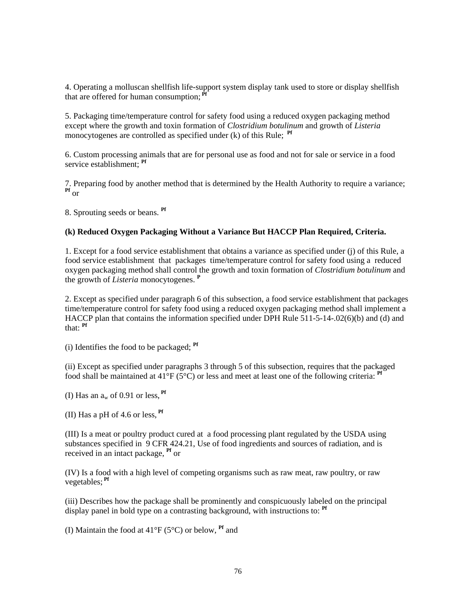4. Operating a molluscan shellfish life-support system display tank used to store or display shellfish that are offered for human consumption:  $\vec{P}$ 

5. Packaging time/temperature control for safety food using a reduced oxygen packaging method except where the growth and toxin formation of *Clostridium botulinum* and growth of *Listeria*  monocytogenes are controlled as specified under (k) of this Rule; <sup>Pf</sup>

6. Custom processing animals that are for personal use as food and not for sale or service in a food service establishment; **Pf**

7. Preparing food by another method that is determined by the Health Authority to require a variance; **Pf** or

8. Sprouting seeds or beans. **Pf**

#### **(k) Reduced Oxygen Packaging Without a Variance But HACCP Plan Required, Criteria.**

1. Except for a food service establishment that obtains a variance as specified under (j) of this Rule, a food service establishment that packages time/temperature control for safety food using a reduced oxygen packaging method shall control the growth and toxin formation of *Clostridium botulinum* and the growth of *Listeria* monocytogenes. **<sup>P</sup>**

2. Except as specified under paragraph 6 of this subsection, a food service establishment that packages time/temperature control for safety food using a reduced oxygen packaging method shall implement a HACCP plan that contains the information specified under DPH Rule 511-5-14-.02(6)(b) and (d) and that: **Pf**

(i) Identifies the food to be packaged; **Pf**

(ii) Except as specified under paragraphs 3 through 5 of this subsection, requires that the packaged food shall be maintained at  $41^{\circ}F$  (5<sup>o</sup>C) or less and meet at least one of the following criteria: <sup>**Pf**</sup>

(I) Has an  $a_w$  of 0.91 or less,  $\mathbf{Pf}$ 

(II) Has a pH of 4.6 or less, **Pf**

(III) Is a meat or poultry product cured at a food processing plant regulated by the USDA using substances specified in 9 CFR 424.21, Use of food ingredients and sources of radiation, and is received in an intact package, **Pf** or

(IV) Is a food with a high level of competing organisms such as raw meat, raw poultry, or raw vegetables; **Pf**

(iii) Describes how the package shall be prominently and conspicuously labeled on the principal display panel in bold type on a contrasting background, with instructions to: **Pf**

(I) Maintain the food at 41°F (5°C) or below, **Pf** and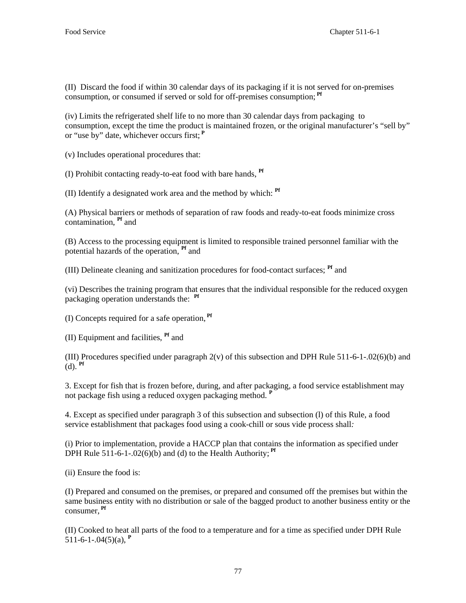(II) Discard the food if within 30 calendar days of its packaging if it is not served for on-premises consumption, or consumed if served or sold for off-premises consumption; **Pf**

(iv) Limits the refrigerated shelf life to no more than 30 calendar days from packaging to consumption, except the time the product is maintained frozen, or the original manufacturer's "sell by" or "use by" date, whichever occurs first;**<sup>P</sup>**

(v) Includes operational procedures that:

(I) Prohibit contacting ready-to-eat food with bare hands, **Pf** 

(II) Identify a designated work area and the method by which: **Pf**

(A) Physical barriers or methods of separation of raw foods and ready-to-eat foods minimize cross contamination, **Pf** and

(B) Access to the processing equipment is limited to responsible trained personnel familiar with the potential hazards of the operation, **Pf** and

(III) Delineate cleaning and sanitization procedures for food-contact surfaces; **Pf** and

(vi) Describes the training program that ensures that the individual responsible for the reduced oxygen packaging operation understands the: **Pf**

(I) Concepts required for a safe operation, **Pf**

(II) Equipment and facilities, **Pf** and

(III) Procedures specified under paragraph 2(v) of this subsection and DPH Rule 511-6-1-.02(6)(b) and (d). **Pf**

3. Except for fish that is frozen before, during, and after packaging*,* a food service establishment may not package fish using a reduced oxygen packaging method. **<sup>P</sup>** 

4. Except as specified under paragraph 3 of this subsection and subsection (l) of this Rule, a food service establishment that packages food using a cook-chill or sous vide process shall*:*

(i) Prior to implementation, provide a HACCP plan that contains the information as specified under DPH Rule  $511-6-1-02(6)(b)$  and (d) to the Health Authority;  $\mathbf{P}^f$ 

(ii) Ensure the food is:

(I) Prepared and consumed on the premises, or prepared and consumed off the premises but within the same business entity with no distribution or sale of the bagged product to another business entity or the consumer, **Pf**

(II) Cooked to heat all parts of the food to a temperature and for a time as specified under DPH Rule 511-6-1-.04 $(5)(a)$ , <sup>P</sup>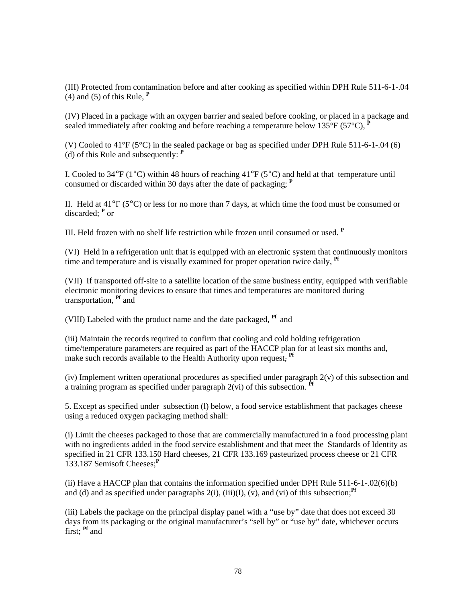(III) Protected from contamination before and after cooking as specified within DPH Rule 511-6-1-.04 (4) and (5) of this Rule, **<sup>P</sup>**

(IV) Placed in a package with an oxygen barrier and sealed before cooking, or placed in a package and sealed immediately after cooking and before reaching a temperature below  $135^{\circ}F(57^{\circ}C)$ ,

(V) Cooled to 41°F (5°C) in the sealed package or bag as specified under DPH Rule 511-6-1-.04 (6) (d) of this Rule and subsequently: **<sup>P</sup>**

I. Cooled to 34°F (1°C) within 48 hours of reaching 41°F (5°C) and held at that temperature until consumed or discarded within 30 days after the date of packaging; **<sup>P</sup>**

II. Held at  $41^{\circ}F(5^{\circ}C)$  or less for no more than 7 days, at which time the food must be consumed or discarded; **<sup>P</sup>** or

III. Held frozen with no shelf life restriction while frozen until consumed or used. **<sup>P</sup>**

(VI) Held in a refrigeration unit that is equipped with an electronic system that continuously monitors time and temperature and is visually examined for proper operation twice daily, **Pf**

(VII) If transported off-site to a satellite location of the same business entity, equipped with verifiable electronic monitoring devices to ensure that times and temperatures are monitored during transportation, **Pf** and

(VIII) Labeled with the product name and the date packaged, **Pf** and

(iii) Maintain the records required to confirm that cooling and cold holding refrigeration time/temperature parameters are required as part of the HACCP plan for at least six months and, make such records available to the Health Authority upon request, <sup>Pf</sup>

(iv) Implement written operational procedures as specified under paragraph 2(v) of this subsection and a training program as specified under paragraph  $2(\text{vi})$  of this subsection.  $^{\text{pr}}$ 

5. Except as specified under subsection (l) below, a food service establishment that packages cheese using a reduced oxygen packaging method shall:

(i) Limit the cheeses packaged to those that are commercially manufactured in a food processing plant with no ingredients added in the food service establishment and that meet the Standards of Identity as specified in 21 CFR 133.150 Hard cheeses, 21 CFR 133.169 pasteurized process cheese or 21 CFR 133.187 Semisoft Cheeses;**<sup>P</sup>**

(ii) Have a HACCP plan that contains the information specified under DPH Rule 511-6-1-.02(6)(b) and (d) and as specified under paragraphs  $2(i)$ ,  $(iii)(I)$ ,  $(v)$ , and  $(vi)$  of this subsection;<sup>*Pf*</sup>

(iii) Labels the package on the principal display panel with a "use by" date that does not exceed 30 days from its packaging or the original manufacturer's "sell by" or "use by" date, whichever occurs first; **Pf** and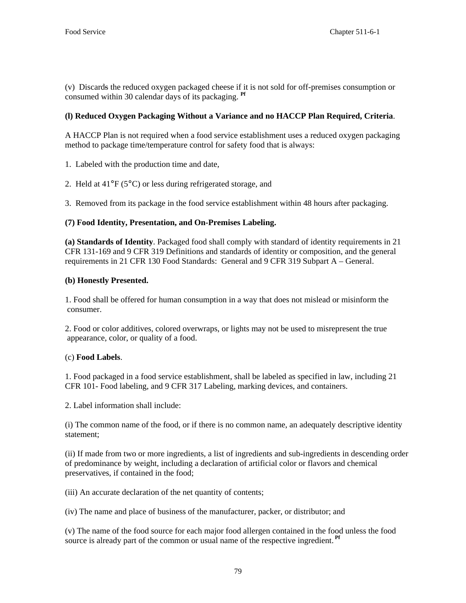(v) Discards the reduced oxygen packaged cheese if it is not sold for off-premises consumption or consumed within 30 calendar days of its packaging. **Pf**

# **(l) Reduced Oxygen Packaging Without a Variance and no HACCP Plan Required, Criteria**.

A HACCP Plan is not required when a food service establishment uses a reduced oxygen packaging method to package time/temperature control for safety food that is always:

1. Labeled with the production time and date,

2. Held at 41°F (5°C) or less during refrigerated storage, and

3. Removed from its package in the food service establishment within 48 hours after packaging.

# **(7) Food Identity, Presentation, and On-Premises Labeling.**

**(a) Standards of Identity**. Packaged food shall comply with standard of identity requirements in 21 CFR 131-169 and 9 CFR 319 Definitions and standards of identity or composition, and the general requirements in 21 CFR 130 Food Standards: General and 9 CFR 319 Subpart A – General.

# **(b) Honestly Presented.**

1. Food shall be offered for human consumption in a way that does not mislead or misinform the consumer.

2. Food or color additives, colored overwraps, or lights may not be used to misrepresent the true appearance, color, or quality of a food.

# (c) **Food Labels**.

1. Food packaged in a food service establishment, shall be labeled as specified in law, including 21 CFR 101- Food labeling, and 9 CFR 317 Labeling, marking devices, and containers.

2. Label information shall include:

(i) The common name of the food, or if there is no common name, an adequately descriptive identity statement;

(ii) If made from two or more ingredients, a list of ingredients and sub-ingredients in descending order of predominance by weight, including a declaration of artificial color or flavors and chemical preservatives, if contained in the food;

(iii) An accurate declaration of the net quantity of contents;

(iv) The name and place of business of the manufacturer, packer, or distributor; and

(v) The name of the food source for each major food allergen contained in the food unless the food source is already part of the common or usual name of the respective ingredient. **Pf**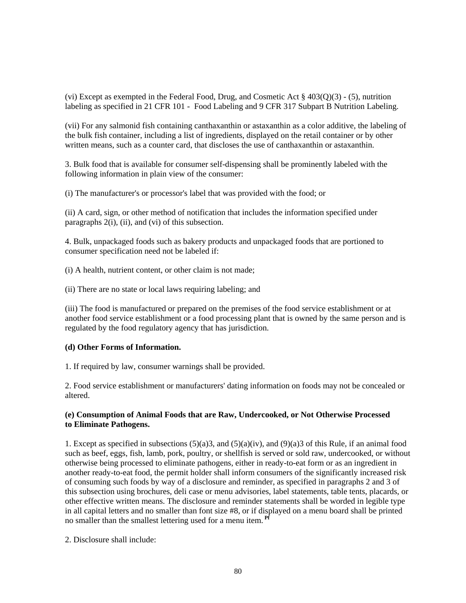(vi) Except as exempted in the Federal Food, Drug, and Cosmetic Act  $\S 403(0)(3)$  - (5), nutrition labeling as specified in 21 CFR 101 - Food Labeling and 9 CFR 317 Subpart B Nutrition Labeling.

(vii) For any salmonid fish containing canthaxanthin or astaxanthin as a color additive, the labeling of the bulk fish container, including a list of ingredients, displayed on the retail container or by other written means, such as a counter card, that discloses the use of canthaxanthin or astaxanthin.

3. Bulk food that is available for consumer self-dispensing shall be prominently labeled with the following information in plain view of the consumer:

(i) The manufacturer's or processor's label that was provided with the food; or

(ii) A card, sign, or other method of notification that includes the information specified under paragraphs 2(i), (ii), and (vi) of this subsection.

4. Bulk, unpackaged foods such as bakery products and unpackaged foods that are portioned to consumer specification need not be labeled if:

(i) A health, nutrient content, or other claim is not made;

(ii) There are no state or local laws requiring labeling; and

(iii) The food is manufactured or prepared on the premises of the food service establishment or at another food service establishment or a food processing plant that is owned by the same person and is regulated by the food regulatory agency that has jurisdiction.

# **(d) Other Forms of Information.**

1. If required by law, consumer warnings shall be provided.

2. Food service establishment or manufacturers' dating information on foods may not be concealed or altered.

#### **(e) Consumption of Animal Foods that are Raw, Undercooked, or Not Otherwise Processed to Eliminate Pathogens.**

1. Except as specified in subsections  $(5)(a)3$ , and  $(5)(a)(iv)$ , and  $(9)(a)3$  of this Rule, if an animal food such as beef, eggs, fish, lamb, pork, poultry, or shellfish is served or sold raw, undercooked, or without otherwise being processed to eliminate pathogens, either in ready-to-eat form or as an ingredient in another ready-to-eat food, the permit holder shall inform consumers of the significantly increased risk of consuming such foods by way of a disclosure and reminder, as specified in paragraphs 2 and 3 of this subsection using brochures, deli case or menu advisories, label statements, table tents, placards, or other effective written means. The disclosure and reminder statements shall be worded in legible type in all capital letters and no smaller than font size #8, or if displayed on a menu board shall be printed no smaller than the smallest lettering used for a menu item.<sup>P</sup>

2. Disclosure shall include: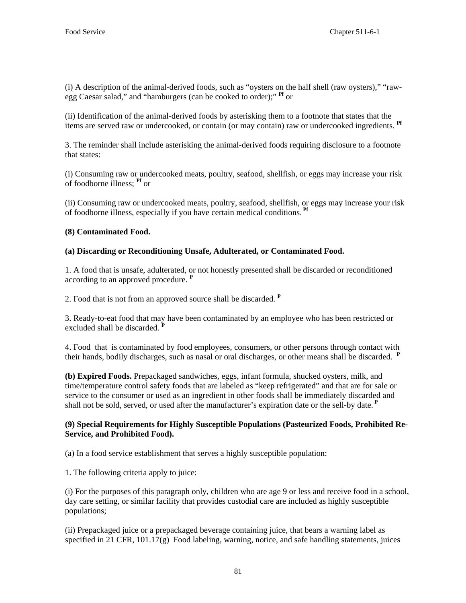(i) A description of the animal-derived foods, such as "oysters on the half shell (raw oysters)," "rawegg Caesar salad," and "hamburgers (can be cooked to order);" **Pf** or

(ii) Identification of the animal-derived foods by asterisking them to a footnote that states that the items are served raw or undercooked, or contain (or may contain) raw or undercooked ingredients. **Pf**

3. The reminder shall include asterisking the animal-derived foods requiring disclosure to a footnote that states:

(i) Consuming raw or undercooked meats, poultry, seafood, shellfish, or eggs may increase your risk of foodborne illness; **Pf** or

(ii) Consuming raw or undercooked meats, poultry, seafood, shellfish, or eggs may increase your risk of foodborne illness, especially if you have certain medical conditions. **Pf**

# **(8) Contaminated Food.**

# **(a) Discarding or Reconditioning Unsafe, Adulterated, or Contaminated Food.**

1. A food that is unsafe, adulterated, or not honestly presented shall be discarded or reconditioned according to an approved procedure. **<sup>P</sup>**

2. Food that is not from an approved source shall be discarded. **<sup>P</sup>**

3. Ready-to-eat food that may have been contaminated by an employee who has been restricted or excluded shall be discarded.<sup><sup>1</sup></sup>

4. Food that is contaminated by food employees, consumers, or other persons through contact with their hands, bodily discharges, such as nasal or oral discharges, or other means shall be discarded. **<sup>P</sup>**

**(b) Expired Foods.** Prepackaged sandwiches, eggs, infant formula, shucked oysters, milk, and time/temperature control safety foods that are labeled as "keep refrigerated" and that are for sale or service to the consumer or used as an ingredient in other foods shall be immediately discarded and shall not be sold, served, or used after the manufacturer's expiration date or the sell-by date.**<sup>P</sup>**

# **(9) Special Requirements for Highly Susceptible Populations (Pasteurized Foods, Prohibited Re-Service, and Prohibited Food).**

(a) In a food service establishment that serves a highly susceptible population:

1. The following criteria apply to juice:

(i) For the purposes of this paragraph only, children who are age 9 or less and receive food in a school, day care setting, or similar facility that provides custodial care are included as highly susceptible populations;

(ii) Prepackaged juice or a prepackaged beverage containing juice, that bears a warning label as specified in 21 CFR, 101.17(g) Food labeling, warning, notice, and safe handling statements, juices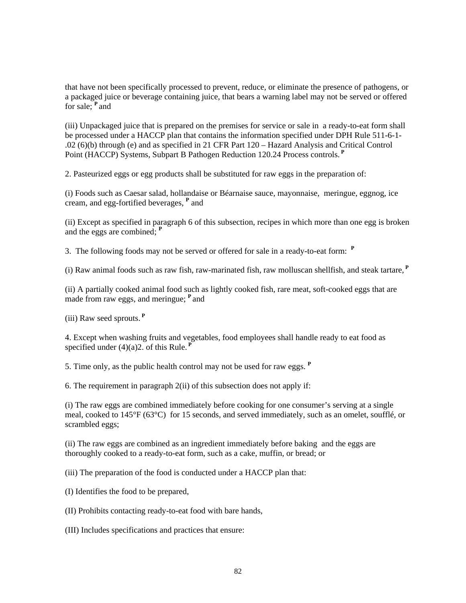that have not been specifically processed to prevent, reduce, or eliminate the presence of pathogens, or a packaged juice or beverage containing juice, that bears a warning label may not be served or offered for sale; **<sup>P</sup>**and

(iii) Unpackaged juice that is prepared on the premises for service or sale in a ready-to-eat form shall be processed under a HACCP plan that contains the information specified under DPH Rule 511-6-1- .02 (6)(b) through (e) and as specified in 21 CFR Part 120 – Hazard Analysis and Critical Control Point (HACCP) Systems, Subpart B Pathogen Reduction 120.24 Process controls.**<sup>P</sup>**

2. Pasteurized eggs or egg products shall be substituted for raw eggs in the preparation of:

(i) Foods such as Caesar salad, hollandaise or Béarnaise sauce, mayonnaise, meringue, eggnog, ice cream, and egg-fortified beverages, **<sup>P</sup>** and

(ii) Except as specified in paragraph 6 of this subsection, recipes in which more than one egg is broken and the eggs are combined; **<sup>P</sup>**

3. The following foods may not be served or offered for sale in a ready-to-eat form: **<sup>P</sup>**

(i) Raw animal foods such as raw fish, raw-marinated fish, raw molluscan shellfish, and steak tartare,**<sup>P</sup>**

(ii) A partially cooked animal food such as lightly cooked fish, rare meat, soft-cooked eggs that are made from raw eggs, and meringue; **<sup>P</sup>**and

(iii) Raw seed sprouts.**<sup>P</sup>**

4. Except when washing fruits and vegetables, food employees shall handle ready to eat food as specified under (4)(a)2. of this Rule.**<sup>P</sup>**

5. Time only, as the public health control may not be used for raw eggs. **<sup>P</sup>**

6. The requirement in paragraph 2(ii) of this subsection does not apply if:

(i) The raw eggs are combined immediately before cooking for one consumer's serving at a single meal, cooked to 145°F (63°C) for 15 seconds, and served immediately, such as an omelet, soufflé, or scrambled eggs;

(ii) The raw eggs are combined as an ingredient immediately before baking and the eggs are thoroughly cooked to a ready-to-eat form, such as a cake, muffin, or bread; or

(iii) The preparation of the food is conducted under a HACCP plan that:

(I) Identifies the food to be prepared,

(II) Prohibits contacting ready-to-eat food with bare hands,

(III) Includes specifications and practices that ensure: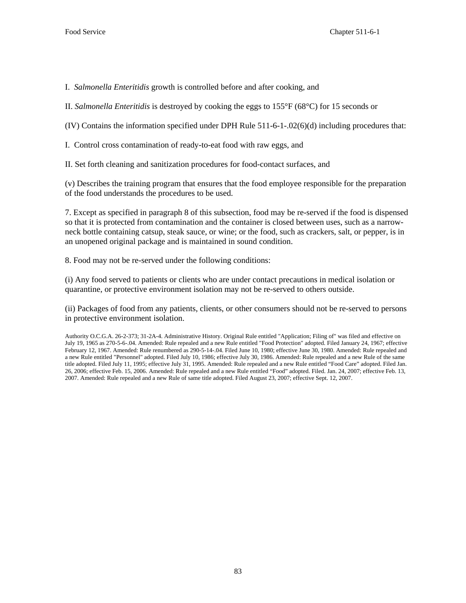I. *Salmonella Enteritidis* growth is controlled before and after cooking, and

II. *Salmonella Enteritidis* is destroyed by cooking the eggs to 155°F (68°C) for 15 seconds or

(IV) Contains the information specified under DPH Rule 511-6-1-.02(6)(d) including procedures that:

I. Control cross contamination of ready-to-eat food with raw eggs, and

II. Set forth cleaning and sanitization procedures for food-contact surfaces, and

(v) Describes the training program that ensures that the food employee responsible for the preparation of the food understands the procedures to be used.

7. Except as specified in paragraph 8 of this subsection, food may be re-served if the food is dispensed so that it is protected from contamination and the container is closed between uses, such as a narrowneck bottle containing catsup, steak sauce, or wine; or the food, such as crackers, salt, or pepper, is in an unopened original package and is maintained in sound condition.

8. Food may not be re-served under the following conditions:

(i) Any food served to patients or clients who are under contact precautions in medical isolation or quarantine, or protective environment isolation may not be re-served to others outside.

(ii) Packages of food from any patients, clients, or other consumers should not be re-served to persons in protective environment isolation.

Authority O.C.G.A. 26-2-373; 31-2A-4. Administrative History. Original Rule entitled "Application; Filing of" was filed and effective on July 19, 1965 as 270-5-6-.04. Amended: Rule repealed and a new Rule entitled "Food Protection" adopted. Filed January 24, 1967; effective February 12, 1967. Amended: Rule renumbered as 290-5-14-.04. Filed June 10, 1980; effective June 30, 1980. Amended: Rule repealed and a new Rule entitled "Personnel" adopted. Filed July 10, 1986; effective July 30, 1986. Amended: Rule repealed and a new Rule of the same title adopted. Filed July 11, 1995; effective July 31, 1995. Amended: Rule repealed and a new Rule entitled "Food Care" adopted. Filed Jan. 26, 2006; effective Feb. 15, 2006. Amended: Rule repealed and a new Rule entitled "Food" adopted. Filed. Jan. 24, 2007; effective Feb. 13, 2007. Amended: Rule repealed and a new Rule of same title adopted. Filed August 23, 2007; effective Sept. 12, 2007.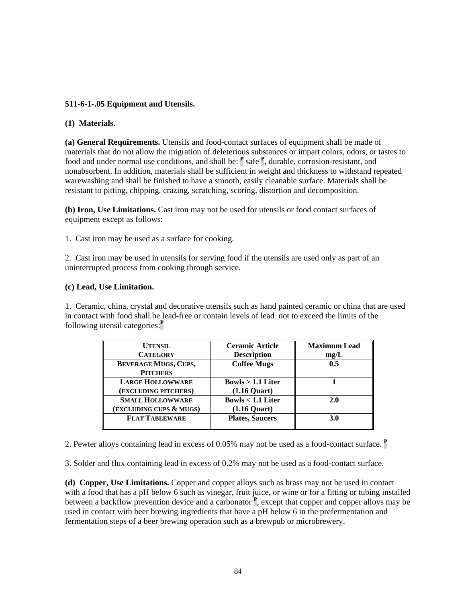# **511-6-1-.05 Equipment and Utensils.**

# **(1) Materials.**

**(a) General Requirements.** Utensils and food-contact surfaces of equipment shall be made of materials that do not allow the migration of deleterious substances or impart colors, odors, or tastes to food and under normal use conditions, and shall be:  $\frac{P}{P}$  safe  $\frac{P}{P}$ , durable, corrosion-resistant, and nonabsorbent. In addition, materials shall be sufficient in weight and thickness to withstand repeated warewashing and shall be finished to have a smooth, easily cleanable surface. Materials shall be resistant to pitting, chipping, crazing, scratching, scoring, distortion and decomposition.

**(b) Iron, Use Limitations.** Cast iron may not be used for utensils or food contact surfaces of equipment except as follows:

1. Cast iron may be used as a surface for cooking.

2. Cast iron may be used in utensils for serving food if the utensils are used only as part of an uninterrupted process from cooking through service.

# **(c) Lead, Use Limitation.**

1. Ceramic, china, crystal and decorative utensils such as hand painted ceramic or china that are used in contact with food shall be lead-free or contain levels of lead not to exceed the limits of the following utensil categories:**<sup>P</sup>**

| <b>UTENSIL</b><br><b>CATEGORY</b>                  | <b>Ceramic Article</b><br><b>Description</b> | <b>Maximum Lead</b><br>mg/L |
|----------------------------------------------------|----------------------------------------------|-----------------------------|
| <b>BEVERAGE MUGS, CUPS,</b><br><b>PITCHERS</b>     | <b>Coffee Mugs</b>                           | 0.5                         |
| <b>LARGE HOLLOWWARE</b><br>(EXCLUDING PITCHERS)    | Bowls $> 1.1$ Liter<br>$(1.16$ Quart $)$     |                             |
| <b>SMALL HOLLOWWARE</b><br>(EXCLUDING CUPS & MUGS) | Bowls $< 1.1$ Liter<br>$(1.16$ Quart $)$     | <b>2.0</b>                  |
| <b>FLAT TABLEWARE</b>                              | <b>Plates, Saucers</b>                       | 3.0                         |

2. Pewter alloys containing lead in excess of 0.05% may not be used as a food-contact surface. **<sup>P</sup>**

3. Solder and flux containing lead in excess of 0.2% may not be used as a food-contact surface.

**(d) Copper, Use Limitations.** Copper and copper alloys such as brass may not be used in contact with a food that has a pH below 6 such as vinegar, fruit juice, or wine or for a fitting or tubing installed between a backflow prevention device and a carbonator **<sup>P</sup>** , except that copper and copper alloys may be used in contact with beer brewing ingredients that have a pH below 6 in the prefermentation and fermentation steps of a beer brewing operation such as a brewpub or microbrewery.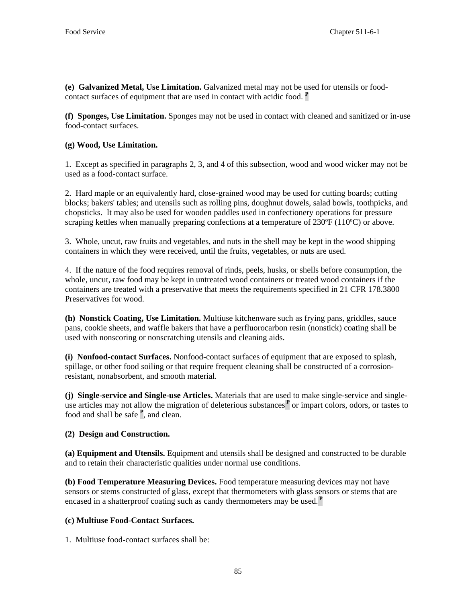**(e) Galvanized Metal, Use Limitation.** Galvanized metal may not be used for utensils or foodcontact surfaces of equipment that are used in contact with acidic food. **<sup>P</sup>**

**(f) Sponges, Use Limitation.** Sponges may not be used in contact with cleaned and sanitized or in-use food-contact surfaces.

# **(g) Wood, Use Limitation.**

1. Except as specified in paragraphs 2, 3, and 4 of this subsection, wood and wood wicker may not be used as a food-contact surface.

2. Hard maple or an equivalently hard, close-grained wood may be used for cutting boards; cutting blocks; bakers' tables; and utensils such as rolling pins, doughnut dowels, salad bowls, toothpicks, and chopsticks. It may also be used for wooden paddles used in confectionery operations for pressure scraping kettles when manually preparing confections at a temperature of 230°F (110°C) or above.

3. Whole, uncut, raw fruits and vegetables, and nuts in the shell may be kept in the wood shipping containers in which they were received, until the fruits, vegetables, or nuts are used.

4. If the nature of the food requires removal of rinds, peels, husks, or shells before consumption, the whole, uncut, raw food may be kept in untreated wood containers or treated wood containers if the containers are treated with a preservative that meets the requirements specified in 21 CFR 178.3800 Preservatives for wood.

**(h) Nonstick Coating, Use Limitation.** Multiuse kitchenware such as frying pans, griddles, sauce pans, cookie sheets, and waffle bakers that have a perfluorocarbon resin (nonstick) coating shall be used with nonscoring or nonscratching utensils and cleaning aids.

**(i) Nonfood-contact Surfaces.** Nonfood-contact surfaces of equipment that are exposed to splash, spillage, or other food soiling or that require frequent cleaning shall be constructed of a corrosionresistant, nonabsorbent, and smooth material.

**(j) Single-service and Single-use Articles.** Materials that are used to make single-service and singleuse articles may not allow the migration of deleterious substances**<sup>P</sup>** or impart colors, odors, or tastes to food and shall be safe **<sup>P</sup>** , and clean.

# **(2) Design and Construction.**

**(a) Equipment and Utensils.** Equipment and utensils shall be designed and constructed to be durable and to retain their characteristic qualities under normal use conditions.

**(b) Food Temperature Measuring Devices.** Food temperature measuring devices may not have sensors or stems constructed of glass, except that thermometers with glass sensors or stems that are encased in a shatterproof coating such as candy thermometers may be used.<sup>P</sup>

# **(c) Multiuse Food-Contact Surfaces.**

1. Multiuse food-contact surfaces shall be: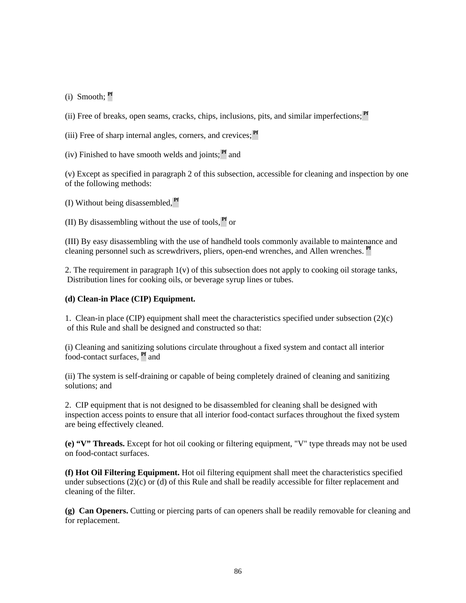(i) Smooth; **Pf**

(ii) Free of breaks, open seams, cracks, chips, inclusions, pits, and similar imperfections; **Pf**

(iii) Free of sharp internal angles, corners, and crevices; **Pf**

(iv) Finished to have smooth welds and joints; **Pf** and

(v) Except as specified in paragraph 2 of this subsection, accessible for cleaning and inspection by one of the following methods:

(I) Without being disassembled, **Pf**

(II) By disassembling without the use of tools, **Pf** or

(III) By easy disassembling with the use of handheld tools commonly available to maintenance and cleaning personnel such as screwdrivers, pliers, open-end wrenches, and Allen wrenches. **Pf**

2. The requirement in paragraph  $1(v)$  of this subsection does not apply to cooking oil storage tanks, Distribution lines for cooking oils, or beverage syrup lines or tubes.

# **(d) Clean-in Place (CIP) Equipment.**

1. Clean-in place (CIP) equipment shall meet the characteristics specified under subsection (2)(c) of this Rule and shall be designed and constructed so that:

(i) Cleaning and sanitizing solutions circulate throughout a fixed system and contact all interior food-contact surfaces, **Pf** and

(ii) The system is self-draining or capable of being completely drained of cleaning and sanitizing solutions; and

2. CIP equipment that is not designed to be disassembled for cleaning shall be designed with inspection access points to ensure that all interior food-contact surfaces throughout the fixed system are being effectively cleaned.

**(e) "V" Threads.** Except for hot oil cooking or filtering equipment, "V" type threads may not be used on food-contact surfaces.

**(f) Hot Oil Filtering Equipment.** Hot oil filtering equipment shall meet the characteristics specified under subsections (2)(c) or (d) of this Rule and shall be readily accessible for filter replacement and cleaning of the filter.

**(g) Can Openers.** Cutting or piercing parts of can openers shall be readily removable for cleaning and for replacement.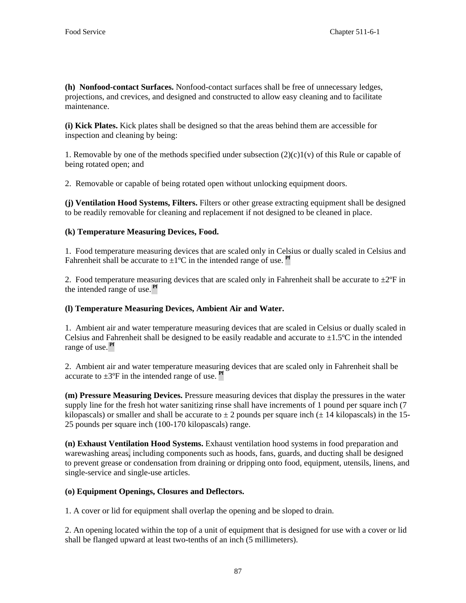**(h) Nonfood-contact Surfaces.** Nonfood-contact surfaces shall be free of unnecessary ledges, projections, and crevices, and designed and constructed to allow easy cleaning and to facilitate maintenance.

**(i) Kick Plates.** Kick plates shall be designed so that the areas behind them are accessible for inspection and cleaning by being:

1. Removable by one of the methods specified under subsection  $(2)(c)1(v)$  of this Rule or capable of being rotated open; and

2. Removable or capable of being rotated open without unlocking equipment doors.

**(j) Ventilation Hood Systems, Filters.** Filters or other grease extracting equipment shall be designed to be readily removable for cleaning and replacement if not designed to be cleaned in place.

# **(k) Temperature Measuring Devices, Food.**

1. Food temperature measuring devices that are scaled only in Celsius or dually scaled in Celsius and Fahrenheit shall be accurate to  $\pm 1^{\circ}$ C in the intended range of use. **Pf** 

2. Food temperature measuring devices that are scaled only in Fahrenheit shall be accurate to  $\pm 2^{\circ}F$  in the intended range of use. **Pf**

# **(l) Temperature Measuring Devices, Ambient Air and Water.**

1. Ambient air and water temperature measuring devices that are scaled in Celsius or dually scaled in Celsius and Fahrenheit shall be designed to be easily readable and accurate to  $\pm 1.5^{\circ}$ C in the intended range of use. **Pf**

2. Ambient air and water temperature measuring devices that are scaled only in Fahrenheit shall be accurate to  $\pm 3^{\circ}$ F in the intended range of use.  $Pf$ 

**(m) Pressure Measuring Devices.** Pressure measuring devices that display the pressures in the water supply line for the fresh hot water sanitizing rinse shall have increments of 1 pound per square inch (7) kilopascals) or smaller and shall be accurate to  $\pm 2$  pounds per square inch ( $\pm 14$  kilopascals) in the 15-25 pounds per square inch (100-170 kilopascals) range.

**(n) Exhaust Ventilation Hood Systems.** Exhaust ventilation hood systems in food preparation and warewashing areas, including components such as hoods, fans, guards, and ducting shall be designed to prevent grease or condensation from draining or dripping onto food, equipment, utensils, linens, and single-service and single-use articles.

# **(o) Equipment Openings, Closures and Deflectors.**

1. A cover or lid for equipment shall overlap the opening and be sloped to drain.

2. An opening located within the top of a unit of equipment that is designed for use with a cover or lid shall be flanged upward at least two-tenths of an inch (5 millimeters).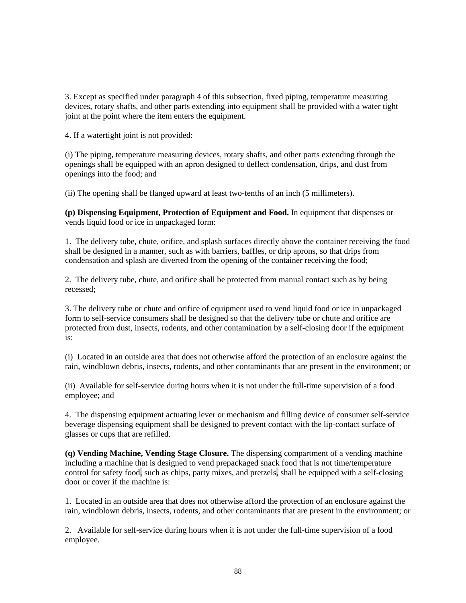3. Except as specified under paragraph 4 of this subsection, fixed piping, temperature measuring devices, rotary shafts, and other parts extending into equipment shall be provided with a water tight joint at the point where the item enters the equipment.

4. If a watertight joint is not provided:

(i) The piping, temperature measuring devices, rotary shafts, and other parts extending through the openings shall be equipped with an apron designed to deflect condensation, drips, and dust from openings into the food; and

(ii) The opening shall be flanged upward at least two-tenths of an inch (5 millimeters).

**(p) Dispensing Equipment, Protection of Equipment and Food.** In equipment that dispenses or vends liquid food or ice in unpackaged form:

1. The delivery tube, chute, orifice, and splash surfaces directly above the container receiving the food shall be designed in a manner, such as with barriers, baffles, or drip aprons, so that drips from condensation and splash are diverted from the opening of the container receiving the food;

2. The delivery tube, chute, and orifice shall be protected from manual contact such as by being recessed;

3. The delivery tube or chute and orifice of equipment used to vend liquid food or ice in unpackaged form to self-service consumers shall be designed so that the delivery tube or chute and orifice are protected from dust, insects, rodents, and other contamination by a self-closing door if the equipment is:

(i) Located in an outside area that does not otherwise afford the protection of an enclosure against the rain, windblown debris, insects, rodents, and other contaminants that are present in the environment; or

(ii) Available for self-service during hours when it is not under the full-time supervision of a food employee; and

4. The dispensing equipment actuating lever or mechanism and filling device of consumer self-service beverage dispensing equipment shall be designed to prevent contact with the lip-contact surface of glasses or cups that are refilled.

**(q) Vending Machine, Vending Stage Closure.** The dispensing compartment of a vending machine including a machine that is designed to vend prepackaged snack food that is not time/temperature control for safety food, such as chips, party mixes, and pretzels, shall be equipped with a self-closing door or cover if the machine is:

1. Located in an outside area that does not otherwise afford the protection of an enclosure against the rain, windblown debris, insects, rodents, and other contaminants that are present in the environment; or

2. Available for self-service during hours when it is not under the full-time supervision of a food employee.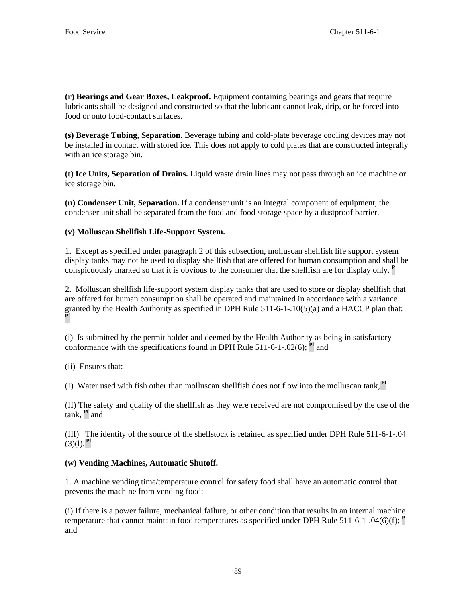**(r) Bearings and Gear Boxes, Leakproof.** Equipment containing bearings and gears that require lubricants shall be designed and constructed so that the lubricant cannot leak, drip, or be forced into food or onto food-contact surfaces.

**(s) Beverage Tubing, Separation.** Beverage tubing and cold-plate beverage cooling devices may not be installed in contact with stored ice. This does not apply to cold plates that are constructed integrally with an ice storage bin.

**(t) Ice Units, Separation of Drains.** Liquid waste drain lines may not pass through an ice machine or ice storage bin.

**(u) Condenser Unit, Separation.** If a condenser unit is an integral component of equipment, the condenser unit shall be separated from the food and food storage space by a dustproof barrier.

# **(v) Molluscan Shellfish Life-Support System.**

1. Except as specified under paragraph 2 of this subsection, molluscan shellfish life support system display tanks may not be used to display shellfish that are offered for human consumption and shall be conspicuously marked so that it is obvious to the consumer that the shellfish are for display only. **<sup>P</sup>**

2. Molluscan shellfish life-support system display tanks that are used to store or display shellfish that are offered for human consumption shall be operated and maintained in accordance with a variance granted by the Health Authority as specified in DPH Rule 511-6-1-.10(5)(a) and a HACCP plan that: **Pf**

(i) Is submitted by the permit holder and deemed by the Health Authority as being in satisfactory conformance with the specifications found in DPH Rule  $511-6-1-02(6)$ ; **Pf** and

(ii) Ensures that:

(I) Water used with fish other than molluscan shellfish does not flow into the molluscan tank, **Pf**

(II) The safety and quality of the shellfish as they were received are not compromised by the use of the tank, **Pf** and

(III) The identity of the source of the shellstock is retained as specified under DPH Rule 511-6-1-.04  $(3)(1)$ . **Pf** 

# **(w) Vending Machines, Automatic Shutoff.**

1. A machine vending time/temperature control for safety food shall have an automatic control that prevents the machine from vending food:

(i) If there is a power failure, mechanical failure, or other condition that results in an internal machine temperature that cannot maintain food temperatures as specified under DPH Rule 511-6-1-.04(6)(f); **<sup>P</sup>** and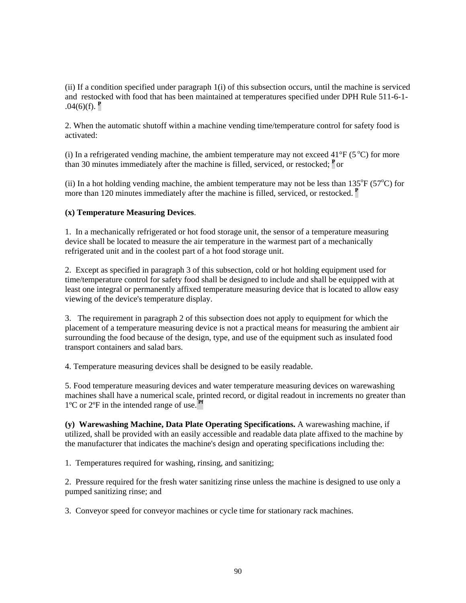(ii) If a condition specified under paragraph 1(i) of this subsection occurs, until the machine is serviced and restocked with food that has been maintained at temperatures specified under DPH Rule 511-6-1-  $.04(6)(f)$ .  $P$ 

2. When the automatic shutoff within a machine vending time/temperature control for safety food is activated:

(i) In a refrigerated vending machine, the ambient temperature may not exceed  $41^{\circ}F$  (5 $^{\circ}C$ ) for more than 30 minutes immediately after the machine is filled, serviced, or restocked; **<sup>P</sup>**or

(ii) In a hot holding vending machine, the ambient temperature may not be less than  $135^{\circ}F$  (57 $^{\circ}C$ ) for more than 120 minutes immediately after the machine is filled, serviced, or restocked. **<sup>P</sup>**

#### **(x) Temperature Measuring Devices**.

1. In a mechanically refrigerated or hot food storage unit, the sensor of a temperature measuring device shall be located to measure the air temperature in the warmest part of a mechanically refrigerated unit and in the coolest part of a hot food storage unit.

2. Except as specified in paragraph 3 of this subsection, cold or hot holding equipment used for time/temperature control for safety food shall be designed to include and shall be equipped with at least one integral or permanently affixed temperature measuring device that is located to allow easy viewing of the device's temperature display.

3. The requirement in paragraph 2 of this subsection does not apply to equipment for which the placement of a temperature measuring device is not a practical means for measuring the ambient air surrounding the food because of the design, type, and use of the equipment such as insulated food transport containers and salad bars.

4. Temperature measuring devices shall be designed to be easily readable.

5. Food temperature measuring devices and water temperature measuring devices on warewashing machines shall have a numerical scale, printed record, or digital readout in increments no greater than 1ºC or 2ºF in the intended range of use. **Pf**

**(y) Warewashing Machine, Data Plate Operating Specifications.** A warewashing machine, if utilized, shall be provided with an easily accessible and readable data plate affixed to the machine by the manufacturer that indicates the machine's design and operating specifications including the:

1. Temperatures required for washing, rinsing, and sanitizing;

2. Pressure required for the fresh water sanitizing rinse unless the machine is designed to use only a pumped sanitizing rinse; and

3. Conveyor speed for conveyor machines or cycle time for stationary rack machines.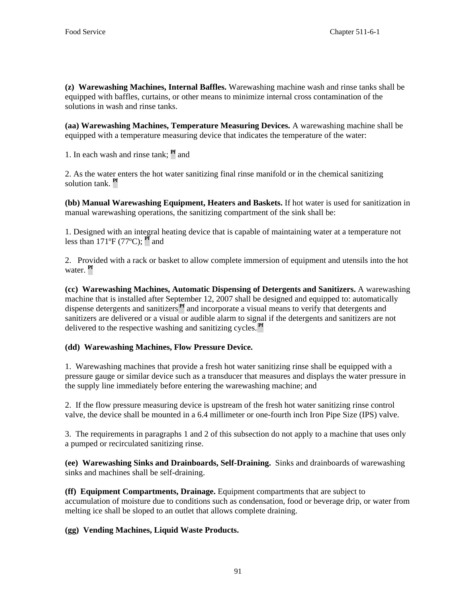**(z) Warewashing Machines, Internal Baffles.** Warewashing machine wash and rinse tanks shall be equipped with baffles, curtains, or other means to minimize internal cross contamination of the solutions in wash and rinse tanks.

**(aa) Warewashing Machines, Temperature Measuring Devices.** A warewashing machine shall be equipped with a temperature measuring device that indicates the temperature of the water:

1. In each wash and rinse tank; **Pf** and

2. As the water enters the hot water sanitizing final rinse manifold or in the chemical sanitizing solution tank. **Pf**

**(bb) Manual Warewashing Equipment, Heaters and Baskets.** If hot water is used for sanitization in manual warewashing operations, the sanitizing compartment of the sink shall be:

1. Designed with an integral heating device that is capable of maintaining water at a temperature not less than 171ºF (77ºC); **Pf** and

2. Provided with a rack or basket to allow complete immersion of equipment and utensils into the hot water. **Pf**

**(cc) Warewashing Machines, Automatic Dispensing of Detergents and Sanitizers.** A warewashing machine that is installed after September 12, 2007 shall be designed and equipped to: automatically dispense detergents and sanitizers **Pf** and incorporate a visual means to verify that detergents and sanitizers are delivered or a visual or audible alarm to signal if the detergents and sanitizers are not delivered to the respective washing and sanitizing cycles. **Pf**

# **(dd) Warewashing Machines, Flow Pressure Device.**

1. Warewashing machines that provide a fresh hot water sanitizing rinse shall be equipped with a pressure gauge or similar device such as a transducer that measures and displays the water pressure in the supply line immediately before entering the warewashing machine; and

2. If the flow pressure measuring device is upstream of the fresh hot water sanitizing rinse control valve, the device shall be mounted in a 6.4 millimeter or one-fourth inch Iron Pipe Size (IPS) valve.

3. The requirements in paragraphs 1 and 2 of this subsection do not apply to a machine that uses only a pumped or recirculated sanitizing rinse.

**(ee) Warewashing Sinks and Drainboards, Self-Draining.** Sinks and drainboards of warewashing sinks and machines shall be self-draining.

**(ff) Equipment Compartments, Drainage.** Equipment compartments that are subject to accumulation of moisture due to conditions such as condensation, food or beverage drip, or water from melting ice shall be sloped to an outlet that allows complete draining.

**(gg) Vending Machines, Liquid Waste Products.**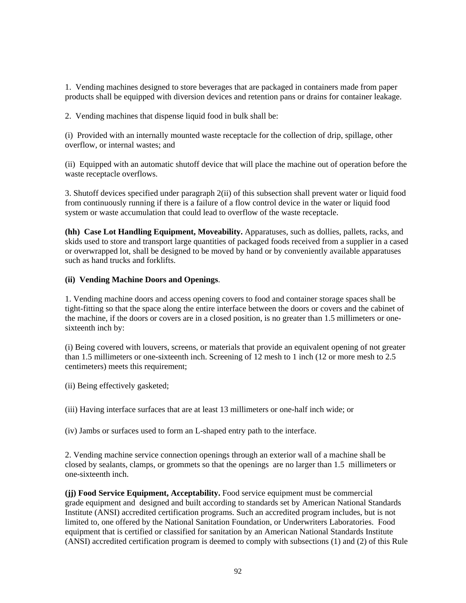1. Vending machines designed to store beverages that are packaged in containers made from paper products shall be equipped with diversion devices and retention pans or drains for container leakage.

2. Vending machines that dispense liquid food in bulk shall be:

(i) Provided with an internally mounted waste receptacle for the collection of drip, spillage, other overflow, or internal wastes; and

(ii) Equipped with an automatic shutoff device that will place the machine out of operation before the waste receptacle overflows.

3. Shutoff devices specified under paragraph 2(ii) of this subsection shall prevent water or liquid food from continuously running if there is a failure of a flow control device in the water or liquid food system or waste accumulation that could lead to overflow of the waste receptacle.

**(hh) Case Lot Handling Equipment, Moveability.** Apparatuses, such as dollies, pallets, racks, and skids used to store and transport large quantities of packaged foods received from a supplier in a cased or overwrapped lot, shall be designed to be moved by hand or by conveniently available apparatuses such as hand trucks and forklifts.

# **(ii) Vending Machine Doors and Openings**.

1. Vending machine doors and access opening covers to food and container storage spaces shall be tight-fitting so that the space along the entire interface between the doors or covers and the cabinet of the machine, if the doors or covers are in a closed position, is no greater than 1.5 millimeters or onesixteenth inch by:

(i) Being covered with louvers, screens, or materials that provide an equivalent opening of not greater than 1.5 millimeters or one-sixteenth inch. Screening of 12 mesh to 1 inch (12 or more mesh to 2.5 centimeters) meets this requirement;

(ii) Being effectively gasketed;

(iii) Having interface surfaces that are at least 13 millimeters or one-half inch wide; or

(iv) Jambs or surfaces used to form an L-shaped entry path to the interface.

2. Vending machine service connection openings through an exterior wall of a machine shall be closed by sealants, clamps, or grommets so that the openings are no larger than 1.5 millimeters or one-sixteenth inch.

**(jj) Food Service Equipment, Acceptability.** Food service equipment must be commercial grade equipment and designed and built according to standards set by American National Standards Institute (ANSI) accredited certification programs. Such an accredited program includes, but is not limited to, one offered by the National Sanitation Foundation, or Underwriters Laboratories. Food equipment that is certified or classified for sanitation by an American National Standards Institute (ANSI) accredited certification program is deemed to comply with subsections (1) and (2) of this Rule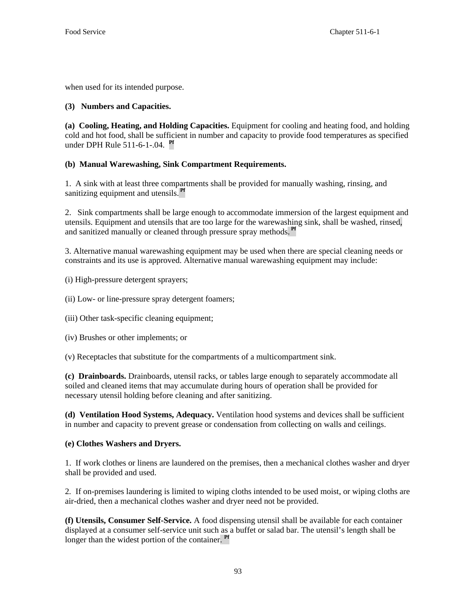when used for its intended purpose.

# **(3) Numbers and Capacities.**

**(a) Cooling, Heating, and Holding Capacities.** Equipment for cooling and heating food, and holding cold and hot food, shall be sufficient in number and capacity to provide food temperatures as specified under DPH Rule 511-6-1-.04. **Pf**

# **(b) Manual Warewashing, Sink Compartment Requirements.**

1. A sink with at least three compartments shall be provided for manually washing, rinsing, and sanitizing equipment and utensils. **Pf**

2. Sink compartments shall be large enough to accommodate immersion of the largest equipment and utensils. Equipment and utensils that are too large for the warewashing sink, shall be washed, rinsed, and sanitized manually or cleaned through pressure spray methods. **Pf**

3. Alternative manual warewashing equipment may be used when there are special cleaning needs or constraints and its use is approved. Alternative manual warewashing equipment may include:

(i) High-pressure detergent sprayers;

- (ii) Low- or line-pressure spray detergent foamers;
- (iii) Other task-specific cleaning equipment;
- (iv) Brushes or other implements; or

(v) Receptacles that substitute for the compartments of a multicompartment sink.

**(c) Drainboards.** Drainboards, utensil racks, or tables large enough to separately accommodate all soiled and cleaned items that may accumulate during hours of operation shall be provided for necessary utensil holding before cleaning and after sanitizing.

**(d) Ventilation Hood Systems, Adequacy.** Ventilation hood systems and devices shall be sufficient in number and capacity to prevent grease or condensation from collecting on walls and ceilings.

# **(e) Clothes Washers and Dryers.**

1. If work clothes or linens are laundered on the premises, then a mechanical clothes washer and dryer shall be provided and used.

2*.* If on-premises laundering is limited to wiping cloths intended to be used moist, or wiping cloths are air-dried, then a mechanical clothes washer and dryer need not be provided.

**(f) Utensils, Consumer Self-Service.** A food dispensing utensil shall be available for each container displayed at a consumer self-service unit such as a buffet or salad bar. The utensil's length shall be longer than the widest portion of the container. **Pf**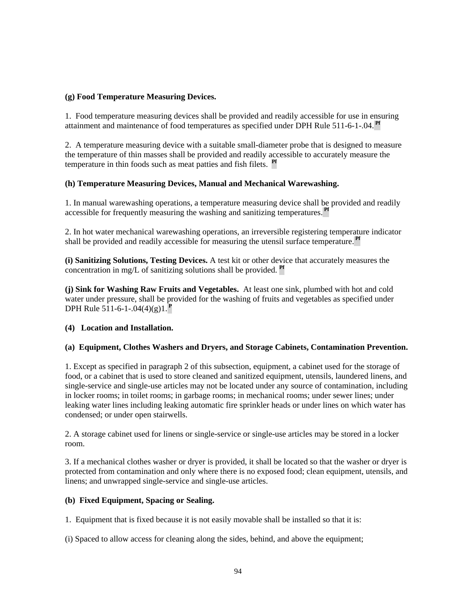# **(g) Food Temperature Measuring Devices.**

1. Food temperature measuring devices shall be provided and readily accessible for use in ensuring attainment and maintenance of food temperatures as specified under DPH Rule 511-6-1-.04. **Pf**

2. A temperature measuring device with a suitable small-diameter probe that is designed to measure the temperature of thin masses shall be provided and readily accessible to accurately measure the temperature in thin foods such as meat patties and fish filets. **Pf**

# **(h) Temperature Measuring Devices, Manual and Mechanical Warewashing.**

1. In manual warewashing operations, a temperature measuring device shall be provided and readily accessible for frequently measuring the washing and sanitizing temperatures. **Pf**

2. In hot water mechanical warewashing operations, an irreversible registering temperature indicator shall be provided and readily accessible for measuring the utensil surface temperature. **Pf**

**(i) Sanitizing Solutions, Testing Devices.** A test kit or other device that accurately measures the concentration in mg/L of sanitizing solutions shall be provided. **Pf**

**(j) Sink for Washing Raw Fruits and Vegetables.** At least one sink, plumbed with hot and cold water under pressure, shall be provided for the washing of fruits and vegetables as specified under DPH Rule 511-6-1-.04(4)(g)1.**<sup>P</sup>**

# **(4) Location and Installation.**

# **(a) Equipment, Clothes Washers and Dryers, and Storage Cabinets, Contamination Prevention.**

1. Except as specified in paragraph 2 of this subsection, equipment, a cabinet used for the storage of food, or a cabinet that is used to store cleaned and sanitized equipment, utensils, laundered linens, and single-service and single-use articles may not be located under any source of contamination, including in locker rooms; in toilet rooms; in garbage rooms; in mechanical rooms; under sewer lines; under leaking water lines including leaking automatic fire sprinkler heads or under lines on which water has condensed; or under open stairwells.

2. A storage cabinet used for linens or single-service or single-use articles may be stored in a locker room.

3. If a mechanical clothes washer or dryer is provided, it shall be located so that the washer or dryer is protected from contamination and only where there is no exposed food; clean equipment, utensils, and linens; and unwrapped single-service and single-use articles.

# **(b) Fixed Equipment, Spacing or Sealing.**

1. Equipment that is fixed because it is not easily movable shall be installed so that it is:

(i) Spaced to allow access for cleaning along the sides, behind, and above the equipment;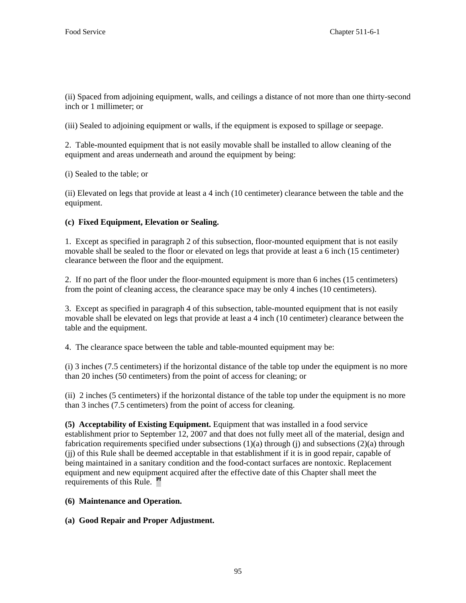(ii) Spaced from adjoining equipment, walls, and ceilings a distance of not more than one thirty-second inch or 1 millimeter; or

(iii) Sealed to adjoining equipment or walls, if the equipment is exposed to spillage or seepage.

2. Table-mounted equipment that is not easily movable shall be installed to allow cleaning of the equipment and areas underneath and around the equipment by being:

(i) Sealed to the table; or

(ii) Elevated on legs that provide at least a 4 inch (10 centimeter) clearance between the table and the equipment.

# **(c) Fixed Equipment, Elevation or Sealing.**

1. Except as specified in paragraph 2 of this subsection, floor-mounted equipment that is not easily movable shall be sealed to the floor or elevated on legs that provide at least a 6 inch (15 centimeter) clearance between the floor and the equipment.

2. If no part of the floor under the floor-mounted equipment is more than 6 inches (15 centimeters) from the point of cleaning access, the clearance space may be only 4 inches (10 centimeters).

3. Except as specified in paragraph 4 of this subsection, table-mounted equipment that is not easily movable shall be elevated on legs that provide at least a 4 inch (10 centimeter) clearance between the table and the equipment.

4. The clearance space between the table and table-mounted equipment may be:

(i) 3 inches (7.5 centimeters) if the horizontal distance of the table top under the equipment is no more than 20 inches (50 centimeters) from the point of access for cleaning; or

(ii) 2 inches (5 centimeters) if the horizontal distance of the table top under the equipment is no more than 3 inches (7.5 centimeters) from the point of access for cleaning.

**(5) Acceptability of Existing Equipment.** Equipment that was installed in a food service establishment prior to September 12, 2007 and that does not fully meet all of the material, design and fabrication requirements specified under subsections  $(1)(a)$  through  $(i)$  and subsections  $(2)(a)$  through (jj) of this Rule shall be deemed acceptable in that establishment if it is in good repair, capable of being maintained in a sanitary condition and the food-contact surfaces are nontoxic. Replacement equipment and new equipment acquired after the effective date of this Chapter shall meet the requirements of this Rule. **Pf**

# **(6) Maintenance and Operation.**

# **(a) Good Repair and Proper Adjustment.**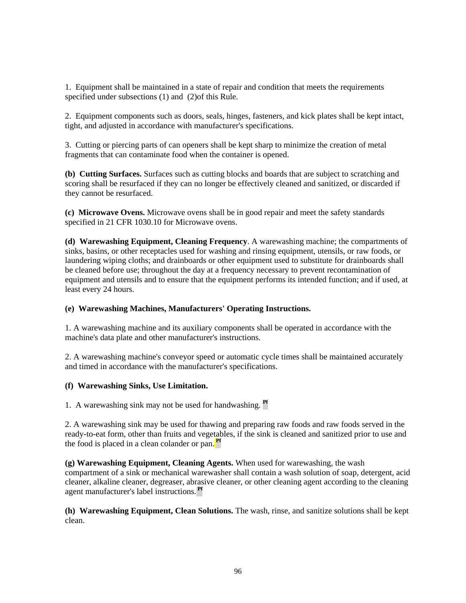1. Equipment shall be maintained in a state of repair and condition that meets the requirements specified under subsections (1) and (2)of this Rule.

2. Equipment components such as doors, seals, hinges, fasteners, and kick plates shall be kept intact, tight, and adjusted in accordance with manufacturer's specifications.

3. Cutting or piercing parts of can openers shall be kept sharp to minimize the creation of metal fragments that can contaminate food when the container is opened.

**(b) Cutting Surfaces.** Surfaces such as cutting blocks and boards that are subject to scratching and scoring shall be resurfaced if they can no longer be effectively cleaned and sanitized, or discarded if they cannot be resurfaced.

**(c) Microwave Ovens.** Microwave ovens shall be in good repair and meet the safety standards specified in 21 CFR 1030.10 for Microwave ovens.

**(d) Warewashing Equipment, Cleaning Frequency**. A warewashing machine; the compartments of sinks, basins, or other receptacles used for washing and rinsing equipment, utensils, or raw foods, or laundering wiping cloths; and drainboards or other equipment used to substitute for drainboards shall be cleaned before use; throughout the day at a frequency necessary to prevent recontamination of equipment and utensils and to ensure that the equipment performs its intended function; and if used, at least every 24 hours.

# **(e) Warewashing Machines, Manufacturers' Operating Instructions.**

1. A warewashing machine and its auxiliary components shall be operated in accordance with the machine's data plate and other manufacturer's instructions.

2. A warewashing machine's conveyor speed or automatic cycle times shall be maintained accurately and timed in accordance with the manufacturer's specifications.

# **(f) Warewashing Sinks, Use Limitation.**

1. A warewashing sink may not be used for handwashing. **Pf**

2. A warewashing sink may be used for thawing and preparing raw foods and raw foods served in the ready-to-eat form, other than fruits and vegetables, if the sink is cleaned and sanitized prior to use and the food is placed in a clean colander or pan. **Pf**

**(g) Warewashing Equipment, Cleaning Agents.** When used for warewashing, the wash compartment of a sink or mechanical warewasher shall contain a wash solution of soap, detergent, acid cleaner, alkaline cleaner, degreaser, abrasive cleaner, or other cleaning agent according to the cleaning agent manufacturer's label instructions. **Pf**

**(h) Warewashing Equipment, Clean Solutions.** The wash, rinse, and sanitize solutions shall be kept clean.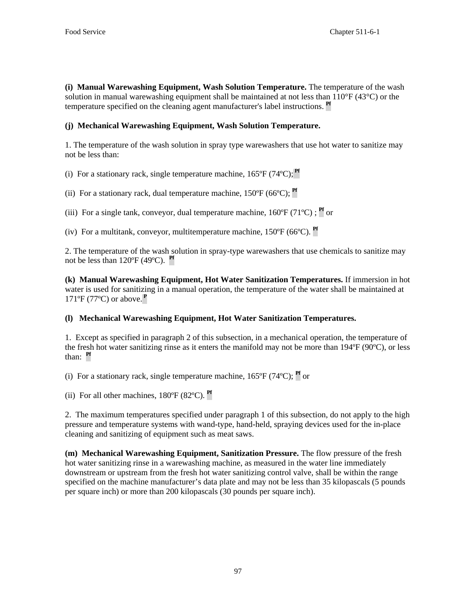**(i) Manual Warewashing Equipment, Wash Solution Temperature.** The temperature of the wash solution in manual warewashing equipment shall be maintained at not less than  $110^{\circ}F(43^{\circ}C)$  or the temperature specified on the cleaning agent manufacturer's label instructions. **Pf**

# **(j) Mechanical Warewashing Equipment, Wash Solution Temperature.**

1. The temperature of the wash solution in spray type warewashers that use hot water to sanitize may not be less than:

(i) For a stationary rack, single temperature machine,  $165^{\circ}F(74^{\circ}C)$ ; <sup>Pf</sup>

- (ii) For a stationary rack, dual temperature machine, 150ºF (66ºC); **Pf**
- (iii) For a single tank, conveyor, dual temperature machine,  $160^{\circ}F(71^{\circ}C)$ ; <sup>Pf</sup> or

(iv) For a multitank, conveyor, multitemperature machine, 150ºF (66ºC). **Pf**

2. The temperature of the wash solution in spray-type warewashers that use chemicals to sanitize may not be less than 120ºF (49ºC). **Pf**

**(k) Manual Warewashing Equipment, Hot Water Sanitization Temperatures.** If immersion in hot water is used for sanitizing in a manual operation, the temperature of the water shall be maintained at 171ºF (77ºC) or above.**<sup>P</sup>**

# **(l) Mechanical Warewashing Equipment, Hot Water Sanitization Temperatures.**

1. Except as specified in paragraph 2 of this subsection, in a mechanical operation, the temperature of the fresh hot water sanitizing rinse as it enters the manifold may not be more than 194ºF (90ºC), or less than: **Pf**

(i) For a stationary rack, single temperature machine,  $165^{\circ}F$  (74 $^{\circ}C$ ); <sup>Pf</sup> or

(ii) For all other machines, 180ºF (82ºC). **Pf**

2. The maximum temperatures specified under paragraph 1 of this subsection, do not apply to the high pressure and temperature systems with wand-type, hand-held, spraying devices used for the in-place cleaning and sanitizing of equipment such as meat saws.

**(m) Mechanical Warewashing Equipment, Sanitization Pressure.** The flow pressure of the fresh hot water sanitizing rinse in a warewashing machine, as measured in the water line immediately downstream or upstream from the fresh hot water sanitizing control valve, shall be within the range specified on the machine manufacturer's data plate and may not be less than 35 kilopascals (5 pounds per square inch) or more than 200 kilopascals (30 pounds per square inch).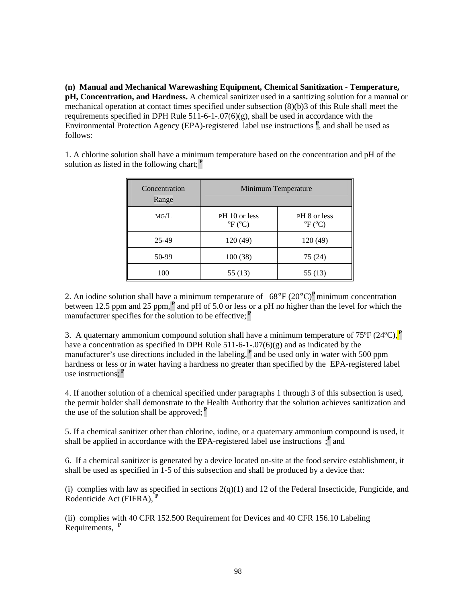**(n) Manual and Mechanical Warewashing Equipment, Chemical Sanitization - Temperature, pH, Concentration, and Hardness.** A chemical sanitizer used in a sanitizing solution for a manual or mechanical operation at contact times specified under subsection (8)(b)3 of this Rule shall meet the requirements specified in DPH Rule  $511-6-1-07(6)(g)$ , shall be used in accordance with the Environmental Protection Agency (EPA)-registered label use instructions **<sup>P</sup>** , and shall be used as follows:

| Concentration<br>Range | Minimum Temperature                              |                                             |
|------------------------|--------------------------------------------------|---------------------------------------------|
| MG/L                   | PH 10 or less<br>${}^{\circ}F$ ( ${}^{\circ}C$ ) | PH 8 or less<br>$^{\circ}F$ ( $^{\circ}C$ ) |
| 25-49                  | 120 (49)                                         | 120(49)                                     |
| 50-99                  | 100(38)                                          | 75 (24)                                     |
| 100                    | 55 (13)                                          | 55 (13)                                     |

1. A chlorine solution shall have a minimum temperature based on the concentration and pH of the solution as listed in the following chart;**<sup>P</sup>**

2. An iodine solution shall have a minimum temperature of 68°F (20°C)**<sup>P</sup>** minimum concentration between 12.5 ppm and 25 ppm,**<sup>P</sup>** and pH of 5.0 or less or a pH no higher than the level for which the manufacturer specifies for the solution to be effective;**<sup>P</sup>**

3. A quaternary ammonium compound solution shall have a minimum temperature of 75ºF (24ºC),**<sup>P</sup>** have a concentration as specified in DPH Rule  $511-6-1-07(6)(g)$  and as indicated by the manufacturer's use directions included in the labeling,**<sup>P</sup>** and be used only in water with 500 ppm hardness or less or in water having a hardness no greater than specified by the EPA-registered label use instructions;**<sup>P</sup>**

4. If another solution of a chemical specified under paragraphs 1 through 3 of this subsection is used, the permit holder shall demonstrate to the Health Authority that the solution achieves sanitization and the use of the solution shall be approved;  $\mathbf{P}$ 

5. If a chemical sanitizer other than chlorine, iodine, or a quaternary ammonium compound is used, it shall be applied in accordance with the EPA-registered label use instructions  $\cdot$ <sup>P</sup> and

6. If a chemical sanitizer is generated by a device located on-site at the food service establishment, it shall be used as specified in 1-5 of this subsection and shall be produced by a device that:

(i) complies with law as specified in sections  $2(q)(1)$  and 12 of the Federal Insecticide, Fungicide, and Rodenticide Act (FIFRA), **<sup>P</sup>**

(ii) complies with 40 CFR 152.500 Requirement for Devices and 40 CFR 156.10 Labeling Requirements, **<sup>P</sup>**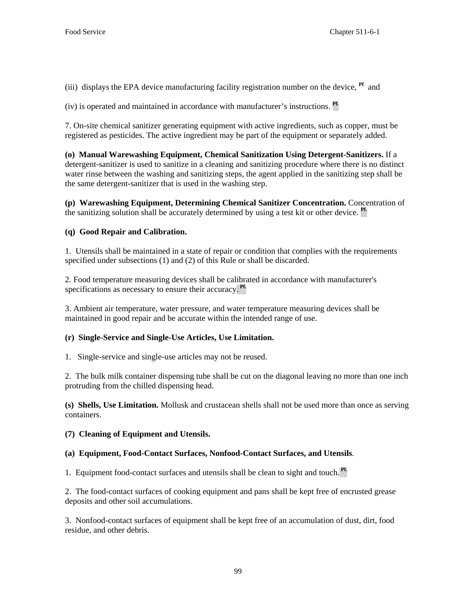(iii) displays the EPA device manufacturing facility registration number on the device, **Pf** and

(iv) is operated and maintained in accordance with manufacturer's instructions. **Pf.** 

7. On-site chemical sanitizer generating equipment with active ingredients, such as copper, must be registered as pesticides. The active ingredient may be part of the equipment or separately added.

**(o) Manual Warewashing Equipment, Chemical Sanitization Using Detergent-Sanitizers.** If a detergent-sanitizer is used to sanitize in a cleaning and sanitizing procedure where there is no distinct water rinse between the washing and sanitizing steps, the agent applied in the sanitizing step shall be the same detergent-sanitizer that is used in the washing step.

**(p) Warewashing Equipment, Determining Chemical Sanitizer Concentration.** Concentration of the sanitizing solution shall be accurately determined by using a test kit or other device. **Pf.**

# **(q) Good Repair and Calibration.**

1. Utensils shall be maintained in a state of repair or condition that complies with the requirements specified under subsections (1) and (2) of this Rule or shall be discarded.

2. Food temperature measuring devices shall be calibrated in accordance with manufacturer's specifications as necessary to ensure their accuracy. **Pf.**

3. Ambient air temperature, water pressure, and water temperature measuring devices shall be maintained in good repair and be accurate within the intended range of use.

# **(r) Single-Service and Single-Use Articles, Use Limitation.**

1. Single-service and single-use articles may not be reused.

2. The bulk milk container dispensing tube shall be cut on the diagonal leaving no more than one inch protruding from the chilled dispensing head.

**(s) Shells, Use Limitation.** Mollusk and crustacean shells shall not be used more than once as serving containers.

# **(7) Cleaning of Equipment and Utensils.**

# **(a) Equipment, Food-Contact Surfaces, Nonfood-Contact Surfaces, and Utensils**.

1. Equipment food-contact surfaces and utensils shall be clean to sight and touch. **Pf.**

2. The food-contact surfaces of cooking equipment and pans shall be kept free of encrusted grease deposits and other soil accumulations.

3. Nonfood-contact surfaces of equipment shall be kept free of an accumulation of dust, dirt, food residue, and other debris.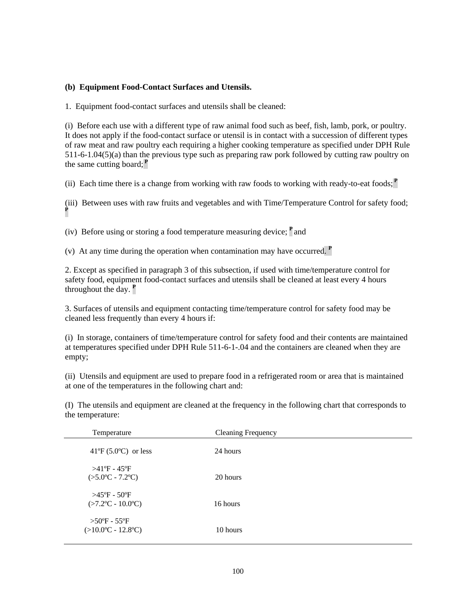#### **(b) Equipment Food-Contact Surfaces and Utensils.**

1. Equipment food-contact surfaces and utensils shall be cleaned:

(i) Before each use with a different type of raw animal food such as beef, fish, lamb, pork, or poultry. It does not apply if the food-contact surface or utensil is in contact with a succession of different types of raw meat and raw poultry each requiring a higher cooking temperature as specified under DPH Rule 511-6-1.04(5)(a) than the previous type such as preparing raw pork followed by cutting raw poultry on the same cutting board;**<sup>P</sup>**

(ii) Each time there is a change from working with raw foods to working with ready-to-eat foods; $\mathbf{P}$ 

(iii) Between uses with raw fruits and vegetables and with Time/Temperature Control for safety food; **P**

(iv) Before using or storing a food temperature measuring device; **<sup>P</sup>**and

(v) At any time during the operation when contamination may have occurred. **<sup>P</sup>**

2. Except as specified in paragraph 3 of this subsection, if used with time/temperature control for safety food, equipment food-contact surfaces and utensils shall be cleaned at least every 4 hours throughout the day. **<sup>P</sup>**

3. Surfaces of utensils and equipment contacting time/temperature control for safety food may be cleaned less frequently than every 4 hours if:

(i) In storage, containers of time/temperature control for safety food and their contents are maintained at temperatures specified under DPH Rule 511-6-1-.04 and the containers are cleaned when they are empty;

(ii) Utensils and equipment are used to prepare food in a refrigerated room or area that is maintained at one of the temperatures in the following chart and:

(I) The utensils and equipment are cleaned at the frequency in the following chart that corresponds to the temperature:

| Temperature                                                                | <b>Cleaning Frequency</b> |  |
|----------------------------------------------------------------------------|---------------------------|--|
| $41^{\circ}F(5.0^{\circ}C)$ or less                                        | 24 hours                  |  |
| $>41^{\circ}$ F - $45^{\circ}$ F<br>$(>5.0^{\circ}C - 7.2^{\circ}C)$       | 20 hours                  |  |
| $>45^{\circ}$ F - 50°F<br>$(>7.2$ <sup>o</sup> C - 10.0 <sup>o</sup> C)    | 16 hours                  |  |
| $>50^{\circ}$ F - 55°F<br>$(>10.0^{\circ}\text{C} - 12.8^{\circ}\text{C})$ | 10 hours                  |  |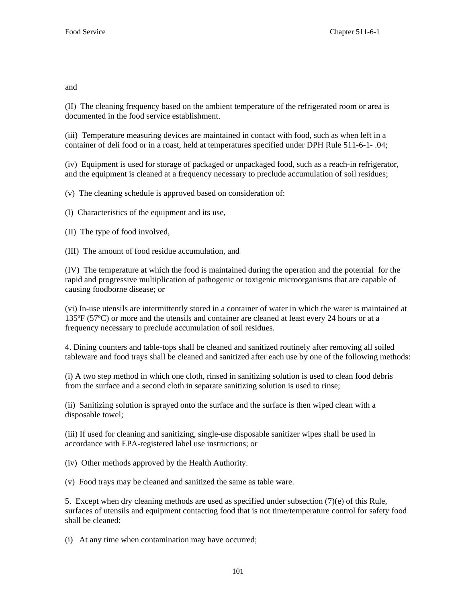and

(II) The cleaning frequency based on the ambient temperature of the refrigerated room or area is documented in the food service establishment.

(iii) Temperature measuring devices are maintained in contact with food, such as when left in a container of deli food or in a roast, held at temperatures specified under DPH Rule 511-6-1- .04;

(iv) Equipment is used for storage of packaged or unpackaged food, such as a reach-in refrigerator, and the equipment is cleaned at a frequency necessary to preclude accumulation of soil residues;

(v) The cleaning schedule is approved based on consideration of:

(I) Characteristics of the equipment and its use,

(II) The type of food involved,

(III) The amount of food residue accumulation, and

(IV) The temperature at which the food is maintained during the operation and the potential for the rapid and progressive multiplication of pathogenic or toxigenic microorganisms that are capable of causing foodborne disease; or

(vi) In-use utensils are intermittently stored in a container of water in which the water is maintained at 135ºF (57ºC) or more and the utensils and container are cleaned at least every 24 hours or at a frequency necessary to preclude accumulation of soil residues.

4. Dining counters and table-tops shall be cleaned and sanitized routinely after removing all soiled tableware and food trays shall be cleaned and sanitized after each use by one of the following methods:

(i) A two step method in which one cloth, rinsed in sanitizing solution is used to clean food debris from the surface and a second cloth in separate sanitizing solution is used to rinse;

(ii) Sanitizing solution is sprayed onto the surface and the surface is then wiped clean with a disposable towel;

(iii) If used for cleaning and sanitizing, single-use disposable sanitizer wipes shall be used in accordance with EPA-registered label use instructions; or

(iv) Other methods approved by the Health Authority.

(v) Food trays may be cleaned and sanitized the same as table ware.

5. Except when dry cleaning methods are used as specified under subsection (7)(e) of this Rule*,*  surfaces of utensils and equipment contacting food that is not time/temperature control for safety food shall be cleaned:

(i) At any time when contamination may have occurred;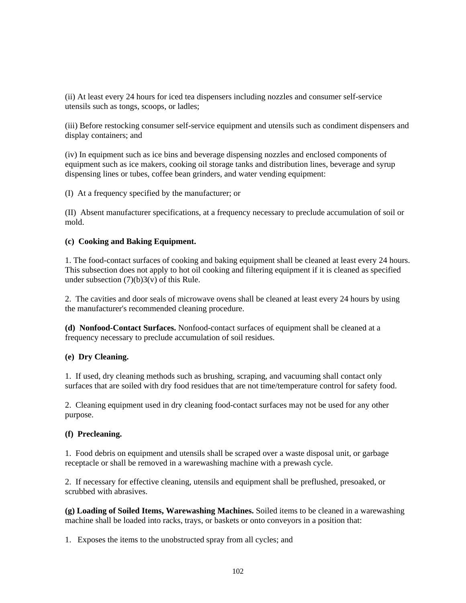(ii) At least every 24 hours for iced tea dispensers including nozzles and consumer self-service utensils such as tongs, scoops, or ladles;

(iii) Before restocking consumer self-service equipment and utensils such as condiment dispensers and display containers; and

(iv) In equipment such as ice bins and beverage dispensing nozzles and enclosed components of equipment such as ice makers, cooking oil storage tanks and distribution lines, beverage and syrup dispensing lines or tubes, coffee bean grinders, and water vending equipment:

(I) At a frequency specified by the manufacturer; or

(II) Absent manufacturer specifications, at a frequency necessary to preclude accumulation of soil or mold.

#### **(c) Cooking and Baking Equipment.**

1. The food-contact surfaces of cooking and baking equipment shall be cleaned at least every 24 hours. This subsection does not apply to hot oil cooking and filtering equipment if it is cleaned as specified under subsection  $(7)(b)3(v)$  of this Rule.

2. The cavities and door seals of microwave ovens shall be cleaned at least every 24 hours by using the manufacturer's recommended cleaning procedure.

**(d) Nonfood-Contact Surfaces.** Nonfood-contact surfaces of equipment shall be cleaned at a frequency necessary to preclude accumulation of soil residues.

#### **(e) Dry Cleaning.**

1. If used, dry cleaning methods such as brushing, scraping, and vacuuming shall contact only surfaces that are soiled with dry food residues that are not time/temperature control for safety food.

2. Cleaning equipment used in dry cleaning food-contact surfaces may not be used for any other purpose.

#### **(f) Precleaning.**

1. Food debris on equipment and utensils shall be scraped over a waste disposal unit, or garbage receptacle or shall be removed in a warewashing machine with a prewash cycle.

2. If necessary for effective cleaning, utensils and equipment shall be preflushed, presoaked, or scrubbed with abrasives.

**(g) Loading of Soiled Items, Warewashing Machines.** Soiled items to be cleaned in a warewashing machine shall be loaded into racks, trays, or baskets or onto conveyors in a position that:

1. Exposes the items to the unobstructed spray from all cycles; and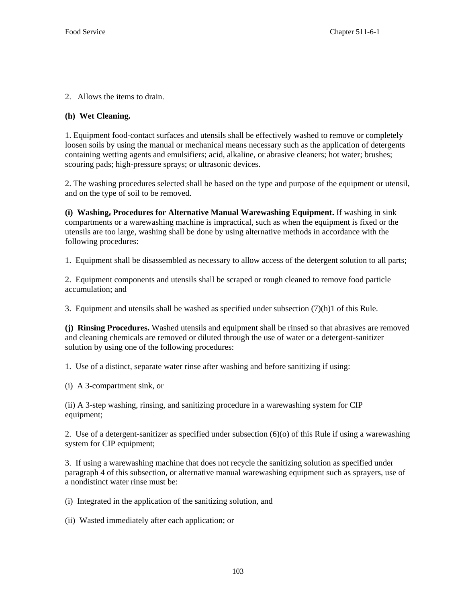2. Allows the items to drain.

#### **(h) Wet Cleaning.**

1. Equipment food-contact surfaces and utensils shall be effectively washed to remove or completely loosen soils by using the manual or mechanical means necessary such as the application of detergents containing wetting agents and emulsifiers; acid, alkaline, or abrasive cleaners; hot water; brushes; scouring pads; high-pressure sprays; or ultrasonic devices.

2. The washing procedures selected shall be based on the type and purpose of the equipment or utensil, and on the type of soil to be removed.

**(i) Washing, Procedures for Alternative Manual Warewashing Equipment.** If washing in sink compartments or a warewashing machine is impractical, such as when the equipment is fixed or the utensils are too large, washing shall be done by using alternative methods in accordance with the following procedures:

1. Equipment shall be disassembled as necessary to allow access of the detergent solution to all parts;

2. Equipment components and utensils shall be scraped or rough cleaned to remove food particle accumulation; and

3. Equipment and utensils shall be washed as specified under subsection  $(7)(h)1$  of this Rule.

**(j) Rinsing Procedures.** Washed utensils and equipment shall be rinsed so that abrasives are removed and cleaning chemicals are removed or diluted through the use of water or a detergent-sanitizer solution by using one of the following procedures:

1. Use of a distinct, separate water rinse after washing and before sanitizing if using:

(i) A 3-compartment sink, or

(ii) A 3-step washing, rinsing, and sanitizing procedure in a warewashing system for CIP equipment;

2. Use of a detergent-sanitizer as specified under subsection (6)(o) of this Rule if using a warewashing system for CIP equipment;

3. If using a warewashing machine that does not recycle the sanitizing solution as specified under paragraph 4 of this subsection, or alternative manual warewashing equipment such as sprayers, use of a nondistinct water rinse must be:

(i) Integrated in the application of the sanitizing solution, and

(ii) Wasted immediately after each application; or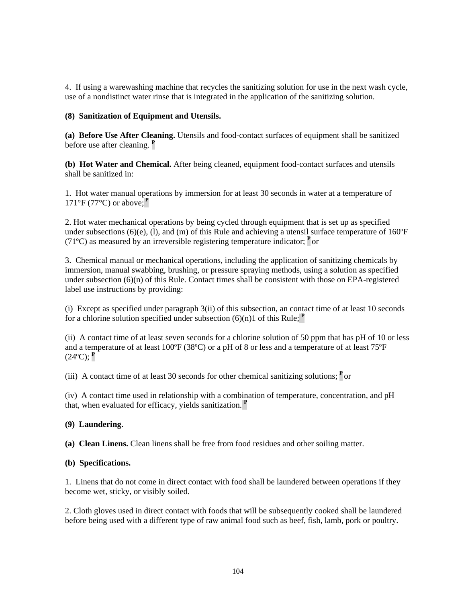4. If using a warewashing machine that recycles the sanitizing solution for use in the next wash cycle, use of a nondistinct water rinse that is integrated in the application of the sanitizing solution.

# **(8) Sanitization of Equipment and Utensils.**

**(a) Before Use After Cleaning.** Utensils and food-contact surfaces of equipment shall be sanitized before use after cleaning. **<sup>P</sup>**

**(b) Hot Water and Chemical.** After being cleaned, equipment food-contact surfaces and utensils shall be sanitized in:

1. Hot water manual operations by immersion for at least 30 seconds in water at a temperature of 171°F (77°C) or above;**<sup>P</sup>**

2. Hot water mechanical operations by being cycled through equipment that is set up as specified under subsections (6)(e), (1), and (m) of this Rule and achieving a utensil surface temperature of  $160^{\circ}F$ (71 $^{\circ}$ C) as measured by an irreversible registering temperature indicator;  $^{\circ}$  or

3. Chemical manual or mechanical operations, including the application of sanitizing chemicals by immersion, manual swabbing, brushing, or pressure spraying methods, using a solution as specified under subsection  $(6)(n)$  of this Rule. Contact times shall be consistent with those on EPA-registered label use instructions by providing:

(i) Except as specified under paragraph 3(ii) of this subsection, an contact time of at least 10 seconds for a chlorine solution specified under subsection  $(6)(n)1$  of this Rule;  $P$ 

(ii) A contact time of at least seven seconds for a chlorine solution of 50 ppm that has pH of 10 or less and a temperature of at least 100ºF (38ºC) or a pH of 8 or less and a temperature of at least 75ºF  $(24^{\circ}C)$ ; <sup>P</sup>

(iii) A contact time of at least 30 seconds for other chemical sanitizing solutions;  $\mathbf{P}$  or

(iv) A contact time used in relationship with a combination of temperature, concentration, and pH that, when evaluated for efficacy, yields sanitization. **<sup>P</sup>**

# **(9) Laundering.**

**(a) Clean Linens.** Clean linens shall be free from food residues and other soiling matter.

# **(b) Specifications.**

1. Linens that do not come in direct contact with food shall be laundered between operations if they become wet, sticky, or visibly soiled.

2. Cloth gloves used in direct contact with foods that will be subsequently cooked shall be laundered before being used with a different type of raw animal food such as beef, fish, lamb, pork or poultry.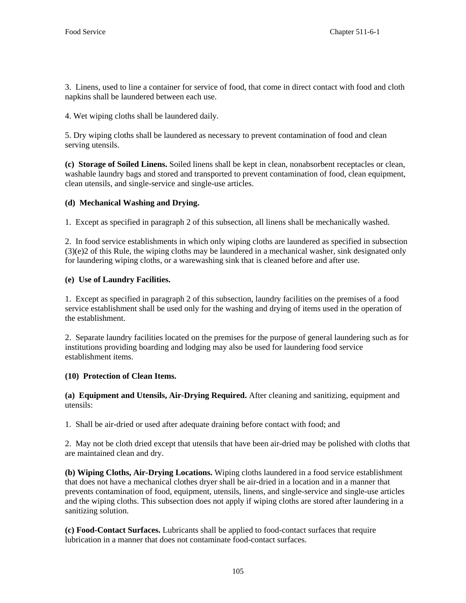3. Linens, used to line a container for service of food, that come in direct contact with food and cloth napkins shall be laundered between each use.

4. Wet wiping cloths shall be laundered daily.

5. Dry wiping cloths shall be laundered as necessary to prevent contamination of food and clean serving utensils.

**(c) Storage of Soiled Linens.** Soiled linens shall be kept in clean, nonabsorbent receptacles or clean, washable laundry bags and stored and transported to prevent contamination of food, clean equipment, clean utensils, and single-service and single-use articles.

# **(d) Mechanical Washing and Drying.**

1. Except as specified in paragraph 2 of this subsection, all linens shall be mechanically washed.

2. In food service establishments in which only wiping cloths are laundered as specified in subsection (3)(e)2 of this Rule, the wiping cloths may be laundered in a mechanical washer, sink designated only for laundering wiping cloths, or a warewashing sink that is cleaned before and after use.

# **(e) Use of Laundry Facilities.**

1. Except as specified in paragraph 2 of this subsection, laundry facilities on the premises of a food service establishment shall be used only for the washing and drying of items used in the operation of the establishment.

2. Separate laundry facilities located on the premises for the purpose of general laundering such as for institutions providing boarding and lodging may also be used for laundering food service establishment items.

# **(10) Protection of Clean Items.**

**(a) Equipment and Utensils, Air-Drying Required.** After cleaning and sanitizing, equipment and utensils:

1. Shall be air-dried or used after adequate draining before contact with food; and

2. May not be cloth dried except that utensils that have been air-dried may be polished with cloths that are maintained clean and dry.

**(b) Wiping Cloths, Air-Drying Locations.** Wiping cloths laundered in a food service establishment that does not have a mechanical clothes dryer shall be air-dried in a location and in a manner that prevents contamination of food, equipment, utensils, linens, and single-service and single-use articles and the wiping cloths. This subsection does not apply if wiping cloths are stored after laundering in a sanitizing solution.

**(c) Food-Contact Surfaces.** Lubricants shall be applied to food-contact surfaces that require lubrication in a manner that does not contaminate food-contact surfaces.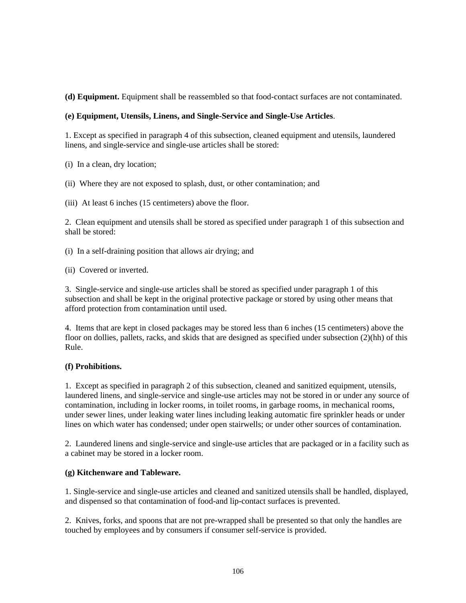**(d) Equipment.** Equipment shall be reassembled so that food-contact surfaces are not contaminated.

# **(e) Equipment, Utensils, Linens, and Single-Service and Single-Use Articles**.

1. Except as specified in paragraph 4 of this subsection, cleaned equipment and utensils, laundered linens, and single-service and single-use articles shall be stored:

(i) In a clean, dry location;

(ii) Where they are not exposed to splash, dust, or other contamination; and

(iii) At least 6 inches (15 centimeters) above the floor.

2. Clean equipment and utensils shall be stored as specified under paragraph 1 of this subsection and shall be stored:

(i) In a self-draining position that allows air drying; and

(ii) Covered or inverted.

3. Single-service and single-use articles shall be stored as specified under paragraph 1 of this subsection and shall be kept in the original protective package or stored by using other means that afford protection from contamination until used.

4. Items that are kept in closed packages may be stored less than 6 inches (15 centimeters) above the floor on dollies, pallets, racks, and skids that are designed as specified under subsection (2)(hh) of this Rule.

# **(f) Prohibitions.**

1. Except as specified in paragraph 2 of this subsection, cleaned and sanitized equipment, utensils, laundered linens, and single-service and single-use articles may not be stored in or under any source of contamination, including in locker rooms, in toilet rooms, in garbage rooms, in mechanical rooms, under sewer lines, under leaking water lines including leaking automatic fire sprinkler heads or under lines on which water has condensed; under open stairwells; or under other sources of contamination.

2. Laundered linens and single-service and single-use articles that are packaged or in a facility such as a cabinet may be stored in a locker room.

# **(g) Kitchenware and Tableware.**

1. Single-service and single-use articles and cleaned and sanitized utensils shall be handled, displayed, and dispensed so that contamination of food-and lip-contact surfaces is prevented.

2. Knives, forks, and spoons that are not pre-wrapped shall be presented so that only the handles are touched by employees and by consumers if consumer self-service is provided.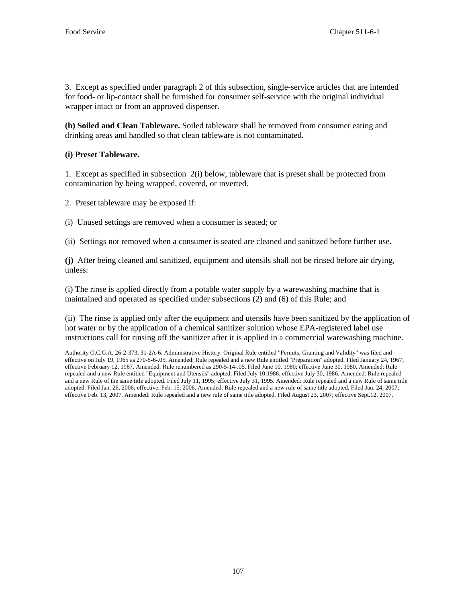3. Except as specified under paragraph 2 of this subsection, single-service articles that are intended for food- or lip-contact shall be furnished for consumer self-service with the original individual wrapper intact or from an approved dispenser.

**(h) Soiled and Clean Tableware.** Soiled tableware shall be removed from consumer eating and drinking areas and handled so that clean tableware is not contaminated.

# **(i) Preset Tableware.**

1*.* Except as specified in subsection 2(i) below, tableware that is preset shall be protected from contamination by being wrapped, covered, or inverted.

2. Preset tableware may be exposed if:

(i) Unused settings are removed when a consumer is seated; or

(ii) Settings not removed when a consumer is seated are cleaned and sanitized before further use.

**(j)** After being cleaned and sanitized, equipment and utensils shall not be rinsed before air drying, unless:

(i) The rinse is applied directly from a potable water supply by a warewashing machine that is maintained and operated as specified under subsections (2) and (6) of this Rule; and

(ii) The rinse is applied only after the equipment and utensils have been sanitized by the application of hot water or by the application of a chemical sanitizer solution whose EPA-registered label use instructions call for rinsing off the sanitizer after it is applied in a commercial warewashing machine.

Authority O.C.G.A. 26-2-373, 31-2A-6. Administrative History. Original Rule entitled "Permits, Granting and Validity" was filed and effective on July 19, 1965 as 270-5-6-.05. Amended: Rule repealed and a new Rule entitled "Preparation" adopted. Filed January 24, 1967; effective February 12, 1967. Amended: Rule renumbered as 290-5-14-.05. Filed June 10, 1980; effective June 30, 1980. Amended: Rule repealed and a new Rule entitled "Equipment and Utensils" adopted. Filed July 10,1986; effective July 30, 1986. Amended: Rule repealed and a new Rule of the same title adopted. Filed July 11, 1995; effective July 31, 1995. Amended: Rule repealed and a new Rule of same title adopted. Filed Jan. 26, 2006; effective. Feb. 15, 2006. Amended: Rule repealed and a new rule of same title adopted. Filed Jan. 24, 2007; effective Feb. 13, 2007. Amended: Rule repealed and a new rule of same title adopted. Filed August 23, 2007; effective Sept.12, 2007.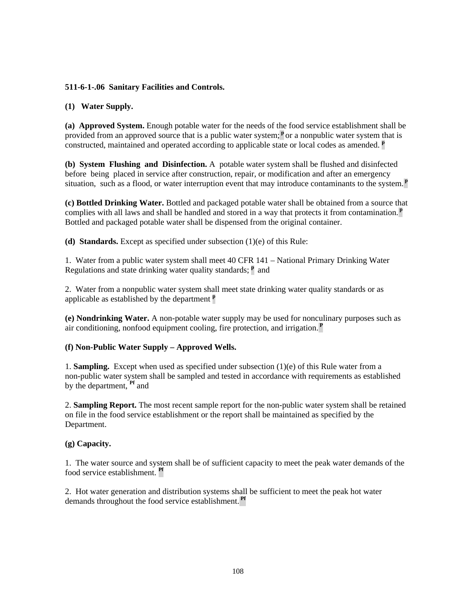# **511-6-1-.06 Sanitary Facilities and Controls.**

# **(1) Water Supply.**

**(a) Approved System.** Enough potable water for the needs of the food service establishment shall be provided from an approved source that is a public water system;<sup>p</sup> or a nonpublic water system that is constructed, maintained and operated according to applicable state or local codes as amended. **<sup>p</sup>**

**(b) System Flushing and Disinfection.** A potable water system shall be flushed and disinfected before being placed in service after construction, repair, or modification and after an emergency situation, such as a flood, or water interruption event that may introduce contaminants to the system.**<sup>p</sup>**

**(c) Bottled Drinking Water.** Bottled and packaged potable water shall be obtained from a source that complies with all laws and shall be handled and stored in a way that protects it from contamination.**<sup>p</sup>** Bottled and packaged potable water shall be dispensed from the original container.

**(d) Standards.** Except as specified under subsection (1)(e) of this Rule:

1. Water from a public water system shall meet 40 CFR 141 – National Primary Drinking Water Regulations and state drinking water quality standards; **<sup>p</sup>** and

2. Water from a nonpublic water system shall meet state drinking water quality standards or as applicable as established by the department **<sup>p</sup>**

**(e) Nondrinking Water.** A non-potable water supply may be used for nonculinary purposes such as air conditioning, nonfood equipment cooling, fire protection, and irrigation.**<sup>P</sup>**

# **(f) Non-Public Water Supply – Approved Wells.**

1. **Sampling.** Except when used as specified under subsection (1)(e) of this Rule water from a non-public water system shall be sampled and tested in accordance with requirements as established by the department, **Pf** and

2. **Sampling Report.** The most recent sample report for the non-public water system shall be retained on file in the food service establishment or the report shall be maintained as specified by the Department.

#### **(g) Capacity.**

1. The water source and system shall be of sufficient capacity to meet the peak water demands of the food service establishment. **Pf**

2. Hot water generation and distribution systems shall be sufficient to meet the peak hot water demands throughout the food service establishment. **Pf**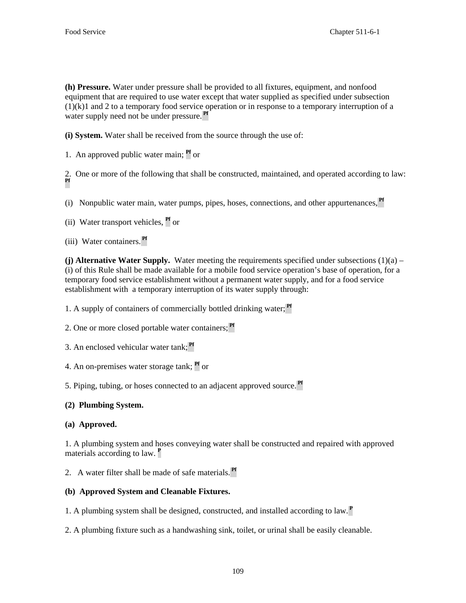**(h) Pressure.** Water under pressure shall be provided to all fixtures, equipment, and nonfood equipment that are required to use water except that water supplied as specified under subsection  $(1)(k)1$  and 2 to a temporary food service operation or in response to a temporary interruption of a water supply need not be under pressure. **Pf**

**(i) System.** Water shall be received from the source through the use of:

1. An approved public water main; **Pf** or

2. One or more of the following that shall be constructed, maintained, and operated according to law: **Pf**

(i) Nonpublic water main, water pumps, pipes, hoses, connections, and other appurtenances, **Pf**

(ii) Water transport vehicles, **Pf** or

(iii) Water containers. **Pf**

**(j) Alternative Water Supply.** Water meeting the requirements specified under subsections  $(1)(a)$  – (i) of this Rule shall be made available for a mobile food service operation's base of operation, for a temporary food service establishment without a permanent water supply, and for a food service establishment with a temporary interruption of its water supply through:

1. A supply of containers of commercially bottled drinking water; **Pf**

2. One or more closed portable water containers; **Pf**

3. An enclosed vehicular water tank; **Pf**

4. An on-premises water storage tank; **Pf** or

5. Piping, tubing, or hoses connected to an adjacent approved source. **Pf**

# **(2) Plumbing System.**

# **(a) Approved.**

1. A plumbing system and hoses conveying water shall be constructed and repaired with approved materials according to law. **<sup>P</sup>**

2. A water filter shall be made of safe materials. **Pf**

# **(b) Approved System and Cleanable Fixtures.**

1. A plumbing system shall be designed, constructed, and installed according to law.**<sup>P</sup>**

2. A plumbing fixture such as a handwashing sink, toilet, or urinal shall be easily cleanable.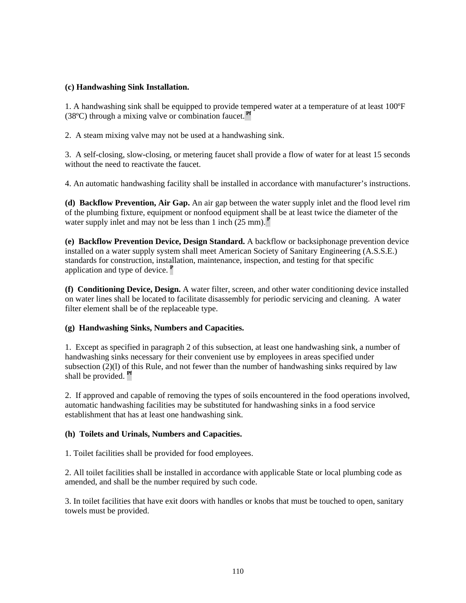# **(c) Handwashing Sink Installation.**

1. A handwashing sink shall be equipped to provide tempered water at a temperature of at least 100ºF (38ºC) through a mixing valve or combination faucet. **Pf**

2. A steam mixing valve may not be used at a handwashing sink.

3. A self-closing, slow-closing, or metering faucet shall provide a flow of water for at least 15 seconds without the need to reactivate the faucet.

4. An automatic handwashing facility shall be installed in accordance with manufacturer's instructions.

**(d) Backflow Prevention, Air Gap.** An air gap between the water supply inlet and the flood level rim of the plumbing fixture, equipment or nonfood equipment shall be at least twice the diameter of the water supply inlet and may not be less than 1 inch (25 mm).**<sup>P</sup>**

**(e) Backflow Prevention Device, Design Standard.** A backflow or backsiphonage prevention device installed on a water supply system shall meet American Society of Sanitary Engineering (A.S.S.E.) standards for construction, installation, maintenance, inspection, and testing for that specific application and type of device. **<sup>P</sup>**

**(f) Conditioning Device, Design.** A water filter, screen, and other water conditioning device installed on water lines shall be located to facilitate disassembly for periodic servicing and cleaning. A water filter element shall be of the replaceable type.

# **(g) Handwashing Sinks, Numbers and Capacities.**

1. Except as specified in paragraph 2 of this subsection, at least one handwashing sink, a number of handwashing sinks necessary for their convenient use by employees in areas specified under subsection  $(2)(1)$  of this Rule, and not fewer than the number of handwashing sinks required by law shall be provided. **Pf**

2. If approved and capable of removing the types of soils encountered in the food operations involved, automatic handwashing facilities may be substituted for handwashing sinks in a food service establishment that has at least one handwashing sink.

# **(h) Toilets and Urinals, Numbers and Capacities.**

1. Toilet facilities shall be provided for food employees.

2. All toilet facilities shall be installed in accordance with applicable State or local plumbing code as amended, and shall be the number required by such code.

3. In toilet facilities that have exit doors with handles or knobs that must be touched to open, sanitary towels must be provided.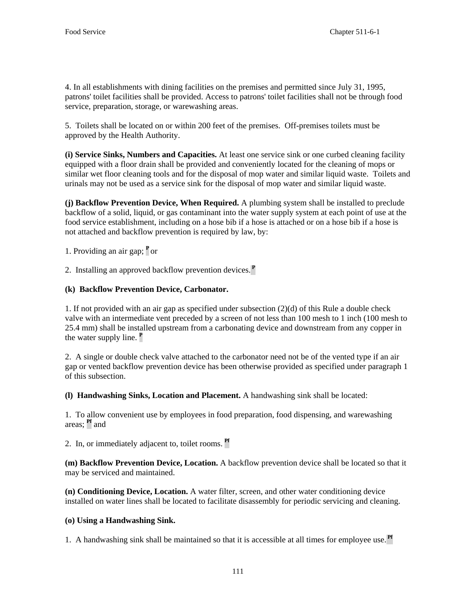4. In all establishments with dining facilities on the premises and permitted since July 31, 1995, patrons' toilet facilities shall be provided. Access to patrons' toilet facilities shall not be through food service, preparation, storage, or warewashing areas.

5. Toilets shall be located on or within 200 feet of the premises. Off-premises toilets must be approved by the Health Authority.

**(i) Service Sinks, Numbers and Capacities.** At least one service sink or one curbed cleaning facility equipped with a floor drain shall be provided and conveniently located for the cleaning of mops or similar wet floor cleaning tools and for the disposal of mop water and similar liquid waste. Toilets and urinals may not be used as a service sink for the disposal of mop water and similar liquid waste.

**(j) Backflow Prevention Device, When Required.** A plumbing system shall be installed to preclude backflow of a solid, liquid, or gas contaminant into the water supply system at each point of use at the food service establishment, including on a hose bib if a hose is attached or on a hose bib if a hose is not attached and backflow prevention is required by law, by:

1. Providing an air gap; **<sup>P</sup>**or

2. Installing an approved backflow prevention devices.**<sup>P</sup>**

# **(k) Backflow Prevention Device, Carbonator.**

1. If not provided with an air gap as specified under subsection (2)(d) of this Rule a double check valve with an intermediate vent preceded by a screen of not less than 100 mesh to 1 inch (100 mesh to 25.4 mm) shall be installed upstream from a carbonating device and downstream from any copper in the water supply line. **<sup>P</sup>**

2. A single or double check valve attached to the carbonator need not be of the vented type if an air gap or vented backflow prevention device has been otherwise provided as specified under paragraph 1 of this subsection.

**(l) Handwashing Sinks, Location and Placement.** A handwashing sink shall be located:

1. To allow convenient use by employees in food preparation, food dispensing, and warewashing areas; **Pf** and

2. In, or immediately adjacent to, toilet rooms. **Pf**

**(m) Backflow Prevention Device, Location.** A backflow prevention device shall be located so that it may be serviced and maintained.

**(n) Conditioning Device, Location.** A water filter, screen, and other water conditioning device installed on water lines shall be located to facilitate disassembly for periodic servicing and cleaning.

# **(o) Using a Handwashing Sink.**

1. A handwashing sink shall be maintained so that it is accessible at all times for employee use. **Pf**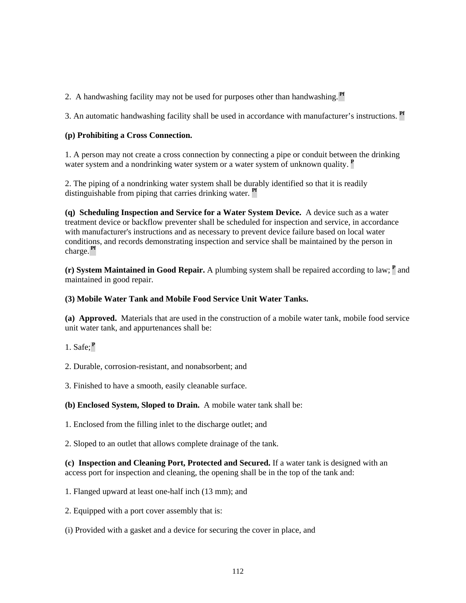2. A handwashing facility may not be used for purposes other than handwashing. **Pf**

3. An automatic handwashing facility shall be used in accordance with manufacturer's instructions. **Pf**

# **(p) Prohibiting a Cross Connection.**

1. A person may not create a cross connection by connecting a pipe or conduit between the drinking water system and a nondrinking water system or a water system of unknown quality. **<sup>P</sup>**

2. The piping of a nondrinking water system shall be durably identified so that it is readily distinguishable from piping that carries drinking water. **Pf**

**(q) Scheduling Inspection and Service for a Water System Device.** A device such as a water treatment device or backflow preventer shall be scheduled for inspection and service, in accordance with manufacturer's instructions and as necessary to prevent device failure based on local water conditions, and records demonstrating inspection and service shall be maintained by the person in charge. **Pf**

**(r) System Maintained in Good Repair.** A plumbing system shall be repaired according to law; **<sup>P</sup>** and maintained in good repair.

# **(3) Mobile Water Tank and Mobile Food Service Unit Water Tanks.**

**(a) Approved.** Materials that are used in the construction of a mobile water tank, mobile food service unit water tank, and appurtenances shall be:

- 1. Safe;**<sup>P</sup>**
- 2. Durable, corrosion-resistant, and nonabsorbent; and
- 3. Finished to have a smooth, easily cleanable surface.

**(b) Enclosed System, Sloped to Drain.** A mobile water tank shall be:

1. Enclosed from the filling inlet to the discharge outlet; and

2. Sloped to an outlet that allows complete drainage of the tank.

**(c) Inspection and Cleaning Port, Protected and Secured.** If a water tank is designed with an access port for inspection and cleaning, the opening shall be in the top of the tank and:

- 1. Flanged upward at least one-half inch (13 mm); and
- 2. Equipped with a port cover assembly that is:
- (i) Provided with a gasket and a device for securing the cover in place, and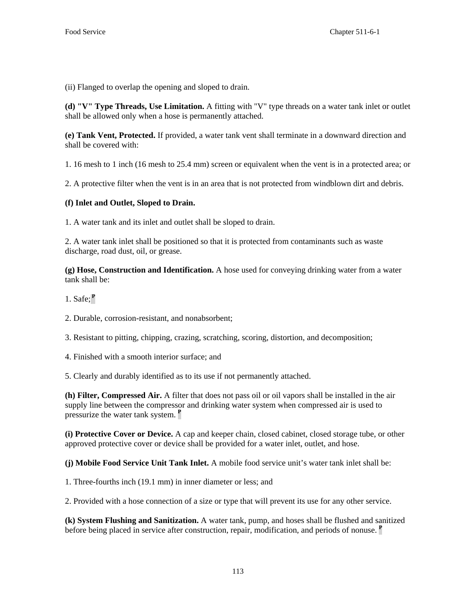(ii) Flanged to overlap the opening and sloped to drain.

**(d) "V" Type Threads, Use Limitation.** A fitting with "V" type threads on a water tank inlet or outlet shall be allowed only when a hose is permanently attached.

**(e) Tank Vent, Protected.** If provided, a water tank vent shall terminate in a downward direction and shall be covered with:

1. 16 mesh to 1 inch (16 mesh to 25.4 mm) screen or equivalent when the vent is in a protected area; or

2. A protective filter when the vent is in an area that is not protected from windblown dirt and debris.

#### **(f) Inlet and Outlet, Sloped to Drain.**

1. A water tank and its inlet and outlet shall be sloped to drain.

2. A water tank inlet shall be positioned so that it is protected from contaminants such as waste discharge, road dust, oil, or grease.

**(g) Hose, Construction and Identification.** A hose used for conveying drinking water from a water tank shall be:

1. Safe;**<sup>P</sup>**

2. Durable, corrosion-resistant, and nonabsorbent;

3. Resistant to pitting, chipping, crazing, scratching, scoring, distortion, and decomposition;

4. Finished with a smooth interior surface; and

5. Clearly and durably identified as to its use if not permanently attached.

**(h) Filter, Compressed Air.** A filter that does not pass oil or oil vapors shall be installed in the air supply line between the compressor and drinking water system when compressed air is used to pressurize the water tank system. **<sup>P</sup>**

**(i) Protective Cover or Device.** A cap and keeper chain, closed cabinet, closed storage tube, or other approved protective cover or device shall be provided for a water inlet, outlet, and hose.

**(j) Mobile Food Service Unit Tank Inlet.** A mobile food service unit's water tank inlet shall be:

1. Three-fourths inch (19.1 mm) in inner diameter or less; and

2. Provided with a hose connection of a size or type that will prevent its use for any other service.

**(k) System Flushing and Sanitization.** A water tank, pump, and hoses shall be flushed and sanitized before being placed in service after construction, repair, modification, and periods of nonuse. **<sup>P</sup>**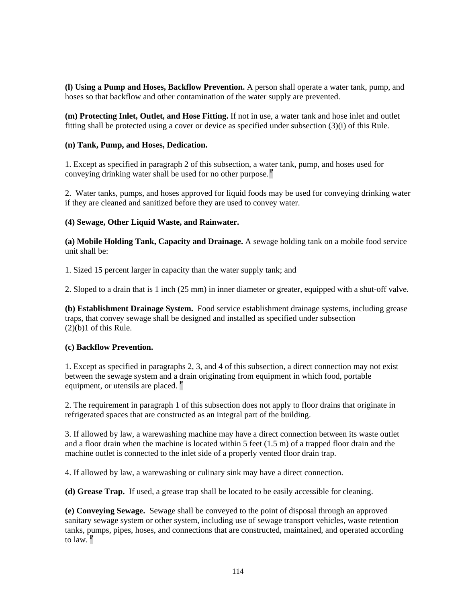**(l) Using a Pump and Hoses, Backflow Prevention.** A person shall operate a water tank, pump, and hoses so that backflow and other contamination of the water supply are prevented.

**(m) Protecting Inlet, Outlet, and Hose Fitting.** If not in use, a water tank and hose inlet and outlet fitting shall be protected using a cover or device as specified under subsection (3)(i) of this Rule.

# **(n) Tank, Pump, and Hoses, Dedication.**

1. Except as specified in paragraph 2 of this subsection, a water tank, pump, and hoses used for conveying drinking water shall be used for no other purpose.**<sup>P</sup>**

2. Water tanks, pumps, and hoses approved for liquid foods may be used for conveying drinking water if they are cleaned and sanitized before they are used to convey water.

# **(4) Sewage, Other Liquid Waste, and Rainwater.**

**(a) Mobile Holding Tank, Capacity and Drainage.** A sewage holding tank on a mobile food service unit shall be:

1. Sized 15 percent larger in capacity than the water supply tank; and

2. Sloped to a drain that is 1 inch (25 mm) in inner diameter or greater, equipped with a shut-off valve.

**(b) Establishment Drainage System.** Food service establishment drainage systems, including grease traps, that convey sewage shall be designed and installed as specified under subsection  $(2)(b)1$  of this Rule.

# **(c) Backflow Prevention.**

1. Except as specified in paragraphs 2, 3, and 4 of this subsection, a direct connection may not exist between the sewage system and a drain originating from equipment in which food, portable equipment, or utensils are placed. **<sup>P</sup>**

2. The requirement in paragraph 1 of this subsection does not apply to floor drains that originate in refrigerated spaces that are constructed as an integral part of the building.

3. If allowed by law, a warewashing machine may have a direct connection between its waste outlet and a floor drain when the machine is located within 5 feet (1.5 m) of a trapped floor drain and the machine outlet is connected to the inlet side of a properly vented floor drain trap.

4. If allowed by law, a warewashing or culinary sink may have a direct connection.

**(d) Grease Trap.** If used, a grease trap shall be located to be easily accessible for cleaning.

**(e) Conveying Sewage.** Sewage shall be conveyed to the point of disposal through an approved sanitary sewage system or other system, including use of sewage transport vehicles, waste retention tanks, pumps, pipes, hoses, and connections that are constructed, maintained, and operated according to law. **<sup>P</sup>**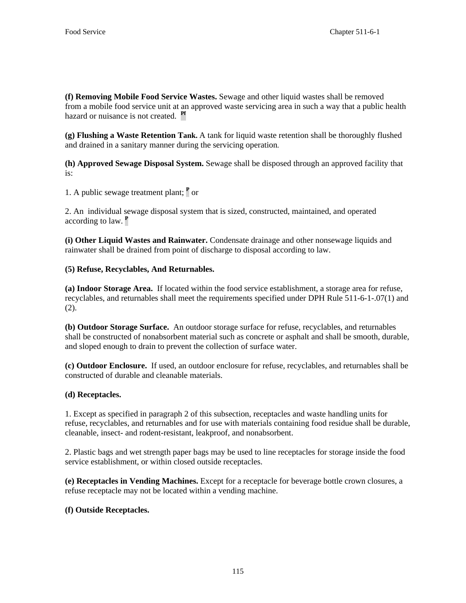**(f) Removing Mobile Food Service Wastes.** Sewage and other liquid wastes shall be removed from a mobile food service unit at an approved waste servicing area in such a way that a public health hazard or nuisance is not created. **Pf**

**(g) Flushing a Waste Retention Tank.** A tank for liquid waste retention shall be thoroughly flushed and drained in a sanitary manner during the servicing operation.

**(h) Approved Sewage Disposal System.** Sewage shall be disposed through an approved facility that is:

1. A public sewage treatment plant; **<sup>P</sup>** or

2. An individual sewage disposal system that is sized, constructed, maintained, and operated according to law. **<sup>P</sup>**

**(i) Other Liquid Wastes and Rainwater.** Condensate drainage and other nonsewage liquids and rainwater shall be drained from point of discharge to disposal according to law.

# **(5) Refuse, Recyclables, And Returnables.**

**(a) Indoor Storage Area.** If located within the food service establishment, a storage area for refuse, recyclables, and returnables shall meet the requirements specified under DPH Rule 511-6-1-.07(1) and (2).

**(b) Outdoor Storage Surface.** An outdoor storage surface for refuse, recyclables, and returnables shall be constructed of nonabsorbent material such as concrete or asphalt and shall be smooth, durable, and sloped enough to drain to prevent the collection of surface water.

**(c) Outdoor Enclosure.** If used, an outdoor enclosure for refuse, recyclables, and returnables shall be constructed of durable and cleanable materials.

# **(d) Receptacles.**

1. Except as specified in paragraph 2 of this subsection, receptacles and waste handling units for refuse, recyclables, and returnables and for use with materials containing food residue shall be durable, cleanable, insect- and rodent-resistant, leakproof, and nonabsorbent.

2. Plastic bags and wet strength paper bags may be used to line receptacles for storage inside the food service establishment, or within closed outside receptacles.

**(e) Receptacles in Vending Machines.** Except for a receptacle for beverage bottle crown closures, a refuse receptacle may not be located within a vending machine.

# **(f) Outside Receptacles.**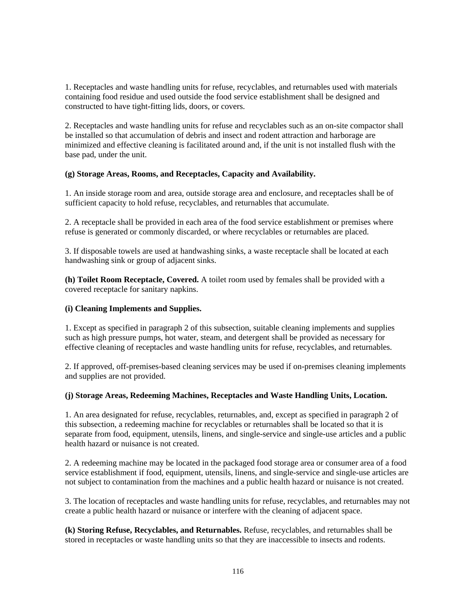1. Receptacles and waste handling units for refuse, recyclables, and returnables used with materials containing food residue and used outside the food service establishment shall be designed and constructed to have tight-fitting lids, doors, or covers.

2. Receptacles and waste handling units for refuse and recyclables such as an on-site compactor shall be installed so that accumulation of debris and insect and rodent attraction and harborage are minimized and effective cleaning is facilitated around and, if the unit is not installed flush with the base pad, under the unit.

# **(g) Storage Areas, Rooms, and Receptacles, Capacity and Availability.**

1. An inside storage room and area, outside storage area and enclosure, and receptacles shall be of sufficient capacity to hold refuse, recyclables, and returnables that accumulate.

2. A receptacle shall be provided in each area of the food service establishment or premises where refuse is generated or commonly discarded, or where recyclables or returnables are placed.

3. If disposable towels are used at handwashing sinks, a waste receptacle shall be located at each handwashing sink or group of adjacent sinks.

**(h) Toilet Room Receptacle, Covered.** A toilet room used by females shall be provided with a covered receptacle for sanitary napkins.

#### **(i) Cleaning Implements and Supplies.**

1. Except as specified in paragraph 2 of this subsection, suitable cleaning implements and supplies such as high pressure pumps, hot water, steam, and detergent shall be provided as necessary for effective cleaning of receptacles and waste handling units for refuse, recyclables, and returnables.

2. If approved, off-premises-based cleaning services may be used if on-premises cleaning implements and supplies are not provided.

#### **(j) Storage Areas, Redeeming Machines, Receptacles and Waste Handling Units, Location.**

1. An area designated for refuse, recyclables, returnables, and, except as specified in paragraph 2 of this subsection, a redeeming machine for recyclables or returnables shall be located so that it is separate from food, equipment, utensils, linens, and single-service and single-use articles and a public health hazard or nuisance is not created.

2. A redeeming machine may be located in the packaged food storage area or consumer area of a food service establishment if food, equipment, utensils, linens, and single-service and single-use articles are not subject to contamination from the machines and a public health hazard or nuisance is not created.

3. The location of receptacles and waste handling units for refuse, recyclables, and returnables may not create a public health hazard or nuisance or interfere with the cleaning of adjacent space.

**(k) Storing Refuse, Recyclables, and Returnables.** Refuse, recyclables, and returnables shall be stored in receptacles or waste handling units so that they are inaccessible to insects and rodents.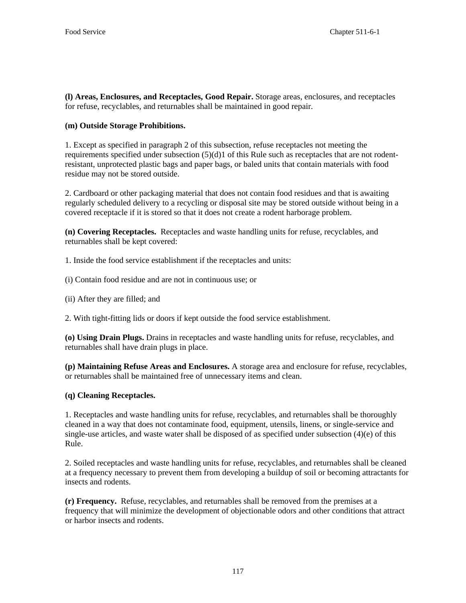**(l) Areas, Enclosures, and Receptacles, Good Repair.** Storage areas, enclosures, and receptacles for refuse, recyclables, and returnables shall be maintained in good repair.

# **(m) Outside Storage Prohibitions.**

1. Except as specified in paragraph 2 of this subsection, refuse receptacles not meeting the requirements specified under subsection (5)(d)1 of this Rule such as receptacles that are not rodentresistant, unprotected plastic bags and paper bags, or baled units that contain materials with food residue may not be stored outside.

2. Cardboard or other packaging material that does not contain food residues and that is awaiting regularly scheduled delivery to a recycling or disposal site may be stored outside without being in a covered receptacle if it is stored so that it does not create a rodent harborage problem.

**(n) Covering Receptacles.** Receptacles and waste handling units for refuse, recyclables, and returnables shall be kept covered:

1. Inside the food service establishment if the receptacles and units:

(i) Contain food residue and are not in continuous use; or

(ii) After they are filled; and

2. With tight-fitting lids or doors if kept outside the food service establishment.

**(o) Using Drain Plugs.** Drains in receptacles and waste handling units for refuse, recyclables, and returnables shall have drain plugs in place.

**(p) Maintaining Refuse Areas and Enclosures.** A storage area and enclosure for refuse, recyclables, or returnables shall be maintained free of unnecessary items and clean.

# **(q) Cleaning Receptacles.**

1. Receptacles and waste handling units for refuse, recyclables, and returnables shall be thoroughly cleaned in a way that does not contaminate food, equipment, utensils, linens, or single-service and single-use articles, and waste water shall be disposed of as specified under subsection  $(4)(e)$  of this Rule.

2. Soiled receptacles and waste handling units for refuse, recyclables, and returnables shall be cleaned at a frequency necessary to prevent them from developing a buildup of soil or becoming attractants for insects and rodents.

**(r) Frequency.** Refuse, recyclables, and returnables shall be removed from the premises at a frequency that will minimize the development of objectionable odors and other conditions that attract or harbor insects and rodents.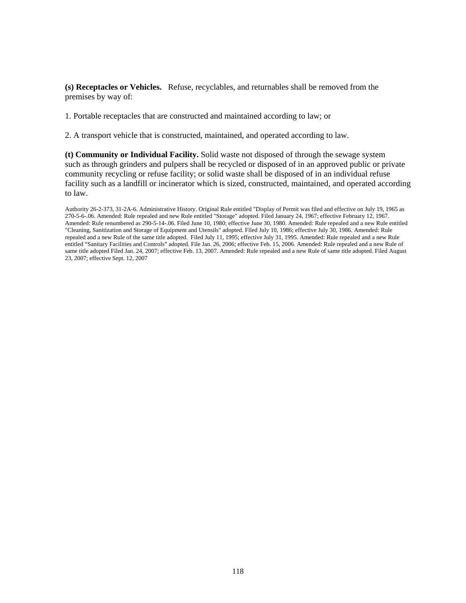**(s) Receptacles or Vehicles.** Refuse, recyclables, and returnables shall be removed from the premises by way of:

1. Portable receptacles that are constructed and maintained according to law; or

2. A transport vehicle that is constructed, maintained, and operated according to law.

**(t) Community or Individual Facility.** Solid waste not disposed of through the sewage system such as through grinders and pulpers shall be recycled or disposed of in an approved public or private community recycling or refuse facility; or solid waste shall be disposed of in an individual refuse facility such as a landfill or incinerator which is sized, constructed, maintained, and operated according to law.

Authority 26-2-373, 31-2A-6. Administrative History. Original Rule entitled "Display of Permit was filed and effective on July 19, 1965 as 270-5-6-.06. Amended: Rule repealed and new Rule entitled "Storage" adopted. Filed January 24, 1967; effective February 12, 1967. Amended: Rule renumbered as 290-5-14-.06. Filed June 10, 1980; effective June 30, 1980. Amended: Rule repealed and a new Rule entitled "Cleaning, Sanitization and Storage of Equipment and Utensils" adopted. Filed July 10, 1986; effective July 30, 1986. Amended: Rule repealed and a new Rule of the same title adopted. Filed July 11, 1995; effective July 31, 1995. Amended: Rule repealed and a new Rule entitled "Sanitary Facilities and Controls" adopted. File Jan. 26, 2006; effective Feb. 15, 2006. Amended: Rule repealed and a new Rule of same title adopted Filed Jan. 24, 2007; effective Feb. 13, 2007. Amended: Rule repealed and a new Rule of same title adopted. Filed August 23, 2007; effective Sept. 12, 2007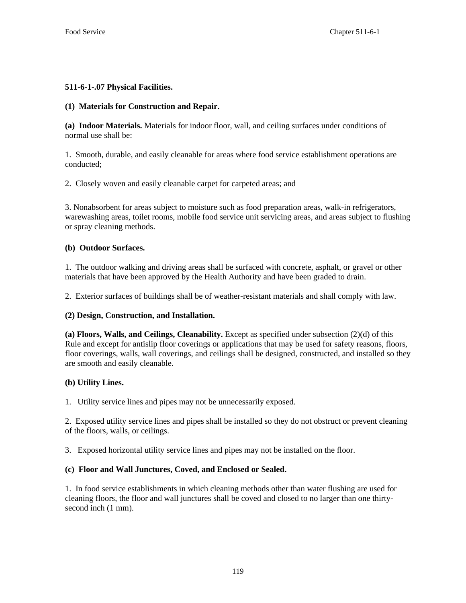# **511-6-1-.07 Physical Facilities.**

# **(1) Materials for Construction and Repair.**

**(a) Indoor Materials.** Materials for indoor floor, wall, and ceiling surfaces under conditions of normal use shall be:

1. Smooth, durable, and easily cleanable for areas where food service establishment operations are conducted;

2. Closely woven and easily cleanable carpet for carpeted areas; and

3. Nonabsorbent for areas subject to moisture such as food preparation areas, walk-in refrigerators, warewashing areas, toilet rooms, mobile food service unit servicing areas, and areas subject to flushing or spray cleaning methods.

# **(b) Outdoor Surfaces.**

1. The outdoor walking and driving areas shall be surfaced with concrete, asphalt, or gravel or other materials that have been approved by the Health Authority and have been graded to drain.

2. Exterior surfaces of buildings shall be of weather-resistant materials and shall comply with law.

# **(2) Design, Construction, and Installation.**

**(a) Floors, Walls, and Ceilings, Cleanability.** Except as specified under subsection (2)(d) of this Rule and except for antislip floor coverings or applications that may be used for safety reasons, floors, floor coverings, walls, wall coverings, and ceilings shall be designed, constructed, and installed so they are smooth and easily cleanable.

# **(b) Utility Lines.**

1. Utility service lines and pipes may not be unnecessarily exposed.

2. Exposed utility service lines and pipes shall be installed so they do not obstruct or prevent cleaning of the floors, walls, or ceilings.

3. Exposed horizontal utility service lines and pipes may not be installed on the floor.

# **(c) Floor and Wall Junctures, Coved, and Enclosed or Sealed.**

1. In food service establishments in which cleaning methods other than water flushing are used for cleaning floors, the floor and wall junctures shall be coved and closed to no larger than one thirtysecond inch (1 mm).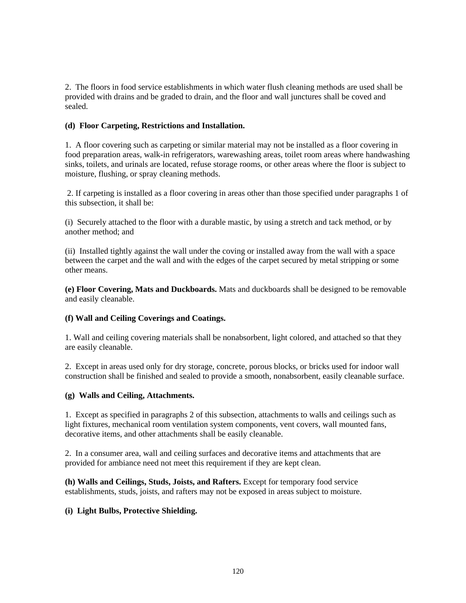2. The floors in food service establishments in which water flush cleaning methods are used shall be provided with drains and be graded to drain, and the floor and wall junctures shall be coved and sealed.

# **(d) Floor Carpeting, Restrictions and Installation.**

1. A floor covering such as carpeting or similar material may not be installed as a floor covering in food preparation areas, walk-in refrigerators, warewashing areas, toilet room areas where handwashing sinks, toilets, and urinals are located, refuse storage rooms, or other areas where the floor is subject to moisture, flushing, or spray cleaning methods.

 2. If carpeting is installed as a floor covering in areas other than those specified under paragraphs 1 of this subsection, it shall be:

(i) Securely attached to the floor with a durable mastic, by using a stretch and tack method, or by another method; and

(ii) Installed tightly against the wall under the coving or installed away from the wall with a space between the carpet and the wall and with the edges of the carpet secured by metal stripping or some other means.

**(e) Floor Covering, Mats and Duckboards.** Mats and duckboards shall be designed to be removable and easily cleanable.

# **(f) Wall and Ceiling Coverings and Coatings.**

1. Wall and ceiling covering materials shall be nonabsorbent, light colored, and attached so that they are easily cleanable.

2. Except in areas used only for dry storage*,* concrete, porous blocks, or bricks used for indoor wall construction shall be finished and sealed to provide a smooth, nonabsorbent, easily cleanable surface.

#### **(g) Walls and Ceiling, Attachments.**

1. Except as specified in paragraphs 2 of this subsection, attachments to walls and ceilings such as light fixtures, mechanical room ventilation system components, vent covers, wall mounted fans, decorative items, and other attachments shall be easily cleanable.

2. In a consumer area, wall and ceiling surfaces and decorative items and attachments that are provided for ambiance need not meet this requirement if they are kept clean.

**(h) Walls and Ceilings, Studs, Joists, and Rafters.** Except for temporary food service establishments, studs, joists, and rafters may not be exposed in areas subject to moisture.

# **(i) Light Bulbs, Protective Shielding.**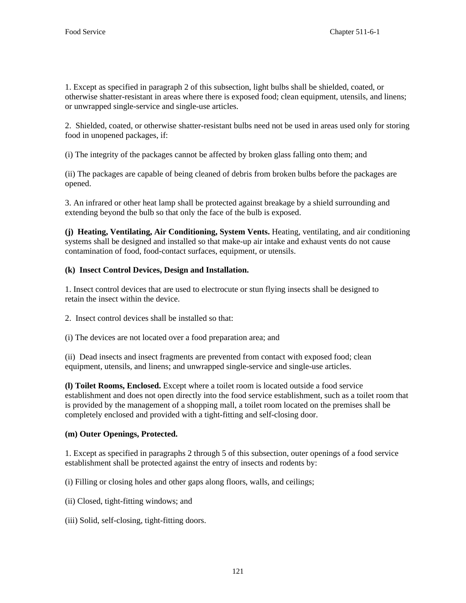1. Except as specified in paragraph 2 of this subsection, light bulbs shall be shielded, coated, or otherwise shatter-resistant in areas where there is exposed food; clean equipment, utensils, and linens; or unwrapped single-service and single-use articles.

2. Shielded, coated, or otherwise shatter-resistant bulbs need not be used in areas used only for storing food in unopened packages, if:

(i) The integrity of the packages cannot be affected by broken glass falling onto them; and

(ii) The packages are capable of being cleaned of debris from broken bulbs before the packages are opened.

3. An infrared or other heat lamp shall be protected against breakage by a shield surrounding and extending beyond the bulb so that only the face of the bulb is exposed.

**(j) Heating, Ventilating, Air Conditioning, System Vents.** Heating, ventilating, and air conditioning systems shall be designed and installed so that make-up air intake and exhaust vents do not cause contamination of food, food-contact surfaces, equipment, or utensils.

# **(k) Insect Control Devices, Design and Installation.**

1. Insect control devices that are used to electrocute or stun flying insects shall be designed to retain the insect within the device.

- 2. Insect control devices shall be installed so that:
- (i) The devices are not located over a food preparation area; and

(ii) Dead insects and insect fragments are prevented from contact with exposed food; clean equipment, utensils, and linens; and unwrapped single-service and single-use articles.

**(l) Toilet Rooms, Enclosed.** Except where a toilet room is located outside a food service establishment and does not open directly into the food service establishment, such as a toilet room that is provided by the management of a shopping mall, a toilet room located on the premises shall be completely enclosed and provided with a tight-fitting and self-closing door.

# **(m) Outer Openings, Protected.**

1. Except as specified in paragraphs 2 through 5 of this subsection, outer openings of a food service establishment shall be protected against the entry of insects and rodents by:

(i) Filling or closing holes and other gaps along floors, walls, and ceilings;

- (ii) Closed, tight-fitting windows; and
- (iii) Solid, self-closing, tight-fitting doors.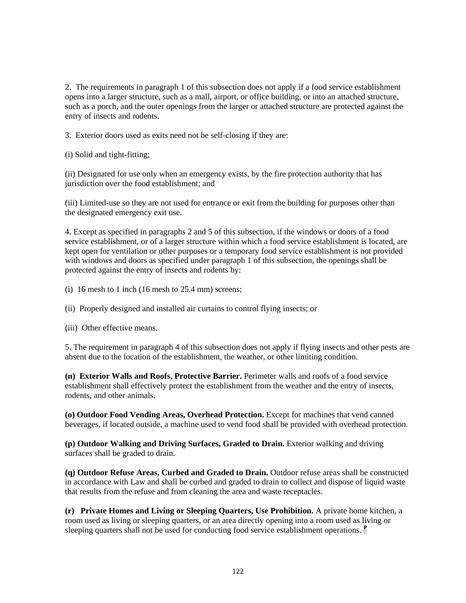2. The requirements in paragraph 1 of this subsection does not apply if a food service establishment opens into a larger structure, such as a mall, airport, or office building, or into an attached structure, such as a porch, and the outer openings from the larger or attached structure are protected against the entry of insects and rodents.

3. Exterior doors used as exits need not be self-closing if they are:

(i) Solid and tight-fitting;

(ii) Designated for use only when an emergency exists, by the fire protection authority that has jurisdiction over the food establishment; and

(iii) Limited-use so they are not used for entrance or exit from the building for purposes other than the designated emergency exit use.

4. Except as specified in paragraphs 2 and 5 of this subsection, if the windows or doors of a food service establishment, or of a larger structure within which a food service establishment is located, are kept open for ventilation or other purposes or a temporary food service establishment is not provided with windows and doors as specified under paragraph 1 of this subsection, the openings shall be protected against the entry of insects and rodents by:

- (i) 16 mesh to 1 inch (16 mesh to  $25.4$  mm) screens;
- (ii) Properly designed and installed air curtains to control flying insects; or
- (iii) Other effective means.

5. The requirement in paragraph 4 of this subsection does not apply if flying insects and other pests are absent due to the location of the establishment, the weather, or other limiting condition.

**(n) Exterior Walls and Roofs, Protective Barrier.** Perimeter walls and roofs of a food service establishment shall effectively protect the establishment from the weather and the entry of insects, rodents, and other animals.

**(o) Outdoor Food Vending Areas, Overhead Protection.** Except for machines that vend canned beverages, if located outside, a machine used to vend food shall be provided with overhead protection.

**(p) Outdoor Walking and Driving Surfaces, Graded to Drain.** Exterior walking and driving surfaces shall be graded to drain.

**(q) Outdoor Refuse Areas, Curbed and Graded to Drain.** Outdoor refuse areas shall be constructed in accordance with Law and shall be curbed and graded to drain to collect and dispose of liquid waste that results from the refuse and from cleaning the area and waste receptacles.

**(r) Private Homes and Living or Sleeping Quarters, Use Prohibition.** A private home kitchen, a room used as living or sleeping quarters, or an area directly opening into a room used as living or sleeping quarters shall not be used for conducting food service establishment operations. **<sup>P</sup>**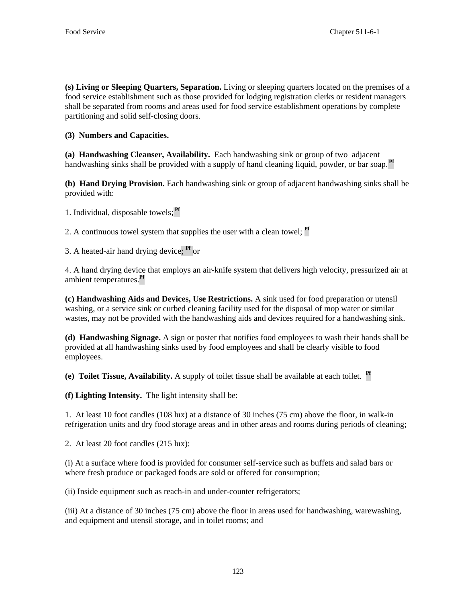**(s) Living or Sleeping Quarters, Separation.** Living or sleeping quarters located on the premises of a food service establishment such as those provided for lodging registration clerks or resident managers shall be separated from rooms and areas used for food service establishment operations by complete partitioning and solid self-closing doors.

**(3) Numbers and Capacities.** 

**(a) Handwashing Cleanser, Availability.** Each handwashing sink or group of two adjacent handwashing sinks shall be provided with a supply of hand cleaning liquid, powder, or bar soap.<sup>Pf</sup>

**(b) Hand Drying Provision.** Each handwashing sink or group of adjacent handwashing sinks shall be provided with:

1. Individual, disposable towels; **Pf** 

2. A continuous towel system that supplies the user with a clean towel; **Pf** 

3. A heated-air hand drying device; **Pf** or

4. A hand drying device that employs an air-knife system that delivers high velocity, pressurized air at ambient temperatures.**Pf**

**(c) Handwashing Aids and Devices, Use Restrictions.** A sink used for food preparation or utensil washing, or a service sink or curbed cleaning facility used for the disposal of mop water or similar wastes, may not be provided with the handwashing aids and devices required for a handwashing sink.

**(d) Handwashing Signage.** A sign or poster that notifies food employees to wash their hands shall be provided at all handwashing sinks used by food employees and shall be clearly visible to food employees.

**(e) Toilet Tissue, Availability.** A supply of toilet tissue shall be available at each toilet. **Pf**

**(f) Lighting Intensity.** The light intensity shall be:

1. At least 10 foot candles (108 lux) at a distance of 30 inches (75 cm) above the floor, in walk-in refrigeration units and dry food storage areas and in other areas and rooms during periods of cleaning;

2. At least 20 foot candles (215 lux):

(i) At a surface where food is provided for consumer self-service such as buffets and salad bars or where fresh produce or packaged foods are sold or offered for consumption;

(ii) Inside equipment such as reach-in and under-counter refrigerators;

(iii) At a distance of 30 inches (75 cm) above the floor in areas used for handwashing, warewashing, and equipment and utensil storage, and in toilet rooms; and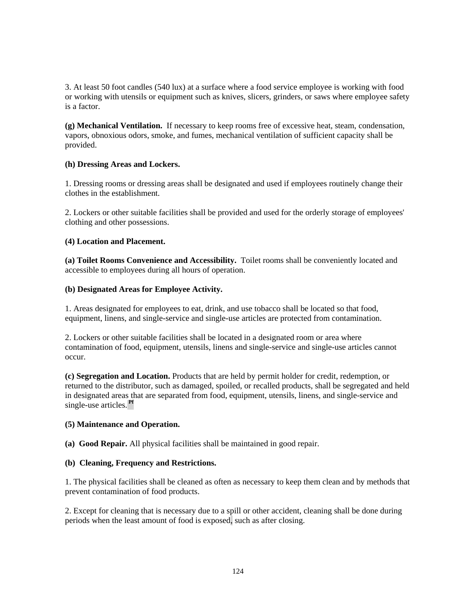3. At least 50 foot candles (540 lux) at a surface where a food service employee is working with food or working with utensils or equipment such as knives, slicers, grinders, or saws where employee safety is a factor.

**(g) Mechanical Ventilation.** If necessary to keep rooms free of excessive heat, steam, condensation, vapors, obnoxious odors, smoke, and fumes, mechanical ventilation of sufficient capacity shall be provided.

#### **(h) Dressing Areas and Lockers.**

1. Dressing rooms or dressing areas shall be designated and used if employees routinely change their clothes in the establishment.

2. Lockers or other suitable facilities shall be provided and used for the orderly storage of employees' clothing and other possessions.

#### **(4) Location and Placement.**

**(a) Toilet Rooms Convenience and Accessibility.** Toilet rooms shall be conveniently located and accessible to employees during all hours of operation.

#### **(b) Designated Areas for Employee Activity.**

1. Areas designated for employees to eat, drink, and use tobacco shall be located so that food, equipment, linens, and single-service and single-use articles are protected from contamination.

2. Lockers or other suitable facilities shall be located in a designated room or area where contamination of food, equipment, utensils, linens and single-service and single-use articles cannot occur.

**(c) Segregation and Location.** Products that are held by permit holder for credit, redemption, or returned to the distributor, such as damaged, spoiled, or recalled products, shall be segregated and held in designated areas that are separated from food, equipment, utensils, linens, and single-service and single-use articles. **Pf**

# **(5) Maintenance and Operation.**

**(a) Good Repair.** All physical facilities shall be maintained in good repair.

# **(b) Cleaning, Frequency and Restrictions.**

1. The physical facilities shall be cleaned as often as necessary to keep them clean and by methods that prevent contamination of food products.

2. Except for cleaning that is necessary due to a spill or other accident, cleaning shall be done during periods when the least amount of food is exposed, such as after closing.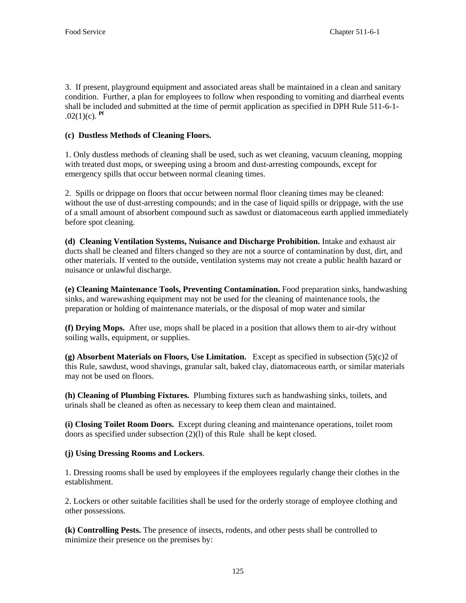3. If present, playground equipment and associated areas shall be maintained in a clean and sanitary condition. Further, a plan for employees to follow when responding to vomiting and diarrheal events shall be included and submitted at the time of permit application as specified in DPH Rule 511-6-1-  $.02(1)(c)$ . **Pf** 

# **(c) Dustless Methods of Cleaning Floors.**

1. Only dustless methods of cleaning shall be used, such as wet cleaning, vacuum cleaning, mopping with treated dust mops, or sweeping using a broom and dust-arresting compounds, except for emergency spills that occur between normal cleaning times.

2. Spills or drippage on floors that occur between normal floor cleaning times may be cleaned: without the use of dust-arresting compounds; and in the case of liquid spills or drippage, with the use of a small amount of absorbent compound such as sawdust or diatomaceous earth applied immediately before spot cleaning.

**(d) Cleaning Ventilation Systems, Nuisance and Discharge Prohibition.** Intake and exhaust air ducts shall be cleaned and filters changed so they are not a source of contamination by dust, dirt, and other materials. If vented to the outside, ventilation systems may not create a public health hazard or nuisance or unlawful discharge.

**(e) Cleaning Maintenance Tools, Preventing Contamination.** Food preparation sinks, handwashing sinks, and warewashing equipment may not be used for the cleaning of maintenance tools, the preparation or holding of maintenance materials, or the disposal of mop water and similar

**(f) Drying Mops.** After use, mops shall be placed in a position that allows them to air-dry without soiling walls, equipment, or supplies.

**(g) Absorbent Materials on Floors, Use Limitation.** Except as specified in subsection (5)(c)2 of this Rule, sawdust, wood shavings, granular salt, baked clay, diatomaceous earth, or similar materials may not be used on floors.

**(h) Cleaning of Plumbing Fixtures.** Plumbing fixtures such as handwashing sinks, toilets, and urinals shall be cleaned as often as necessary to keep them clean and maintained.

**(i) Closing Toilet Room Doors.** Except during cleaning and maintenance operations, toilet room doors as specified under subsection (2)(l) of this Rule shall be kept closed.

# **(j) Using Dressing Rooms and Lockers**.

1. Dressing rooms shall be used by employees if the employees regularly change their clothes in the establishment.

2. Lockers or other suitable facilities shall be used for the orderly storage of employee clothing and other possessions.

**(k) Controlling Pests.** The presence of insects, rodents, and other pests shall be controlled to minimize their presence on the premises by: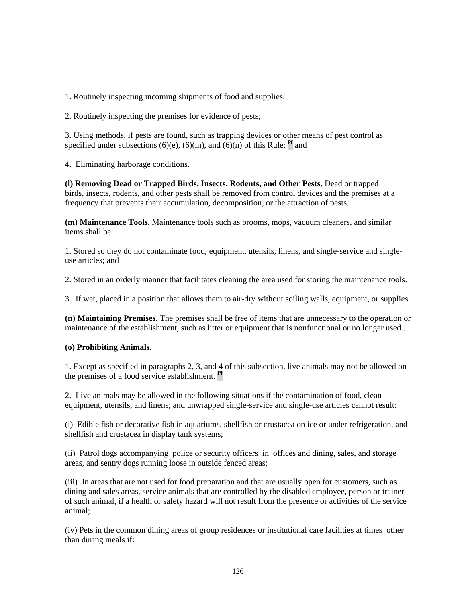1. Routinely inspecting incoming shipments of food and supplies;

2. Routinely inspecting the premises for evidence of pests;

3. Using methods, if pests are found, such as trapping devices or other means of pest control as specified under subsections (6)(e), (6)(m), and (6)(n) of this Rule;  $^{\text{Pf}}$  and

4. Eliminating harborage conditions.

**(l) Removing Dead or Trapped Birds, Insects, Rodents, and Other Pests.** Dead or trapped birds, insects, rodents, and other pests shall be removed from control devices and the premises at a frequency that prevents their accumulation, decomposition, or the attraction of pests.

**(m) Maintenance Tools.** Maintenance tools such as brooms, mops, vacuum cleaners, and similar items shall be:

1. Stored so they do not contaminate food, equipment, utensils, linens, and single-service and singleuse articles; and

2. Stored in an orderly manner that facilitates cleaning the area used for storing the maintenance tools.

3. If wet, placed in a position that allows them to air-dry without soiling walls, equipment, or supplies.

**(n) Maintaining Premises.** The premises shall be free of items that are unnecessary to the operation or maintenance of the establishment, such as litter or equipment that is nonfunctional or no longer used .

# **(o) Prohibiting Animals.**

1. Except as specified in paragraphs 2, 3, and 4 of this subsection, live animals may not be allowed on the premises of a food service establishment. **Pf**

2. Live animals may be allowed in the following situations if the contamination of food, clean equipment, utensils, and linens; and unwrapped single-service and single-use articles cannot result:

(i) Edible fish or decorative fish in aquariums, shellfish or crustacea on ice or under refrigeration, and shellfish and crustacea in display tank systems;

(ii) Patrol dogs accompanying police or security officers in offices and dining, sales, and storage areas, and sentry dogs running loose in outside fenced areas;

(iii) In areas that are not used for food preparation and that are usually open for customers, such as dining and sales areas, service animals that are controlled by the disabled employee, person or trainer of such animal, if a health or safety hazard will not result from the presence or activities of the service animal;

(iv) Pets in the common dining areas of group residences or institutional care facilities at times other than during meals if: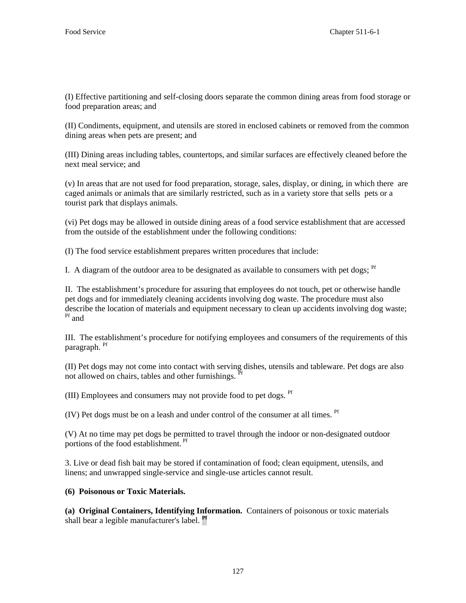(I) Effective partitioning and self-closing doors separate the common dining areas from food storage or food preparation areas; and

(II) Condiments, equipment, and utensils are stored in enclosed cabinets or removed from the common dining areas when pets are present; and

(III) Dining areas including tables, countertops, and similar surfaces are effectively cleaned before the next meal service; and

(v) In areas that are not used for food preparation, storage, sales, display, or dining, in which there are caged animals or animals that are similarly restricted, such as in a variety store that sells pets or a tourist park that displays animals.

(vi) Pet dogs may be allowed in outside dining areas of a food service establishment that are accessed from the outside of the establishment under the following conditions:

(I) The food service establishment prepares written procedures that include:

I. A diagram of the outdoor area to be designated as available to consumers with pet dogs;  $<sup>pf</sup>$ </sup>

II. The establishment's procedure for assuring that employees do not touch, pet or otherwise handle pet dogs and for immediately cleaning accidents involving dog waste. The procedure must also describe the location of materials and equipment necessary to clean up accidents involving dog waste; Pf and

III. The establishment's procedure for notifying employees and consumers of the requirements of this paragraph. <sup>Pf</sup>

(II) Pet dogs may not come into contact with serving dishes, utensils and tableware. Pet dogs are also not allowed on chairs, tables and other furnishings. <sup>Pf</sup>

(III) Employees and consumers may not provide food to pet dogs. <sup>Pf</sup>

(IV) Pet dogs must be on a leash and under control of the consumer at all times. Pf

(V) At no time may pet dogs be permitted to travel through the indoor or non-designated outdoor portions of the food establishment. <sup>Pf</sup>

3. Live or dead fish bait may be stored if contamination of food; clean equipment, utensils, and linens; and unwrapped single-service and single-use articles cannot result.

**(6) Poisonous or Toxic Materials.** 

**(a) Original Containers, Identifying Information.** Containers of poisonous or toxic materials shall bear a legible manufacturer's label. **Pf**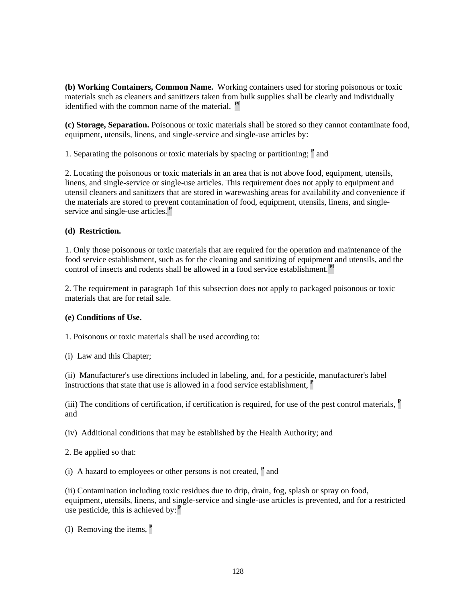**(b) Working Containers, Common Name.** Working containers used for storing poisonous or toxic materials such as cleaners and sanitizers taken from bulk supplies shall be clearly and individually identified with the common name of the material. **Pf**

**(c) Storage, Separation.** Poisonous or toxic materials shall be stored so they cannot contaminate food, equipment, utensils, linens, and single-service and single-use articles by:

1. Separating the poisonous or toxic materials by spacing or partitioning; **<sup>P</sup>** and

2. Locating the poisonous or toxic materials in an area that is not above food, equipment, utensils, linens, and single-service or single-use articles. This requirement does not apply to equipment and utensil cleaners and sanitizers that are stored in warewashing areas for availability and convenience if the materials are stored to prevent contamination of food, equipment, utensils, linens, and singleservice and single-use articles.**<sup>P</sup>**

#### **(d) Restriction.**

1. Only those poisonous or toxic materials that are required for the operation and maintenance of the food service establishment, such as for the cleaning and sanitizing of equipment and utensils, and the control of insects and rodents shall be allowed in a food service establishment. **Pf**

2. The requirement in paragraph 1of this subsection does not apply to packaged poisonous or toxic materials that are for retail sale.

# **(e) Conditions of Use.**

1. Poisonous or toxic materials shall be used according to:

(i) Law and this Chapter;

(ii) Manufacturer's use directions included in labeling, and, for a pesticide, manufacturer's label instructions that state that use is allowed in a food service establishment, **<sup>P</sup>**

(iii) The conditions of certification, if certification is required, for use of the pest control materials, **<sup>P</sup>** and

(iv) Additional conditions that may be established by the Health Authority; and

2. Be applied so that:

(i) A hazard to employees or other persons is not created, **<sup>P</sup>** and

(ii) Contamination including toxic residues due to drip, drain, fog, splash or spray on food, equipment, utensils, linens, and single-service and single-use articles is prevented, and for a restricted use pesticide, this is achieved by:**<sup>P</sup>**

(I) Removing the items, **<sup>P</sup>**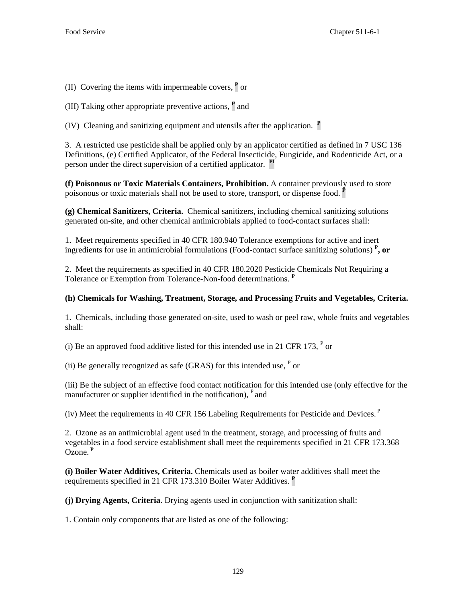(II) Covering the items with impermeable covers, **<sup>P</sup>** or

(III) Taking other appropriate preventive actions, **<sup>P</sup>** and

(IV) Cleaning and sanitizing equipment and utensils after the application. **<sup>P</sup>**

3. A restricted use pesticide shall be applied only by an applicator certified as defined in 7 USC 136 Definitions, (e) Certified Applicator, of the Federal Insecticide, Fungicide, and Rodenticide Act, or a person under the direct supervision of a certified applicator. **Pf**

**(f) Poisonous or Toxic Materials Containers, Prohibition.** A container previously used to store poisonous or toxic materials shall not be used to store, transport, or dispense food. **<sup>P</sup>**

**(g) Chemical Sanitizers, Criteria.** Chemical sanitizers, including chemical sanitizing solutions generated on-site, and other chemical antimicrobials applied to food-contact surfaces shall:

1. Meet requirements specified in 40 CFR 180.940 Tolerance exemptions for active and inert ingredients for use in antimicrobial formulations (Food-contact surface sanitizing solutions) **<sup>P</sup> , or** 

2. Meet the requirements as specified in 40 CFR 180.2020 Pesticide Chemicals Not Requiring a Tolerance or Exemption from Tolerance-Non-food determinations. **<sup>P</sup>**

# **(h) Chemicals for Washing, Treatment, Storage, and Processing Fruits and Vegetables, Criteria.**

1. Chemicals, including those generated on-site, used to wash or peel raw, whole fruits and vegetables shall:

(i) Be an approved food additive listed for this intended use in 21 CFR 173,  $P$  or

(ii) Be generally recognized as safe (GRAS) for this intended use,  $P$  or

(iii) Be the subject of an effective food contact notification for this intended use (only effective for the manufacturer or supplier identified in the notification),  $P$  and

(iv) Meet the requirements in 40 CFR 156 Labeling Requirements for Pesticide and Devices.<sup> $P$ </sup>

2. Ozone as an antimicrobial agent used in the treatment, storage, and processing of fruits and vegetables in a food service establishment shall meet the requirements specified in 21 CFR 173.368 Ozone.**<sup>P</sup>**

**(i) Boiler Water Additives, Criteria.** Chemicals used as boiler water additives shall meet the requirements specified in 21 CFR 173.310 Boiler Water Additives. **<sup>P</sup>**

**(j) Drying Agents, Criteria.** Drying agents used in conjunction with sanitization shall:

1. Contain only components that are listed as one of the following: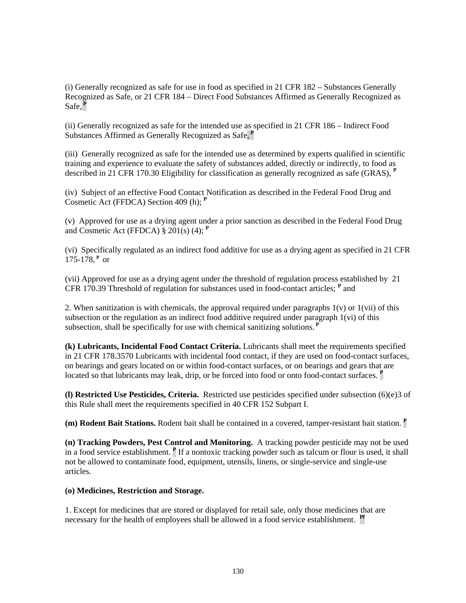(i) Generally recognized as safe for use in food as specified in 21 CFR 182 – Substances Generally Recognized as Safe, or 21 CFR 184 – Direct Food Substances Affirmed as Generally Recognized as Safe,**<sup>P</sup>**

(ii) Generally recognized as safe for the intended use as specified in 21 CFR 186 – Indirect Food Substances Affirmed as Generally Recognized as Safe,**<sup>P</sup>**

(iii) Generally recognized as safe for the intended use as determined by experts qualified in scientific training and experience to evaluate the safety of substances added, directly or indirectly, to food as described in 21 CFR 170.30 Eligibility for classification as generally recognized as safe (GRAS), **<sup>P</sup>**

(iv) Subject of an effective Food Contact Notification as described in the Federal Food Drug and Cosmetic Act (FFDCA) Section 409 (h); **<sup>P</sup>**

(v) Approved for use as a drying agent under a prior sanction as described in the Federal Food Drug and Cosmetic Act (FFDCA) § 201(s) (4); **<sup>P</sup>**

(vi) Specifically regulated as an indirect food additive for use as a drying agent as specified in 21 CFR 175-178,**<sup>P</sup>**or

(vii) Approved for use as a drying agent under the threshold of regulation process established by 21 CFR 170.39 Threshold of regulation for substances used in food-contact articles; **<sup>P</sup>** and

2. When sanitization is with chemicals, the approval required under paragraphs  $1(v)$  or  $1(vii)$  of this subsection or the regulation as an indirect food additive required under paragraph 1(vi) of this subsection, shall be specifically for use with chemical sanitizing solutions.**<sup>P</sup>**

**(k) Lubricants, Incidental Food Contact Criteria.** Lubricants shall meet the requirements specified in 21 CFR 178.3570 Lubricants with incidental food contact, if they are used on food-contact surfaces, on bearings and gears located on or within food-contact surfaces, or on bearings and gears that are located so that lubricants may leak, drip, or be forced into food or onto food-contact surfaces. **P** 

**(l) Restricted Use Pesticides, Criteria.** Restricted use pesticides specified under subsection (6)(e)3 of this Rule shall meet the requirements specified in 40 CFR 152 Subpart I.

**(m) Rodent Bait Stations.** Rodent bait shall be contained in a covered, tamper-resistant bait station. **<sup>P</sup>**

**(n) Tracking Powders, Pest Control and Monitoring.** A tracking powder pesticide may not be used in a food service establishment. **<sup>P</sup>** If a nontoxic tracking powder such as talcum or flour is used, it shall not be allowed to contaminate food, equipment, utensils, linens, or single-service and single-use articles.

**(o) Medicines, Restriction and Storage.**

1. Except for medicines that are stored or displayed for retail sale, only those medicines that are necessary for the health of employees shall be allowed in a food service establishment. **Pf**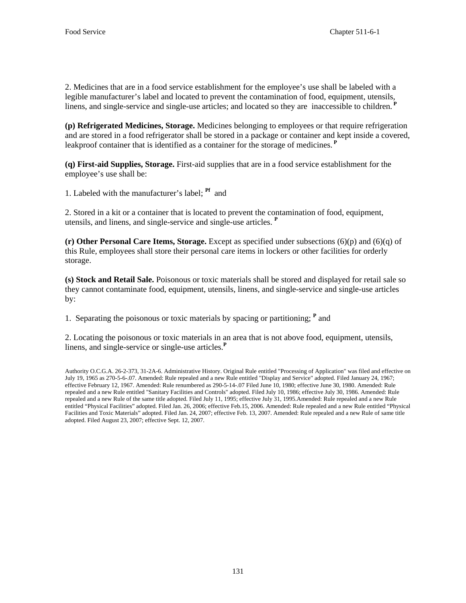2. Medicines that are in a food service establishment for the employee's use shall be labeled with a legible manufacturer's label and located to prevent the contamination of food, equipment, utensils, linens, and single-service and single-use articles; and located so they are inaccessible to children.**<sup>P</sup>**

**(p) Refrigerated Medicines, Storage.** Medicines belonging to employees or that require refrigeration and are stored in a food refrigerator shall be stored in a package or container and kept inside a covered, leakproof container that is identified as a container for the storage of medicines.**<sup>P</sup>**

**(q) First-aid Supplies, Storage.** First-aid supplies that are in a food service establishment for the employee's use shall be:

1. Labeled with the manufacturer's label; **Pf** and

2. Stored in a kit or a container that is located to prevent the contamination of food, equipment, utensils, and linens, and single-service and single-use articles. **<sup>P</sup>**

**(r) Other Personal Care Items, Storage.** Except as specified under subsections (6)(p) and (6)(q) of this Rule, employees shall store their personal care items in lockers or other facilities for orderly storage.

**(s) Stock and Retail Sale.** Poisonous or toxic materials shall be stored and displayed for retail sale so they cannot contaminate food, equipment, utensils, linens, and single-service and single-use articles by:

1. Separating the poisonous or toxic materials by spacing or partitioning; **<sup>P</sup>** and

2. Locating the poisonous or toxic materials in an area that is not above food, equipment, utensils, linens, and single-service or single-use articles.**<sup>P</sup>**

Authority O.C.G.A. 26-2-373, 31-2A-6. Administrative History. Original Rule entitled "Processing of Application" was filed and effective on July 19, 1965 as 270-5-6-.07. Amended: Rule repealed and a new Rule entitled "Display and Service" adopted. Filed January 24, 1967; effective February 12, 1967. Amended: Rule renumbered as 290-5-14-.07 Filed June 10, 1980; effective June 30, 1980. Amended: Rule repealed and a new Rule entitled "Sanitary Facilities and Controls" adopted. Filed July 10, 1986; effective July 30, 1986. Amended: Rule repealed and a new Rule of the same title adopted. Filed July 11, 1995; effective July 31, 1995.Amended: Rule repealed and a new Rule entitled "Physical Facilities" adopted. Filed Jan. 26, 2006; effective Feb.15, 2006. Amended: Rule repealed and a new Rule entitled "Physical Facilities and Toxic Materials" adopted. Filed Jan. 24, 2007; effective Feb. 13, 2007. Amended: Rule repealed and a new Rule of same title adopted. Filed August 23, 2007; effective Sept. 12, 2007.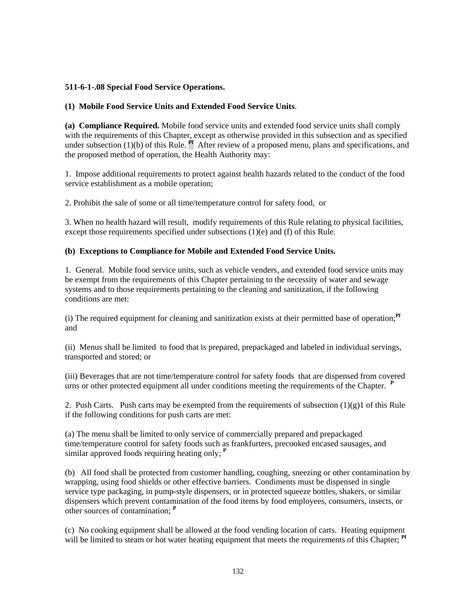# **511-6-1-.08 Special Food Service Operations.**

# **(1) Mobile Food Service Units and Extended Food Service Units**.

**(a) Compliance Required.** Mobile food service units and extended food service units shall comply with the requirements of this Chapter, except as otherwise provided in this subsection and as specified under subsection (1)(b) of this Rule. <sup>Pf</sup> After review of a proposed menu, plans and specifications, and the proposed method of operation, the Health Authority may:

1. Impose additional requirements to protect against health hazards related to the conduct of the food service establishment as a mobile operation;

2. Prohibit the sale of some or all time/temperature control for safety food, or

3. When no health hazard will result, modify requirements of this Rule relating to physical facilities, except those requirements specified under subsections (1)(e) and (f) of this Rule.

# **(b) Exceptions to Compliance for Mobile and Extended Food Service Units.**

1. General. Mobile food service units, such as vehicle venders, and extended food service units may be exempt from the requirements of this Chapter pertaining to the necessity of water and sewage systems and to those requirements pertaining to the cleaning and sanitization, if the following conditions are met:

(i) The required equipment for cleaning and sanitization exists at their permitted base of operation;**Pf**  and

(ii) Menus shall be limited to food that is prepared, prepackaged and labeled in individual servings, transported and stored; or

(iii) Beverages that are not time/temperature control for safety foods that are dispensed from covered urns or other protected equipment all under conditions meeting the requirements of the Chapter. **<sup>P</sup>**

2. Push Carts. Push carts may be exempted from the requirements of subsection  $(1)(g)1$  of this Rule if the following conditions for push carts are met:

(a) The menu shall be limited to only service of commercially prepared and prepackaged time/temperature control for safety foods such as frankfurters, precooked encased sausages, and similar approved foods requiring heating only; **<sup>P</sup>**

(b) All food shall be protected from customer handling, coughing, sneezing or other contamination by wrapping, using food shields or other effective barriers. Condiments must be dispensed in single service type packaging, in pump-style dispensers, or in protected squeeze bottles, shakers, or similar dispensers which prevent contamination of the food items by food employees, consumers, insects, or other sources of contamination; **<sup>P</sup>**

(c) No cooking equipment shall be allowed at the food vending location of carts. Heating equipment will be limited to steam or hot water heating equipment that meets the requirements of this Chapter; **Pf**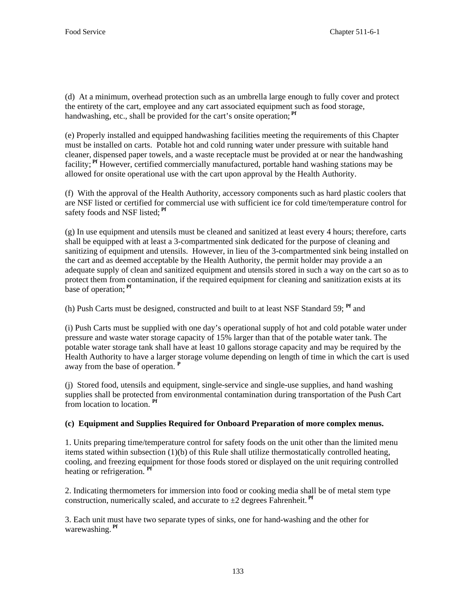(d) At a minimum, overhead protection such as an umbrella large enough to fully cover and protect the entirety of the cart, employee and any cart associated equipment such as food storage, handwashing, etc., shall be provided for the cart's onsite operation;<sup>Pf</sup>

(e) Properly installed and equipped handwashing facilities meeting the requirements of this Chapter must be installed on carts. Potable hot and cold running water under pressure with suitable hand cleaner, dispensed paper towels, and a waste receptacle must be provided at or near the handwashing facility; **Pf** However, certified commercially manufactured, portable hand washing stations may be allowed for onsite operational use with the cart upon approval by the Health Authority.

(f) With the approval of the Health Authority, accessory components such as hard plastic coolers that are NSF listed or certified for commercial use with sufficient ice for cold time/temperature control for safety foods and NSF listed;<sup>Pf</sup>

(g) In use equipment and utensils must be cleaned and sanitized at least every 4 hours; therefore, carts shall be equipped with at least a 3-compartmented sink dedicated for the purpose of cleaning and sanitizing of equipment and utensils. However, in lieu of the 3-compartmented sink being installed on the cart and as deemed acceptable by the Health Authority, the permit holder may provide a an adequate supply of clean and sanitized equipment and utensils stored in such a way on the cart so as to protect them from contamination*,* if the required equipment for cleaning and sanitization exists at its base of operation; **Pf**

(h) Push Carts must be designed, constructed and built to at least NSF Standard 59; **Pf** and

(i) Push Carts must be supplied with one day's operational supply of hot and cold potable water under pressure and waste water storage capacity of 15% larger than that of the potable water tank. The potable water storage tank shall have at least 10 gallons storage capacity and may be required by the Health Authority to have a larger storage volume depending on length of time in which the cart is used away from the base of operation. **<sup>P</sup>**

(j) Stored food, utensils and equipment, single-service and single-use supplies, and hand washing supplies shall be protected from environmental contamination during transportation of the Push Cart from location to location. **Pf**

# **(c) Equipment and Supplies Required for Onboard Preparation of more complex menus.**

1. Units preparing time/temperature control for safety foods on the unit other than the limited menu items stated within subsection (1)(b) of this Rule shall utilize thermostatically controlled heating, cooling, and freezing equipment for those foods stored or displayed on the unit requiring controlled heating or refrigeration. **Pf**

2. Indicating thermometers for immersion into food or cooking media shall be of metal stem type construction, numerically scaled, and accurate to  $\pm 2$  degrees Fahrenheit.<sup>Pf</sup>

3. Each unit must have two separate types of sinks, one for hand-washing and the other for warewashing. **Pf**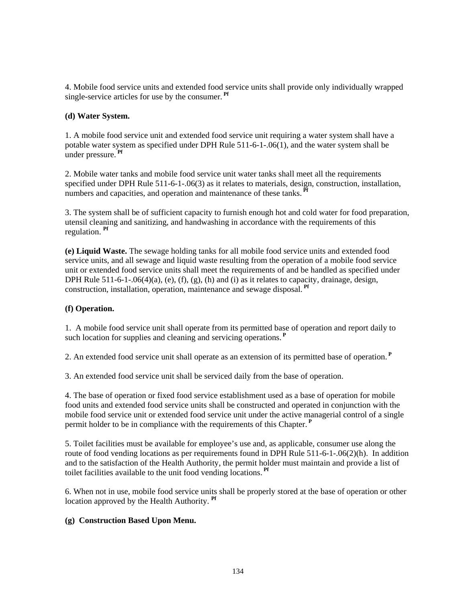4. Mobile food service units and extended food service units shall provide only individually wrapped single-service articles for use by the consumer. **Pf**

### **(d) Water System.**

1. A mobile food service unit and extended food service unit requiring a water system shall have a potable water system as specified under DPH Rule 511-6-1-.06(1), and the water system shall be under pressure. **Pf**

2. Mobile water tanks and mobile food service unit water tanks shall meet all the requirements specified under DPH Rule 511-6-1-.06(3) as it relates to materials, design, construction, installation, numbers and capacities, and operation and maintenance of these tanks.<sup>Pf</sup>

3. The system shall be of sufficient capacity to furnish enough hot and cold water for food preparation, utensil cleaning and sanitizing, and handwashing in accordance with the requirements of this regulation. **Pf**

**(e) Liquid Waste.** The sewage holding tanks for all mobile food service units and extended food service units, and all sewage and liquid waste resulting from the operation of a mobile food service unit or extended food service units shall meet the requirements of and be handled as specified under DPH Rule  $511-6-1-06(4)(a)$ , (e), (f), (g), (h) and (i) as it relates to capacity, drainage, design, construction, installation, operation, maintenance and sewage disposal. **Pf**

# **(f) Operation.**

1. A mobile food service unit shall operate from its permitted base of operation and report daily to such location for supplies and cleaning and servicing operations.**<sup>P</sup>**

2. An extended food service unit shall operate as an extension of its permitted base of operation.**<sup>P</sup>**

3. An extended food service unit shall be serviced daily from the base of operation.

4. The base of operation or fixed food service establishment used as a base of operation for mobile food units and extended food service units shall be constructed and operated in conjunction with the mobile food service unit or extended food service unit under the active managerial control of a single permit holder to be in compliance with the requirements of this Chapter.**<sup>P</sup>**

5. Toilet facilities must be available for employee's use and, as applicable, consumer use along the route of food vending locations as per requirements found in DPH Rule 511-6-1-.06(2)(h). In addition and to the satisfaction of the Health Authority, the permit holder must maintain and provide a list of toilet facilities available to the unit food vending locations. **Pf**

6. When not in use, mobile food service units shall be properly stored at the base of operation or other location approved by the Health Authority. **Pf**

# **(g) Construction Based Upon Menu.**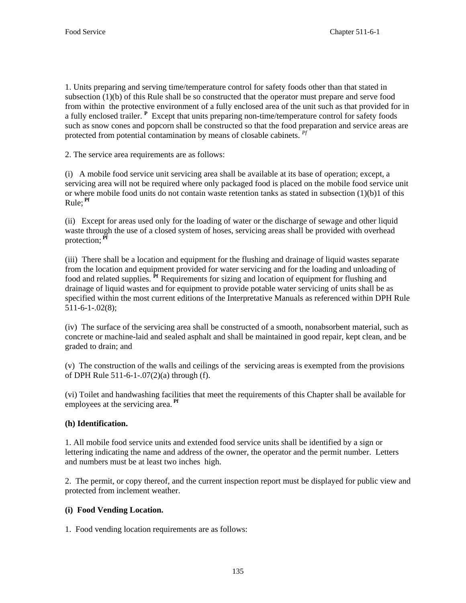1. Units preparing and serving time/temperature control for safety foods other than that stated in subsection (1)(b) of this Rule shall be so constructed that the operator must prepare and serve food from within the protective environment of a fully enclosed area of the unit such as that provided for in a fully enclosed trailer. **<sup>P</sup>** Except that units preparing non-time/temperature control for safety foods such as snow cones and popcorn shall be constructed so that the food preparation and service areas are protected from potential contamination by means of closable cabinets. *Pf*

2. The service area requirements are as follows:

(i) A mobile food service unit servicing area shall be available at its base of operation; except, a servicing area will not be required where only packaged food is placed on the mobile food service unit or where mobile food units do not contain waste retention tanks as stated in subsection  $(1)(b)1$  of this Rule; **Pf**

(ii) Except for areas used only for the loading of water or the discharge of sewage and other liquid waste through the use of a closed system of hoses, servicing areas shall be provided with overhead protection; **Pf**

(iii) There shall be a location and equipment for the flushing and drainage of liquid wastes separate from the location and equipment provided for water servicing and for the loading and unloading of food and related supplies. **Pf** Requirements for sizing and location of equipment for flushing and drainage of liquid wastes and for equipment to provide potable water servicing of units shall be as specified within the most current editions of the Interpretative Manuals as referenced within DPH Rule 511-6-1-.02(8);

(iv) The surface of the servicing area shall be constructed of a smooth, nonabsorbent material, such as concrete or machine-laid and sealed asphalt and shall be maintained in good repair, kept clean, and be graded to drain; and

(v) The construction of the walls and ceilings of the servicing areas is exempted from the provisions of DPH Rule 511-6-1-.07(2)(a) through (f).

(vi) Toilet and handwashing facilities that meet the requirements of this Chapter shall be available for employees at the servicing area. **Pf**

# **(h) Identification.**

1. All mobile food service units and extended food service units shall be identified by a sign or lettering indicating the name and address of the owner, the operator and the permit number. Letters and numbers must be at least two inches high.

2. The permit, or copy thereof, and the current inspection report must be displayed for public view and protected from inclement weather.

# **(i) Food Vending Location.**

1. Food vending location requirements are as follows: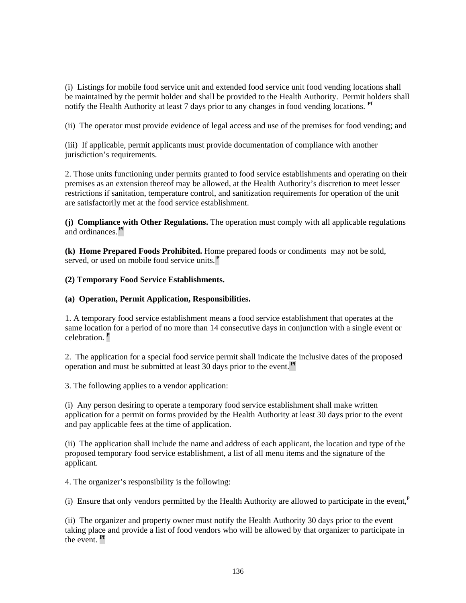(i) Listings for mobile food service unit and extended food service unit food vending locations shall be maintained by the permit holder and shall be provided to the Health Authority. Permit holders shall notify the Health Authority at least 7 days prior to any changes in food vending locations. **Pf**

(ii) The operator must provide evidence of legal access and use of the premises for food vending; and

(iii) If applicable, permit applicants must provide documentation of compliance with another jurisdiction's requirements.

2. Those units functioning under permits granted to food service establishments and operating on their premises as an extension thereof may be allowed, at the Health Authority's discretion to meet lesser restrictions if sanitation, temperature control, and sanitization requirements for operation of the unit are satisfactorily met at the food service establishment.

**(j) Compliance with Other Regulations.** The operation must comply with all applicable regulations and ordinances. **Pf**

**(k) Home Prepared Foods Prohibited.** Home prepared foods or condiments may not be sold, served, or used on mobile food service units.**<sup>P</sup>**

# **(2) Temporary Food Service Establishments.**

# **(a) Operation, Permit Application, Responsibilities.**

1. A temporary food service establishment means a food service establishment that operates at the same location for a period of no more than 14 consecutive days in conjunction with a single event or celebration. **<sup>P</sup>**

2. The application for a special food service permit shall indicate the inclusive dates of the proposed operation and must be submitted at least 30 days prior to the event. **Pf**

3. The following applies to a vendor application:

(i) Any person desiring to operate a temporary food service establishment shall make written application for a permit on forms provided by the Health Authority at least 30 days prior to the event and pay applicable fees at the time of application.

(ii) The application shall include the name and address of each applicant, the location and type of the proposed temporary food service establishment, a list of all menu items and the signature of the applicant.

4. The organizer's responsibility is the following:

(i) Ensure that only vendors permitted by the Health Authority are allowed to participate in the event, $P$ 

(ii) The organizer and property owner must notify the Health Authority 30 days prior to the event taking place and provide a list of food vendors who will be allowed by that organizer to participate in the event. **Pf**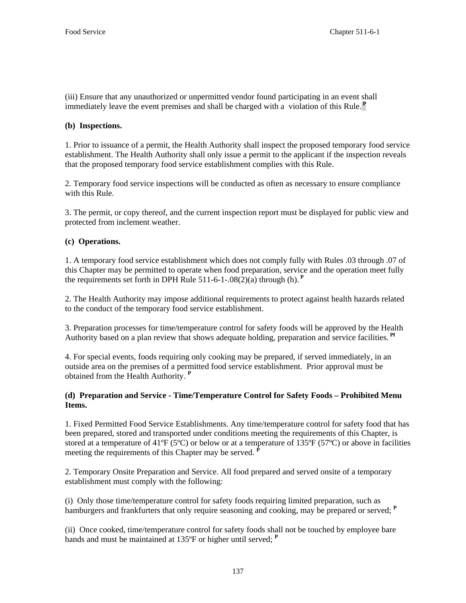(iii) Ensure that any unauthorized or unpermitted vendor found participating in an event shall immediately leave the event premises and shall be charged with a violation of this Rule.**<sup>P</sup>**

# **(b) Inspections.**

1. Prior to issuance of a permit, the Health Authority shall inspect the proposed temporary food service establishment. The Health Authority shall only issue a permit to the applicant if the inspection reveals that the proposed temporary food service establishment complies with this Rule.

2. Temporary food service inspections will be conducted as often as necessary to ensure compliance with this Rule.

3. The permit, or copy thereof, and the current inspection report must be displayed for public view and protected from inclement weather.

# **(c) Operations.**

1. A temporary food service establishment which does not comply fully with Rules .03 through .07 of this Chapter may be permitted to operate when food preparation, service and the operation meet fully the requirements set forth in DPH Rule 511-6-1-.08(2)(a) through (h).<sup>P</sup>

2. The Health Authority may impose additional requirements to protect against health hazards related to the conduct of the temporary food service establishment.

3. Preparation processes for time/temperature control for safety foods will be approved by the Health Authority based on a plan review that shows adequate holding, preparation and service facilities. **Pf**

4. For special events, foods requiring only cooking may be prepared, if served immediately, in an outside area on the premises of a permitted food service establishment. Prior approval must be obtained from the Health Authority. **<sup>P</sup>**

# **(d) Preparation and Service - Time/Temperature Control for Safety Foods – Prohibited Menu Items.**

1. Fixed Permitted Food Service Establishments. Any time/temperature control for safety food that has been prepared, stored and transported under conditions meeting the requirements of this Chapter, is stored at a temperature of 41 $\rm{^{\circ}F}$  (5 $\rm{^{\circ}C}$ ) or below or at a temperature of 135 $\rm{^{\circ}F}$  (5 $\rm{^{\circ}C}$ ) or above in facilities meeting the requirements of this Chapter may be served.  $\vec{P}$ 

2. Temporary Onsite Preparation and Service. All food prepared and served onsite of a temporary establishment must comply with the following:

(i) Only those time/temperature control for safety foods requiring limited preparation, such as hamburgers and frankfurters that only require seasoning and cooking, may be prepared or served; **<sup>P</sup>**

(ii) Once cooked, time/temperature control for safety foods shall not be touched by employee bare hands and must be maintained at 135<sup>o</sup>F or higher until served; <sup>P</sup>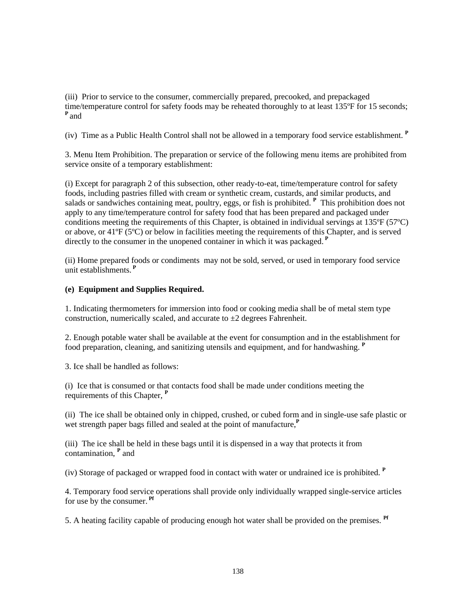(iii) Prior to service to the consumer, commercially prepared, precooked, and prepackaged time/temperature control for safety foods may be reheated thoroughly to at least 135ºF for 15 seconds; **<sup>P</sup>**and

(iv) Time as a Public Health Control shall not be allowed in a temporary food service establishment. **<sup>P</sup>**

3. Menu Item Prohibition. The preparation or service of the following menu items are prohibited from service onsite of a temporary establishment:

(i) Except for paragraph 2 of this subsection, other ready-to-eat, time/temperature control for safety foods, including pastries filled with cream or synthetic cream, custards, and similar products, and salads or sandwiches containing meat, poultry, eggs, or fish is prohibited. <sup>**P**</sup> This prohibition does not apply to any time/temperature control for safety food that has been prepared and packaged under conditions meeting the requirements of this Chapter, is obtained in individual servings at 135ºF (57ºC) or above, or 41ºF (5ºC) or below in facilities meeting the requirements of this Chapter, and is served directly to the consumer in the unopened container in which it was packaged.**<sup>P</sup>**

(ii) Home prepared foods or condiments may not be sold, served, or used in temporary food service unit establishments.**<sup>P</sup>**

# **(e) Equipment and Supplies Required.**

1. Indicating thermometers for immersion into food or cooking media shall be of metal stem type construction, numerically scaled, and accurate to  $\pm 2$  degrees Fahrenheit.

2. Enough potable water shall be available at the event for consumption and in the establishment for food preparation, cleaning, and sanitizing utensils and equipment, and for handwashing. **<sup>P</sup>**

3. Ice shall be handled as follows:

(i) Ice that is consumed or that contacts food shall be made under conditions meeting the requirements of this Chapter, **<sup>P</sup>**

(ii) The ice shall be obtained only in chipped, crushed, or cubed form and in single-use safe plastic or wet strength paper bags filled and sealed at the point of manufacture.<sup>P</sup>

(iii) The ice shall be held in these bags until it is dispensed in a way that protects it from contamination, **<sup>P</sup>** and

(iv) Storage of packaged or wrapped food in contact with water or undrained ice is prohibited. **<sup>P</sup>**

4. Temporary food service operations shall provide only individually wrapped single-service articles for use by the consumer. **Pf**

5. A heating facility capable of producing enough hot water shall be provided on the premises. **Pf**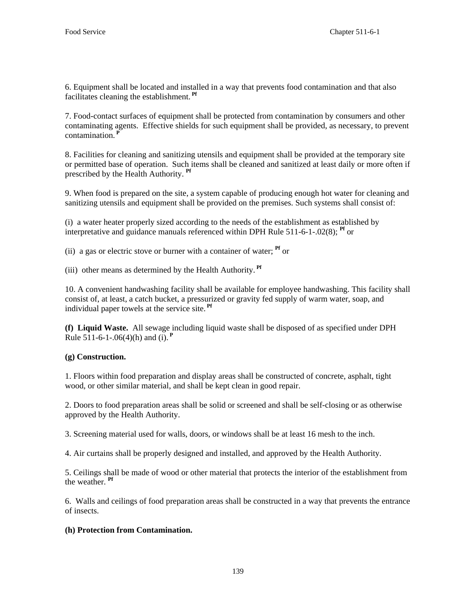6. Equipment shall be located and installed in a way that prevents food contamination and that also facilitates cleaning the establishment. **Pf**

7. Food-contact surfaces of equipment shall be protected from contamination by consumers and other contaminating agents. Effective shields for such equipment shall be provided, as necessary, to prevent contamination.<sup>1</sup>

8. Facilities for cleaning and sanitizing utensils and equipment shall be provided at the temporary site or permitted base of operation. Such items shall be cleaned and sanitized at least daily or more often if prescribed by the Health Authority. **Pf**

9. When food is prepared on the site, a system capable of producing enough hot water for cleaning and sanitizing utensils and equipment shall be provided on the premises. Such systems shall consist of:

(i) a water heater properly sized according to the needs of the establishment as established by interpretative and guidance manuals referenced within DPH Rule 511-6-1-.02(8); **Pf** or

(ii) a gas or electric stove or burner with a container of water; **Pf** or

(iii) other means as determined by the Health Authority. **Pf**

10. A convenient handwashing facility shall be available for employee handwashing. This facility shall consist of, at least, a catch bucket, a pressurized or gravity fed supply of warm water, soap, and individual paper towels at the service site. **Pf**

**(f) Liquid Waste.** All sewage including liquid waste shall be disposed of as specified under DPH Rule 511-6-1-.06(4)(h) and (i).**<sup>P</sup>**

# **(g) Construction.**

1. Floors within food preparation and display areas shall be constructed of concrete, asphalt, tight wood, or other similar material, and shall be kept clean in good repair.

2. Doors to food preparation areas shall be solid or screened and shall be self-closing or as otherwise approved by the Health Authority.

3. Screening material used for walls, doors, or windows shall be at least 16 mesh to the inch.

4. Air curtains shall be properly designed and installed, and approved by the Health Authority.

5. Ceilings shall be made of wood or other material that protects the interior of the establishment from the weather. **Pf**

6. Walls and ceilings of food preparation areas shall be constructed in a way that prevents the entrance of insects.

# **(h) Protection from Contamination.**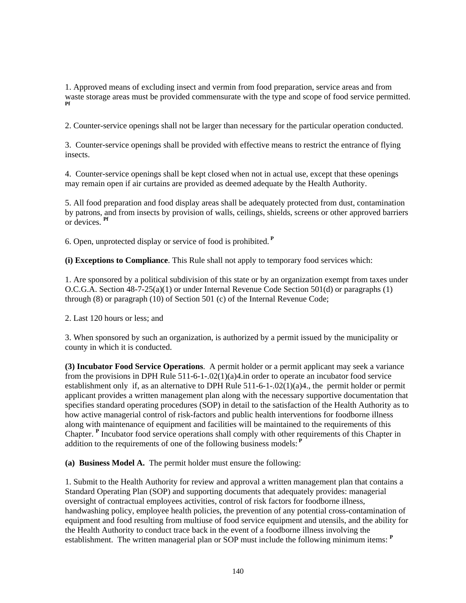1. Approved means of excluding insect and vermin from food preparation, service areas and from waste storage areas must be provided commensurate with the type and scope of food service permitted. **Pf**

2. Counter-service openings shall not be larger than necessary for the particular operation conducted.

3. Counter-service openings shall be provided with effective means to restrict the entrance of flying insects.

4. Counter-service openings shall be kept closed when not in actual use, except that these openings may remain open if air curtains are provided as deemed adequate by the Health Authority.

5. All food preparation and food display areas shall be adequately protected from dust, contamination by patrons, and from insects by provision of walls, ceilings, shields, screens or other approved barriers or devices. **Pf**

6. Open, unprotected display or service of food is prohibited.**<sup>P</sup>**

**(i) Exceptions to Compliance**. This Rule shall not apply to temporary food services which:

1. Are sponsored by a political subdivision of this state or by an organization exempt from taxes under O.C.G.A. Section 48-7-25(a)(1) or under Internal Revenue Code Section 501(d) or paragraphs (1) through (8) or paragraph (10) of Section 501 (c) of the Internal Revenue Code;

2. Last 120 hours or less; and

3. When sponsored by such an organization, is authorized by a permit issued by the municipality or county in which it is conducted.

**(3) Incubator Food Service Operations**. A permit holder or a permit applicant may seek a variance from the provisions in DPH Rule  $511-6-1-02(1)(a)4$  in order to operate an incubator food service establishment only if, as an alternative to DPH Rule 511-6-1-.02 $(1)(a)4$ ., the permit holder or permit applicant provides a written management plan along with the necessary supportive documentation that specifies standard operating procedures (SOP) in detail to the satisfaction of the Health Authority as to how active managerial control of risk-factors and public health interventions for foodborne illness along with maintenance of equipment and facilities will be maintained to the requirements of this Chapter. <sup>P</sup> Incubator food service operations shall comply with other requirements of this Chapter in addition to the requirements of one of the following business models:**<sup>P</sup>**

**(a) Business Model A.** The permit holder must ensure the following:

 1. Submit to the Health Authority for review and approval a written management plan that contains a Standard Operating Plan (SOP) and supporting documents that adequately provides: managerial oversight of contractual employees activities, control of risk factors for foodborne illness, handwashing policy, employee health policies, the prevention of any potential cross-contamination of equipment and food resulting from multiuse of food service equipment and utensils, and the ability for the Health Authority to conduct trace back in the event of a foodborne illness involving the establishment. The written managerial plan or SOP must include the following minimum items: **<sup>P</sup>**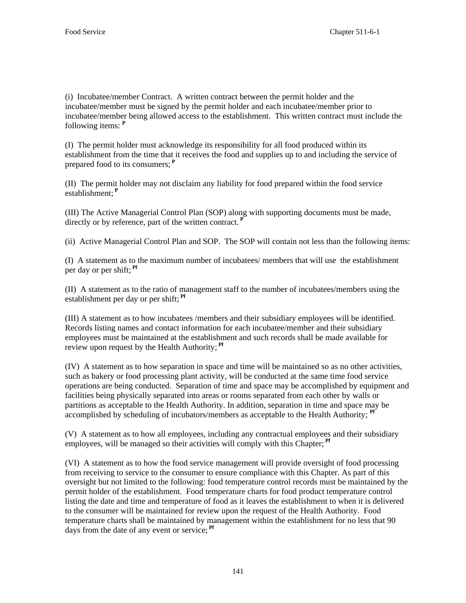(i) Incubatee/member Contract. A written contract between the permit holder and the incubatee/member must be signed by the permit holder and each incubatee/member prior to incubatee/member being allowed access to the establishment. This written contract must include the following items: **<sup>P</sup>**

(I) The permit holder must acknowledge its responsibility for all food produced within its establishment from the time that it receives the food and supplies up to and including the service of prepared food to its consumers;**<sup>P</sup>**

(II) The permit holder may not disclaim any liability for food prepared within the food service establishment;**<sup>P</sup>**

(III) The Active Managerial Control Plan (SOP) along with supporting documents must be made, directly or by reference, part of the written contract.**<sup>P</sup>**

(ii) Active Managerial Control Plan and SOP. The SOP will contain not less than the following items:

(I) A statement as to the maximum number of incubatees/ members that will use the establishment per day or per shift; **Pf**

(II) A statement as to the ratio of management staff to the number of incubatees/members using the establishment per day or per shift; **Pf**

(III) A statement as to how incubatees /members and their subsidiary employees will be identified. Records listing names and contact information for each incubatee/member and their subsidiary employees must be maintained at the establishment and such records shall be made available for review upon request by the Health Authority; **Pf**

(IV) A statement as to how separation in space and time will be maintained so as no other activities, such as bakery or food processing plant activity, will be conducted at the same time food service operations are being conducted. Separation of time and space may be accomplished by equipment and facilities being physically separated into areas or rooms separated from each other by walls or partitions as acceptable to the Health Authority. In addition, separation in time and space may be accomplished by scheduling of incubators/members as acceptable to the Health Authority; **Pf**

(V) A statement as to how all employees, including any contractual employees and their subsidiary employees, will be managed so their activities will comply with this Chapter;<sup>Pf</sup>

(VI) A statement as to how the food service management will provide oversight of food processing from receiving to service to the consumer to ensure compliance with this Chapter. As part of this oversight but not limited to the following: food temperature control records must be maintained by the permit holder of the establishment. Food temperature charts for food product temperature control listing the date and time and temperature of food as it leaves the establishment to when it is delivered to the consumer will be maintained for review upon the request of the Health Authority. Food temperature charts shall be maintained by management within the establishment for no less that 90 days from the date of any event or service; **Pf**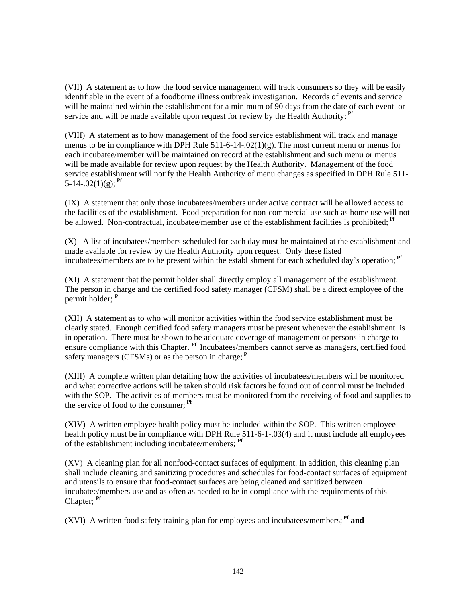(VII) A statement as to how the food service management will track consumers so they will be easily identifiable in the event of a foodborne illness outbreak investigation. Records of events and service will be maintained within the establishment for a minimum of 90 days from the date of each event or service and will be made available upon request for review by the Health Authority;<sup>Pf</sup>

(VIII) A statement as to how management of the food service establishment will track and manage menus to be in compliance with DPH Rule  $511-6-14-.02(1)(g)$ . The most current menu or menus for each incubatee/member will be maintained on record at the establishment and such menu or menus will be made available for review upon request by the Health Authority. Management of the food service establishment will notify the Health Authority of menu changes as specified in DPH Rule 511- 5-14-.02(1)(g);  $<sup>pr</sup>$ </sup>

(IX) A statement that only those incubatees/members under active contract will be allowed access to the facilities of the establishment. Food preparation for non-commercial use such as home use will not be allowed. Non-contractual, incubatee/member use of the establishment facilities is prohibited; **Pf**

(X) A list of incubatees/members scheduled for each day must be maintained at the establishment and made available for review by the Health Authority upon request. Only these listed incubatees/members are to be present within the establishment for each scheduled day's operation; **Pf**

(XI) A statement that the permit holder shall directly employ all management of the establishment. The person in charge and the certified food safety manager (CFSM) shall be a direct employee of the permit holder; **<sup>P</sup>**

(XII) A statement as to who will monitor activities within the food service establishment must be clearly stated. Enough certified food safety managers must be present whenever the establishment is in operation. There must be shown to be adequate coverage of management or persons in charge to ensure compliance with this Chapter. **Pf** Incubatees/members cannot serve as managers, certified food safety managers (CFSMs) or as the person in charge: <sup>P</sup>

(XIII) A complete written plan detailing how the activities of incubatees/members will be monitored and what corrective actions will be taken should risk factors be found out of control must be included with the SOP. The activities of members must be monitored from the receiving of food and supplies to the service of food to the consumer; **Pf**

(XIV) A written employee health policy must be included within the SOP. This written employee health policy must be in compliance with DPH Rule 511-6-1-03(4) and it must include all employees of the establishment including incubatee/members; **Pf**

(XV) A cleaning plan for all nonfood-contact surfaces of equipment. In addition, this cleaning plan shall include cleaning and sanitizing procedures and schedules for food-contact surfaces of equipment and utensils to ensure that food-contact surfaces are being cleaned and sanitized between incubatee/members use and as often as needed to be in compliance with the requirements of this Chapter; **Pf**

(XVI) A written food safety training plan for employees and incubatees/members; **Pf and**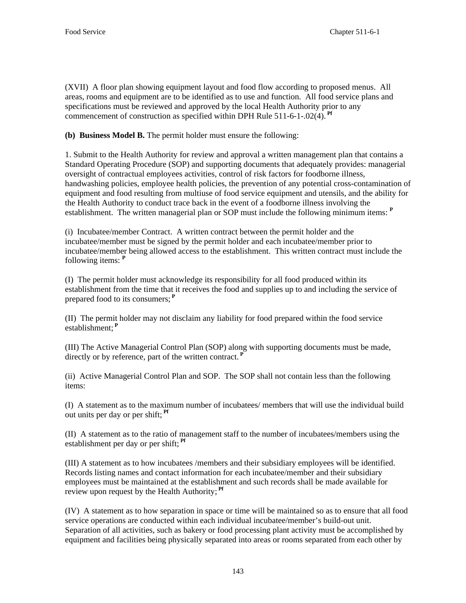(XVII) A floor plan showing equipment layout and food flow according to proposed menus. All areas, rooms and equipment are to be identified as to use and function. All food service plans and specifications must be reviewed and approved by the local Health Authority prior to any commencement of construction as specified within DPH Rule 511-6-1-.02(4). **Pf**

**(b) Business Model B.** The permit holder must ensure the following:

1. Submit to the Health Authority for review and approval a written management plan that contains a Standard Operating Procedure (SOP) and supporting documents that adequately provides: managerial oversight of contractual employees activities, control of risk factors for foodborne illness, handwashing policies, employee health policies, the prevention of any potential cross-contamination of equipment and food resulting from multiuse of food service equipment and utensils, and the ability for the Health Authority to conduct trace back in the event of a foodborne illness involving the establishment. The written managerial plan or SOP must include the following minimum items: **<sup>P</sup>**

(i) Incubatee/member Contract. A written contract between the permit holder and the incubatee/member must be signed by the permit holder and each incubatee/member prior to incubatee/member being allowed access to the establishment. This written contract must include the following items: **<sup>P</sup>**

(I) The permit holder must acknowledge its responsibility for all food produced within its establishment from the time that it receives the food and supplies up to and including the service of prepared food to its consumers;**<sup>P</sup>**

(II) The permit holder may not disclaim any liability for food prepared within the food service establishment;**<sup>P</sup>**

(III) The Active Managerial Control Plan (SOP) along with supporting documents must be made, directly or by reference, part of the written contract.**<sup>P</sup>**

(ii) Active Managerial Control Plan and SOP. The SOP shall not contain less than the following items:

(I) A statement as to the maximum number of incubatees/ members that will use the individual build out units per day or per shift; **Pf**

(II) A statement as to the ratio of management staff to the number of incubatees/members using the establishment per day or per shift; **Pf**

(III) A statement as to how incubatees /members and their subsidiary employees will be identified. Records listing names and contact information for each incubatee/member and their subsidiary employees must be maintained at the establishment and such records shall be made available for review upon request by the Health Authority; **Pf**

(IV) A statement as to how separation in space or time will be maintained so as to ensure that all food service operations are conducted within each individual incubatee/member's build-out unit. Separation of all activities, such as bakery or food processing plant activity must be accomplished by equipment and facilities being physically separated into areas or rooms separated from each other by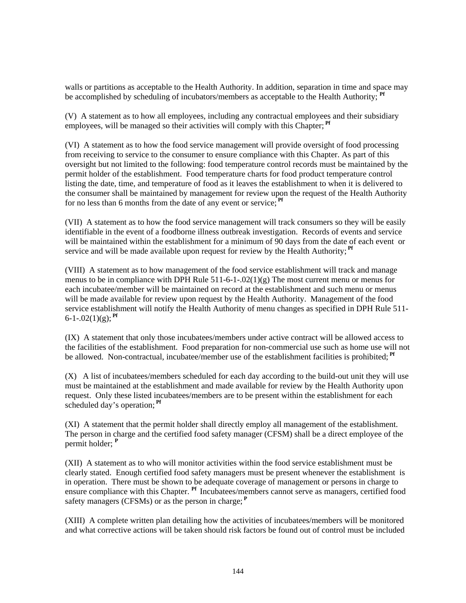walls or partitions as acceptable to the Health Authority. In addition, separation in time and space may be accomplished by scheduling of incubators/members as acceptable to the Health Authority; **Pf**

(V) A statement as to how all employees, including any contractual employees and their subsidiary employees, will be managed so their activities will comply with this Chapter;<sup>Pf</sup>

(VI) A statement as to how the food service management will provide oversight of food processing from receiving to service to the consumer to ensure compliance with this Chapter. As part of this oversight but not limited to the following: food temperature control records must be maintained by the permit holder of the establishment. Food temperature charts for food product temperature control listing the date, time, and temperature of food as it leaves the establishment to when it is delivered to the consumer shall be maintained by management for review upon the request of the Health Authority for no less than 6 months from the date of any event or service; **Pf**

(VII) A statement as to how the food service management will track consumers so they will be easily identifiable in the event of a foodborne illness outbreak investigation. Records of events and service will be maintained within the establishment for a minimum of 90 days from the date of each event or service and will be made available upon request for review by the Health Authority;<sup>Pf</sup>

(VIII) A statement as to how management of the food service establishment will track and manage menus to be in compliance with DPH Rule  $511-6-1-02(1)(g)$  The most current menu or menus for each incubatee/member will be maintained on record at the establishment and such menu or menus will be made available for review upon request by the Health Authority. Management of the food service establishment will notify the Health Authority of menu changes as specified in DPH Rule 511-  $6-1-02(1)(g)$ ; <sup>Pf</sup>

(IX) A statement that only those incubatees/members under active contract will be allowed access to the facilities of the establishment. Food preparation for non-commercial use such as home use will not be allowed. Non-contractual, incubatee/member use of the establishment facilities is prohibited; **Pf**

(X) A list of incubatees/members scheduled for each day according to the build-out unit they will use must be maintained at the establishment and made available for review by the Health Authority upon request. Only these listed incubatees/members are to be present within the establishment for each scheduled day's operation; **Pf**

(XI) A statement that the permit holder shall directly employ all management of the establishment. The person in charge and the certified food safety manager (CFSM) shall be a direct employee of the permit holder; **<sup>P</sup>**

(XII) A statement as to who will monitor activities within the food service establishment must be clearly stated. Enough certified food safety managers must be present whenever the establishment is in operation. There must be shown to be adequate coverage of management or persons in charge to ensure compliance with this Chapter. **Pf** Incubatees/members cannot serve as managers, certified food safety managers (CFSMs) or as the person in charge;**<sup>P</sup>**

(XIII) A complete written plan detailing how the activities of incubatees/members will be monitored and what corrective actions will be taken should risk factors be found out of control must be included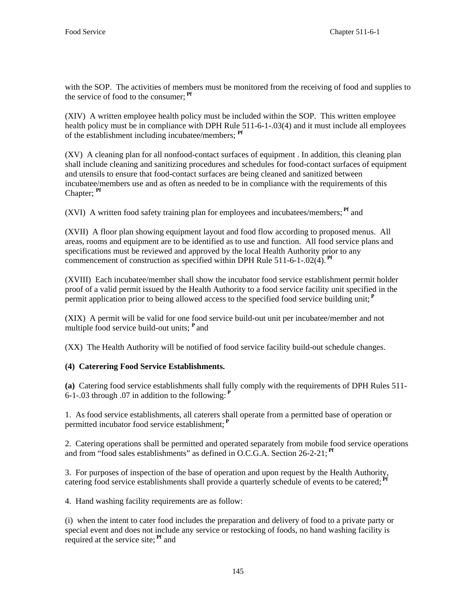with the SOP. The activities of members must be monitored from the receiving of food and supplies to the service of food to the consumer; **Pf**

(XIV) A written employee health policy must be included within the SOP. This written employee health policy must be in compliance with DPH Rule 511-6-1-.03(4) and it must include all employees of the establishment including incubatee/members; **Pf**

(XV) A cleaning plan for all nonfood-contact surfaces of equipment . In addition, this cleaning plan shall include cleaning and sanitizing procedures and schedules for food-contact surfaces of equipment and utensils to ensure that food-contact surfaces are being cleaned and sanitized between incubatee/members use and as often as needed to be in compliance with the requirements of this Chapter; **Pf**

(XVI) A written food safety training plan for employees and incubatees/members; **Pf** and

(XVII) A floor plan showing equipment layout and food flow according to proposed menus. All areas, rooms and equipment are to be identified as to use and function. All food service plans and specifications must be reviewed and approved by the local Health Authority prior to any commencement of construction as specified within DPH Rule  $511-6-1-02(4)$ .<sup>Pf</sup>

(XVIII) Each incubatee/member shall show the incubator food service establishment permit holder proof of a valid permit issued by the Health Authority to a food service facility unit specified in the permit application prior to being allowed access to the specified food service building unit;**<sup>P</sup>**

(XIX) A permit will be valid for one food service build-out unit per incubatee/member and not multiple food service build-out units; **<sup>P</sup>**and

(XX) The Health Authority will be notified of food service facility build-out schedule changes.

# **(4) Caterering Food Service Establishments.**

**(a)** Catering food service establishments shall fully comply with the requirements of DPH Rules 511- 6-1-.03 through .07 in addition to the following:**<sup>P</sup>**

1. As food service establishments, all caterers shall operate from a permitted base of operation or permitted incubator food service establishment;**<sup>P</sup>**

2. Catering operations shall be permitted and operated separately from mobile food service operations and from "food sales establishments" as defined in O.C.G.A. Section 26-2-21;<sup>Pf</sup>

3. For purposes of inspection of the base of operation and upon request by the Health Authority, catering food service establishments shall provide a quarterly schedule of events to be catered;<sup>Pf</sup>

4. Hand washing facility requirements are as follow:

(i) when the intent to cater food includes the preparation and delivery of food to a private party or special event and does not include any service or restocking of foods, no hand washing facility is required at the service site; **Pf** and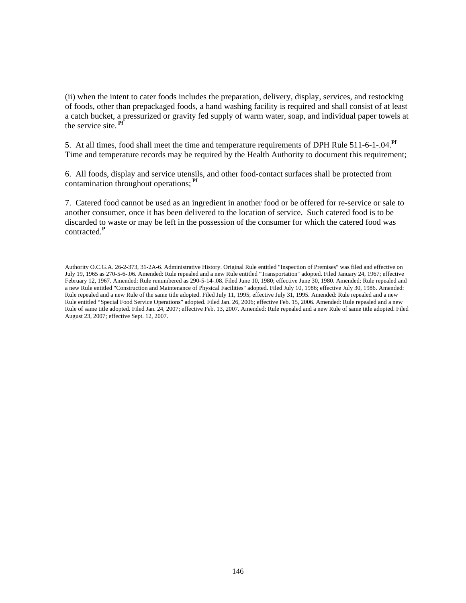(ii) when the intent to cater foods includes the preparation, delivery, display, services, and restocking of foods, other than prepackaged foods, a hand washing facility is required and shall consist of at least a catch bucket, a pressurized or gravity fed supply of warm water, soap, and individual paper towels at the service site. **Pf**

5. At all times, food shall meet the time and temperature requirements of DPH Rule 511-6-1-.04.**Pf** Time and temperature records may be required by the Health Authority to document this requirement;

6. All foods, display and service utensils, and other food-contact surfaces shall be protected from contamination throughout operations; **Pf**

7. Catered food cannot be used as an ingredient in another food or be offered for re-service or sale to another consumer, once it has been delivered to the location of service. Such catered food is to be discarded to waste or may be left in the possession of the consumer for which the catered food was contracted*.* **P**

Authority O.C.G.A. 26-2-373, 31-2A-6. Administrative History. Original Rule entitled "Inspection of Premises" was filed and effective on July 19, 1965 as 270-5-6-.06. Amended: Rule repealed and a new Rule entitled "Transportation" adopted. Filed January 24, 1967; effective February 12, 1967. Amended: Rule renumbered as 290-5-14-.08. Filed June 10, 1980; effective June 30, 1980. Amended: Rule repealed and a new Rule entitled "Construction and Maintenance of Physical Facilities" adopted. Filed July 10, 1986; effective July 30, 1986. Amended: Rule repealed and a new Rule of the same title adopted. Filed July 11, 1995; effective July 31, 1995. Amended: Rule repealed and a new Rule entitled "Special Food Service Operations" adopted. Filed Jan. 26, 2006; effective Feb. 15, 2006. Amended: Rule repealed and a new Rule of same title adopted. Filed Jan. 24, 2007; effective Feb. 13, 2007. Amended: Rule repealed and a new Rule of same title adopted. Filed August 23, 2007; effective Sept. 12, 2007.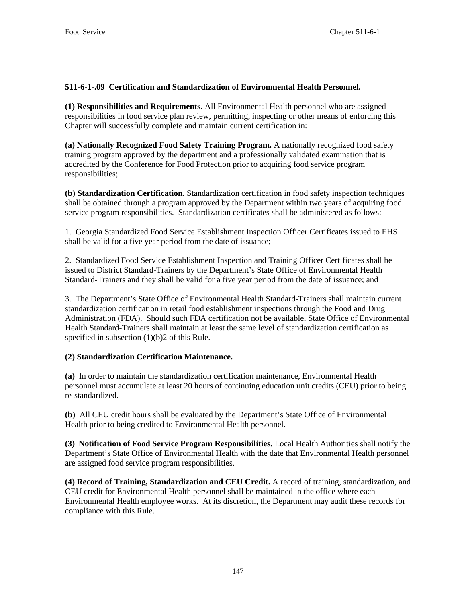# **511-6-1-.09 Certification and Standardization of Environmental Health Personnel.**

**(1) Responsibilities and Requirements.** All Environmental Health personnel who are assigned responsibilities in food service plan review, permitting, inspecting or other means of enforcing this Chapter will successfully complete and maintain current certification in:

**(a) Nationally Recognized Food Safety Training Program.** A nationally recognized food safety training program approved by the department and a professionally validated examination that is accredited by the Conference for Food Protection prior to acquiring food service program responsibilities;

**(b) Standardization Certification.** Standardization certification in food safety inspection techniques shall be obtained through a program approved by the Department within two years of acquiring food service program responsibilities. Standardization certificates shall be administered as follows:

1. Georgia Standardized Food Service Establishment Inspection Officer Certificates issued to EHS shall be valid for a five year period from the date of issuance;

2. Standardized Food Service Establishment Inspection and Training Officer Certificates shall be issued to District Standard-Trainers by the Department's State Office of Environmental Health Standard-Trainers and they shall be valid for a five year period from the date of issuance; and

3. The Department's State Office of Environmental Health Standard-Trainers shall maintain current standardization certification in retail food establishment inspections through the Food and Drug Administration (FDA). Should such FDA certification not be available, State Office of Environmental Health Standard-Trainers shall maintain at least the same level of standardization certification as specified in subsection (1)(b)2 of this Rule.

# **(2) Standardization Certification Maintenance.**

**(a)** In order to maintain the standardization certification maintenance, Environmental Health personnel must accumulate at least 20 hours of continuing education unit credits (CEU) prior to being re-standardized.

**(b)** All CEU credit hours shall be evaluated by the Department's State Office of Environmental Health prior to being credited to Environmental Health personnel.

**(3) Notification of Food Service Program Responsibilities.** Local Health Authorities shall notify the Department's State Office of Environmental Health with the date that Environmental Health personnel are assigned food service program responsibilities.

**(4) Record of Training, Standardization and CEU Credit.** A record of training, standardization, and CEU credit for Environmental Health personnel shall be maintained in the office where each Environmental Health employee works. At its discretion, the Department may audit these records for compliance with this Rule.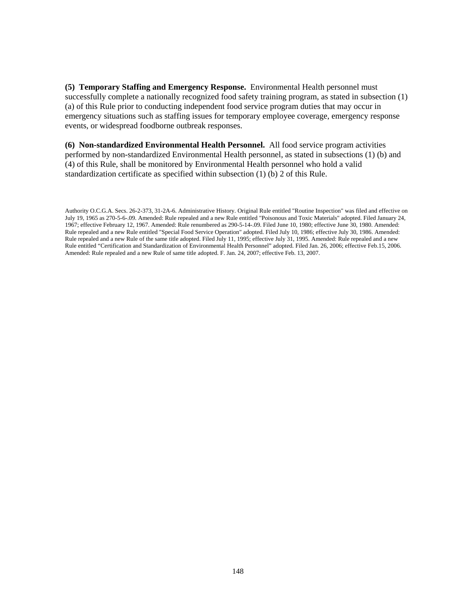**(5) Temporary Staffing and Emergency Response.** Environmental Health personnel must successfully complete a nationally recognized food safety training program, as stated in subsection (1) (a) of this Rule prior to conducting independent food service program duties that may occur in emergency situations such as staffing issues for temporary employee coverage, emergency response events, or widespread foodborne outbreak responses.

**(6) Non-standardized Environmental Health Personnel.** All food service program activities performed by non-standardized Environmental Health personnel, as stated in subsections (1) (b) and (4) of this Rule, shall be monitored by Environmental Health personnel who hold a valid standardization certificate as specified within subsection (1) (b) 2 of this Rule.

Authority O.C.G.A. Secs. 26-2-373, 31-2A-6. Administrative History. Original Rule entitled "Routine Inspection" was filed and effective on July 19, 1965 as 270-5-6-.09. Amended: Rule repealed and a new Rule entitled "Poisonous and Toxic Materials" adopted. Filed January 24, 1967; effective February 12, 1967. Amended: Rule renumbered as 290-5-14-.09. Filed June 10, 1980; effective June 30, 1980. Amended: Rule repealed and a new Rule entitled "Special Food Service Operation" adopted. Filed July 10, 1986; effective July 30, 1986. Amended: Rule repealed and a new Rule of the same title adopted. Filed July 11, 1995; effective July 31, 1995. Amended: Rule repealed and a new Rule entitled "Certification and Standardization of Environmental Health Personnel" adopted. Filed Jan. 26, 2006; effective Feb.15, 2006. Amended: Rule repealed and a new Rule of same title adopted. F. Jan. 24, 2007; effective Feb. 13, 2007.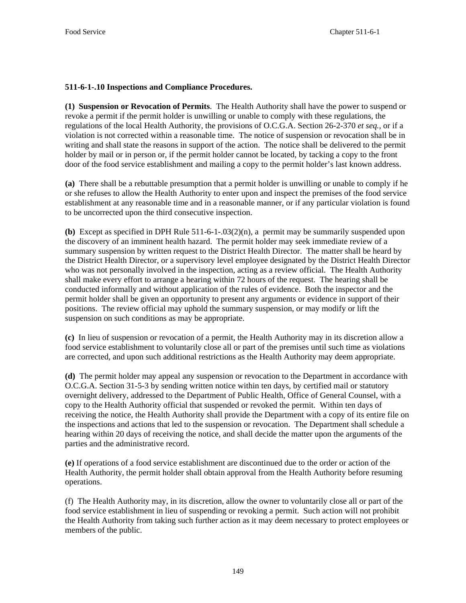## **511-6-1-.10 Inspections and Compliance Procedures.**

**(1) Suspension or Revocation of Permits**. The Health Authority shall have the power to suspend or revoke a permit if the permit holder is unwilling or unable to comply with these regulations, the regulations of the local Health Authority, the provisions of O.C.G.A. Section 26-2-370 *et seq.,* or if a violation is not corrected within a reasonable time. The notice of suspension or revocation shall be in writing and shall state the reasons in support of the action. The notice shall be delivered to the permit holder by mail or in person or, if the permit holder cannot be located, by tacking a copy to the front door of the food service establishment and mailing a copy to the permit holder's last known address.

**(a)** There shall be a rebuttable presumption that a permit holder is unwilling or unable to comply if he or she refuses to allow the Health Authority to enter upon and inspect the premises of the food service establishment at any reasonable time and in a reasonable manner, or if any particular violation is found to be uncorrected upon the third consecutive inspection.

**(b)** Except as specified in DPH Rule 511-6-1-.03(2)(n), a permit may be summarily suspended upon the discovery of an imminent health hazard. The permit holder may seek immediate review of a summary suspension by written request to the District Health Director. The matter shall be heard by the District Health Director, or a supervisory level employee designated by the District Health Director who was not personally involved in the inspection, acting as a review official. The Health Authority shall make every effort to arrange a hearing within 72 hours of the request. The hearing shall be conducted informally and without application of the rules of evidence. Both the inspector and the permit holder shall be given an opportunity to present any arguments or evidence in support of their positions. The review official may uphold the summary suspension, or may modify or lift the suspension on such conditions as may be appropriate.

**(c)** In lieu of suspension or revocation of a permit, the Health Authority may in its discretion allow a food service establishment to voluntarily close all or part of the premises until such time as violations are corrected, and upon such additional restrictions as the Health Authority may deem appropriate.

**(d)** The permit holder may appeal any suspension or revocation to the Department in accordance with O.C.G.A. Section 31-5-3 by sending written notice within ten days, by certified mail or statutory overnight delivery, addressed to the Department of Public Health, Office of General Counsel, with a copy to the Health Authority official that suspended or revoked the permit. Within ten days of receiving the notice, the Health Authority shall provide the Department with a copy of its entire file on the inspections and actions that led to the suspension or revocation. The Department shall schedule a hearing within 20 days of receiving the notice, and shall decide the matter upon the arguments of the parties and the administrative record.

**(e)** If operations of a food service establishment are discontinued due to the order or action of the Health Authority, the permit holder shall obtain approval from the Health Authority before resuming operations.

(f) The Health Authority may, in its discretion, allow the owner to voluntarily close all or part of the food service establishment in lieu of suspending or revoking a permit. Such action will not prohibit the Health Authority from taking such further action as it may deem necessary to protect employees or members of the public.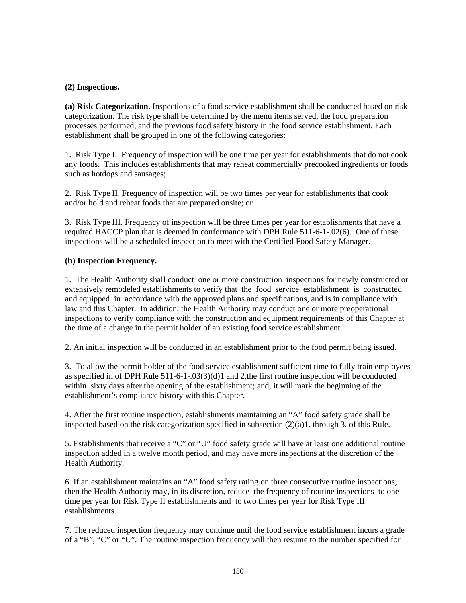## **(2) Inspections.**

**(a) Risk Categorization.** Inspections of a food service establishment shall be conducted based on risk categorization. The risk type shall be determined by the menu items served, the food preparation processes performed, and the previous food safety history in the food service establishment. Each establishment shall be grouped in one of the following categories:

1. Risk Type I. Frequency of inspection will be one time per year for establishments that do not cook any foods. This includes establishments that may reheat commercially precooked ingredients or foods such as hotdogs and sausages;

2. Risk Type II. Frequency of inspection will be two times per year for establishments that cook and/or hold and reheat foods that are prepared onsite; or

3. Risk Type III. Frequency of inspection will be three times per year for establishments that have a required HACCP plan that is deemed in conformance with DPH Rule 511-6-1-.02(6). One of these inspections will be a scheduled inspection to meet with the Certified Food Safety Manager.

## **(b) Inspection Frequency.**

1. The Health Authority shall conduct one or more construction inspections for newly constructed or extensively remodeled establishments to verify that the food service establishment is constructed and equipped in accordance with the approved plans and specifications, and is in compliance with law and this Chapter. In addition, the Health Authority may conduct one or more preoperational inspections to verify compliance with the construction and equipment requirements of this Chapter at the time of a change in the permit holder of an existing food service establishment.

2. An initial inspection will be conducted in an establishment prior to the food permit being issued.

3. To allow the permit holder of the food service establishment sufficient time to fully train employees as specified in of DPH Rule 511-6-1-.03(3)(d)1 and 2,the first routine inspection will be conducted within sixty days after the opening of the establishment; and, it will mark the beginning of the establishment's compliance history with this Chapter.

4. After the first routine inspection, establishments maintaining an "A" food safety grade shall be inspected based on the risk categorization specified in subsection (2)(a)1. through 3. of this Rule.

5. Establishments that receive a "C" or "U" food safety grade will have at least one additional routine inspection added in a twelve month period, and may have more inspections at the discretion of the Health Authority.

6. If an establishment maintains an "A" food safety rating on three consecutive routine inspections, then the Health Authority may, in its discretion, reduce the frequency of routine inspections to one time per year for Risk Type II establishments and to two times per year for Risk Type III establishments.

7. The reduced inspection frequency may continue until the food service establishment incurs a grade of a "B", "C" or "U". The routine inspection frequency will then resume to the number specified for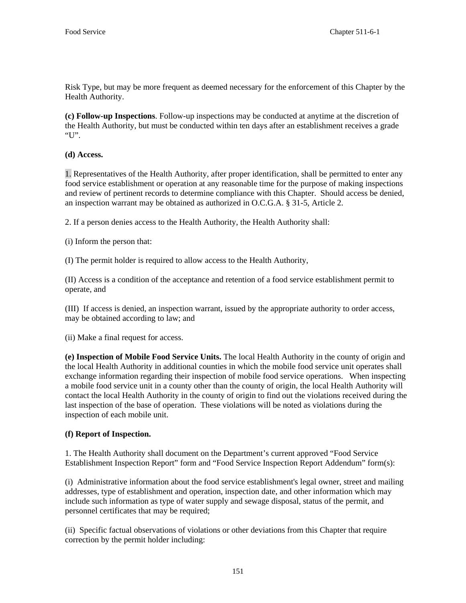Risk Type, but may be more frequent as deemed necessary for the enforcement of this Chapter by the Health Authority.

**(c) Follow-up Inspections**. Follow-up inspections may be conducted at anytime at the discretion of the Health Authority, but must be conducted within ten days after an establishment receives a grade " $U$ "

**(d) Access.**

1. Representatives of the Health Authority, after proper identification, shall be permitted to enter any food service establishment or operation at any reasonable time for the purpose of making inspections and review of pertinent records to determine compliance with this Chapter. Should access be denied, an inspection warrant may be obtained as authorized in O.C.G.A. § 31-5, Article 2.

2. If a person denies access to the Health Authority, the Health Authority shall:

(i) Inform the person that:

(I) The permit holder is required to allow access to the Health Authority,

(II) Access is a condition of the acceptance and retention of a food service establishment permit to operate, and

(III) If access is denied, an inspection warrant, issued by the appropriate authority to order access, may be obtained according to law; and

(ii) Make a final request for access.

**(e) Inspection of Mobile Food Service Units.** The local Health Authority in the county of origin and the local Health Authority in additional counties in which the mobile food service unit operates shall exchange information regarding their inspection of mobile food service operations. When inspecting a mobile food service unit in a county other than the county of origin, the local Health Authority will contact the local Health Authority in the county of origin to find out the violations received during the last inspection of the base of operation. These violations will be noted as violations during the inspection of each mobile unit.

# **(f) Report of Inspection.**

1. The Health Authority shall document on the Department's current approved "Food Service Establishment Inspection Report" form and "Food Service Inspection Report Addendum" form(s):

(i) Administrative information about the food service establishment's legal owner, street and mailing addresses, type of establishment and operation, inspection date, and other information which may include such information as type of water supply and sewage disposal, status of the permit, and personnel certificates that may be required;

(ii) Specific factual observations of violations or other deviations from this Chapter that require correction by the permit holder including: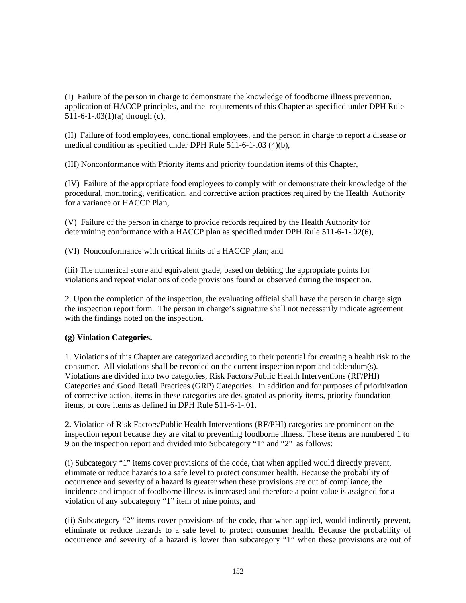(I) Failure of the person in charge to demonstrate the knowledge of foodborne illness prevention, application of HACCP principles, and the requirements of this Chapter as specified under DPH Rule 511-6-1-.03(1)(a) through (c),

(II) Failure of food employees, conditional employees, and the person in charge to report a disease or medical condition as specified under DPH Rule 511-6-1-.03 (4)(b),

(III) Nonconformance with Priority items and priority foundation items of this Chapter,

(IV) Failure of the appropriate food employees to comply with or demonstrate their knowledge of the procedural, monitoring, verification, and corrective action practices required by the Health Authority for a variance or HACCP Plan,

(V) Failure of the person in charge to provide records required by the Health Authority for determining conformance with a HACCP plan as specified under DPH Rule 511-6-1-.02(6),

(VI) Nonconformance with critical limits of a HACCP plan; and

(iii) The numerical score and equivalent grade, based on debiting the appropriate points for violations and repeat violations of code provisions found or observed during the inspection.

2. Upon the completion of the inspection, the evaluating official shall have the person in charge sign the inspection report form. The person in charge's signature shall not necessarily indicate agreement with the findings noted on the inspection.

## **(g) Violation Categories.**

1. Violations of this Chapter are categorized according to their potential for creating a health risk to the consumer. All violations shall be recorded on the current inspection report and addendum(s). Violations are divided into two categories, Risk Factors/Public Health Interventions (RF/PHI) Categories and Good Retail Practices (GRP) Categories. In addition and for purposes of prioritization of corrective action, items in these categories are designated as priority items, priority foundation items, or core items as defined in DPH Rule 511-6-1-.01.

2. Violation of Risk Factors/Public Health Interventions (RF/PHI) categories are prominent on the inspection report because they are vital to preventing foodborne illness. These items are numbered 1 to 9 on the inspection report and divided into Subcategory "1" and "2" as follows:

(i) Subcategory "1" items cover provisions of the code, that when applied would directly prevent, eliminate or reduce hazards to a safe level to protect consumer health. Because the probability of occurrence and severity of a hazard is greater when these provisions are out of compliance, the incidence and impact of foodborne illness is increased and therefore a point value is assigned for a violation of any subcategory "1" item of nine points, and

(ii) Subcategory "2" items cover provisions of the code, that when applied, would indirectly prevent, eliminate or reduce hazards to a safe level to protect consumer health. Because the probability of occurrence and severity of a hazard is lower than subcategory "1" when these provisions are out of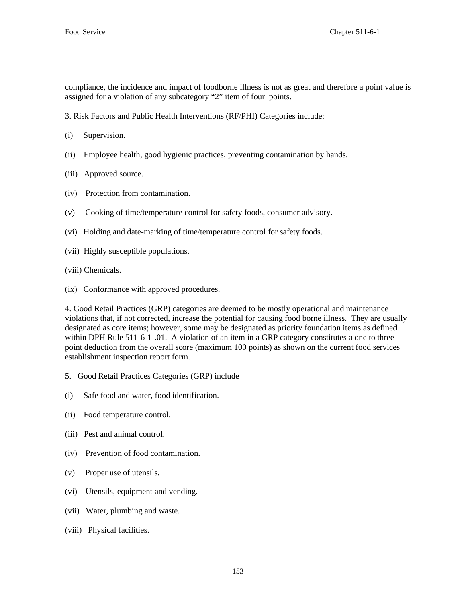compliance, the incidence and impact of foodborne illness is not as great and therefore a point value is assigned for a violation of any subcategory "2" item of four points.

- 3. Risk Factors and Public Health Interventions (RF/PHI) Categories include:
- (i) Supervision.
- (ii) Employee health, good hygienic practices, preventing contamination by hands.
- (iii) Approved source.
- (iv) Protection from contamination.
- (v) Cooking of time/temperature control for safety foods, consumer advisory.
- (vi) Holding and date-marking of time/temperature control for safety foods.
- (vii) Highly susceptible populations.
- (viii) Chemicals.
- (ix) Conformance with approved procedures.

4. Good Retail Practices (GRP) categories are deemed to be mostly operational and maintenance violations that, if not corrected, increase the potential for causing food borne illness. They are usually designated as core items; however, some may be designated as priority foundation items as defined within DPH Rule 511-6-1-01. A violation of an item in a GRP category constitutes a one to three point deduction from the overall score (maximum 100 points) as shown on the current food services establishment inspection report form.

- 5. Good Retail Practices Categories (GRP) include
- (i) Safe food and water, food identification.
- (ii) Food temperature control.
- (iii) Pest and animal control.
- (iv) Prevention of food contamination.
- (v) Proper use of utensils.
- (vi) Utensils, equipment and vending.
- (vii) Water, plumbing and waste.
- (viii) Physical facilities.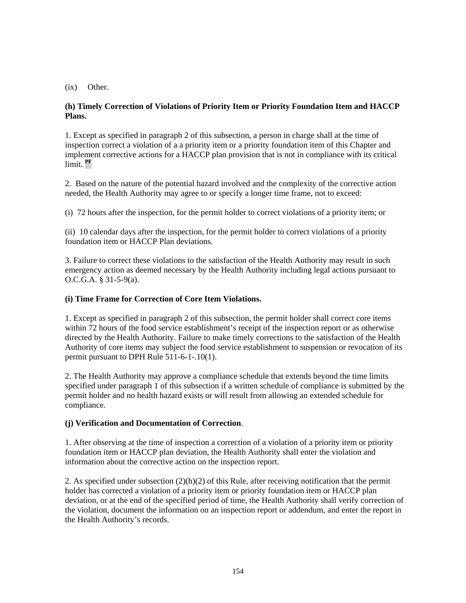(ix) Other.

## **(h) Timely Correction of Violations of Priority Item or Priority Foundation Item and HACCP Plans.**

1. Except as specified in paragraph 2 of this subsection, a person in charge shall at the time of inspection correct a violation of a a priority item or a priority foundation item of this Chapter and implement corrective actions for a HACCP plan provision that is not in compliance with its critical limit. **PF**

2. Based on the nature of the potential hazard involved and the complexity of the corrective action needed, the Health Authority may agree to or specify a longer time frame, not to exceed:

(i) 72 hours after the inspection, for the permit holder to correct violations of a priority item; or

(ii) 10 calendar days after the inspection, for the permit holder to correct violations of a priority foundation item or HACCP Plan deviations.

3. Failure to correct these violations to the satisfaction of the Health Authority may result in such emergency action as deemed necessary by the Health Authority including legal actions pursuant to O.C.G.A. § 31-5-9(a).

## **(i) Time Frame for Correction of Core Item Violations.**

1. Except as specified in paragraph 2 of this subsection, the permit holder shall correct core items within 72 hours of the food service establishment's receipt of the inspection report or as otherwise directed by the Health Authority. Failure to make timely corrections to the satisfaction of the Health Authority of core items may subject the food service establishment to suspension or revocation of its permit pursuant to DPH Rule 511-6-1-.10(1).

2. The Health Authority may approve a compliance schedule that extends beyond the time limits specified under paragraph 1 of this subsection if a written schedule of compliance is submitted by the permit holder and no health hazard exists or will result from allowing an extended schedule for compliance.

## **(j) Verification and Documentation of Correction**.

1. After observing at the time of inspection a correction of a violation of a priority item or priority foundation item or HACCP plan deviation, the Health Authority shall enter the violation and information about the corrective action on the inspection report.

2. As specified under subsection  $(2)(h)(2)$  of this Rule, after receiving notification that the permit holder has corrected a violation of a priority item or priority foundation item or HACCP plan deviation, or at the end of the specified period of time, the Health Authority shall verify correction of the violation, document the information on an inspection report or addendum, and enter the report in the Health Authority's records.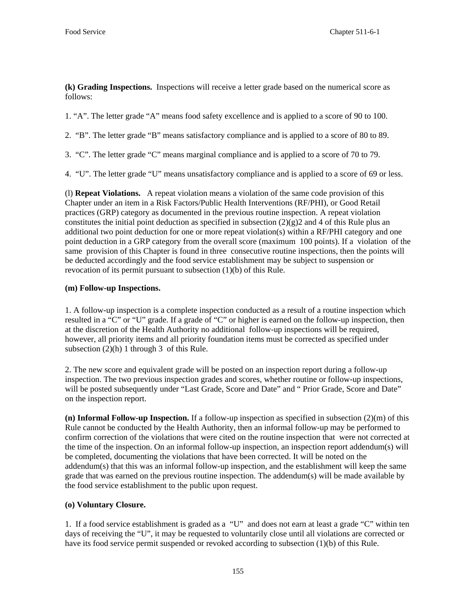**(k) Grading Inspections.** Inspections will receive a letter grade based on the numerical score as follows:

1. "A". The letter grade "A" means food safety excellence and is applied to a score of 90 to 100.

2. "B". The letter grade "B" means satisfactory compliance and is applied to a score of 80 to 89.

3. "C". The letter grade "C" means marginal compliance and is applied to a score of 70 to 79.

4. "U". The letter grade "U" means unsatisfactory compliance and is applied to a score of 69 or less.

(l) **Repeat Violations.** A repeat violation means a violation of the same code provision of this Chapter under an item in a Risk Factors/Public Health Interventions (RF/PHI), or Good Retail practices (GRP) category as documented in the previous routine inspection. A repeat violation constitutes the initial point deduction as specified in subsection  $(2)(g)2$  and 4 of this Rule plus an additional two point deduction for one or more repeat violation(s) within a RF/PHI category and one point deduction in a GRP category from the overall score (maximum 100 points). If a violation of the same provision of this Chapter is found in three consecutive routine inspections, then the points will be deducted accordingly and the food service establishment may be subject to suspension or revocation of its permit pursuant to subsection (1)(b) of this Rule.

### **(m) Follow-up Inspections.**

1. A follow-up inspection is a complete inspection conducted as a result of a routine inspection which resulted in a "C" or "U" grade. If a grade of "C" or higher is earned on the follow-up inspection, then at the discretion of the Health Authority no additional follow-up inspections will be required, however, all priority items and all priority foundation items must be corrected as specified under subsection  $(2)(h)$  1 through 3 of this Rule.

2. The new score and equivalent grade will be posted on an inspection report during a follow-up inspection. The two previous inspection grades and scores, whether routine or follow-up inspections, will be posted subsequently under "Last Grade, Score and Date" and " Prior Grade, Score and Date" on the inspection report.

**(n) Informal Follow-up Inspection.** If a follow-up inspection as specified in subsection (2)(m) of this Rule cannot be conducted by the Health Authority, then an informal follow-up may be performed to confirm correction of the violations that were cited on the routine inspection that were not corrected at the time of the inspection. On an informal follow-up inspection, an inspection report addendum(s) will be completed, documenting the violations that have been corrected. It will be noted on the addendum(s) that this was an informal follow-up inspection, and the establishment will keep the same grade that was earned on the previous routine inspection. The addendum(s) will be made available by the food service establishment to the public upon request.

## **(o) Voluntary Closure.**

1. If a food service establishment is graded as a "U" and does not earn at least a grade "C" within ten days of receiving the "U", it may be requested to voluntarily close until all violations are corrected or have its food service permit suspended or revoked according to subsection (1)(b) of this Rule.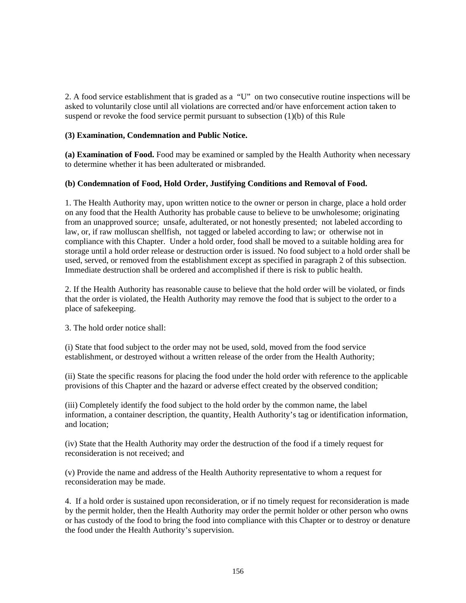2. A food service establishment that is graded as a "U" on two consecutive routine inspections will be asked to voluntarily close until all violations are corrected and/or have enforcement action taken to suspend or revoke the food service permit pursuant to subsection (1)(b) of this Rule

## **(3) Examination, Condemnation and Public Notice.**

**(a) Examination of Food.** Food may be examined or sampled by the Health Authority when necessary to determine whether it has been adulterated or misbranded.

## **(b) Condemnation of Food, Hold Order, Justifying Conditions and Removal of Food.**

1. The Health Authority may, upon written notice to the owner or person in charge, place a hold order on any food that the Health Authority has probable cause to believe to be unwholesome; originating from an unapproved source; unsafe, adulterated, or not honestly presented; not labeled according to law, or, if raw molluscan shellfish, not tagged or labeled according to law; or otherwise not in compliance with this Chapter. Under a hold order, food shall be moved to a suitable holding area for storage until a hold order release or destruction order is issued. No food subject to a hold order shall be used, served, or removed from the establishment except as specified in paragraph 2 of this subsection. Immediate destruction shall be ordered and accomplished if there is risk to public health.

2. If the Health Authority has reasonable cause to believe that the hold order will be violated, or finds that the order is violated, the Health Authority may remove the food that is subject to the order to a place of safekeeping.

3. The hold order notice shall:

(i) State that food subject to the order may not be used, sold, moved from the food service establishment, or destroyed without a written release of the order from the Health Authority;

(ii) State the specific reasons for placing the food under the hold order with reference to the applicable provisions of this Chapter and the hazard or adverse effect created by the observed condition;

(iii) Completely identify the food subject to the hold order by the common name, the label information, a container description, the quantity, Health Authority's tag or identification information, and location;

(iv) State that the Health Authority may order the destruction of the food if a timely request for reconsideration is not received; and

(v) Provide the name and address of the Health Authority representative to whom a request for reconsideration may be made.

4. If a hold order is sustained upon reconsideration, or if no timely request for reconsideration is made by the permit holder, then the Health Authority may order the permit holder or other person who owns or has custody of the food to bring the food into compliance with this Chapter or to destroy or denature the food under the Health Authority's supervision.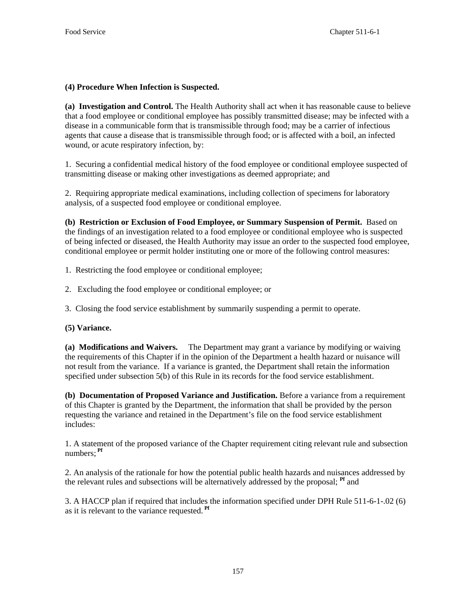## **(4) Procedure When Infection is Suspected.**

**(a) Investigation and Control.** The Health Authority shall act when it has reasonable cause to believe that a food employee or conditional employee has possibly transmitted disease; may be infected with a disease in a communicable form that is transmissible through food; may be a carrier of infectious agents that cause a disease that is transmissible through food; or is affected with a boil, an infected wound, or acute respiratory infection, by:

1. Securing a confidential medical history of the food employee or conditional employee suspected of transmitting disease or making other investigations as deemed appropriate; and

2. Requiring appropriate medical examinations, including collection of specimens for laboratory analysis, of a suspected food employee or conditional employee.

**(b) Restriction or Exclusion of Food Employee, or Summary Suspension of Permit.** Based on the findings of an investigation related to a food employee or conditional employee who is suspected of being infected or diseased, the Health Authority may issue an order to the suspected food employee, conditional employee or permit holder instituting one or more of the following control measures:

1. Restricting the food employee or conditional employee;

- 2. Excluding the food employee or conditional employee; or
- 3. Closing the food service establishment by summarily suspending a permit to operate.

## **(5) Variance.**

**(a) Modifications and Waivers.** The Department may grant a variance by modifying or waiving the requirements of this Chapter if in the opinion of the Department a health hazard or nuisance will not result from the variance. If a variance is granted, the Department shall retain the information specified under subsection 5(b) of this Rule in its records for the food service establishment.

**(b) Documentation of Proposed Variance and Justification.** Before a variance from a requirement of this Chapter is granted by the Department, the information that shall be provided by the person requesting the variance and retained in the Department's file on the food service establishment includes:

1. A statement of the proposed variance of the Chapter requirement citing relevant rule and subsection numbers; **Pf**

2. An analysis of the rationale for how the potential public health hazards and nuisances addressed by the relevant rules and subsections will be alternatively addressed by the proposal; **Pf** and

3. A HACCP plan if required that includes the information specified under DPH Rule 511-6-1-.02 (6) as it is relevant to the variance requested. **Pf**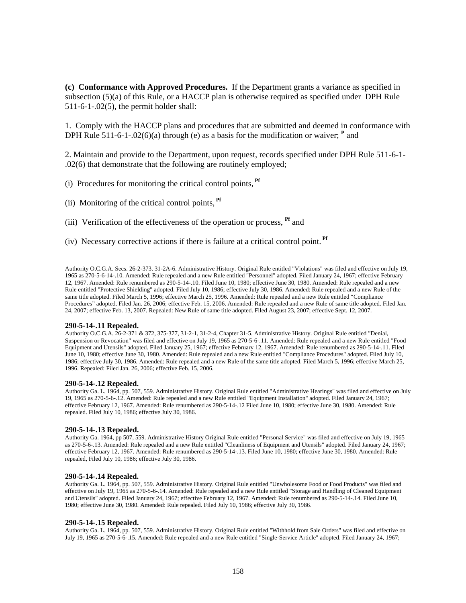**(c) Conformance with Approved Procedures.** If the Department grants a variance as specified in subsection (5)(a) of this Rule, or a HACCP plan is otherwise required as specified under DPH Rule 511-6-1-.02(5), the permit holder shall:

1. Comply with the HACCP plans and procedures that are submitted and deemed in conformance with DPH Rule 511-6-1-.02(6)(a) through (e) as a basis for the modification or waiver;  $\text{P}$  and

2. Maintain and provide to the Department, upon request, records specified under DPH Rule 511-6-1- .02(6) that demonstrate that the following are routinely employed;

(i) Procedures for monitoring the critical control points, **Pf**

(ii) Monitoring of the critical control points, **Pf**

- (iii) Verification of the effectiveness of the operation or process, **Pf** and
- (iv) Necessary corrective actions if there is failure at a critical control point. **Pf**

Authority O.C.G.A. Secs. 26-2-373. 31-2A-6. Administrative History. Original Rule entitled "Violations" was filed and effective on July 19, 1965 as 270-5-6-14-.10. Amended: Rule repealed and a new Rule entitled "Personnel" adopted. Filed January 24, 1967; effective February 12, 1967. Amended: Rule renumbered as 290-5-14-.10. Filed June 10, 1980; effective June 30, 1980. Amended: Rule repealed and a new Rule entitled "Protective Shielding" adopted. Filed July 10, 1986; effective July 30, 1986. Amended: Rule repealed and a new Rule of the same title adopted. Filed March 5, 1996; effective March 25, 1996. Amended: Rule repealed and a new Rule entitled "Compliance Procedures" adopted. Filed Jan. 26, 2006; effective Feb. 15, 2006. Amended: Rule repealed and a new Rule of same title adopted. Filed Jan. 24, 2007; effective Feb. 13, 2007. Repealed: New Rule of same title adopted. Filed August 23, 2007; effective Sept. 12, 2007.

#### **290-5-14-.11 Repealed.**

Authority O.C.G.A. 26-2-371 & 372, 375-377, 31-2-1, 31-2-4, Chapter 31-5. Administrative History. Original Rule entitled "Denial, Suspension or Revocation" was filed and effective on July 19, 1965 as 270-5-6-.11. Amended: Rule repealed and a new Rule entitled "Food Equipment and Utensils" adopted. Filed January 25, 1967; effective February 12, 1967. Amended: Rule renumbered as 290-5-14-.11. Filed June 10, 1980; effective June 30, 1980. Amended: Rule repealed and a new Rule entitled "Compliance Procedures" adopted. Filed July 10, 1986; effective July 30, 1986. Amended: Rule repealed and a new Rule of the same title adopted. Filed March 5, 1996; effective March 25, 1996. Repealed: Filed Jan. 26, 2006; effective Feb. 15, 2006.

#### **290-5-14-.12 Repealed.**

Authority Ga. L. 1964, pp. 507, 559. Administrative History. Original Rule entitled "Administrative Hearings" was filed and effective on July 19, 1965 as 270-5-6-.12. Amended: Rule repealed and a new Rule entitled "Equipment Installation" adopted. Filed January 24, 1967; effective February 12, 1967. Amended: Rule renumbered as 290-5-14-.12 Filed June 10, 1980; effective June 30, 1980. Amended: Rule repealed. Filed July 10, 1986; effective July 30, 1986.

#### **290-5-14-.13 Repealed.**

Authority Ga. 1964, pp 507, 559. Administrative History Original Rule entitled "Personal Service" was filed and effective on July 19, 1965 as 270-5-6-.13. Amended: Rule repealed and a new Rule entitled "Cleanliness of Equipment and Utensils" adopted. Filed January 24, 1967; effective February 12, 1967. Amended: Rule renumbered as 290-5-14-.13. Filed June 10, 1980; effective June 30, 1980. Amended: Rule repealed, Filed July 10, 1986; effective July 30, 1986.

#### **290-5-14-.14 Repealed.**

Authority Ga. L. 1964, pp. 507, 559. Administrative History. Original Rule entitled "Unwholesome Food or Food Products" was filed and effective on July 19, 1965 as 270-5-6-.14. Amended: Rule repealed and a new Rule entitled "Storage and Handling of Cleaned Equipment and Utensils" adopted. Filed January 24, 1967; effective February 12, 1967. Amended: Rule renumbered as 290-5-14-.14. Filed June 10, 1980; effective June 30, 1980. Amended: Rule repealed. Filed July 10, 1986; effective July 30, 1986.

### **290-5-14-.15 Repealed.**

Authority Ga. L. 1964, pp. 507, 559. Administrative History. Original Rule entitled "Withhold from Sale Orders" was filed and effective on July 19, 1965 as 270-5-6-.15. Amended: Rule repealed and a new Rule entitled "Single-Service Article" adopted. Filed January 24, 1967;